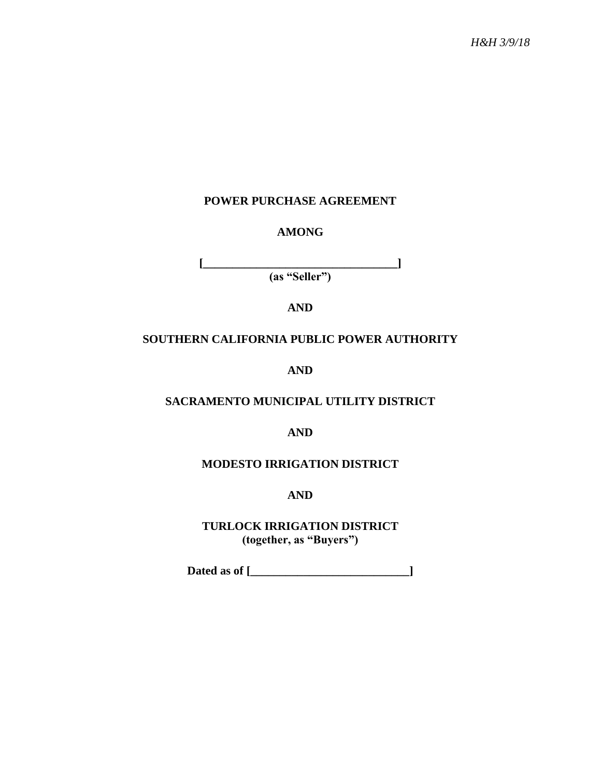## **POWER PURCHASE AGREEMENT**

#### **AMONG**

**[\_\_\_\_\_\_\_\_\_\_\_\_\_\_\_\_\_\_\_\_\_\_\_\_\_\_\_\_\_\_\_\_\_] (as "Seller")**

**AND**

#### **SOUTHERN CALIFORNIA PUBLIC POWER AUTHORITY**

**AND**

## **SACRAMENTO MUNICIPAL UTILITY DISTRICT**

**AND**

#### **MODESTO IRRIGATION DISTRICT**

**AND**

**TURLOCK IRRIGATION DISTRICT (together, as "Buyers")**

**Dated as of [\_\_\_\_\_\_\_\_\_\_\_\_\_\_\_\_\_\_\_\_\_\_\_\_\_\_\_]**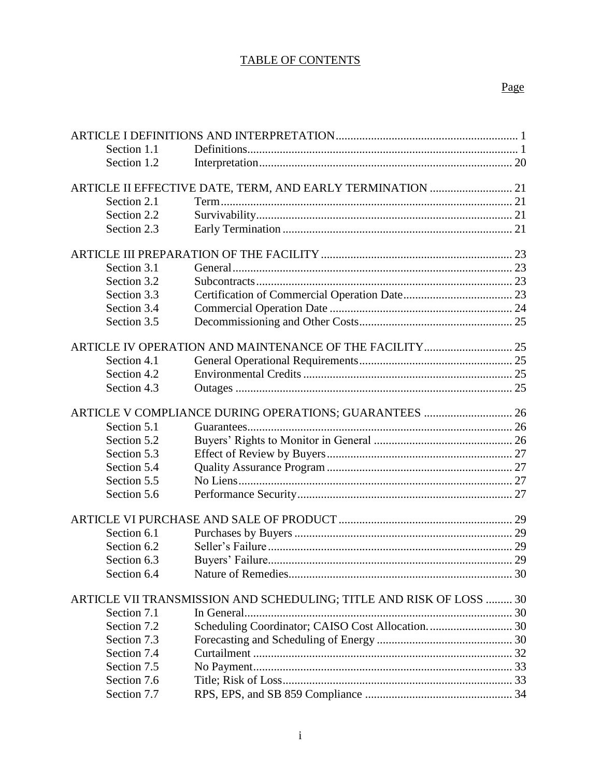# TABLE OF CONTENTS

# Page

| Section 1.1 |                                                                     |  |
|-------------|---------------------------------------------------------------------|--|
| Section 1.2 |                                                                     |  |
|             | ARTICLE II EFFECTIVE DATE, TERM, AND EARLY TERMINATION  21          |  |
| Section 2.1 |                                                                     |  |
| Section 2.2 |                                                                     |  |
| Section 2.3 |                                                                     |  |
|             |                                                                     |  |
| Section 3.1 |                                                                     |  |
| Section 3.2 |                                                                     |  |
| Section 3.3 |                                                                     |  |
| Section 3.4 |                                                                     |  |
| Section 3.5 |                                                                     |  |
|             |                                                                     |  |
| Section 4.1 |                                                                     |  |
| Section 4.2 |                                                                     |  |
| Section 4.3 |                                                                     |  |
|             | ARTICLE V COMPLIANCE DURING OPERATIONS; GUARANTEES  26              |  |
| Section 5.1 |                                                                     |  |
| Section 5.2 |                                                                     |  |
| Section 5.3 |                                                                     |  |
| Section 5.4 |                                                                     |  |
| Section 5.5 |                                                                     |  |
| Section 5.6 |                                                                     |  |
|             |                                                                     |  |
| Section 6.1 |                                                                     |  |
| Section 6.2 |                                                                     |  |
| Section 6.3 |                                                                     |  |
| Section 6.4 |                                                                     |  |
|             | ARTICLE VII TRANSMISSION AND SCHEDULING; TITLE AND RISK OF LOSS  30 |  |
| Section 7.1 |                                                                     |  |
| Section 7.2 |                                                                     |  |
| Section 7.3 |                                                                     |  |
| Section 7.4 |                                                                     |  |
| Section 7.5 |                                                                     |  |
| Section 7.6 |                                                                     |  |
| Section 7.7 |                                                                     |  |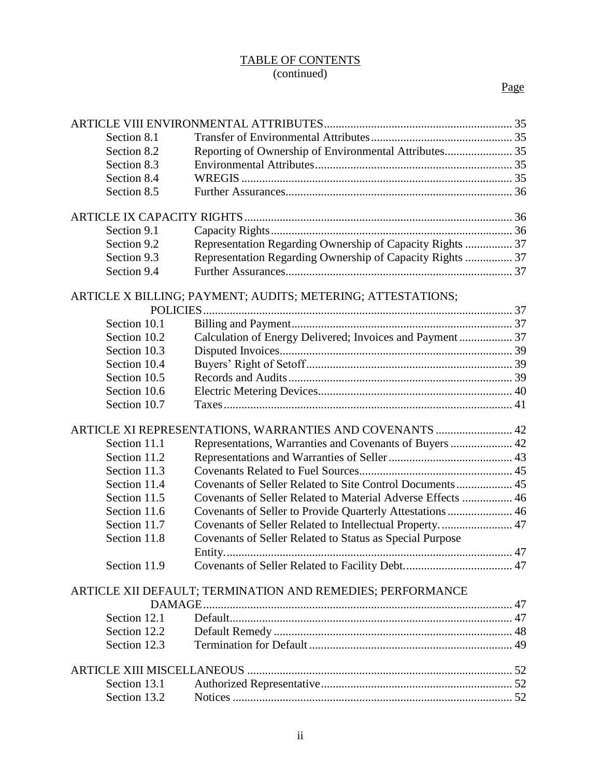## TABLE OF CONTENTS (continued)

| Section 8.1  |                                                             |    |
|--------------|-------------------------------------------------------------|----|
| Section 8.2  | Reporting of Ownership of Environmental Attributes 35       |    |
| Section 8.3  |                                                             |    |
| Section 8.4  |                                                             |    |
| Section 8.5  |                                                             |    |
|              |                                                             |    |
| Section 9.1  |                                                             |    |
| Section 9.2  | Representation Regarding Ownership of Capacity Rights  37   |    |
| Section 9.3  | Representation Regarding Ownership of Capacity Rights  37   |    |
| Section 9.4  |                                                             |    |
|              | ARTICLE X BILLING; PAYMENT; AUDITS; METERING; ATTESTATIONS; |    |
|              |                                                             |    |
| Section 10.1 |                                                             |    |
| Section 10.2 | Calculation of Energy Delivered; Invoices and Payment 37    |    |
| Section 10.3 |                                                             |    |
| Section 10.4 |                                                             |    |
| Section 10.5 |                                                             |    |
| Section 10.6 |                                                             |    |
| Section 10.7 |                                                             |    |
|              | ARTICLE XI REPRESENTATIONS, WARRANTIES AND COVENANTS  42    |    |
| Section 11.1 | Representations, Warranties and Covenants of Buyers  42     |    |
| Section 11.2 |                                                             |    |
| Section 11.3 |                                                             |    |
| Section 11.4 |                                                             |    |
| Section 11.5 | Covenants of Seller Related to Material Adverse Effects  46 |    |
| Section 11.6 | Covenants of Seller to Provide Quarterly Attestations 46    |    |
| Section 11.7 | Covenants of Seller Related to Intellectual Property 47     |    |
| Section 11.8 | Covenants of Seller Related to Status as Special Purpose    |    |
|              |                                                             | 47 |
| Section 11.9 |                                                             |    |
|              | ARTICLE XII DEFAULT; TERMINATION AND REMEDIES; PERFORMANCE  |    |
|              |                                                             |    |
| Section 12.1 |                                                             |    |
| Section 12.2 |                                                             |    |
| Section 12.3 |                                                             |    |
|              |                                                             |    |
| Section 13.1 |                                                             |    |
| Section 13.2 |                                                             |    |
|              |                                                             |    |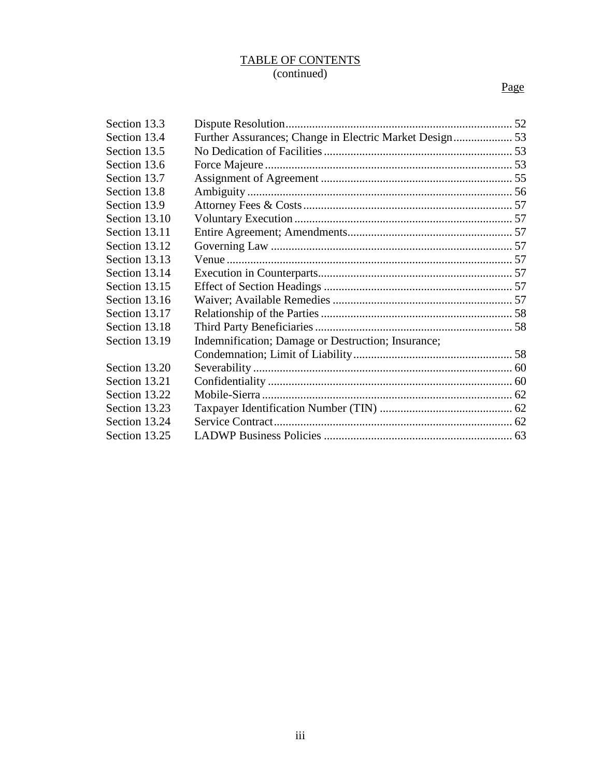#### TABLE OF CONTENTS (continued)

# Page

| Section 13.3  |                                                         |  |
|---------------|---------------------------------------------------------|--|
| Section 13.4  | Further Assurances; Change in Electric Market Design 53 |  |
| Section 13.5  |                                                         |  |
| Section 13.6  |                                                         |  |
| Section 13.7  |                                                         |  |
| Section 13.8  |                                                         |  |
| Section 13.9  |                                                         |  |
| Section 13.10 |                                                         |  |
| Section 13.11 |                                                         |  |
| Section 13.12 |                                                         |  |
| Section 13.13 |                                                         |  |
| Section 13.14 |                                                         |  |
| Section 13.15 |                                                         |  |
| Section 13.16 |                                                         |  |
| Section 13.17 |                                                         |  |
| Section 13.18 |                                                         |  |
| Section 13.19 | Indemnification; Damage or Destruction; Insurance;      |  |
|               |                                                         |  |
| Section 13.20 |                                                         |  |
| Section 13.21 |                                                         |  |
| Section 13.22 |                                                         |  |
| Section 13.23 |                                                         |  |
| Section 13.24 |                                                         |  |
| Section 13.25 |                                                         |  |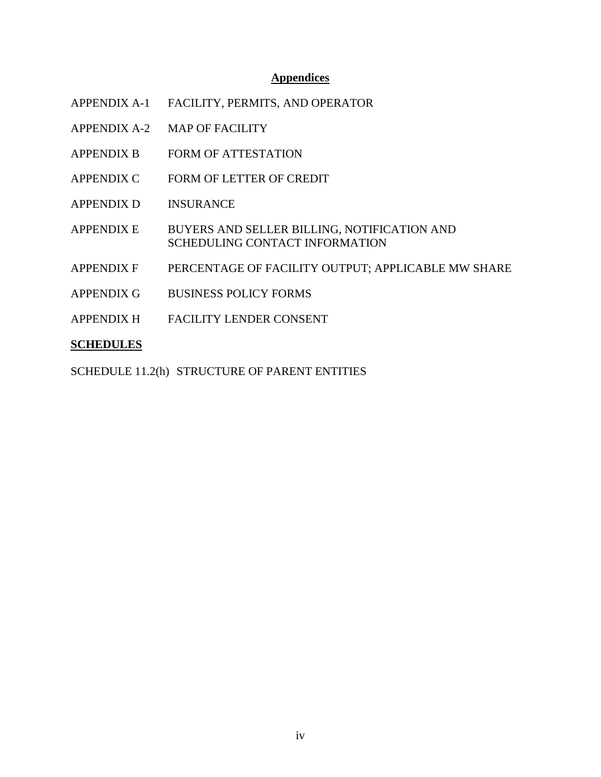#### **Appendices**

- APPENDIX A-1 FACILITY, PERMITS, AND OPERATOR
- APPENDIX A-2 MAP OF FACILITY
- APPENDIX B FORM OF ATTESTATION
- APPENDIX C FORM OF LETTER OF CREDIT
- APPENDIX D INSURANCE
- APPENDIX E BUYERS AND SELLER BILLING, NOTIFICATION AND SCHEDULING CONTACT INFORMATION
- APPENDIX F PERCENTAGE OF FACILITY OUTPUT; APPLICABLE MW SHARE
- APPENDIX G BUSINESS POLICY FORMS
- APPENDIX H FACILITY LENDER CONSENT

#### **SCHEDULES**

SCHEDULE 11.2(h) STRUCTURE OF PARENT ENTITIES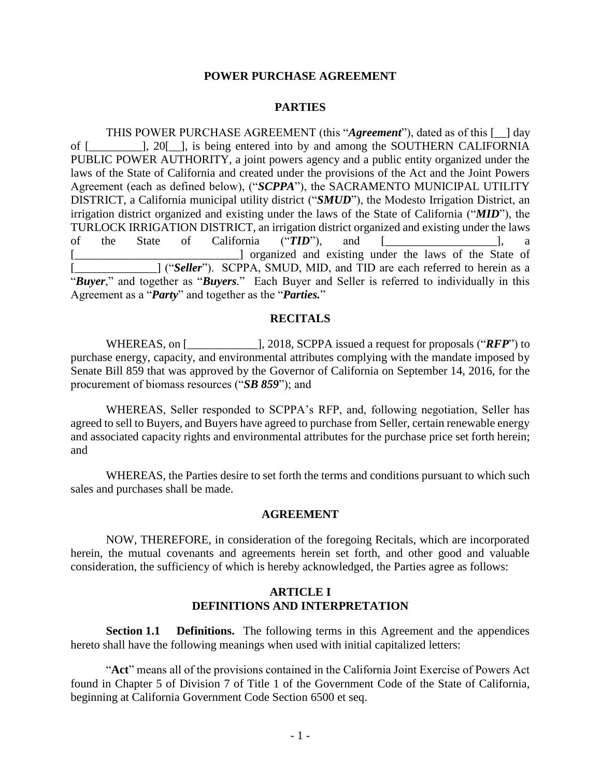#### **POWER PURCHASE AGREEMENT**

#### **PARTIES**

THIS POWER PURCHASE AGREEMENT (this "*Agreement*"), dated as of this [\_\_] day of [\_\_\_\_\_\_\_\_\_], 20[\_\_], is being entered into by and among the SOUTHERN CALIFORNIA PUBLIC POWER AUTHORITY, a joint powers agency and a public entity organized under the laws of the State of California and created under the provisions of the Act and the Joint Powers Agreement (each as defined below), ("*SCPPA*"), the SACRAMENTO MUNICIPAL UTILITY DISTRICT, a California municipal utility district ("*SMUD*"), the Modesto Irrigation District, an irrigation district organized and existing under the laws of the State of California ("*MID*"), the TURLOCK IRRIGATION DISTRICT, an irrigation district organized and existing under the laws of the State of California ("*TID*"), and [\_\_\_\_\_\_\_\_\_\_\_\_\_\_\_\_\_\_\_], a [\_\_\_\_\_\_\_\_\_\_\_\_\_\_\_\_\_\_\_\_\_\_\_\_\_\_\_\_] organized and existing under the laws of the State of [ $\Box$ ] ("*Seller*"). SCPPA, SMUD, MID, and TID are each referred to herein as a "*Buyer*," and together as "*Buyers.*" Each Buyer and Seller is referred to individually in this Agreement as a "*Party*" and together as the "*Parties.*"

#### **RECITALS**

WHEREAS, on [\_\_\_\_\_\_\_\_\_\_\_\_\_\_\_\_\_\_], 2018, SCPPA issued a request for proposals ("*RFP*") to purchase energy, capacity, and environmental attributes complying with the mandate imposed by Senate Bill 859 that was approved by the Governor of California on September 14, 2016, for the procurement of biomass resources ("*SB 859*"); and

WHEREAS, Seller responded to SCPPA's RFP, and, following negotiation, Seller has agreed to sell to Buyers, and Buyers have agreed to purchase from Seller, certain renewable energy and associated capacity rights and environmental attributes for the purchase price set forth herein; and

WHEREAS, the Parties desire to set forth the terms and conditions pursuant to which such sales and purchases shall be made.

#### **AGREEMENT**

NOW, THEREFORE, in consideration of the foregoing Recitals, which are incorporated herein, the mutual covenants and agreements herein set forth, and other good and valuable consideration, the sufficiency of which is hereby acknowledged, the Parties agree as follows:

### <span id="page-5-1"></span>**ARTICLE I DEFINITIONS AND INTERPRETATION**

<span id="page-5-0"></span>**Section 1.1 Definitions.** The following terms in this Agreement and the appendices hereto shall have the following meanings when used with initial capitalized letters:

"**Act**" means all of the provisions contained in the California Joint Exercise of Powers Act found in Chapter 5 of Division 7 of Title 1 of the Government Code of the State of California, beginning at California Government Code Section 6500 et seq.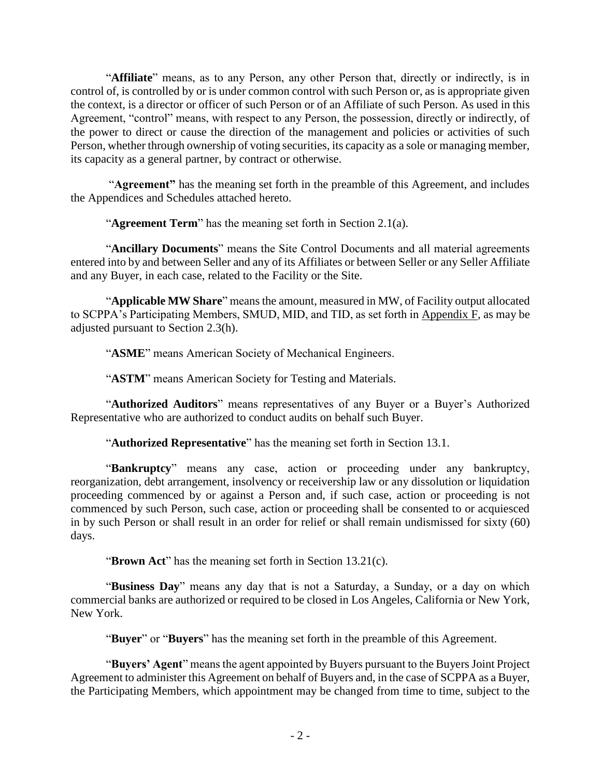"**Affiliate**" means, as to any Person, any other Person that, directly or indirectly, is in control of, is controlled by or is under common control with such Person or, as is appropriate given the context, is a director or officer of such Person or of an Affiliate of such Person. As used in this Agreement, "control" means, with respect to any Person, the possession, directly or indirectly, of the power to direct or cause the direction of the management and policies or activities of such Person, whether through ownership of voting securities, its capacity as a sole or managing member, its capacity as a general partner, by contract or otherwise.

"**Agreement"** has the meaning set forth in the preamble of this Agreement, and includes the Appendices and Schedules attached hereto.

"**Agreement Term**" has the meaning set forth in Section 2.1(a).

"**Ancillary Documents**" means the Site Control Documents and all material agreements entered into by and between Seller and any of its Affiliates or between Seller or any Seller Affiliate and any Buyer, in each case, related to the Facility or the Site.

"**Applicable MW Share**" means the amount, measured in MW, of Facility output allocated to SCPPA's Participating Members, SMUD, MID, and TID, as set forth in Appendix F, as may be adjusted pursuant to Section 2.3(h).

"**ASME**" means American Society of Mechanical Engineers.

"**ASTM**" means American Society for Testing and Materials.

"**Authorized Auditors**" means representatives of any Buyer or a Buyer's Authorized Representative who are authorized to conduct audits on behalf such Buyer.

"**Authorized Representative**" has the meaning set forth in Section 13.1.

"**Bankruptcy**" means any case, action or proceeding under any bankruptcy, reorganization, debt arrangement, insolvency or receivership law or any dissolution or liquidation proceeding commenced by or against a Person and, if such case, action or proceeding is not commenced by such Person, such case, action or proceeding shall be consented to or acquiesced in by such Person or shall result in an order for relief or shall remain undismissed for sixty (60) days.

"**Brown Act**" has the meaning set forth in Section 13.21(c).

"**Business Day**" means any day that is not a Saturday, a Sunday, or a day on which commercial banks are authorized or required to be closed in Los Angeles, California or New York, New York.

"**Buyer**" or "**Buyers**" has the meaning set forth in the preamble of this Agreement.

"**Buyers' Agent**" means the agent appointed by Buyers pursuant to the Buyers Joint Project Agreement to administer this Agreement on behalf of Buyers and, in the case of SCPPA as a Buyer, the Participating Members, which appointment may be changed from time to time, subject to the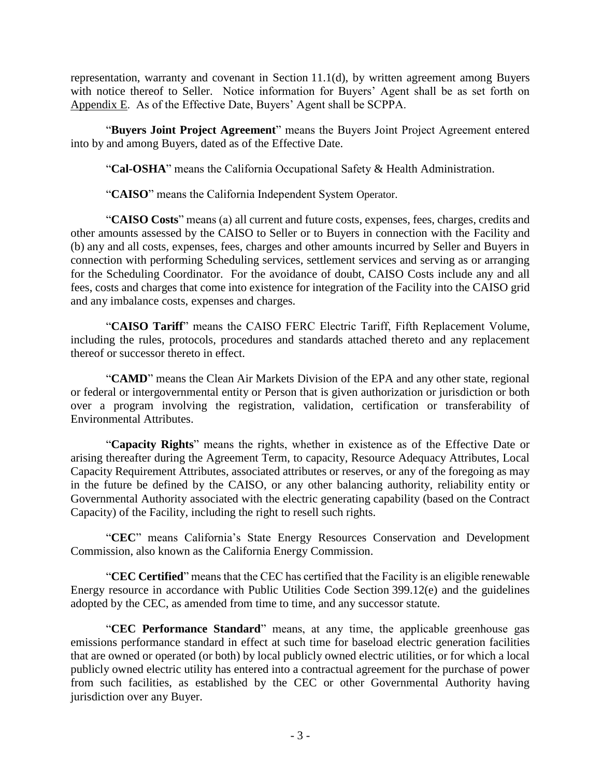representation, warranty and covenant in Section 11.1(d), by written agreement among Buyers with notice thereof to Seller.Notice information for Buyers' Agent shall be as set forth on Appendix E. As of the Effective Date, Buyers' Agent shall be SCPPA.

"**Buyers Joint Project Agreement**" means the Buyers Joint Project Agreement entered into by and among Buyers, dated as of the Effective Date.

"**Cal-OSHA**" means the California Occupational Safety & Health Administration.

"**CAISO**" means the California Independent System Operator.

"**CAISO Costs**" means (a) all current and future costs, expenses, fees, charges, credits and other amounts assessed by the CAISO to Seller or to Buyers in connection with the Facility and (b) any and all costs, expenses, fees, charges and other amounts incurred by Seller and Buyers in connection with performing Scheduling services, settlement services and serving as or arranging for the Scheduling Coordinator. For the avoidance of doubt, CAISO Costs include any and all fees, costs and charges that come into existence for integration of the Facility into the CAISO grid and any imbalance costs, expenses and charges.

"**CAISO Tariff**" means the CAISO FERC Electric Tariff, Fifth Replacement Volume, including the rules, protocols, procedures and standards attached thereto and any replacement thereof or successor thereto in effect.

"**CAMD**" means the Clean Air Markets Division of the EPA and any other state, regional or federal or intergovernmental entity or Person that is given authorization or jurisdiction or both over a program involving the registration, validation, certification or transferability of Environmental Attributes.

"**Capacity Rights**" means the rights, whether in existence as of the Effective Date or arising thereafter during the Agreement Term, to capacity, Resource Adequacy Attributes, Local Capacity Requirement Attributes, associated attributes or reserves, or any of the foregoing as may in the future be defined by the CAISO, or any other balancing authority, reliability entity or Governmental Authority associated with the electric generating capability (based on the Contract Capacity) of the Facility, including the right to resell such rights.

"**CEC**" means California's State Energy Resources Conservation and Development Commission, also known as the California Energy Commission.

"**CEC Certified**" means that the CEC has certified that the Facility is an eligible renewable Energy resource in accordance with Public Utilities Code Section 399.12(e) and the guidelines adopted by the CEC, as amended from time to time, and any successor statute.

"**CEC Performance Standard**" means, at any time, the applicable greenhouse gas emissions performance standard in effect at such time for baseload electric generation facilities that are owned or operated (or both) by local publicly owned electric utilities, or for which a local publicly owned electric utility has entered into a contractual agreement for the purchase of power from such facilities, as established by the CEC or other Governmental Authority having jurisdiction over any Buyer.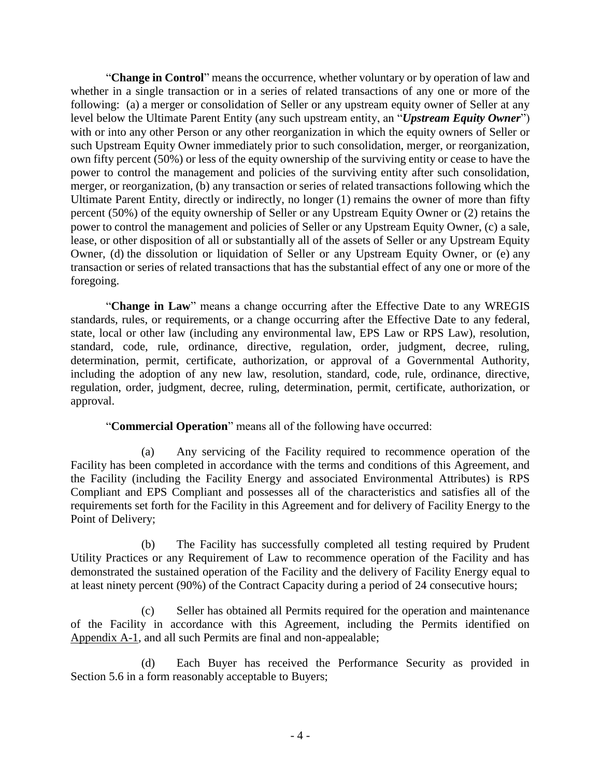"**Change in Control**" means the occurrence, whether voluntary or by operation of law and whether in a single transaction or in a series of related transactions of any one or more of the following: (a) a merger or consolidation of Seller or any upstream equity owner of Seller at any level below the Ultimate Parent Entity (any such upstream entity, an "*Upstream Equity Owner*") with or into any other Person or any other reorganization in which the equity owners of Seller or such Upstream Equity Owner immediately prior to such consolidation, merger, or reorganization, own fifty percent (50%) or less of the equity ownership of the surviving entity or cease to have the power to control the management and policies of the surviving entity after such consolidation, merger, or reorganization, (b) any transaction or series of related transactions following which the Ultimate Parent Entity, directly or indirectly, no longer (1) remains the owner of more than fifty percent (50%) of the equity ownership of Seller or any Upstream Equity Owner or (2) retains the power to control the management and policies of Seller or any Upstream Equity Owner, (c) a sale, lease, or other disposition of all or substantially all of the assets of Seller or any Upstream Equity Owner, (d) the dissolution or liquidation of Seller or any Upstream Equity Owner, or (e) any transaction or series of related transactions that has the substantial effect of any one or more of the foregoing.

"**Change in Law**" means a change occurring after the Effective Date to any WREGIS standards, rules, or requirements, or a change occurring after the Effective Date to any federal, state, local or other law (including any environmental law, EPS Law or RPS Law), resolution, standard, code, rule, ordinance, directive, regulation, order, judgment, decree, ruling, determination, permit, certificate, authorization, or approval of a Governmental Authority, including the adoption of any new law, resolution, standard, code, rule, ordinance, directive, regulation, order, judgment, decree, ruling, determination, permit, certificate, authorization, or approval.

"**Commercial Operation**" means all of the following have occurred:

(a) Any servicing of the Facility required to recommence operation of the Facility has been completed in accordance with the terms and conditions of this Agreement, and the Facility (including the Facility Energy and associated Environmental Attributes) is RPS Compliant and EPS Compliant and possesses all of the characteristics and satisfies all of the requirements set forth for the Facility in this Agreement and for delivery of Facility Energy to the Point of Delivery;

(b) The Facility has successfully completed all testing required by Prudent Utility Practices or any Requirement of Law to recommence operation of the Facility and has demonstrated the sustained operation of the Facility and the delivery of Facility Energy equal to at least ninety percent (90%) of the Contract Capacity during a period of 24 consecutive hours;

(c) Seller has obtained all Permits required for the operation and maintenance of the Facility in accordance with this Agreement, including the Permits identified on Appendix A-1, and all such Permits are final and non-appealable;

(d) Each Buyer has received the Performance Security as provided in Section 5.6 in a form reasonably acceptable to Buyers;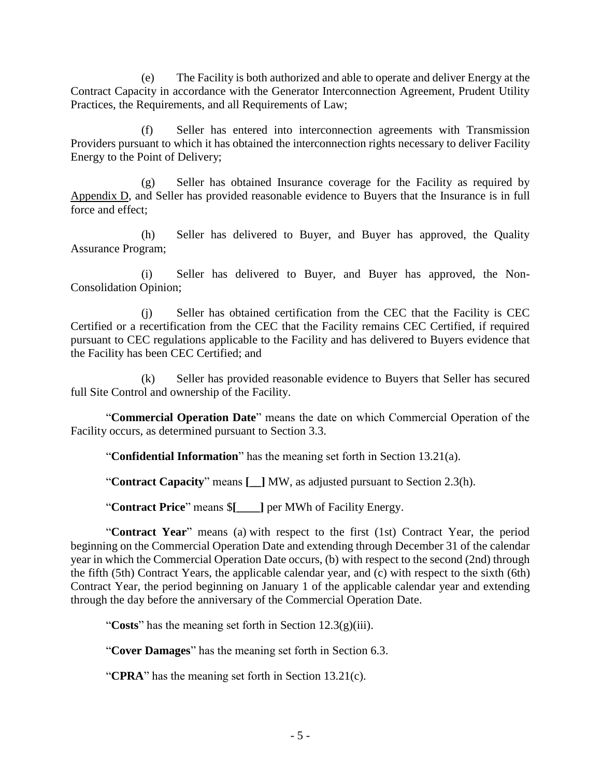(e) The Facility is both authorized and able to operate and deliver Energy at the Contract Capacity in accordance with the Generator Interconnection Agreement, Prudent Utility Practices, the Requirements, and all Requirements of Law;

(f) Seller has entered into interconnection agreements with Transmission Providers pursuant to which it has obtained the interconnection rights necessary to deliver Facility Energy to the Point of Delivery;

(g) Seller has obtained Insurance coverage for the Facility as required by Appendix D, and Seller has provided reasonable evidence to Buyers that the Insurance is in full force and effect;

(h) Seller has delivered to Buyer, and Buyer has approved, the Quality Assurance Program;

(i) Seller has delivered to Buyer, and Buyer has approved, the Non-Consolidation Opinion;

(j) Seller has obtained certification from the CEC that the Facility is CEC Certified or a recertification from the CEC that the Facility remains CEC Certified, if required pursuant to CEC regulations applicable to the Facility and has delivered to Buyers evidence that the Facility has been CEC Certified; and

(k) Seller has provided reasonable evidence to Buyers that Seller has secured full Site Control and ownership of the Facility.

"**Commercial Operation Date**" means the date on which Commercial Operation of the Facility occurs, as determined pursuant to Section 3.3.

"**Confidential Information**" has the meaning set forth in Section 13.21(a).

"**Contract Capacity**" means **[\_\_]** MW, as adjusted pursuant to Section 2.3(h).

"**Contract Price**" means \$**[\_\_\_\_]** per MWh of Facility Energy.

"**Contract Year**" means (a) with respect to the first (1st) Contract Year, the period beginning on the Commercial Operation Date and extending through December 31 of the calendar year in which the Commercial Operation Date occurs, (b) with respect to the second (2nd) through the fifth (5th) Contract Years, the applicable calendar year, and (c) with respect to the sixth (6th) Contract Year, the period beginning on January 1 of the applicable calendar year and extending through the day before the anniversary of the Commercial Operation Date.

"**Costs**" has the meaning set forth in Section 12.3(g)(iii).

"**Cover Damages**" has the meaning set forth in Section 6.3.

"**CPRA**" has the meaning set forth in Section 13.21(c).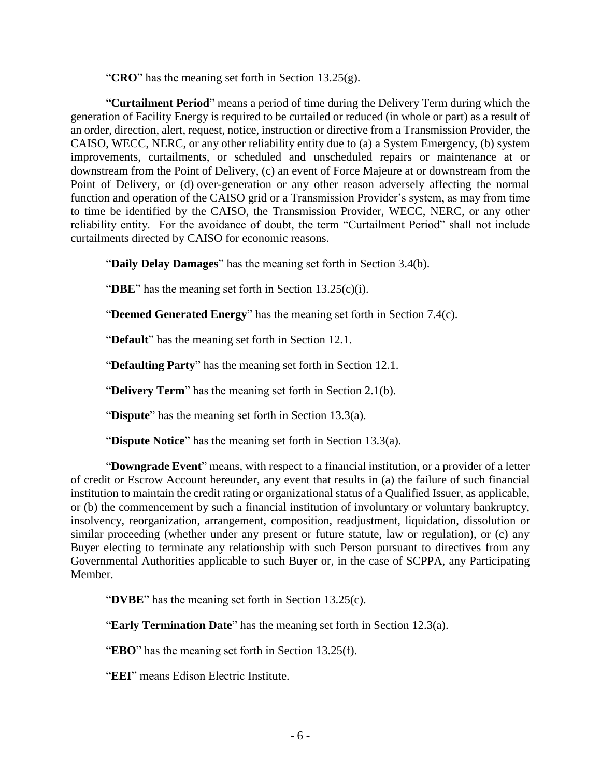"**CRO**" has the meaning set forth in Section 13.25(g).

"**Curtailment Period**" means a period of time during the Delivery Term during which the generation of Facility Energy is required to be curtailed or reduced (in whole or part) as a result of an order, direction, alert, request, notice, instruction or directive from a Transmission Provider, the CAISO, WECC, NERC, or any other reliability entity due to (a) a System Emergency, (b) system improvements, curtailments, or scheduled and unscheduled repairs or maintenance at or downstream from the Point of Delivery, (c) an event of Force Majeure at or downstream from the Point of Delivery, or (d) over-generation or any other reason adversely affecting the normal function and operation of the CAISO grid or a Transmission Provider's system, as may from time to time be identified by the CAISO, the Transmission Provider, WECC, NERC, or any other reliability entity. For the avoidance of doubt, the term "Curtailment Period" shall not include curtailments directed by CAISO for economic reasons.

"**Daily Delay Damages**" has the meaning set forth in Section 3.4(b).

"**DBE**" has the meaning set forth in Section 13.25(c)(i).

"**Deemed Generated Energy**" has the meaning set forth in Section 7.4(c).

"**Default**" has the meaning set forth in Section 12.1.

"**Defaulting Party**" has the meaning set forth in Section 12.1.

"**Delivery Term**" has the meaning set forth in Section 2.1(b).

"**Dispute**" has the meaning set forth in Section 13.3(a).

"**Dispute Notice**" has the meaning set forth in Section 13.3(a).

"**Downgrade Event**" means, with respect to a financial institution, or a provider of a letter of credit or Escrow Account hereunder, any event that results in (a) the failure of such financial institution to maintain the credit rating or organizational status of a Qualified Issuer, as applicable, or (b) the commencement by such a financial institution of involuntary or voluntary bankruptcy, insolvency, reorganization, arrangement, composition, readjustment, liquidation, dissolution or similar proceeding (whether under any present or future statute, law or regulation), or (c) any Buyer electing to terminate any relationship with such Person pursuant to directives from any Governmental Authorities applicable to such Buyer or, in the case of SCPPA, any Participating Member.

"**DVBE**" has the meaning set forth in Section 13.25(c).

"**Early Termination Date**" has the meaning set forth in Section 12.3(a).

"**EBO**" has the meaning set forth in Section 13.25(f).

"**EEI**" means Edison Electric Institute.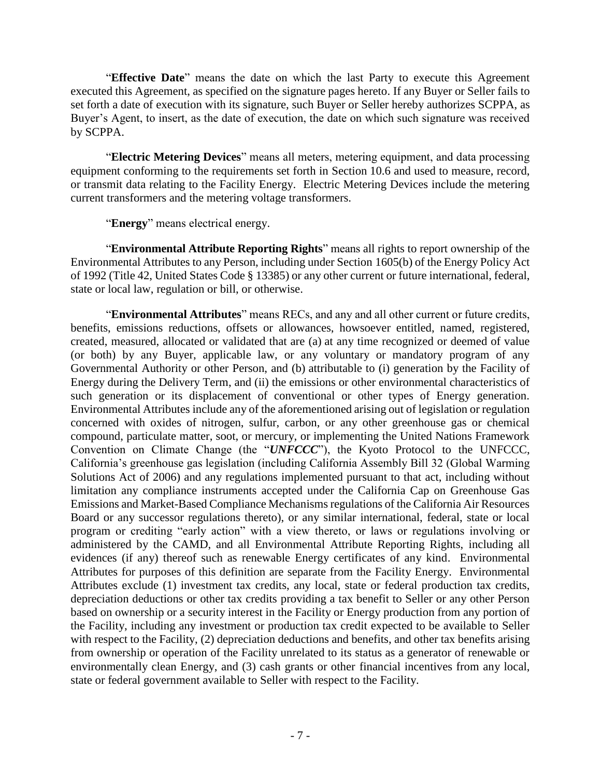"**Effective Date**" means the date on which the last Party to execute this Agreement executed this Agreement, as specified on the signature pages hereto. If any Buyer or Seller fails to set forth a date of execution with its signature, such Buyer or Seller hereby authorizes SCPPA, as Buyer's Agent, to insert, as the date of execution, the date on which such signature was received by SCPPA.

"**Electric Metering Devices**" means all meters, metering equipment, and data processing equipment conforming to the requirements set forth in Section 10.6 and used to measure, record, or transmit data relating to the Facility Energy. Electric Metering Devices include the metering current transformers and the metering voltage transformers.

"**Energy**" means electrical energy.

"**Environmental Attribute Reporting Rights**" means all rights to report ownership of the Environmental Attributes to any Person, including under Section 1605(b) of the Energy Policy Act of 1992 (Title 42, United States Code § 13385) or any other current or future international, federal, state or local law, regulation or bill, or otherwise.

"**Environmental Attributes**" means RECs, and any and all other current or future credits, benefits, emissions reductions, offsets or allowances, howsoever entitled, named, registered, created, measured, allocated or validated that are (a) at any time recognized or deemed of value (or both) by any Buyer, applicable law, or any voluntary or mandatory program of any Governmental Authority or other Person, and (b) attributable to (i) generation by the Facility of Energy during the Delivery Term, and (ii) the emissions or other environmental characteristics of such generation or its displacement of conventional or other types of Energy generation. Environmental Attributes include any of the aforementioned arising out of legislation or regulation concerned with oxides of nitrogen, sulfur, carbon, or any other greenhouse gas or chemical compound, particulate matter, soot, or mercury, or implementing the United Nations Framework Convention on Climate Change (the "*UNFCCC*"), the Kyoto Protocol to the UNFCCC, California's greenhouse gas legislation (including California Assembly Bill 32 (Global Warming Solutions Act of 2006) and any regulations implemented pursuant to that act, including without limitation any compliance instruments accepted under the California Cap on Greenhouse Gas Emissions and Market-Based Compliance Mechanisms regulations of the California Air Resources Board or any successor regulations thereto), or any similar international, federal, state or local program or crediting "early action" with a view thereto, or laws or regulations involving or administered by the CAMD, and all Environmental Attribute Reporting Rights, including all evidences (if any) thereof such as renewable Energy certificates of any kind. Environmental Attributes for purposes of this definition are separate from the Facility Energy. Environmental Attributes exclude (1) investment tax credits, any local, state or federal production tax credits, depreciation deductions or other tax credits providing a tax benefit to Seller or any other Person based on ownership or a security interest in the Facility or Energy production from any portion of the Facility, including any investment or production tax credit expected to be available to Seller with respect to the Facility, (2) depreciation deductions and benefits, and other tax benefits arising from ownership or operation of the Facility unrelated to its status as a generator of renewable or environmentally clean Energy, and (3) cash grants or other financial incentives from any local, state or federal government available to Seller with respect to the Facility.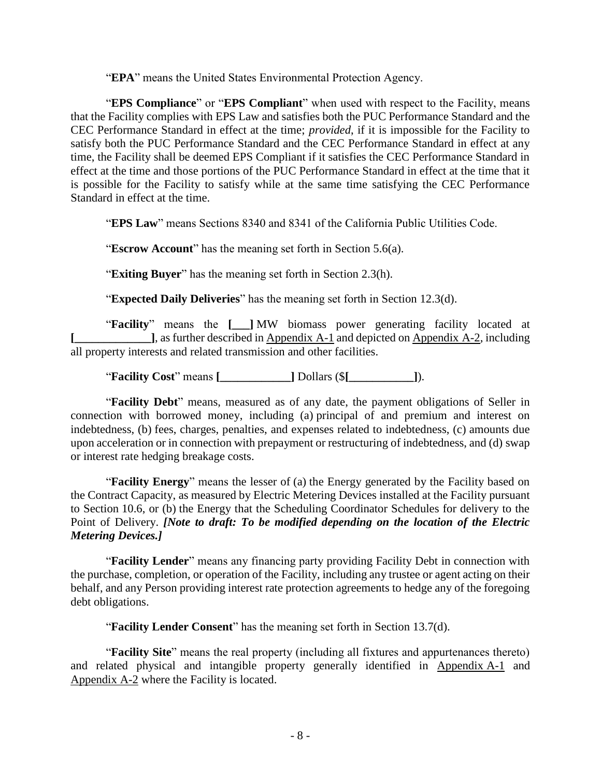"**EPA**" means the United States Environmental Protection Agency.

"**EPS Compliance**" or "**EPS Compliant**" when used with respect to the Facility, means that the Facility complies with EPS Law and satisfies both the PUC Performance Standard and the CEC Performance Standard in effect at the time; *provided*, if it is impossible for the Facility to satisfy both the PUC Performance Standard and the CEC Performance Standard in effect at any time, the Facility shall be deemed EPS Compliant if it satisfies the CEC Performance Standard in effect at the time and those portions of the PUC Performance Standard in effect at the time that it is possible for the Facility to satisfy while at the same time satisfying the CEC Performance Standard in effect at the time.

"**EPS Law**" means Sections 8340 and 8341 of the California Public Utilities Code.

"**Escrow Account**" has the meaning set forth in Section 5.6(a).

"**Exiting Buyer**" has the meaning set forth in Section 2.3(h).

"**Expected Daily Deliveries**" has the meaning set forth in Section 12.3(d).

"**Facility**" means the **[\_\_\_]** MW biomass power generating facility located at **[**], as further described in Appendix A-1 and depicted on Appendix A-2, including all property interests and related transmission and other facilities.

"**Facility Cost**" means **[\_\_\_\_\_\_\_\_\_\_\_\_]** Dollars (\$**[\_\_\_\_\_\_\_\_\_\_\_]**).

"**Facility Debt**" means, measured as of any date, the payment obligations of Seller in connection with borrowed money, including (a) principal of and premium and interest on indebtedness, (b) fees, charges, penalties, and expenses related to indebtedness, (c) amounts due upon acceleration or in connection with prepayment or restructuring of indebtedness, and (d) swap or interest rate hedging breakage costs.

"**Facility Energy**" means the lesser of (a) the Energy generated by the Facility based on the Contract Capacity, as measured by Electric Metering Devices installed at the Facility pursuant to Section 10.6, or (b) the Energy that the Scheduling Coordinator Schedules for delivery to the Point of Delivery. *[Note to draft: To be modified depending on the location of the Electric Metering Devices.]*

"**Facility Lender**" means any financing party providing Facility Debt in connection with the purchase, completion, or operation of the Facility, including any trustee or agent acting on their behalf, and any Person providing interest rate protection agreements to hedge any of the foregoing debt obligations.

"**Facility Lender Consent**" has the meaning set forth in Section 13.7(d).

"**Facility Site**" means the real property (including all fixtures and appurtenances thereto) and related physical and intangible property generally identified in Appendix A-1 and Appendix A-2 where the Facility is located.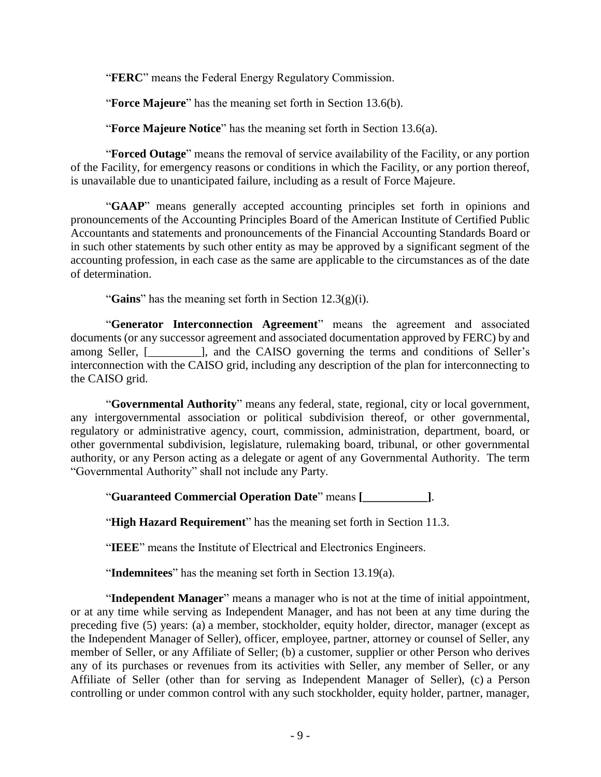"**FERC**" means the Federal Energy Regulatory Commission.

"**Force Majeure**" has the meaning set forth in Section 13.6(b).

"**Force Majeure Notice**" has the meaning set forth in Section 13.6(a).

"**Forced Outage**" means the removal of service availability of the Facility, or any portion of the Facility, for emergency reasons or conditions in which the Facility, or any portion thereof, is unavailable due to unanticipated failure, including as a result of Force Majeure.

"**GAAP**" means generally accepted accounting principles set forth in opinions and pronouncements of the Accounting Principles Board of the American Institute of Certified Public Accountants and statements and pronouncements of the Financial Accounting Standards Board or in such other statements by such other entity as may be approved by a significant segment of the accounting profession, in each case as the same are applicable to the circumstances as of the date of determination.

"**Gains**" has the meaning set forth in Section 12.3(g)(i).

"**Generator Interconnection Agreement**" means the agreement and associated documents (or any successor agreement and associated documentation approved by FERC) by and among Seller, [\_\_\_\_\_\_\_\_\_], and the CAISO governing the terms and conditions of Seller's interconnection with the CAISO grid, including any description of the plan for interconnecting to the CAISO grid.

"**Governmental Authority**" means any federal, state, regional, city or local government, any intergovernmental association or political subdivision thereof, or other governmental, regulatory or administrative agency, court, commission, administration, department, board, or other governmental subdivision, legislature, rulemaking board, tribunal, or other governmental authority, or any Person acting as a delegate or agent of any Governmental Authority. The term "Governmental Authority" shall not include any Party.

"**Guaranteed Commercial Operation Date**" means **[\_\_\_\_\_\_\_\_\_\_\_]**.

"**High Hazard Requirement**" has the meaning set forth in [Section](#page-49-2) 11.3.

"**IEEE**" means the Institute of Electrical and Electronics Engineers.

"**Indemnitees**" has the meaning set forth in Section 13.19(a).

"**Independent Manager**" means a manager who is not at the time of initial appointment, or at any time while serving as Independent Manager, and has not been at any time during the preceding five (5) years: (a) a member, stockholder, equity holder, director, manager (except as the Independent Manager of Seller), officer, employee, partner, attorney or counsel of Seller, any member of Seller, or any Affiliate of Seller; (b) a customer, supplier or other Person who derives any of its purchases or revenues from its activities with Seller, any member of Seller, or any Affiliate of Seller (other than for serving as Independent Manager of Seller), (c) a Person controlling or under common control with any such stockholder, equity holder, partner, manager,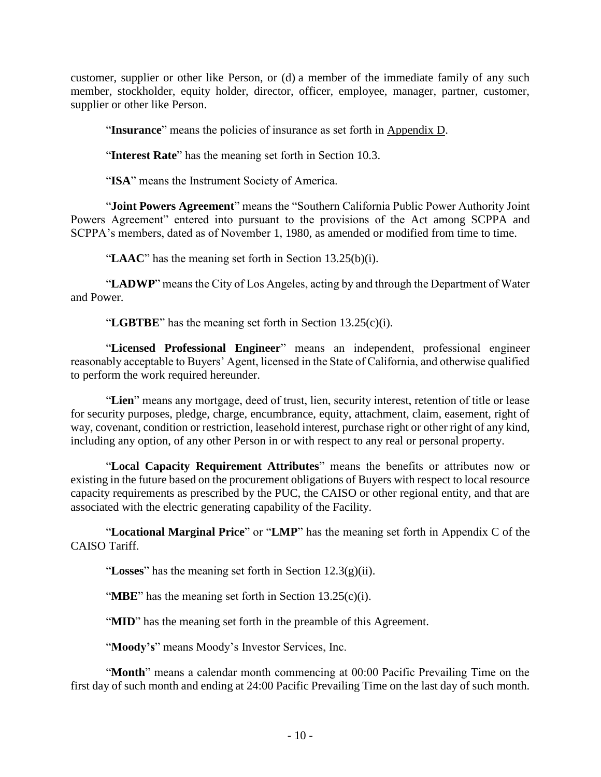customer, supplier or other like Person, or (d) a member of the immediate family of any such member, stockholder, equity holder, director, officer, employee, manager, partner, customer, supplier or other like Person.

"**Insurance**" means the policies of insurance as set forth in Appendix D.

"**Interest Rate**" has the meaning set forth in Section 10.3.

"**ISA**" means the Instrument Society of America.

"**Joint Powers Agreement**" means the "Southern California Public Power Authority Joint Powers Agreement" entered into pursuant to the provisions of the Act among SCPPA and SCPPA's members, dated as of November 1, 1980, as amended or modified from time to time.

"**LAAC**" has the meaning set forth in Section 13.25(b)(i).

"**LADWP**" means the City of Los Angeles, acting by and through the Department of Water and Power.

"**LGBTBE**" has the meaning set forth in Section 13.25(c)(i).

"**Licensed Professional Engineer**" means an independent, professional engineer reasonably acceptable to Buyers' Agent, licensed in the State of California, and otherwise qualified to perform the work required hereunder.

"**Lien**" means any mortgage, deed of trust, lien, security interest, retention of title or lease for security purposes, pledge, charge, encumbrance, equity, attachment, claim, easement, right of way, covenant, condition or restriction, leasehold interest, purchase right or other right of any kind, including any option, of any other Person in or with respect to any real or personal property.

"**Local Capacity Requirement Attributes**" means the benefits or attributes now or existing in the future based on the procurement obligations of Buyers with respect to local resource capacity requirements as prescribed by the PUC, the CAISO or other regional entity, and that are associated with the electric generating capability of the Facility.

"**Locational Marginal Price**" or "**LMP**" has the meaning set forth in Appendix C of the CAISO Tariff.

"**Losses**" has the meaning set forth in Section 12.3(g)(ii).

"**MBE**" has the meaning set forth in Section 13.25(c)(i).

"**MID**" has the meaning set forth in the preamble of this Agreement.

"Moody's" means Moody's Investor Services, Inc.

"**Month**" means a calendar month commencing at 00:00 Pacific Prevailing Time on the first day of such month and ending at 24:00 Pacific Prevailing Time on the last day of such month.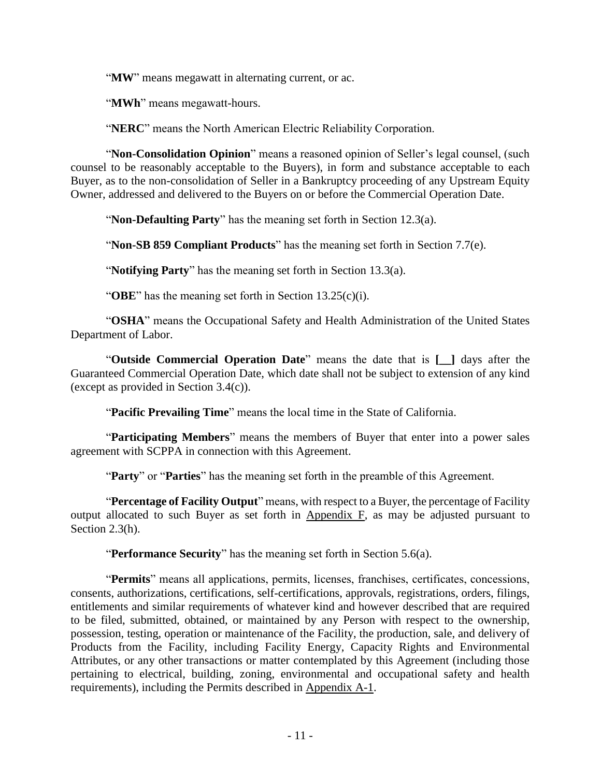"**MW**" means megawatt in alternating current, or ac.

"**MWh**" means megawatt-hours.

"**NERC**" means the North American Electric Reliability Corporation.

"**Non-Consolidation Opinion**" means a reasoned opinion of Seller's legal counsel, (such counsel to be reasonably acceptable to the Buyers), in form and substance acceptable to each Buyer, as to the non-consolidation of Seller in a Bankruptcy proceeding of any Upstream Equity Owner, addressed and delivered to the Buyers on or before the Commercial Operation Date.

"**Non-Defaulting Party**" has the meaning set forth in Section 12.3(a).

"**Non-SB 859 Compliant Products**" has the meaning set forth in Section 7.7(e).

"**Notifying Party**" has the meaning set forth in Section 13.3(a).

"**OBE**" has the meaning set forth in Section 13.25(c)(i).

"**OSHA**" means the Occupational Safety and Health Administration of the United States Department of Labor.

"**Outside Commercial Operation Date**" means the date that is **[\_\_]** days after the Guaranteed Commercial Operation Date, which date shall not be subject to extension of any kind (except as provided in Section 3.4(c)).

"**Pacific Prevailing Time**" means the local time in the State of California.

"**Participating Members**" means the members of Buyer that enter into a power sales agreement with SCPPA in connection with this Agreement.

"**Party**" or "**Parties**" has the meaning set forth in the preamble of this Agreement.

"**Percentage of Facility Output**" means, with respect to a Buyer, the percentage of Facility output allocated to such Buyer as set forth in Appendix F, as may be adjusted pursuant to Section 2.3(h).

"**Performance Security**" has the meaning set forth in Section 5.6(a).

"**Permits**" means all applications, permits, licenses, franchises, certificates, concessions, consents, authorizations, certifications, self-certifications, approvals, registrations, orders, filings, entitlements and similar requirements of whatever kind and however described that are required to be filed, submitted, obtained, or maintained by any Person with respect to the ownership, possession, testing, operation or maintenance of the Facility, the production, sale, and delivery of Products from the Facility, including Facility Energy, Capacity Rights and Environmental Attributes, or any other transactions or matter contemplated by this Agreement (including those pertaining to electrical, building, zoning, environmental and occupational safety and health requirements), including the Permits described in Appendix A-1.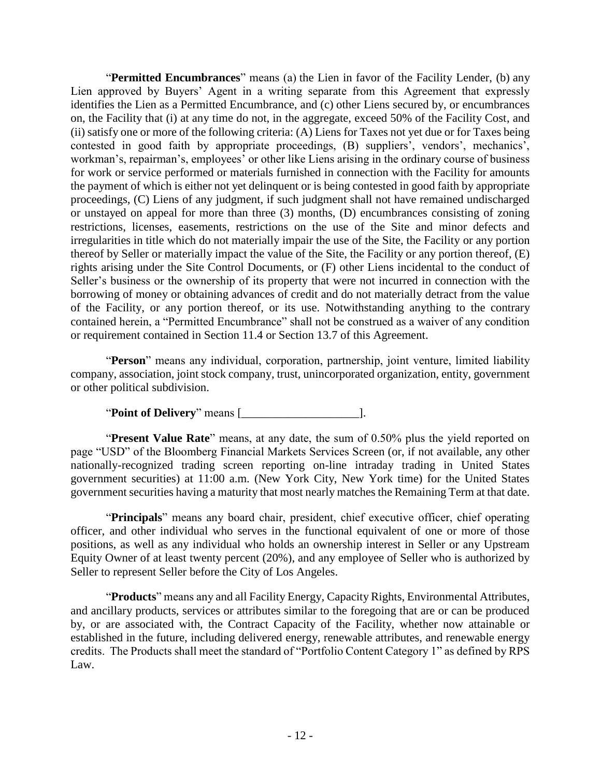"**Permitted Encumbrances**" means (a) the Lien in favor of the Facility Lender, (b) any Lien approved by Buyers' Agent in a writing separate from this Agreement that expressly identifies the Lien as a Permitted Encumbrance, and (c) other Liens secured by, or encumbrances on, the Facility that (i) at any time do not, in the aggregate, exceed 50% of the Facility Cost, and (ii) satisfy one or more of the following criteria: (A) Liens for Taxes not yet due or for Taxes being contested in good faith by appropriate proceedings, (B) suppliers', vendors', mechanics', workman's, repairman's, employees' or other like Liens arising in the ordinary course of business for work or service performed or materials furnished in connection with the Facility for amounts the payment of which is either not yet delinquent or is being contested in good faith by appropriate proceedings, (C) Liens of any judgment, if such judgment shall not have remained undischarged or unstayed on appeal for more than three (3) months, (D) encumbrances consisting of zoning restrictions, licenses, easements, restrictions on the use of the Site and minor defects and irregularities in title which do not materially impair the use of the Site, the Facility or any portion thereof by Seller or materially impact the value of the Site, the Facility or any portion thereof, (E) rights arising under the Site Control Documents, or (F) other Liens incidental to the conduct of Seller's business or the ownership of its property that were not incurred in connection with the borrowing of money or obtaining advances of credit and do not materially detract from the value of the Facility, or any portion thereof, or its use. Notwithstanding anything to the contrary contained herein, a "Permitted Encumbrance" shall not be construed as a waiver of any condition or requirement contained in [Section](#page-49-3) 11.4 or [Section](#page-59-1) 13.7 of this Agreement.

"**Person**" means any individual, corporation, partnership, joint venture, limited liability company, association, joint stock company, trust, unincorporated organization, entity, government or other political subdivision.

"**Point of Delivery**" means [\_\_\_\_\_\_\_\_\_\_\_\_\_\_\_\_\_\_\_\_].

"**Present Value Rate**" means, at any date, the sum of 0.50% plus the yield reported on page "USD" of the Bloomberg Financial Markets Services Screen (or, if not available, any other nationally-recognized trading screen reporting on-line intraday trading in United States government securities) at 11:00 a.m. (New York City, New York time) for the United States government securities having a maturity that most nearly matches the Remaining Term at that date.

"**Principals**" means any board chair, president, chief executive officer, chief operating officer, and other individual who serves in the functional equivalent of one or more of those positions, as well as any individual who holds an ownership interest in Seller or any Upstream Equity Owner of at least twenty percent (20%), and any employee of Seller who is authorized by Seller to represent Seller before the City of Los Angeles.

"**Products**" means any and all Facility Energy, Capacity Rights, Environmental Attributes, and ancillary products, services or attributes similar to the foregoing that are or can be produced by, or are associated with, the Contract Capacity of the Facility, whether now attainable or established in the future, including delivered energy, renewable attributes, and renewable energy credits. The Products shall meet the standard of "Portfolio Content Category 1" as defined by RPS Law.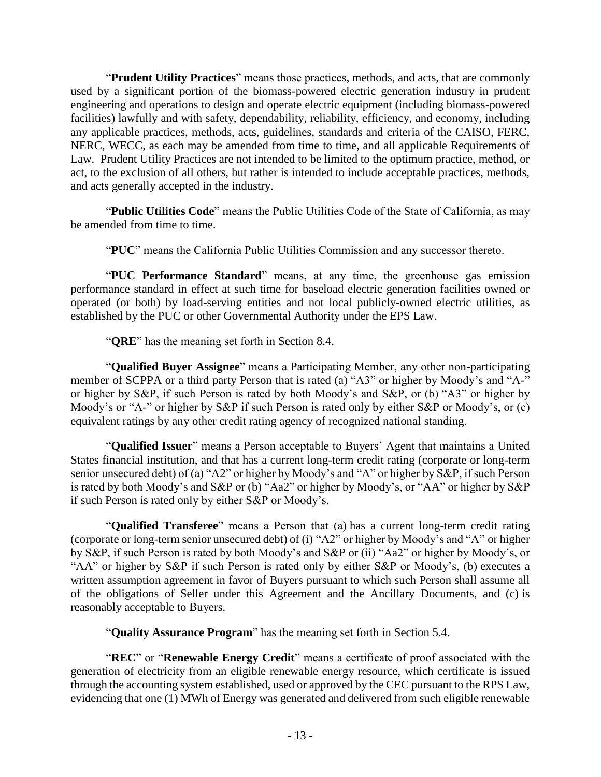"**Prudent Utility Practices**" means those practices, methods, and acts, that are commonly used by a significant portion of the biomass-powered electric generation industry in prudent engineering and operations to design and operate electric equipment (including biomass-powered facilities) lawfully and with safety, dependability, reliability, efficiency, and economy, including any applicable practices, methods, acts, guidelines, standards and criteria of the CAISO, FERC, NERC, WECC, as each may be amended from time to time, and all applicable Requirements of Law. Prudent Utility Practices are not intended to be limited to the optimum practice, method, or act, to the exclusion of all others, but rather is intended to include acceptable practices, methods, and acts generally accepted in the industry.

"**Public Utilities Code**" means the Public Utilities Code of the State of California, as may be amended from time to time.

"**PUC**" means the California Public Utilities Commission and any successor thereto.

"**PUC Performance Standard**" means, at any time, the greenhouse gas emission performance standard in effect at such time for baseload electric generation facilities owned or operated (or both) by load-serving entities and not local publicly-owned electric utilities, as established by the PUC or other Governmental Authority under the EPS Law.

"**QRE**" has the meaning set forth in Section 8.4.

"**Qualified Buyer Assignee**" means a Participating Member, any other non-participating member of SCPPA or a third party Person that is rated (a) "A3" or higher by Moody's and "A-" or higher by S&P, if such Person is rated by both Moody's and S&P, or (b) "A3" or higher by Moody's or "A-" or higher by S&P if such Person is rated only by either S&P or Moody's, or (c) equivalent ratings by any other credit rating agency of recognized national standing.

"**Qualified Issuer**" means a Person acceptable to Buyers' Agent that maintains a United States financial institution, and that has a current long-term credit rating (corporate or long-term senior unsecured debt) of (a) "A2" or higher by Moody's and "A" or higher by S&P, if such Person is rated by both Moody's and S&P or (b) "Aa2" or higher by Moody's, or "AA" or higher by S&P if such Person is rated only by either S&P or Moody's.

"**Qualified Transferee**" means a Person that (a) has a current long-term credit rating (corporate or long-term senior unsecured debt) of (i) "A2" or higher by Moody's and "A" or higher by S&P, if such Person is rated by both Moody's and S&P or (ii) "Aa2" or higher by Moody's, or "AA" or higher by S&P if such Person is rated only by either S&P or Moody's, (b) executes a written assumption agreement in favor of Buyers pursuant to which such Person shall assume all of the obligations of Seller under this Agreement and the Ancillary Documents, and (c) is reasonably acceptable to Buyers.

"**Quality Assurance Program**" has the meaning set forth in Section 5.4.

"**REC**" or "**Renewable Energy Credit**" means a certificate of proof associated with the generation of electricity from an eligible renewable energy resource, which certificate is issued through the accounting system established, used or approved by the CEC pursuant to the RPS Law, evidencing that one (1) MWh of Energy was generated and delivered from such eligible renewable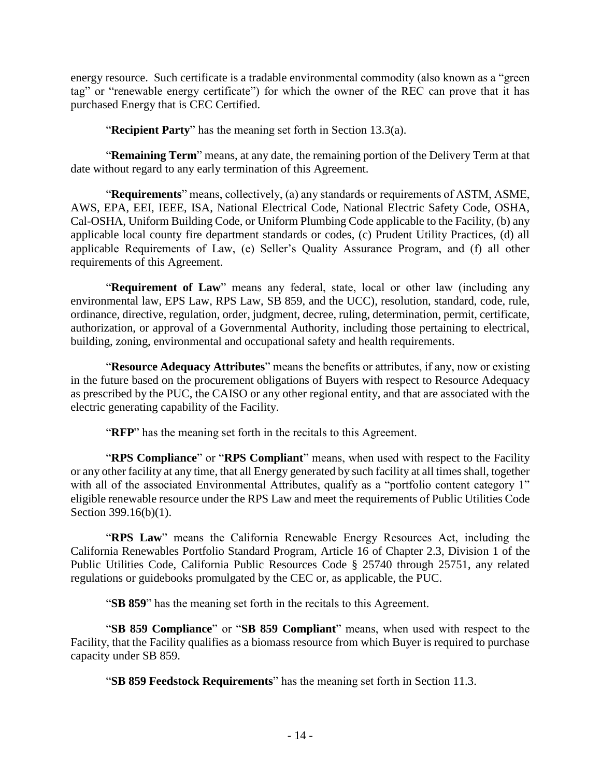energy resource. Such certificate is a tradable environmental commodity (also known as a "green tag" or "renewable energy certificate") for which the owner of the REC can prove that it has purchased Energy that is CEC Certified.

"**Recipient Party**" has the meaning set forth in Section 13.3(a).

"**Remaining Term**" means, at any date, the remaining portion of the Delivery Term at that date without regard to any early termination of this Agreement.

"**Requirements**" means, collectively, (a) any standards or requirements of ASTM, ASME, AWS, EPA, EEI, IEEE, ISA, National Electrical Code, National Electric Safety Code, OSHA, Cal-OSHA, Uniform Building Code, or Uniform Plumbing Code applicable to the Facility, (b) any applicable local county fire department standards or codes, (c) Prudent Utility Practices, (d) all applicable Requirements of Law, (e) Seller's Quality Assurance Program, and (f) all other requirements of this Agreement.

"**Requirement of Law**" means any federal, state, local or other law (including any environmental law, EPS Law, RPS Law, SB 859, and the UCC), resolution, standard, code, rule, ordinance, directive, regulation, order, judgment, decree, ruling, determination, permit, certificate, authorization, or approval of a Governmental Authority, including those pertaining to electrical, building, zoning, environmental and occupational safety and health requirements.

"**Resource Adequacy Attributes**" means the benefits or attributes, if any, now or existing in the future based on the procurement obligations of Buyers with respect to Resource Adequacy as prescribed by the PUC, the CAISO or any other regional entity, and that are associated with the electric generating capability of the Facility.

"**RFP**" has the meaning set forth in the recitals to this Agreement.

"**RPS Compliance**" or "**RPS Compliant**" means, when used with respect to the Facility or any other facility at any time, that all Energy generated by such facility at all times shall, together with all of the associated Environmental Attributes, qualify as a "portfolio content category 1" eligible renewable resource under the RPS Law and meet the requirements of Public Utilities Code Section 399.16(b)(1).

"**RPS Law**" means the California Renewable Energy Resources Act, including the California Renewables Portfolio Standard Program, Article 16 of Chapter 2.3, Division 1 of the Public Utilities Code, California Public Resources Code § 25740 through 25751, any related regulations or guidebooks promulgated by the CEC or, as applicable, the PUC.

"**SB 859**" has the meaning set forth in the recitals to this Agreement.

"**SB 859 Compliance**" or "**SB 859 Compliant**" means, when used with respect to the Facility, that the Facility qualifies as a biomass resource from which Buyer is required to purchase capacity under SB 859.

"**SB 859 Feedstock Requirements**" has the meaning set forth in [Section](#page-49-2) 11.3.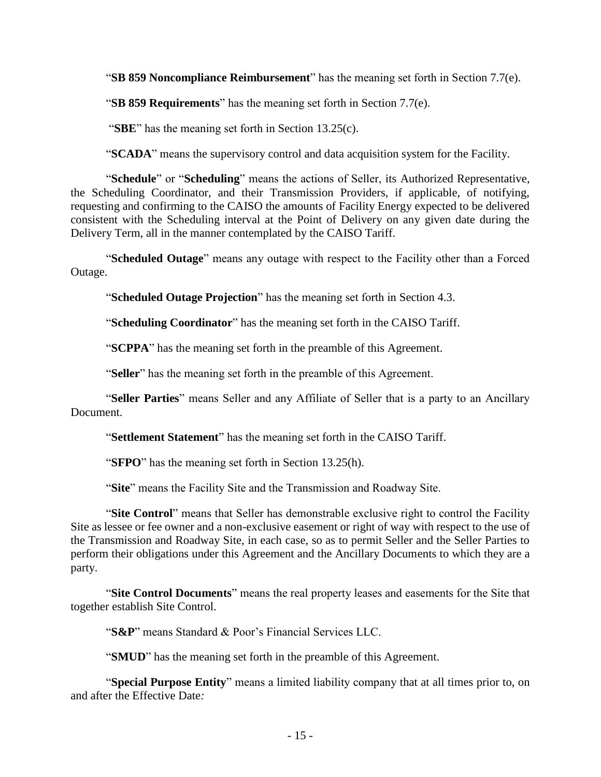"**SB 859 Noncompliance Reimbursement**" has the meaning set forth in Section 7.7(e).

"**SB 859 Requirements**" has the meaning set forth in Section 7.7(e).

"**SBE**" has the meaning set forth in Section 13.25(c).

"**SCADA**" means the supervisory control and data acquisition system for the Facility.

"**Schedule**" or "**Scheduling**" means the actions of Seller, its Authorized Representative, the Scheduling Coordinator, and their Transmission Providers, if applicable, of notifying, requesting and confirming to the CAISO the amounts of Facility Energy expected to be delivered consistent with the Scheduling interval at the Point of Delivery on any given date during the Delivery Term, all in the manner contemplated by the CAISO Tariff.

"**Scheduled Outage**" means any outage with respect to the Facility other than a Forced Outage.

"**Scheduled Outage Projection**" has the meaning set forth in Section 4.3.

"**Scheduling Coordinator**" has the meaning set forth in the CAISO Tariff.

"**SCPPA**" has the meaning set forth in the preamble of this Agreement.

"**Seller**" has the meaning set forth in the preamble of this Agreement.

"**Seller Parties**" means Seller and any Affiliate of Seller that is a party to an Ancillary Document.

"**Settlement Statement**" has the meaning set forth in the CAISO Tariff.

"**SFPO**" has the meaning set forth in Section 13.25(h).

"**Site**" means the Facility Site and the Transmission and Roadway Site.

"**Site Control**" means that Seller has demonstrable exclusive right to control the Facility Site as lessee or fee owner and a non-exclusive easement or right of way with respect to the use of the Transmission and Roadway Site, in each case, so as to permit Seller and the Seller Parties to perform their obligations under this Agreement and the Ancillary Documents to which they are a party.

"**Site Control Documents**" means the real property leases and easements for the Site that together establish Site Control.

"**S&P**" means Standard & Poor's Financial Services LLC.

"**SMUD**" has the meaning set forth in the preamble of this Agreement.

"**Special Purpose Entity**" means a limited liability company that at all times prior to, on and after the Effective Date*:*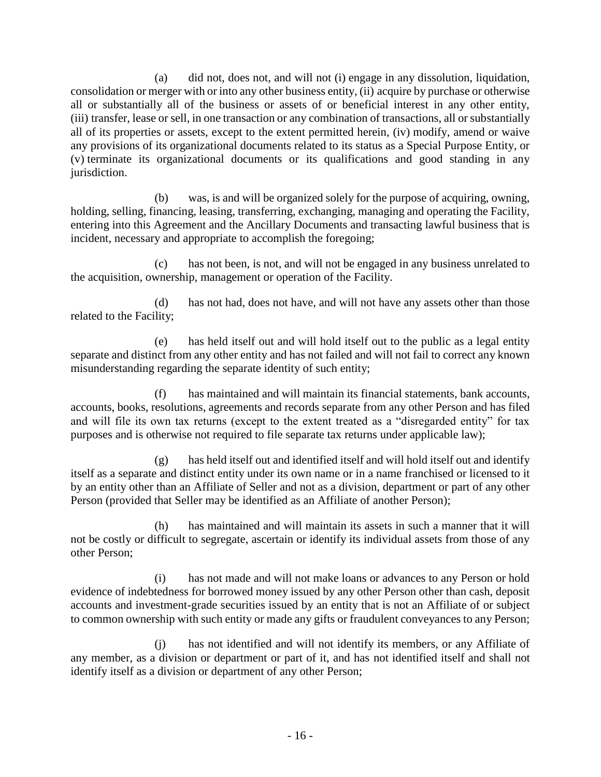(a) did not, does not, and will not (i) engage in any dissolution, liquidation, consolidation or merger with or into any other business entity, (ii) acquire by purchase or otherwise all or substantially all of the business or assets of or beneficial interest in any other entity, (iii) transfer, lease or sell, in one transaction or any combination of transactions, all or substantially all of its properties or assets, except to the extent permitted herein, (iv) modify, amend or waive any provisions of its organizational documents related to its status as a Special Purpose Entity, or (v) terminate its organizational documents or its qualifications and good standing in any jurisdiction.

(b) was, is and will be organized solely for the purpose of acquiring, owning, holding, selling, financing, leasing, transferring, exchanging, managing and operating the Facility, entering into this Agreement and the Ancillary Documents and transacting lawful business that is incident, necessary and appropriate to accomplish the foregoing;

(c) has not been, is not, and will not be engaged in any business unrelated to the acquisition, ownership, management or operation of the Facility.

(d) has not had, does not have, and will not have any assets other than those related to the Facility;

(e) has held itself out and will hold itself out to the public as a legal entity separate and distinct from any other entity and has not failed and will not fail to correct any known misunderstanding regarding the separate identity of such entity;

(f) has maintained and will maintain its financial statements, bank accounts, accounts, books, resolutions, agreements and records separate from any other Person and has filed and will file its own tax returns (except to the extent treated as a "disregarded entity" for tax purposes and is otherwise not required to file separate tax returns under applicable law);

(g) has held itself out and identified itself and will hold itself out and identify itself as a separate and distinct entity under its own name or in a name franchised or licensed to it by an entity other than an Affiliate of Seller and not as a division, department or part of any other Person (provided that Seller may be identified as an Affiliate of another Person);

(h) has maintained and will maintain its assets in such a manner that it will not be costly or difficult to segregate, ascertain or identify its individual assets from those of any other Person;

(i) has not made and will not make loans or advances to any Person or hold evidence of indebtedness for borrowed money issued by any other Person other than cash, deposit accounts and investment-grade securities issued by an entity that is not an Affiliate of or subject to common ownership with such entity or made any gifts or fraudulent conveyances to any Person;

(j) has not identified and will not identify its members, or any Affiliate of any member, as a division or department or part of it, and has not identified itself and shall not identify itself as a division or department of any other Person;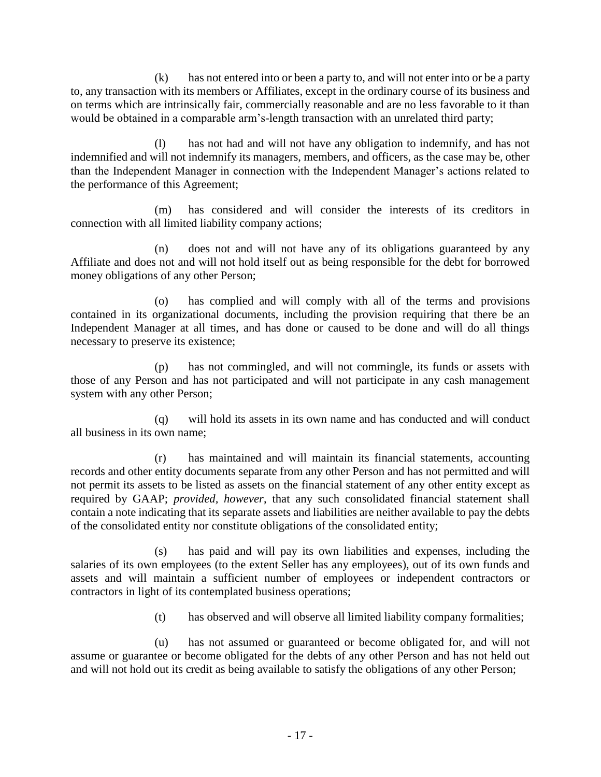(k) has not entered into or been a party to, and will not enter into or be a party to, any transaction with its members or Affiliates, except in the ordinary course of its business and on terms which are intrinsically fair, commercially reasonable and are no less favorable to it than would be obtained in a comparable arm's-length transaction with an unrelated third party;

(l) has not had and will not have any obligation to indemnify, and has not indemnified and will not indemnify its managers, members, and officers, as the case may be, other than the Independent Manager in connection with the Independent Manager's actions related to the performance of this Agreement;

(m) has considered and will consider the interests of its creditors in connection with all limited liability company actions;

(n) does not and will not have any of its obligations guaranteed by any Affiliate and does not and will not hold itself out as being responsible for the debt for borrowed money obligations of any other Person;

(o) has complied and will comply with all of the terms and provisions contained in its organizational documents, including the provision requiring that there be an Independent Manager at all times, and has done or caused to be done and will do all things necessary to preserve its existence;

(p) has not commingled, and will not commingle, its funds or assets with those of any Person and has not participated and will not participate in any cash management system with any other Person;

(q) will hold its assets in its own name and has conducted and will conduct all business in its own name;

(r) has maintained and will maintain its financial statements, accounting records and other entity documents separate from any other Person and has not permitted and will not permit its assets to be listed as assets on the financial statement of any other entity except as required by GAAP; *provided, however*, that any such consolidated financial statement shall contain a note indicating that its separate assets and liabilities are neither available to pay the debts of the consolidated entity nor constitute obligations of the consolidated entity;

(s) has paid and will pay its own liabilities and expenses, including the salaries of its own employees (to the extent Seller has any employees), out of its own funds and assets and will maintain a sufficient number of employees or independent contractors or contractors in light of its contemplated business operations;

(t) has observed and will observe all limited liability company formalities;

(u) has not assumed or guaranteed or become obligated for, and will not assume or guarantee or become obligated for the debts of any other Person and has not held out and will not hold out its credit as being available to satisfy the obligations of any other Person;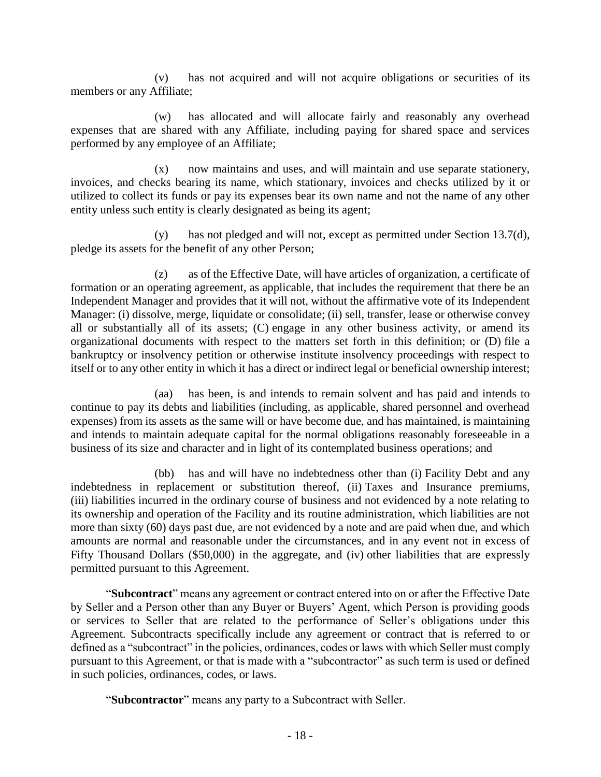(v) has not acquired and will not acquire obligations or securities of its members or any Affiliate;

(w) has allocated and will allocate fairly and reasonably any overhead expenses that are shared with any Affiliate, including paying for shared space and services performed by any employee of an Affiliate;

(x) now maintains and uses, and will maintain and use separate stationery, invoices, and checks bearing its name, which stationary, invoices and checks utilized by it or utilized to collect its funds or pay its expenses bear its own name and not the name of any other entity unless such entity is clearly designated as being its agent;

(y) has not pledged and will not, except as permitted under Section 13.7(d), pledge its assets for the benefit of any other Person;

(z) as of the Effective Date, will have articles of organization, a certificate of formation or an operating agreement, as applicable, that includes the requirement that there be an Independent Manager and provides that it will not, without the affirmative vote of its Independent Manager: (i) dissolve, merge, liquidate or consolidate; (ii) sell, transfer, lease or otherwise convey all or substantially all of its assets; (C) engage in any other business activity, or amend its organizational documents with respect to the matters set forth in this definition; or (D) file a bankruptcy or insolvency petition or otherwise institute insolvency proceedings with respect to itself or to any other entity in which it has a direct or indirect legal or beneficial ownership interest;

(aa) has been, is and intends to remain solvent and has paid and intends to continue to pay its debts and liabilities (including, as applicable, shared personnel and overhead expenses) from its assets as the same will or have become due, and has maintained, is maintaining and intends to maintain adequate capital for the normal obligations reasonably foreseeable in a business of its size and character and in light of its contemplated business operations; and

(bb) has and will have no indebtedness other than (i) Facility Debt and any indebtedness in replacement or substitution thereof, (ii) Taxes and Insurance premiums, (iii) liabilities incurred in the ordinary course of business and not evidenced by a note relating to its ownership and operation of the Facility and its routine administration, which liabilities are not more than sixty (60) days past due, are not evidenced by a note and are paid when due, and which amounts are normal and reasonable under the circumstances, and in any event not in excess of Fifty Thousand Dollars (\$50,000) in the aggregate, and (iv) other liabilities that are expressly permitted pursuant to this Agreement.

"**Subcontract**" means any agreement or contract entered into on or after the Effective Date by Seller and a Person other than any Buyer or Buyers' Agent, which Person is providing goods or services to Seller that are related to the performance of Seller's obligations under this Agreement. Subcontracts specifically include any agreement or contract that is referred to or defined as a "subcontract" in the policies, ordinances, codes or laws with which Seller must comply pursuant to this Agreement, or that is made with a "subcontractor" as such term is used or defined in such policies, ordinances, codes, or laws.

"**Subcontractor**" means any party to a Subcontract with Seller.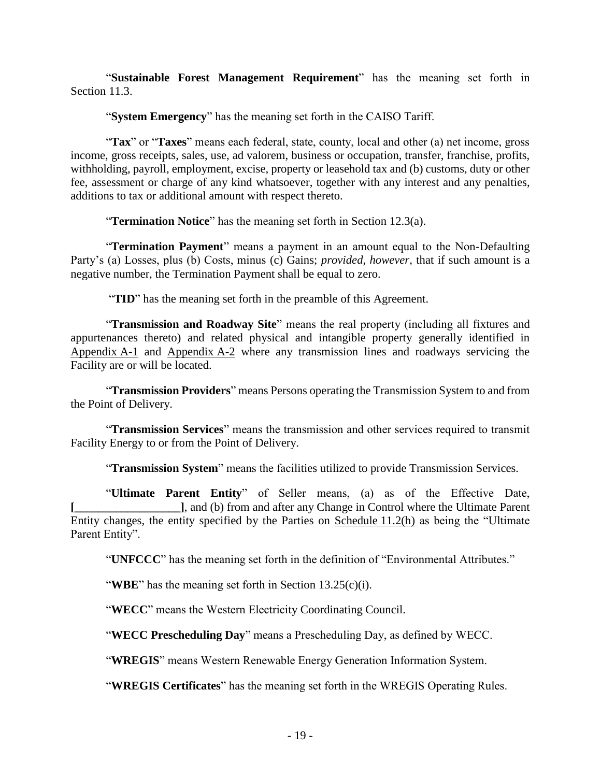"**Sustainable Forest Management Requirement**" has the meaning set forth in [Section](#page-49-2) 11.3.

"**System Emergency**" has the meaning set forth in the CAISO Tariff.

"**Tax**" or "**Taxes**" means each federal, state, county, local and other (a) net income, gross income, gross receipts, sales, use, ad valorem, business or occupation, transfer, franchise, profits, withholding, payroll, employment, excise, property or leasehold tax and (b) customs, duty or other fee, assessment or charge of any kind whatsoever, together with any interest and any penalties, additions to tax or additional amount with respect thereto.

"**Termination Notice**" has the meaning set forth in Section 12.3(a).

"**Termination Payment**" means a payment in an amount equal to the Non-Defaulting Party's (a) Losses, plus (b) Costs, minus (c) Gains; *provided*, *however*, that if such amount is a negative number, the Termination Payment shall be equal to zero.

"**TID**" has the meaning set forth in the preamble of this Agreement.

"**Transmission and Roadway Site**" means the real property (including all fixtures and appurtenances thereto) and related physical and intangible property generally identified in Appendix A-1 and Appendix A-2 where any transmission lines and roadways servicing the Facility are or will be located.

"**Transmission Providers**" means Persons operating the Transmission System to and from the Point of Delivery.

"**Transmission Services**" means the transmission and other services required to transmit Facility Energy to or from the Point of Delivery.

"**Transmission System**" means the facilities utilized to provide Transmission Services.

"**Ultimate Parent Entity**" of Seller means, (a) as of the Effective Date, **[\_\_\_\_\_\_\_\_\_\_\_\_\_\_\_\_\_\_]**, and (b) from and after any Change in Control where the Ultimate Parent Entity changes, the entity specified by the Parties on Schedule 11.2(h) as being the "Ultimate Parent Entity".

"**UNFCCC**" has the meaning set forth in the definition of "Environmental Attributes."

"**WBE**" has the meaning set forth in Section 13.25(c)(i).

"**WECC**" means the Western Electricity Coordinating Council.

"**WECC Prescheduling Day**" means a Prescheduling Day, as defined by WECC.

"**WREGIS**" means Western Renewable Energy Generation Information System.

"**WREGIS Certificates**" has the meaning set forth in the WREGIS Operating Rules.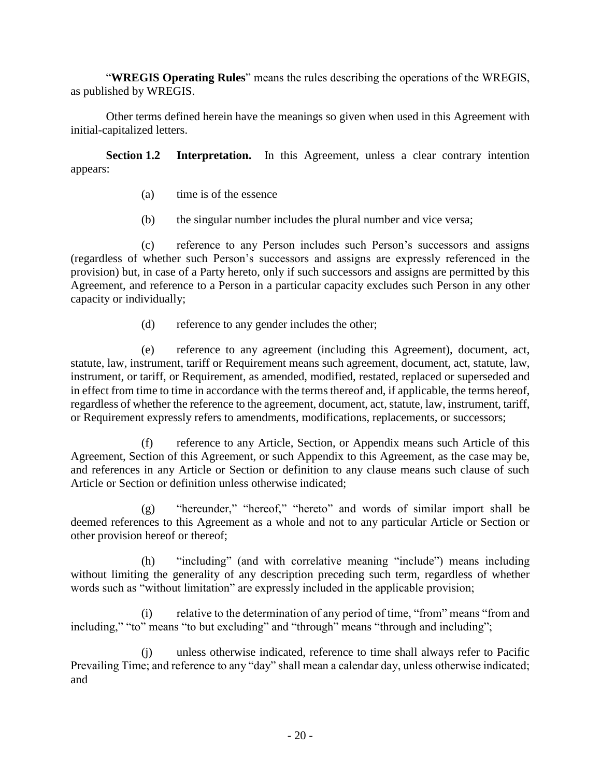"**WREGIS Operating Rules**" means the rules describing the operations of the WREGIS, as published by WREGIS.

Other terms defined herein have the meanings so given when used in this Agreement with initial-capitalized letters.

**Section 1.2 Interpretation.** In this Agreement, unless a clear contrary intention appears:

- <span id="page-24-0"></span>(a) time is of the essence
- (b) the singular number includes the plural number and vice versa;

(c) reference to any Person includes such Person's successors and assigns (regardless of whether such Person's successors and assigns are expressly referenced in the provision) but, in case of a Party hereto, only if such successors and assigns are permitted by this Agreement, and reference to a Person in a particular capacity excludes such Person in any other capacity or individually;

(d) reference to any gender includes the other;

(e) reference to any agreement (including this Agreement), document, act, statute, law, instrument, tariff or Requirement means such agreement, document, act, statute, law, instrument, or tariff, or Requirement, as amended, modified, restated, replaced or superseded and in effect from time to time in accordance with the terms thereof and, if applicable, the terms hereof, regardless of whether the reference to the agreement, document, act, statute, law, instrument, tariff, or Requirement expressly refers to amendments, modifications, replacements, or successors;

(f) reference to any Article, Section, or Appendix means such Article of this Agreement, Section of this Agreement, or such Appendix to this Agreement, as the case may be, and references in any Article or Section or definition to any clause means such clause of such Article or Section or definition unless otherwise indicated;

(g) "hereunder," "hereof," "hereto" and words of similar import shall be deemed references to this Agreement as a whole and not to any particular Article or Section or other provision hereof or thereof;

(h) "including" (and with correlative meaning "include") means including without limiting the generality of any description preceding such term, regardless of whether words such as "without limitation" are expressly included in the applicable provision;

(i) relative to the determination of any period of time, "from" means "from and including," "to" means "to but excluding" and "through" means "through and including";

(j) unless otherwise indicated, reference to time shall always refer to Pacific Prevailing Time; and reference to any "day" shall mean a calendar day, unless otherwise indicated; and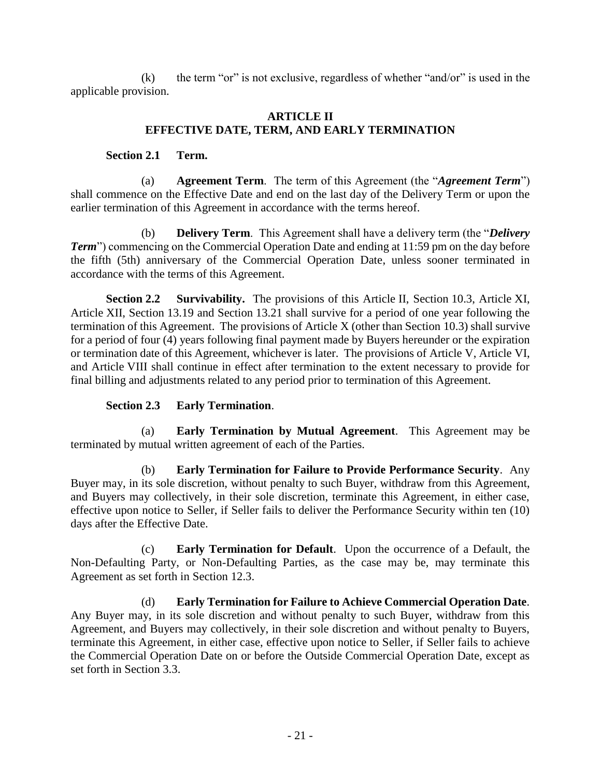$(k)$  the term "or" is not exclusive, regardless of whether "and/or" is used in the applicable provision.

#### <span id="page-25-1"></span>**ARTICLE II EFFECTIVE DATE, TERM, AND EARLY TERMINATION**

## <span id="page-25-0"></span>**Section 2.1 Term.**

(a) **Agreement Term**. The term of this Agreement (the "*Agreement Term*") shall commence on the Effective Date and end on the last day of the Delivery Term or upon the earlier termination of this Agreement in accordance with the terms hereof.

(b) **Delivery Term**. This Agreement shall have a delivery term (the "*Delivery Term*") commencing on the Commercial Operation Date and ending at 11:59 pm on the day before the fifth (5th) anniversary of the Commercial Operation Date, unless sooner terminated in accordance with the terms of this Agreement.

<span id="page-25-2"></span>**Section 2.2 Survivability.** The provisions of this Article II, Section 10.3, Article XI, Article XII, Section 13.19 and Section 13.21 shall survive for a period of one year following the termination of this Agreement. The provisions of Article X (other than Section 10.3) shall survive for a period of four (4) years following final payment made by Buyers hereunder or the expiration or termination date of this Agreement, whichever is later. The provisions of Article V, Article VI, and Article VIII shall continue in effect after termination to the extent necessary to provide for final billing and adjustments related to any period prior to termination of this Agreement.

## <span id="page-25-3"></span>**Section 2.3 Early Termination**.

(a) **Early Termination by Mutual Agreement**. This Agreement may be terminated by mutual written agreement of each of the Parties.

(b) **Early Termination for Failure to Provide Performance Security**. Any Buyer may, in its sole discretion, without penalty to such Buyer, withdraw from this Agreement, and Buyers may collectively, in their sole discretion, terminate this Agreement, in either case, effective upon notice to Seller, if Seller fails to deliver the Performance Security within ten (10) days after the Effective Date.

(c) **Early Termination for Default**. Upon the occurrence of a Default, the Non-Defaulting Party, or Non-Defaulting Parties, as the case may be, may terminate this Agreement as set forth in Section 12.3.

(d) **Early Termination for Failure to Achieve Commercial Operation Date***.* Any Buyer may, in its sole discretion and without penalty to such Buyer, withdraw from this Agreement, and Buyers may collectively, in their sole discretion and without penalty to Buyers, terminate this Agreement, in either case, effective upon notice to Seller, if Seller fails to achieve the Commercial Operation Date on or before the Outside Commercial Operation Date, except as set forth in Section 3.3.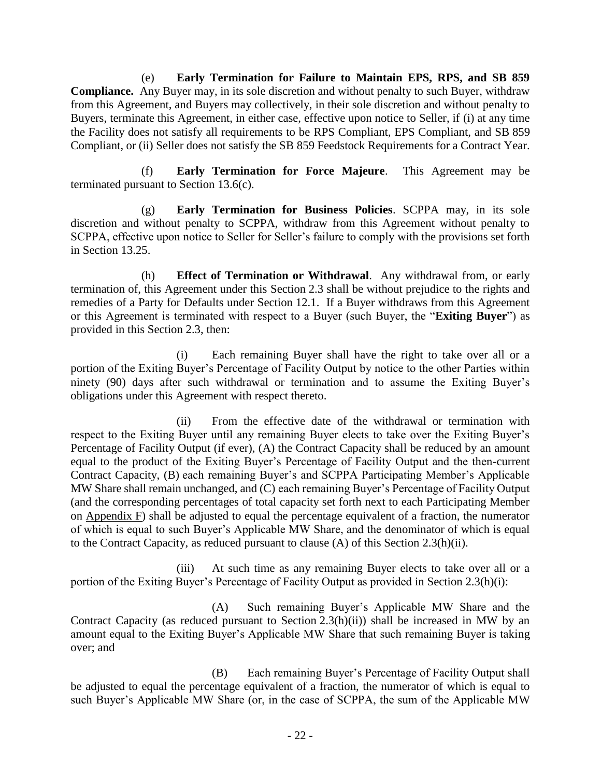(e) **Early Termination for Failure to Maintain EPS, RPS, and SB 859 Compliance.** Any Buyer may, in its sole discretion and without penalty to such Buyer, withdraw from this Agreement, and Buyers may collectively, in their sole discretion and without penalty to Buyers, terminate this Agreement, in either case, effective upon notice to Seller, if (i) at any time the Facility does not satisfy all requirements to be RPS Compliant, EPS Compliant, and SB 859 Compliant, or (ii) Seller does not satisfy the SB 859 Feedstock Requirements for a Contract Year.

(f) **Early Termination for Force Majeure**. This Agreement may be terminated pursuant to Section 13.6(c).

(g) **Early Termination for Business Policies**. SCPPA may, in its sole discretion and without penalty to SCPPA, withdraw from this Agreement without penalty to SCPPA, effective upon notice to Seller for Seller's failure to comply with the provisions set forth in Section 13.25.

(h) **Effect of Termination or Withdrawal**. Any withdrawal from, or early termination of, this Agreement under this Section 2.3 shall be without prejudice to the rights and remedies of a Party for Defaults under Section 12.1. If a Buyer withdraws from this Agreement or this Agreement is terminated with respect to a Buyer (such Buyer, the "**Exiting Buyer**") as provided in this Section 2.3, then:

(i) Each remaining Buyer shall have the right to take over all or a portion of the Exiting Buyer's Percentage of Facility Output by notice to the other Parties within ninety (90) days after such withdrawal or termination and to assume the Exiting Buyer's obligations under this Agreement with respect thereto.

(ii) From the effective date of the withdrawal or termination with respect to the Exiting Buyer until any remaining Buyer elects to take over the Exiting Buyer's Percentage of Facility Output (if ever), (A) the Contract Capacity shall be reduced by an amount equal to the product of the Exiting Buyer's Percentage of Facility Output and the then-current Contract Capacity, (B) each remaining Buyer's and SCPPA Participating Member's Applicable MW Share shall remain unchanged, and (C) each remaining Buyer's Percentage of Facility Output (and the corresponding percentages of total capacity set forth next to each Participating Member on Appendix F) shall be adjusted to equal the percentage equivalent of a fraction, the numerator of which is equal to such Buyer's Applicable MW Share, and the denominator of which is equal to the Contract Capacity, as reduced pursuant to clause (A) of this Section 2.3(h)(ii).

(iii) At such time as any remaining Buyer elects to take over all or a portion of the Exiting Buyer's Percentage of Facility Output as provided in Section 2.3(h)(i):

(A) Such remaining Buyer's Applicable MW Share and the Contract Capacity (as reduced pursuant to Section 2.3(h)(ii)) shall be increased in MW by an amount equal to the Exiting Buyer's Applicable MW Share that such remaining Buyer is taking over; and

(B) Each remaining Buyer's Percentage of Facility Output shall be adjusted to equal the percentage equivalent of a fraction, the numerator of which is equal to such Buyer's Applicable MW Share (or, in the case of SCPPA, the sum of the Applicable MW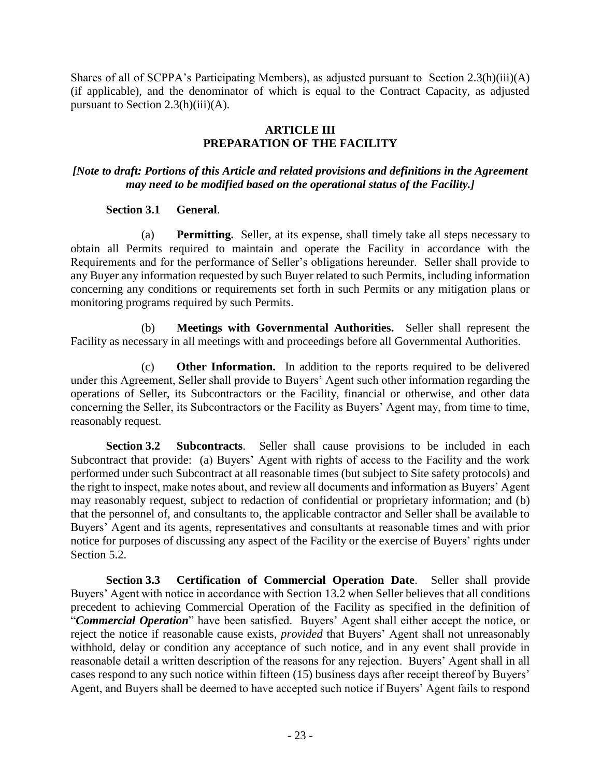Shares of all of SCPPA's Participating Members), as adjusted pursuant to Section  $2.3(h)(iii)(A)$ (if applicable), and the denominator of which is equal to the Contract Capacity, as adjusted pursuant to Section  $2.3(h)(iii)(A)$ .

## <span id="page-27-1"></span>**ARTICLE III PREPARATION OF THE FACILITY**

## <span id="page-27-0"></span>*[Note to draft: Portions of this Article and related provisions and definitions in the Agreement may need to be modified based on the operational status of the Facility.]*

### **Section 3.1 General**.

(a) **Permitting.** Seller, at its expense, shall timely take all steps necessary to obtain all Permits required to maintain and operate the Facility in accordance with the Requirements and for the performance of Seller's obligations hereunder. Seller shall provide to any Buyer any information requested by such Buyer related to such Permits, including information concerning any conditions or requirements set forth in such Permits or any mitigation plans or monitoring programs required by such Permits.

(b) **Meetings with Governmental Authorities.** Seller shall represent the Facility as necessary in all meetings with and proceedings before all Governmental Authorities.

(c) **Other Information.** In addition to the reports required to be delivered under this Agreement, Seller shall provide to Buyers' Agent such other information regarding the operations of Seller, its Subcontractors or the Facility, financial or otherwise, and other data concerning the Seller, its Subcontractors or the Facility as Buyers' Agent may, from time to time, reasonably request.

<span id="page-27-2"></span>**Section 3.2 Subcontracts**. Seller shall cause provisions to be included in each Subcontract that provide: (a) Buyers' Agent with rights of access to the Facility and the work performed under such Subcontract at all reasonable times (but subject to Site safety protocols) and the right to inspect, make notes about, and review all documents and information as Buyers' Agent may reasonably request, subject to redaction of confidential or proprietary information; and (b) that the personnel of, and consultants to, the applicable contractor and Seller shall be available to Buyers' Agent and its agents, representatives and consultants at reasonable times and with prior notice for purposes of discussing any aspect of the Facility or the exercise of Buyers' rights under Section 5.2.

<span id="page-27-3"></span>**Section 3.3 Certification of Commercial Operation Date**. Seller shall provide Buyers' Agent with notice in accordance with Section 13.2 when Seller believes that all conditions precedent to achieving Commercial Operation of the Facility as specified in the definition of "*Commercial Operation*" have been satisfied. Buyers' Agent shall either accept the notice, or reject the notice if reasonable cause exists, *provided* that Buyers' Agent shall not unreasonably withhold, delay or condition any acceptance of such notice, and in any event shall provide in reasonable detail a written description of the reasons for any rejection. Buyers' Agent shall in all cases respond to any such notice within fifteen (15) business days after receipt thereof by Buyers' Agent, and Buyers shall be deemed to have accepted such notice if Buyers' Agent fails to respond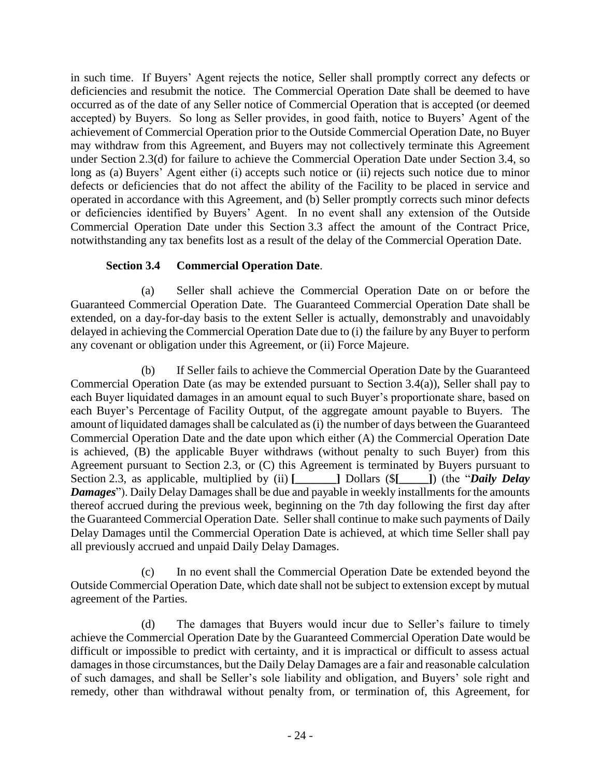in such time. If Buyers' Agent rejects the notice, Seller shall promptly correct any defects or deficiencies and resubmit the notice. The Commercial Operation Date shall be deemed to have occurred as of the date of any Seller notice of Commercial Operation that is accepted (or deemed accepted) by Buyers. So long as Seller provides, in good faith, notice to Buyers' Agent of the achievement of Commercial Operation prior to the Outside Commercial Operation Date, no Buyer may withdraw from this Agreement, and Buyers may not collectively terminate this Agreement under Section 2.3(d) for failure to achieve the Commercial Operation Date under Section 3.4, so long as (a) Buyers' Agent either (i) accepts such notice or (ii) rejects such notice due to minor defects or deficiencies that do not affect the ability of the Facility to be placed in service and operated in accordance with this Agreement, and (b) Seller promptly corrects such minor defects or deficiencies identified by Buyers' Agent. In no event shall any extension of the Outside Commercial Operation Date under this Section 3.3 affect the amount of the Contract Price, notwithstanding any tax benefits lost as a result of the delay of the Commercial Operation Date.

## <span id="page-28-0"></span>**Section 3.4 Commercial Operation Date**.

(a) Seller shall achieve the Commercial Operation Date on or before the Guaranteed Commercial Operation Date. The Guaranteed Commercial Operation Date shall be extended, on a day-for-day basis to the extent Seller is actually, demonstrably and unavoidably delayed in achieving the Commercial Operation Date due to (i) the failure by any Buyer to perform any covenant or obligation under this Agreement, or (ii) Force Majeure.

(b) If Seller fails to achieve the Commercial Operation Date by the Guaranteed Commercial Operation Date (as may be extended pursuant to Section 3.4(a)), Seller shall pay to each Buyer liquidated damages in an amount equal to such Buyer's proportionate share, based on each Buyer's Percentage of Facility Output, of the aggregate amount payable to Buyers. The amount of liquidated damages shall be calculated as (i) the number of days between the Guaranteed Commercial Operation Date and the date upon which either (A) the Commercial Operation Date is achieved, (B) the applicable Buyer withdraws (without penalty to such Buyer) from this Agreement pursuant to Section 2.3, or (C) this Agreement is terminated by Buyers pursuant to Section 2.3, as applicable, multiplied by (ii) **[\_\_\_\_\_\_\_]** Dollars (\$**[\_\_\_\_\_]**) (the "*Daily Delay Damages*"). Daily Delay Damages shall be due and payable in weekly installments for the amounts thereof accrued during the previous week, beginning on the 7th day following the first day after the Guaranteed Commercial Operation Date. Seller shall continue to make such payments of Daily Delay Damages until the Commercial Operation Date is achieved, at which time Seller shall pay all previously accrued and unpaid Daily Delay Damages.

(c) In no event shall the Commercial Operation Date be extended beyond the Outside Commercial Operation Date, which date shall not be subject to extension except by mutual agreement of the Parties.

(d) The damages that Buyers would incur due to Seller's failure to timely achieve the Commercial Operation Date by the Guaranteed Commercial Operation Date would be difficult or impossible to predict with certainty, and it is impractical or difficult to assess actual damages in those circumstances, but the Daily Delay Damages are a fair and reasonable calculation of such damages, and shall be Seller's sole liability and obligation, and Buyers' sole right and remedy, other than withdrawal without penalty from, or termination of, this Agreement, for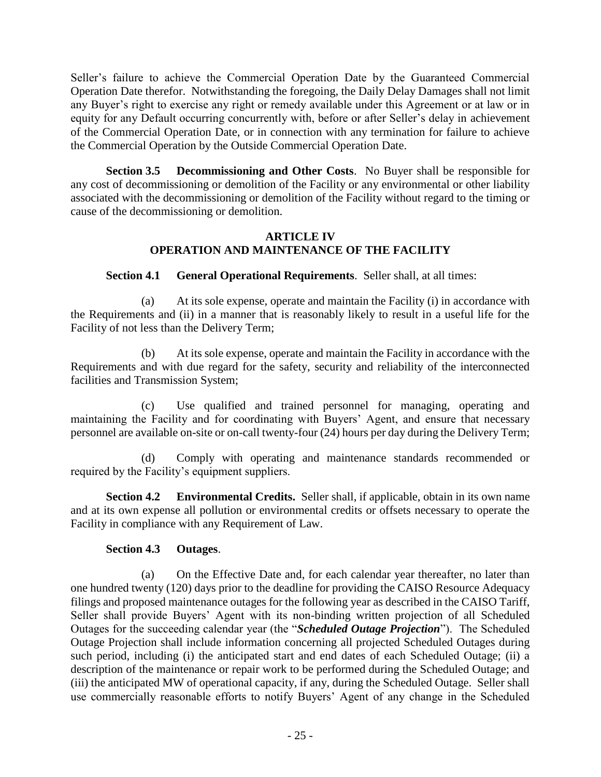Seller's failure to achieve the Commercial Operation Date by the Guaranteed Commercial Operation Date therefor. Notwithstanding the foregoing, the Daily Delay Damages shall not limit any Buyer's right to exercise any right or remedy available under this Agreement or at law or in equity for any Default occurring concurrently with, before or after Seller's delay in achievement of the Commercial Operation Date, or in connection with any termination for failure to achieve the Commercial Operation by the Outside Commercial Operation Date.

**Section 3.5 Decommissioning and Other Costs**. No Buyer shall be responsible for any cost of decommissioning or demolition of the Facility or any environmental or other liability associated with the decommissioning or demolition of the Facility without regard to the timing or cause of the decommissioning or demolition.

## <span id="page-29-2"></span><span id="page-29-0"></span>**ARTICLE IV OPERATION AND MAINTENANCE OF THE FACILITY**

<span id="page-29-1"></span>**Section 4.1 General Operational Requirements**. Seller shall, at all times:

(a) At its sole expense, operate and maintain the Facility (i) in accordance with the Requirements and (ii) in a manner that is reasonably likely to result in a useful life for the Facility of not less than the Delivery Term;

(b) At its sole expense, operate and maintain the Facility in accordance with the Requirements and with due regard for the safety, security and reliability of the interconnected facilities and Transmission System;

(c) Use qualified and trained personnel for managing, operating and maintaining the Facility and for coordinating with Buyers' Agent, and ensure that necessary personnel are available on-site or on-call twenty-four (24) hours per day during the Delivery Term;

(d) Comply with operating and maintenance standards recommended or required by the Facility's equipment suppliers.

**Section 4.2 Environmental Credits.** Seller shall, if applicable, obtain in its own name and at its own expense all pollution or environmental credits or offsets necessary to operate the Facility in compliance with any Requirement of Law.

# <span id="page-29-4"></span><span id="page-29-3"></span>**Section 4.3 Outages**.

(a) On the Effective Date and, for each calendar year thereafter, no later than one hundred twenty (120) days prior to the deadline for providing the CAISO Resource Adequacy filings and proposed maintenance outages for the following year as described in the CAISO Tariff, Seller shall provide Buyers' Agent with its non-binding written projection of all Scheduled Outages for the succeeding calendar year (the "*Scheduled Outage Projection*"). The Scheduled Outage Projection shall include information concerning all projected Scheduled Outages during such period, including (i) the anticipated start and end dates of each Scheduled Outage; (ii) a description of the maintenance or repair work to be performed during the Scheduled Outage; and (iii) the anticipated MW of operational capacity, if any, during the Scheduled Outage. Seller shall use commercially reasonable efforts to notify Buyers' Agent of any change in the Scheduled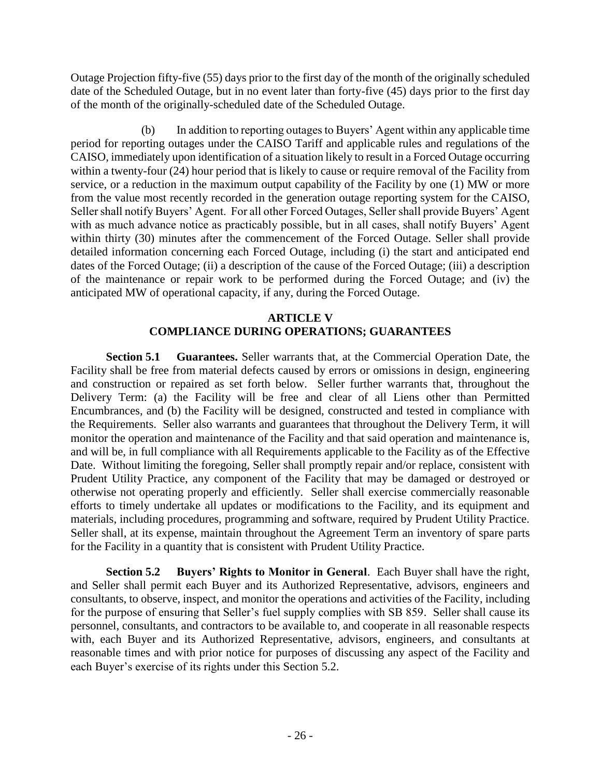Outage Projection fifty-five (55) days prior to the first day of the month of the originally scheduled date of the Scheduled Outage, but in no event later than forty-five (45) days prior to the first day of the month of the originally-scheduled date of the Scheduled Outage.

(b) In addition to reporting outages to Buyers' Agent within any applicable time period for reporting outages under the CAISO Tariff and applicable rules and regulations of the CAISO, immediately upon identification of a situation likely to result in a Forced Outage occurring within a twenty-four (24) hour period that is likely to cause or require removal of the Facility from service, or a reduction in the maximum output capability of the Facility by one (1) MW or more from the value most recently recorded in the generation outage reporting system for the CAISO, Seller shall notify Buyers' Agent. For all other Forced Outages, Seller shall provide Buyers' Agent with as much advance notice as practicably possible, but in all cases, shall notify Buyers' Agent within thirty (30) minutes after the commencement of the Forced Outage. Seller shall provide detailed information concerning each Forced Outage, including (i) the start and anticipated end dates of the Forced Outage; (ii) a description of the cause of the Forced Outage; (iii) a description of the maintenance or repair work to be performed during the Forced Outage; and (iv) the anticipated MW of operational capacity, if any, during the Forced Outage.

# <span id="page-30-1"></span>**ARTICLE V COMPLIANCE DURING OPERATIONS; GUARANTEES**

<span id="page-30-0"></span>**Section 5.1 Guarantees.** Seller warrants that, at the Commercial Operation Date, the Facility shall be free from material defects caused by errors or omissions in design, engineering and construction or repaired as set forth below. Seller further warrants that, throughout the Delivery Term: (a) the Facility will be free and clear of all Liens other than Permitted Encumbrances, and (b) the Facility will be designed, constructed and tested in compliance with the Requirements. Seller also warrants and guarantees that throughout the Delivery Term, it will monitor the operation and maintenance of the Facility and that said operation and maintenance is, and will be, in full compliance with all Requirements applicable to the Facility as of the Effective Date. Without limiting the foregoing, Seller shall promptly repair and/or replace, consistent with Prudent Utility Practice, any component of the Facility that may be damaged or destroyed or otherwise not operating properly and efficiently. Seller shall exercise commercially reasonable efforts to timely undertake all updates or modifications to the Facility, and its equipment and materials, including procedures, programming and software, required by Prudent Utility Practice. Seller shall, at its expense, maintain throughout the Agreement Term an inventory of spare parts for the Facility in a quantity that is consistent with Prudent Utility Practice.

<span id="page-30-2"></span>**Section 5.2 Buyers' Rights to Monitor in General**. Each Buyer shall have the right, and Seller shall permit each Buyer and its Authorized Representative, advisors, engineers and consultants, to observe, inspect, and monitor the operations and activities of the Facility, including for the purpose of ensuring that Seller's fuel supply complies with SB 859. Seller shall cause its personnel, consultants, and contractors to be available to, and cooperate in all reasonable respects with, each Buyer and its Authorized Representative, advisors, engineers, and consultants at reasonable times and with prior notice for purposes of discussing any aspect of the Facility and each Buyer's exercise of its rights under this Section 5.2.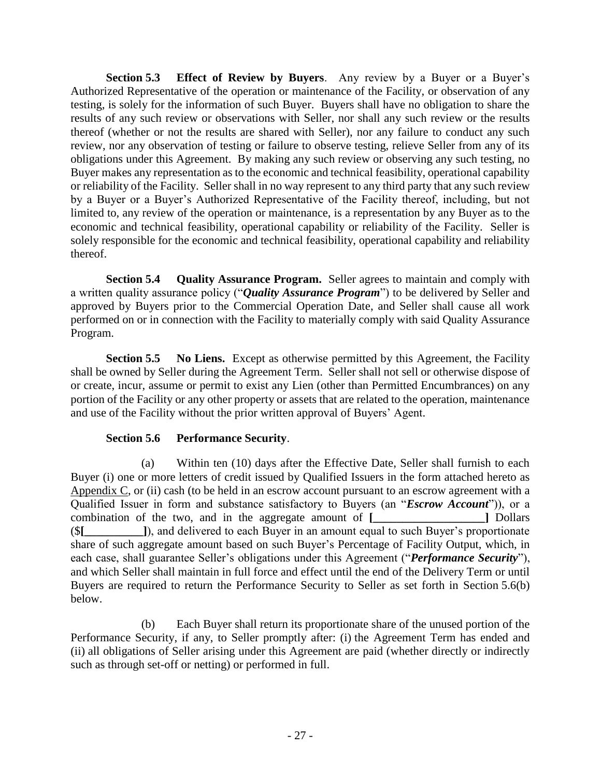<span id="page-31-0"></span>**Section 5.3 Effect of Review by Buyers**. Any review by a Buyer or a Buyer's Authorized Representative of the operation or maintenance of the Facility, or observation of any testing, is solely for the information of such Buyer. Buyers shall have no obligation to share the results of any such review or observations with Seller, nor shall any such review or the results thereof (whether or not the results are shared with Seller), nor any failure to conduct any such review, nor any observation of testing or failure to observe testing, relieve Seller from any of its obligations under this Agreement. By making any such review or observing any such testing, no Buyer makes any representation as to the economic and technical feasibility, operational capability or reliability of the Facility. Seller shall in no way represent to any third party that any such review by a Buyer or a Buyer's Authorized Representative of the Facility thereof, including, but not limited to, any review of the operation or maintenance, is a representation by any Buyer as to the economic and technical feasibility, operational capability or reliability of the Facility. Seller is solely responsible for the economic and technical feasibility, operational capability and reliability thereof.

<span id="page-31-1"></span>**Section 5.4 Quality Assurance Program.** Seller agrees to maintain and comply with a written quality assurance policy ("*Quality Assurance Program*") to be delivered by Seller and approved by Buyers prior to the Commercial Operation Date, and Seller shall cause all work performed on or in connection with the Facility to materially comply with said Quality Assurance Program.

**Section 5.5 No Liens.** Except as otherwise permitted by this Agreement, the Facility shall be owned by Seller during the Agreement Term. Seller shall not sell or otherwise dispose of or create, incur, assume or permit to exist any Lien (other than Permitted Encumbrances) on any portion of the Facility or any other property or assets that are related to the operation, maintenance and use of the Facility without the prior written approval of Buyers' Agent.

## <span id="page-31-3"></span><span id="page-31-2"></span>**Section 5.6 Performance Security**.

(a) Within ten (10) days after the Effective Date, Seller shall furnish to each Buyer (i) one or more letters of credit issued by Qualified Issuers in the form attached hereto as Appendix  $C$ , or (ii) cash (to be held in an escrow account pursuant to an escrow agreement with a Qualified Issuer in form and substance satisfactory to Buyers (an "*Escrow Account*")), or a combination of the two, and in the aggregate amount of **[\_\_\_\_\_\_\_\_\_\_\_\_\_\_\_\_\_\_\_]** Dollars (\$**[\_\_\_\_\_\_\_\_\_\_]**), and delivered to each Buyer in an amount equal to such Buyer's proportionate share of such aggregate amount based on such Buyer's Percentage of Facility Output, which, in each case, shall guarantee Seller's obligations under this Agreement ("*Performance Security*"), and which Seller shall maintain in full force and effect until the end of the Delivery Term or until Buyers are required to return the Performance Security to Seller as set forth in Section 5.6(b) below.

(b) Each Buyer shall return its proportionate share of the unused portion of the Performance Security, if any, to Seller promptly after: (i) the Agreement Term has ended and (ii) all obligations of Seller arising under this Agreement are paid (whether directly or indirectly such as through set-off or netting) or performed in full.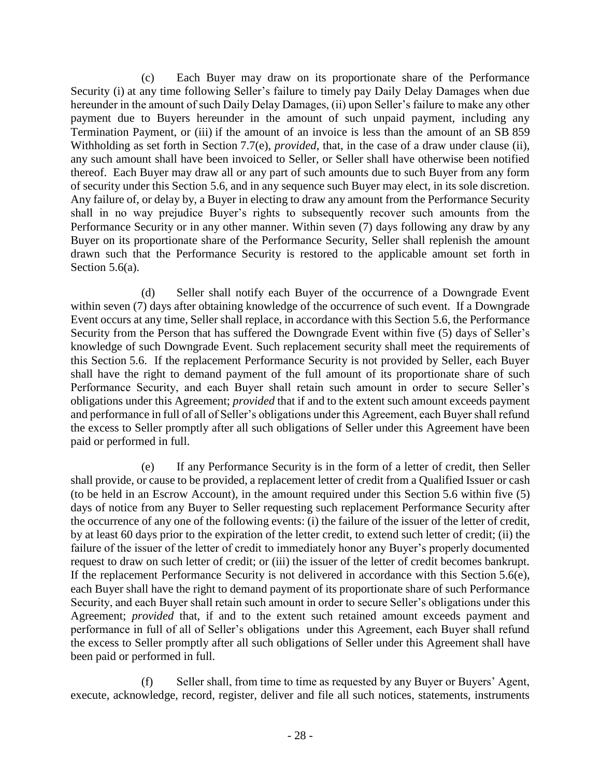(c) Each Buyer may draw on its proportionate share of the Performance Security (i) at any time following Seller's failure to timely pay Daily Delay Damages when due hereunder in the amount of such Daily Delay Damages, (ii) upon Seller's failure to make any other payment due to Buyers hereunder in the amount of such unpaid payment, including any Termination Payment, or (iii) if the amount of an invoice is less than the amount of an SB 859 Withholding as set forth in Section 7.7(e), *provided*, that, in the case of a draw under clause (ii), any such amount shall have been invoiced to Seller, or Seller shall have otherwise been notified thereof. Each Buyer may draw all or any part of such amounts due to such Buyer from any form of security under this Section 5.6, and in any sequence such Buyer may elect, in its sole discretion. Any failure of, or delay by, a Buyer in electing to draw any amount from the Performance Security shall in no way prejudice Buyer's rights to subsequently recover such amounts from the Performance Security or in any other manner. Within seven (7) days following any draw by any Buyer on its proportionate share of the Performance Security, Seller shall replenish the amount drawn such that the Performance Security is restored to the applicable amount set forth in Section 5.6(a).

(d) Seller shall notify each Buyer of the occurrence of a Downgrade Event within seven (7) days after obtaining knowledge of the occurrence of such event. If a Downgrade Event occurs at any time, Seller shall replace, in accordance with this Section 5.6, the Performance Security from the Person that has suffered the Downgrade Event within five (5) days of Seller's knowledge of such Downgrade Event. Such replacement security shall meet the requirements of this Section 5.6. If the replacement Performance Security is not provided by Seller, each Buyer shall have the right to demand payment of the full amount of its proportionate share of such Performance Security, and each Buyer shall retain such amount in order to secure Seller's obligations under this Agreement; *provided* that if and to the extent such amount exceeds payment and performance in full of all of Seller's obligations under this Agreement, each Buyer shall refund the excess to Seller promptly after all such obligations of Seller under this Agreement have been paid or performed in full.

(e) If any Performance Security is in the form of a letter of credit, then Seller shall provide, or cause to be provided, a replacement letter of credit from a Qualified Issuer or cash (to be held in an Escrow Account), in the amount required under this Section 5.6 within five (5) days of notice from any Buyer to Seller requesting such replacement Performance Security after the occurrence of any one of the following events: (i) the failure of the issuer of the letter of credit, by at least 60 days prior to the expiration of the letter credit, to extend such letter of credit; (ii) the failure of the issuer of the letter of credit to immediately honor any Buyer's properly documented request to draw on such letter of credit; or (iii) the issuer of the letter of credit becomes bankrupt. If the replacement Performance Security is not delivered in accordance with this Section 5.6(e), each Buyer shall have the right to demand payment of its proportionate share of such Performance Security, and each Buyer shall retain such amount in order to secure Seller's obligations under this Agreement; *provided* that, if and to the extent such retained amount exceeds payment and performance in full of all of Seller's obligations under this Agreement, each Buyer shall refund the excess to Seller promptly after all such obligations of Seller under this Agreement shall have been paid or performed in full.

(f) Seller shall, from time to time as requested by any Buyer or Buyers' Agent, execute, acknowledge, record, register, deliver and file all such notices, statements, instruments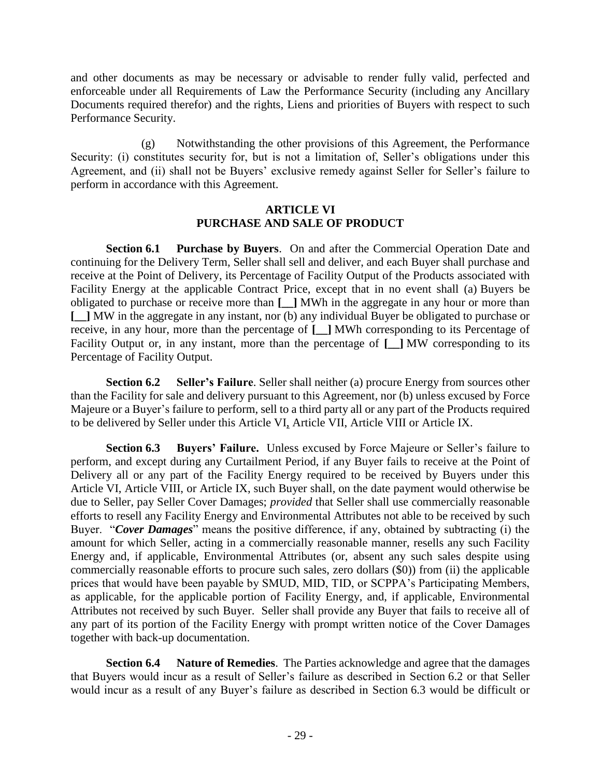and other documents as may be necessary or advisable to render fully valid, perfected and enforceable under all Requirements of Law the Performance Security (including any Ancillary Documents required therefor) and the rights, Liens and priorities of Buyers with respect to such Performance Security.

(g) Notwithstanding the other provisions of this Agreement, the Performance Security: (i) constitutes security for, but is not a limitation of, Seller's obligations under this Agreement, and (ii) shall not be Buyers' exclusive remedy against Seller for Seller's failure to perform in accordance with this Agreement.

### <span id="page-33-2"></span><span id="page-33-1"></span>**ARTICLE VI PURCHASE AND SALE OF PRODUCT**

<span id="page-33-0"></span>**Section 6.1 Purchase by Buyers**. On and after the Commercial Operation Date and continuing for the Delivery Term, Seller shall sell and deliver, and each Buyer shall purchase and receive at the Point of Delivery, its Percentage of Facility Output of the Products associated with Facility Energy at the applicable Contract Price, except that in no event shall (a) Buyers be obligated to purchase or receive more than **[\_\_]** MWh in the aggregate in any hour or more than **[\_\_]** MW in the aggregate in any instant, nor (b) any individual Buyer be obligated to purchase or receive, in any hour, more than the percentage of **[\_\_]** MWh corresponding to its Percentage of Facility Output or, in any instant, more than the percentage of **[\_\_]** MW corresponding to its Percentage of Facility Output.

**Section 6.2 Seller's Failure**. Seller shall neither (a) procure Energy from sources other than the Facility for sale and delivery pursuant to this Agreement, nor (b) unless excused by Force Majeure or a Buyer's failure to perform, sell to a third party all or any part of the Products required to be delivered by Seller under this Article VI, Article VII, Article VIII or Article IX.

<span id="page-33-3"></span>**Section 6.3 Buyers' Failure.** Unless excused by Force Majeure or Seller's failure to perform, and except during any Curtailment Period, if any Buyer fails to receive at the Point of Delivery all or any part of the Facility Energy required to be received by Buyers under this Article VI, Article VIII, or Article IX, such Buyer shall, on the date payment would otherwise be due to Seller, pay Seller Cover Damages; *provided* that Seller shall use commercially reasonable efforts to resell any Facility Energy and Environmental Attributes not able to be received by such Buyer. "*Cover Damages*" means the positive difference, if any, obtained by subtracting (i) the amount for which Seller, acting in a commercially reasonable manner, resells any such Facility Energy and, if applicable, Environmental Attributes (or, absent any such sales despite using commercially reasonable efforts to procure such sales, zero dollars (\$0)) from (ii) the applicable prices that would have been payable by SMUD, MID, TID, or SCPPA's Participating Members, as applicable, for the applicable portion of Facility Energy, and, if applicable, Environmental Attributes not received by such Buyer. Seller shall provide any Buyer that fails to receive all of any part of its portion of the Facility Energy with prompt written notice of the Cover Damages together with back-up documentation.

<span id="page-33-4"></span>**Section 6.4 Nature of Remedies**. The Parties acknowledge and agree that the damages that Buyers would incur as a result of Seller's failure as described in Section 6.2 or that Seller would incur as a result of any Buyer's failure as described in Section 6.3 would be difficult or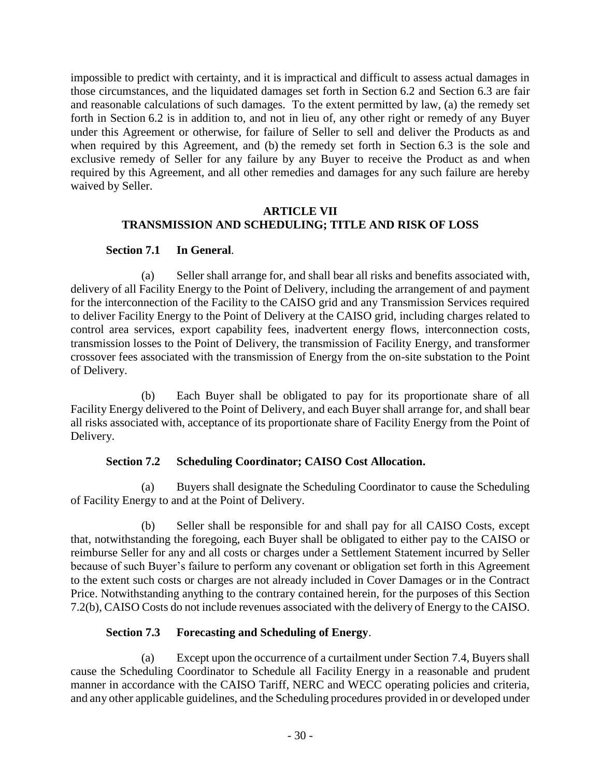impossible to predict with certainty, and it is impractical and difficult to assess actual damages in those circumstances, and the liquidated damages set forth in Section 6.2 and Section 6.3 are fair and reasonable calculations of such damages. To the extent permitted by law, (a) the remedy set forth in Section 6.2 is in addition to, and not in lieu of, any other right or remedy of any Buyer under this Agreement or otherwise, for failure of Seller to sell and deliver the Products as and when required by this Agreement, and (b) the remedy set forth in Section 6.3 is the sole and exclusive remedy of Seller for any failure by any Buyer to receive the Product as and when required by this Agreement, and all other remedies and damages for any such failure are hereby waived by Seller.

### <span id="page-34-1"></span>**ARTICLE VII TRANSMISSION AND SCHEDULING; TITLE AND RISK OF LOSS**

# <span id="page-34-0"></span>**Section 7.1 In General**.

(a) Seller shall arrange for, and shall bear all risks and benefits associated with, delivery of all Facility Energy to the Point of Delivery, including the arrangement of and payment for the interconnection of the Facility to the CAISO grid and any Transmission Services required to deliver Facility Energy to the Point of Delivery at the CAISO grid, including charges related to control area services, export capability fees, inadvertent energy flows, interconnection costs, transmission losses to the Point of Delivery, the transmission of Facility Energy, and transformer crossover fees associated with the transmission of Energy from the on-site substation to the Point of Delivery.

(b) Each Buyer shall be obligated to pay for its proportionate share of all Facility Energy delivered to the Point of Delivery, and each Buyer shall arrange for, and shall bear all risks associated with, acceptance of its proportionate share of Facility Energy from the Point of Delivery.

# <span id="page-34-2"></span>**Section 7.2 Scheduling Coordinator; CAISO Cost Allocation.**

(a) Buyers shall designate the Scheduling Coordinator to cause the Scheduling of Facility Energy to and at the Point of Delivery.

(b) Seller shall be responsible for and shall pay for all CAISO Costs, except that, notwithstanding the foregoing, each Buyer shall be obligated to either pay to the CAISO or reimburse Seller for any and all costs or charges under a Settlement Statement incurred by Seller because of such Buyer's failure to perform any covenant or obligation set forth in this Agreement to the extent such costs or charges are not already included in Cover Damages or in the Contract Price. Notwithstanding anything to the contrary contained herein, for the purposes of this Section 7.2(b), CAISO Costs do not include revenues associated with the delivery of Energy to the CAISO.

# <span id="page-34-3"></span>**Section 7.3 Forecasting and Scheduling of Energy**.

(a) Except upon the occurrence of a curtailment under Section 7.4, Buyers shall cause the Scheduling Coordinator to Schedule all Facility Energy in a reasonable and prudent manner in accordance with the CAISO Tariff, NERC and WECC operating policies and criteria, and any other applicable guidelines, and the Scheduling procedures provided in or developed under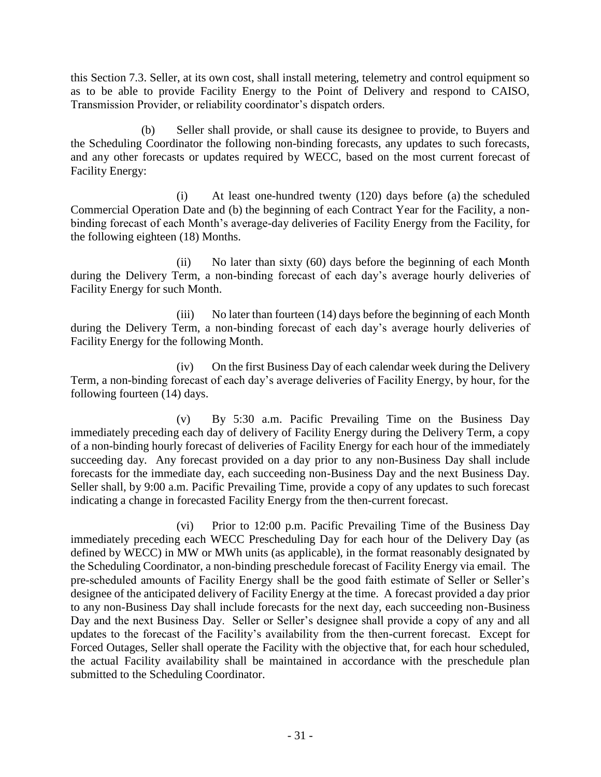this Section 7.3. Seller, at its own cost, shall install metering, telemetry and control equipment so as to be able to provide Facility Energy to the Point of Delivery and respond to CAISO, Transmission Provider, or reliability coordinator's dispatch orders.

(b) Seller shall provide, or shall cause its designee to provide, to Buyers and the Scheduling Coordinator the following non-binding forecasts, any updates to such forecasts, and any other forecasts or updates required by WECC, based on the most current forecast of Facility Energy:

(i) At least one-hundred twenty (120) days before (a) the scheduled Commercial Operation Date and (b) the beginning of each Contract Year for the Facility, a nonbinding forecast of each Month's average-day deliveries of Facility Energy from the Facility, for the following eighteen (18) Months.

(ii) No later than sixty (60) days before the beginning of each Month during the Delivery Term, a non-binding forecast of each day's average hourly deliveries of Facility Energy for such Month.

(iii) No later than fourteen (14) days before the beginning of each Month during the Delivery Term, a non-binding forecast of each day's average hourly deliveries of Facility Energy for the following Month.

(iv) On the first Business Day of each calendar week during the Delivery Term, a non-binding forecast of each day's average deliveries of Facility Energy, by hour, for the following fourteen (14) days.

(v) By 5:30 a.m. Pacific Prevailing Time on the Business Day immediately preceding each day of delivery of Facility Energy during the Delivery Term, a copy of a non-binding hourly forecast of deliveries of Facility Energy for each hour of the immediately succeeding day. Any forecast provided on a day prior to any non-Business Day shall include forecasts for the immediate day, each succeeding non-Business Day and the next Business Day. Seller shall, by 9:00 a.m. Pacific Prevailing Time, provide a copy of any updates to such forecast indicating a change in forecasted Facility Energy from the then-current forecast.

(vi) Prior to 12:00 p.m. Pacific Prevailing Time of the Business Day immediately preceding each WECC Prescheduling Day for each hour of the Delivery Day (as defined by WECC) in MW or MWh units (as applicable), in the format reasonably designated by the Scheduling Coordinator, a non-binding preschedule forecast of Facility Energy via email. The pre-scheduled amounts of Facility Energy shall be the good faith estimate of Seller or Seller's designee of the anticipated delivery of Facility Energy at the time. A forecast provided a day prior to any non-Business Day shall include forecasts for the next day, each succeeding non-Business Day and the next Business Day. Seller or Seller's designee shall provide a copy of any and all updates to the forecast of the Facility's availability from the then-current forecast. Except for Forced Outages, Seller shall operate the Facility with the objective that, for each hour scheduled, the actual Facility availability shall be maintained in accordance with the preschedule plan submitted to the Scheduling Coordinator.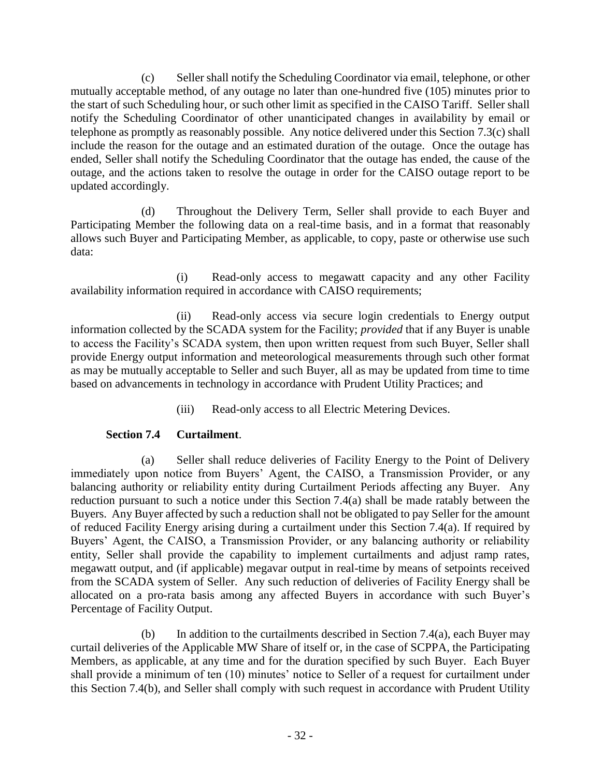(c) Seller shall notify the Scheduling Coordinator via email, telephone, or other mutually acceptable method, of any outage no later than one-hundred five (105) minutes prior to the start of such Scheduling hour, or such other limit as specified in the CAISO Tariff. Seller shall notify the Scheduling Coordinator of other unanticipated changes in availability by email or telephone as promptly as reasonably possible. Any notice delivered under this Section 7.3(c) shall include the reason for the outage and an estimated duration of the outage. Once the outage has ended, Seller shall notify the Scheduling Coordinator that the outage has ended, the cause of the outage, and the actions taken to resolve the outage in order for the CAISO outage report to be updated accordingly.

(d) Throughout the Delivery Term, Seller shall provide to each Buyer and Participating Member the following data on a real-time basis, and in a format that reasonably allows such Buyer and Participating Member, as applicable, to copy, paste or otherwise use such data:

(i) Read-only access to megawatt capacity and any other Facility availability information required in accordance with CAISO requirements;

(ii) Read-only access via secure login credentials to Energy output information collected by the SCADA system for the Facility; *provided* that if any Buyer is unable to access the Facility's SCADA system, then upon written request from such Buyer, Seller shall provide Energy output information and meteorological measurements through such other format as may be mutually acceptable to Seller and such Buyer, all as may be updated from time to time based on advancements in technology in accordance with Prudent Utility Practices; and

(iii) Read-only access to all Electric Metering Devices.

# **Section 7.4 Curtailment**.

(a) Seller shall reduce deliveries of Facility Energy to the Point of Delivery immediately upon notice from Buyers' Agent, the CAISO, a Transmission Provider, or any balancing authority or reliability entity during Curtailment Periods affecting any Buyer. Any reduction pursuant to such a notice under this Section 7.4(a) shall be made ratably between the Buyers. Any Buyer affected by such a reduction shall not be obligated to pay Seller for the amount of reduced Facility Energy arising during a curtailment under this Section 7.4(a). If required by Buyers' Agent, the CAISO, a Transmission Provider, or any balancing authority or reliability entity, Seller shall provide the capability to implement curtailments and adjust ramp rates, megawatt output, and (if applicable) megavar output in real-time by means of setpoints received from the SCADA system of Seller. Any such reduction of deliveries of Facility Energy shall be allocated on a pro-rata basis among any affected Buyers in accordance with such Buyer's Percentage of Facility Output.

(b) In addition to the curtailments described in Section 7.4(a), each Buyer may curtail deliveries of the Applicable MW Share of itself or, in the case of SCPPA, the Participating Members, as applicable, at any time and for the duration specified by such Buyer. Each Buyer shall provide a minimum of ten (10) minutes' notice to Seller of a request for curtailment under this Section 7.4(b), and Seller shall comply with such request in accordance with Prudent Utility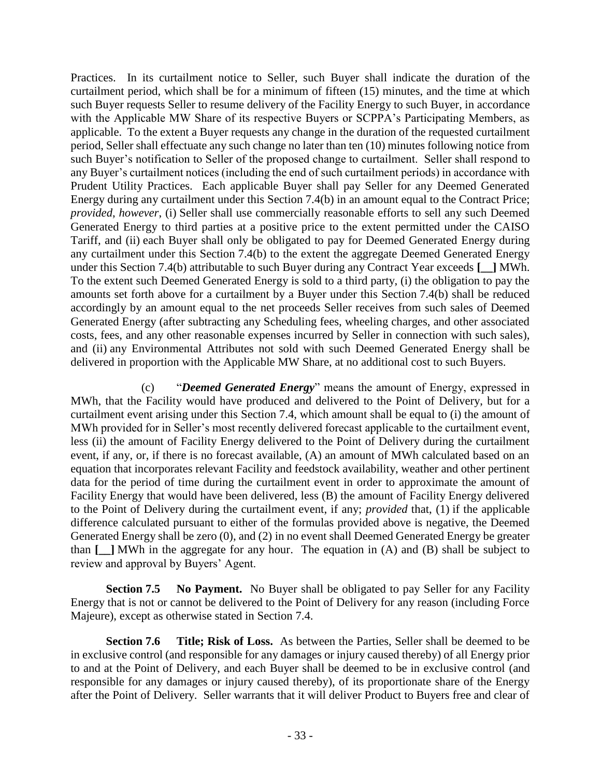Practices. In its curtailment notice to Seller, such Buyer shall indicate the duration of the curtailment period, which shall be for a minimum of fifteen (15) minutes, and the time at which such Buyer requests Seller to resume delivery of the Facility Energy to such Buyer, in accordance with the Applicable MW Share of its respective Buyers or SCPPA's Participating Members, as applicable. To the extent a Buyer requests any change in the duration of the requested curtailment period, Seller shall effectuate any such change no later than ten (10) minutes following notice from such Buyer's notification to Seller of the proposed change to curtailment. Seller shall respond to any Buyer's curtailment notices (including the end of such curtailment periods) in accordance with Prudent Utility Practices. Each applicable Buyer shall pay Seller for any Deemed Generated Energy during any curtailment under this Section 7.4(b) in an amount equal to the Contract Price; *provided*, *however*, (i) Seller shall use commercially reasonable efforts to sell any such Deemed Generated Energy to third parties at a positive price to the extent permitted under the CAISO Tariff, and (ii) each Buyer shall only be obligated to pay for Deemed Generated Energy during any curtailment under this Section 7.4(b) to the extent the aggregate Deemed Generated Energy under this Section 7.4(b) attributable to such Buyer during any Contract Year exceeds **[\_\_]** MWh. To the extent such Deemed Generated Energy is sold to a third party, (i) the obligation to pay the amounts set forth above for a curtailment by a Buyer under this Section 7.4(b) shall be reduced accordingly by an amount equal to the net proceeds Seller receives from such sales of Deemed Generated Energy (after subtracting any Scheduling fees, wheeling charges, and other associated costs, fees, and any other reasonable expenses incurred by Seller in connection with such sales), and (ii) any Environmental Attributes not sold with such Deemed Generated Energy shall be delivered in proportion with the Applicable MW Share, at no additional cost to such Buyers.

(c) "*Deemed Generated Energy*" means the amount of Energy, expressed in MWh, that the Facility would have produced and delivered to the Point of Delivery, but for a curtailment event arising under this Section 7.4, which amount shall be equal to (i) the amount of MWh provided for in Seller's most recently delivered forecast applicable to the curtailment event, less (ii) the amount of Facility Energy delivered to the Point of Delivery during the curtailment event, if any, or, if there is no forecast available, (A) an amount of MWh calculated based on an equation that incorporates relevant Facility and feedstock availability, weather and other pertinent data for the period of time during the curtailment event in order to approximate the amount of Facility Energy that would have been delivered, less (B) the amount of Facility Energy delivered to the Point of Delivery during the curtailment event, if any; *provided* that, (1) if the applicable difference calculated pursuant to either of the formulas provided above is negative, the Deemed Generated Energy shall be zero (0), and (2) in no event shall Deemed Generated Energy be greater than **[\_\_]** MWh in the aggregate for any hour. The equation in (A) and (B) shall be subject to review and approval by Buyers' Agent.

**Section 7.5 No Payment.** No Buyer shall be obligated to pay Seller for any Facility Energy that is not or cannot be delivered to the Point of Delivery for any reason (including Force Majeure), except as otherwise stated in Section 7.4.

**Section 7.6 Title; Risk of Loss.** As between the Parties, Seller shall be deemed to be in exclusive control (and responsible for any damages or injury caused thereby) of all Energy prior to and at the Point of Delivery, and each Buyer shall be deemed to be in exclusive control (and responsible for any damages or injury caused thereby), of its proportionate share of the Energy after the Point of Delivery. Seller warrants that it will deliver Product to Buyers free and clear of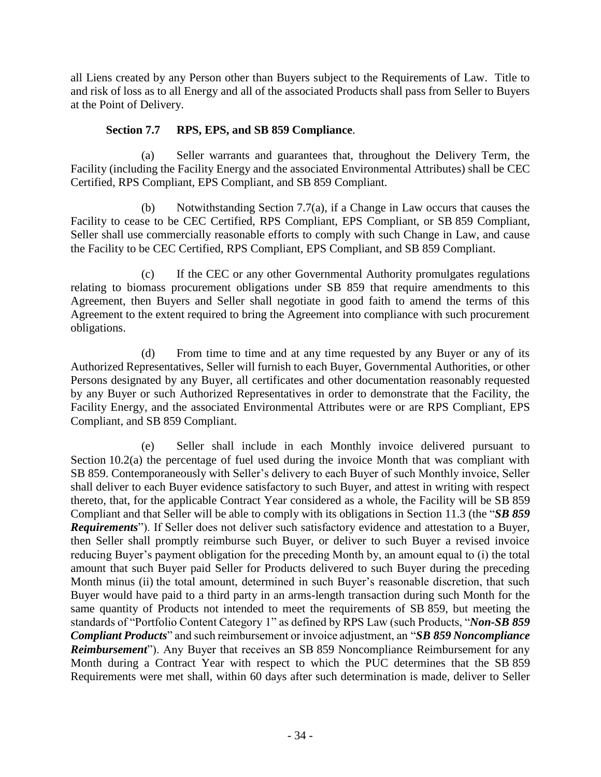all Liens created by any Person other than Buyers subject to the Requirements of Law. Title to and risk of loss as to all Energy and all of the associated Products shall pass from Seller to Buyers at the Point of Delivery.

## **Section 7.7 RPS, EPS, and SB 859 Compliance**.

(a) Seller warrants and guarantees that, throughout the Delivery Term, the Facility (including the Facility Energy and the associated Environmental Attributes) shall be CEC Certified, RPS Compliant, EPS Compliant, and SB 859 Compliant.

(b) Notwithstanding Section 7.7(a), if a Change in Law occurs that causes the Facility to cease to be CEC Certified, RPS Compliant, EPS Compliant, or SB 859 Compliant, Seller shall use commercially reasonable efforts to comply with such Change in Law, and cause the Facility to be CEC Certified, RPS Compliant, EPS Compliant, and SB 859 Compliant.

(c) If the CEC or any other Governmental Authority promulgates regulations relating to biomass procurement obligations under SB 859 that require amendments to this Agreement, then Buyers and Seller shall negotiate in good faith to amend the terms of this Agreement to the extent required to bring the Agreement into compliance with such procurement obligations.

(d) From time to time and at any time requested by any Buyer or any of its Authorized Representatives, Seller will furnish to each Buyer, Governmental Authorities, or other Persons designated by any Buyer, all certificates and other documentation reasonably requested by any Buyer or such Authorized Representatives in order to demonstrate that the Facility, the Facility Energy, and the associated Environmental Attributes were or are RPS Compliant, EPS Compliant, and SB 859 Compliant.

(e) Seller shall include in each Monthly invoice delivered pursuant to [Section](#page-41-0) 10.2(a) the percentage of fuel used during the invoice Month that was compliant with SB 859. Contemporaneously with Seller's delivery to each Buyer of such Monthly invoice, Seller shall deliver to each Buyer evidence satisfactory to such Buyer, and attest in writing with respect thereto, that, for the applicable Contract Year considered as a whole, the Facility will be SB 859 Compliant and that Seller will be able to comply with its obligations in [Section](#page-49-0) 11.3 (the "*SB 859 Requirements*"). If Seller does not deliver such satisfactory evidence and attestation to a Buyer, then Seller shall promptly reimburse such Buyer, or deliver to such Buyer a revised invoice reducing Buyer's payment obligation for the preceding Month by, an amount equal to (i) the total amount that such Buyer paid Seller for Products delivered to such Buyer during the preceding Month minus (ii) the total amount, determined in such Buyer's reasonable discretion, that such Buyer would have paid to a third party in an arms-length transaction during such Month for the same quantity of Products not intended to meet the requirements of SB 859, but meeting the standards of "Portfolio Content Category 1" as defined by RPS Law (such Products, "*Non-SB 859 Compliant Products*" and such reimbursement or invoice adjustment, an "*SB 859 Noncompliance Reimbursement*"). Any Buyer that receives an SB 859 Noncompliance Reimbursement for any Month during a Contract Year with respect to which the PUC determines that the SB 859 Requirements were met shall, within 60 days after such determination is made, deliver to Seller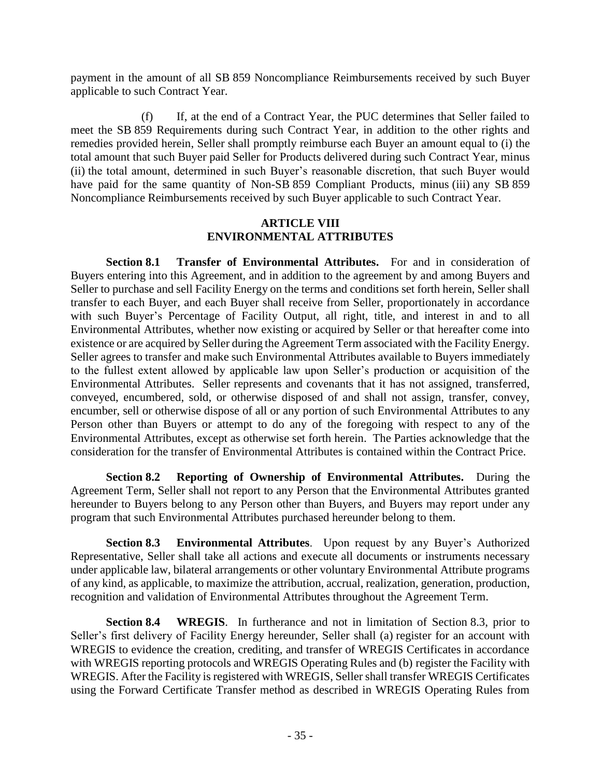payment in the amount of all SB 859 Noncompliance Reimbursements received by such Buyer applicable to such Contract Year.

(f) If, at the end of a Contract Year, the PUC determines that Seller failed to meet the SB 859 Requirements during such Contract Year, in addition to the other rights and remedies provided herein, Seller shall promptly reimburse each Buyer an amount equal to (i) the total amount that such Buyer paid Seller for Products delivered during such Contract Year, minus (ii) the total amount, determined in such Buyer's reasonable discretion, that such Buyer would have paid for the same quantity of Non-SB 859 Compliant Products, minus (iii) any SB 859 Noncompliance Reimbursements received by such Buyer applicable to such Contract Year.

#### **ARTICLE VIII ENVIRONMENTAL ATTRIBUTES**

**Section 8.1 Transfer of Environmental Attributes.** For and in consideration of Buyers entering into this Agreement, and in addition to the agreement by and among Buyers and Seller to purchase and sell Facility Energy on the terms and conditions set forth herein, Seller shall transfer to each Buyer, and each Buyer shall receive from Seller, proportionately in accordance with such Buyer's Percentage of Facility Output, all right, title, and interest in and to all Environmental Attributes, whether now existing or acquired by Seller or that hereafter come into existence or are acquired by Seller during the Agreement Term associated with the Facility Energy. Seller agrees to transfer and make such Environmental Attributes available to Buyers immediately to the fullest extent allowed by applicable law upon Seller's production or acquisition of the Environmental Attributes. Seller represents and covenants that it has not assigned, transferred, conveyed, encumbered, sold, or otherwise disposed of and shall not assign, transfer, convey, encumber, sell or otherwise dispose of all or any portion of such Environmental Attributes to any Person other than Buyers or attempt to do any of the foregoing with respect to any of the Environmental Attributes, except as otherwise set forth herein. The Parties acknowledge that the consideration for the transfer of Environmental Attributes is contained within the Contract Price.

**Section 8.2 Reporting of Ownership of Environmental Attributes.** During the Agreement Term, Seller shall not report to any Person that the Environmental Attributes granted hereunder to Buyers belong to any Person other than Buyers, and Buyers may report under any program that such Environmental Attributes purchased hereunder belong to them.

**Section 8.3 Environmental Attributes**. Upon request by any Buyer's Authorized Representative, Seller shall take all actions and execute all documents or instruments necessary under applicable law, bilateral arrangements or other voluntary Environmental Attribute programs of any kind, as applicable, to maximize the attribution, accrual, realization, generation, production, recognition and validation of Environmental Attributes throughout the Agreement Term.

**Section 8.4 WREGIS**. In furtherance and not in limitation of Section 8.3, prior to Seller's first delivery of Facility Energy hereunder, Seller shall (a) register for an account with WREGIS to evidence the creation, crediting, and transfer of WREGIS Certificates in accordance with WREGIS reporting protocols and WREGIS Operating Rules and (b) register the Facility with WREGIS. After the Facility is registered with WREGIS, Seller shall transfer WREGIS Certificates using the Forward Certificate Transfer method as described in WREGIS Operating Rules from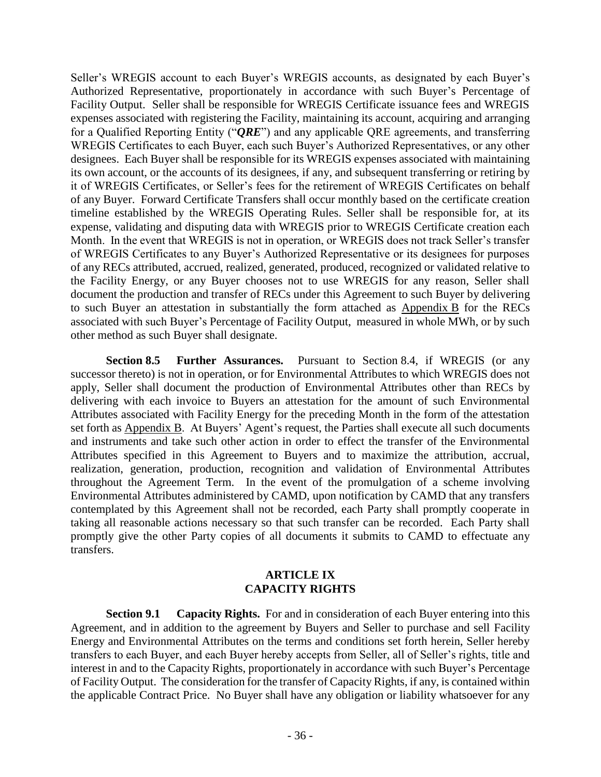Seller's WREGIS account to each Buyer's WREGIS accounts, as designated by each Buyer's Authorized Representative, proportionately in accordance with such Buyer's Percentage of Facility Output. Seller shall be responsible for WREGIS Certificate issuance fees and WREGIS expenses associated with registering the Facility, maintaining its account, acquiring and arranging for a Qualified Reporting Entity ("*QRE*") and any applicable QRE agreements, and transferring WREGIS Certificates to each Buyer, each such Buyer's Authorized Representatives, or any other designees. Each Buyer shall be responsible for its WREGIS expenses associated with maintaining its own account, or the accounts of its designees, if any, and subsequent transferring or retiring by it of WREGIS Certificates, or Seller's fees for the retirement of WREGIS Certificates on behalf of any Buyer. Forward Certificate Transfers shall occur monthly based on the certificate creation timeline established by the WREGIS Operating Rules. Seller shall be responsible for, at its expense, validating and disputing data with WREGIS prior to WREGIS Certificate creation each Month. In the event that WREGIS is not in operation, or WREGIS does not track Seller's transfer of WREGIS Certificates to any Buyer's Authorized Representative or its designees for purposes of any RECs attributed, accrued, realized, generated, produced, recognized or validated relative to the Facility Energy, or any Buyer chooses not to use WREGIS for any reason, Seller shall document the production and transfer of RECs under this Agreement to such Buyer by delivering to such Buyer an attestation in substantially the form attached as Appendix B for the RECs associated with such Buyer's Percentage of Facility Output, measured in whole MWh, or by such other method as such Buyer shall designate.

**Section 8.5 Further Assurances.** Pursuant to Section 8.4, if WREGIS (or any successor thereto) is not in operation, or for Environmental Attributes to which WREGIS does not apply, Seller shall document the production of Environmental Attributes other than RECs by delivering with each invoice to Buyers an attestation for the amount of such Environmental Attributes associated with Facility Energy for the preceding Month in the form of the attestation set forth as Appendix B. At Buyers' Agent's request, the Parties shall execute all such documents and instruments and take such other action in order to effect the transfer of the Environmental Attributes specified in this Agreement to Buyers and to maximize the attribution, accrual, realization, generation, production, recognition and validation of Environmental Attributes throughout the Agreement Term. In the event of the promulgation of a scheme involving Environmental Attributes administered by CAMD, upon notification by CAMD that any transfers contemplated by this Agreement shall not be recorded, each Party shall promptly cooperate in taking all reasonable actions necessary so that such transfer can be recorded. Each Party shall promptly give the other Party copies of all documents it submits to CAMD to effectuate any transfers.

#### **ARTICLE IX CAPACITY RIGHTS**

**Section 9.1 Capacity Rights.** For and in consideration of each Buyer entering into this Agreement, and in addition to the agreement by Buyers and Seller to purchase and sell Facility Energy and Environmental Attributes on the terms and conditions set forth herein, Seller hereby transfers to each Buyer, and each Buyer hereby accepts from Seller, all of Seller's rights, title and interest in and to the Capacity Rights, proportionately in accordance with such Buyer's Percentage of Facility Output. The consideration for the transfer of Capacity Rights, if any, is contained within the applicable Contract Price. No Buyer shall have any obligation or liability whatsoever for any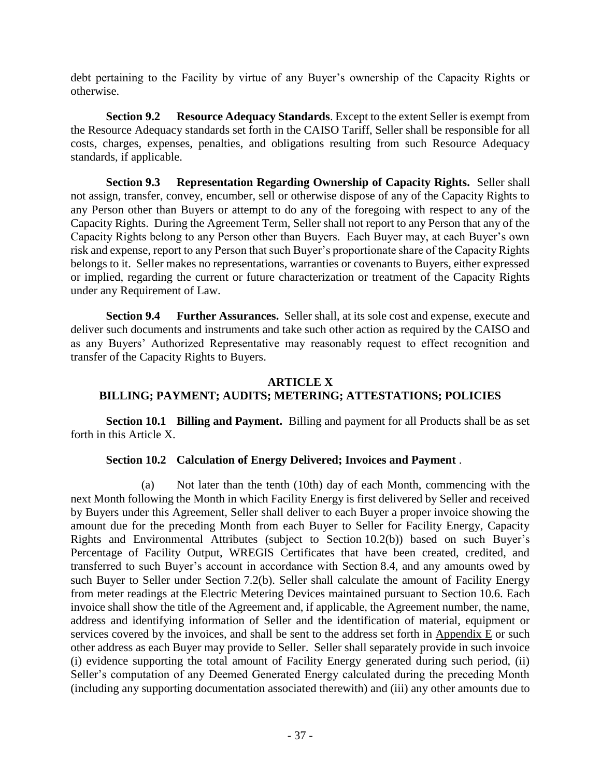debt pertaining to the Facility by virtue of any Buyer's ownership of the Capacity Rights or otherwise.

**Section 9.2 Resource Adequacy Standards**. Except to the extent Seller is exempt from the Resource Adequacy standards set forth in the CAISO Tariff, Seller shall be responsible for all costs, charges, expenses, penalties, and obligations resulting from such Resource Adequacy standards, if applicable.

**Section 9.3 Representation Regarding Ownership of Capacity Rights.** Seller shall not assign, transfer, convey, encumber, sell or otherwise dispose of any of the Capacity Rights to any Person other than Buyers or attempt to do any of the foregoing with respect to any of the Capacity Rights. During the Agreement Term, Seller shall not report to any Person that any of the Capacity Rights belong to any Person other than Buyers. Each Buyer may, at each Buyer's own risk and expense, report to any Person that such Buyer's proportionate share of the Capacity Rights belongs to it. Seller makes no representations, warranties or covenants to Buyers, either expressed or implied, regarding the current or future characterization or treatment of the Capacity Rights under any Requirement of Law.

**Section 9.4 Further Assurances.** Seller shall, at its sole cost and expense, execute and deliver such documents and instruments and take such other action as required by the CAISO and as any Buyers' Authorized Representative may reasonably request to effect recognition and transfer of the Capacity Rights to Buyers.

# **ARTICLE X BILLING; PAYMENT; AUDITS; METERING; ATTESTATIONS; POLICIES**

**Section 10.1 Billing and Payment.** Billing and payment for all Products shall be as set forth in this Article X.

# **Section 10.2 Calculation of Energy Delivered; Invoices and Payment** .

<span id="page-41-0"></span>(a) Not later than the tenth (10th) day of each Month, commencing with the next Month following the Month in which Facility Energy is first delivered by Seller and received by Buyers under this Agreement, Seller shall deliver to each Buyer a proper invoice showing the amount due for the preceding Month from each Buyer to Seller for Facility Energy, Capacity Rights and Environmental Attributes (subject to Section 10.2(b)) based on such Buyer's Percentage of Facility Output, WREGIS Certificates that have been created, credited, and transferred to such Buyer's account in accordance with Section 8.4, and any amounts owed by such Buyer to Seller under Section 7.2(b). Seller shall calculate the amount of Facility Energy from meter readings at the Electric Metering Devices maintained pursuant to Section 10.6. Each invoice shall show the title of the Agreement and, if applicable, the Agreement number, the name, address and identifying information of Seller and the identification of material, equipment or services covered by the invoices, and shall be sent to the address set forth in Appendix E or such other address as each Buyer may provide to Seller. Seller shall separately provide in such invoice (i) evidence supporting the total amount of Facility Energy generated during such period, (ii) Seller's computation of any Deemed Generated Energy calculated during the preceding Month (including any supporting documentation associated therewith) and (iii) any other amounts due to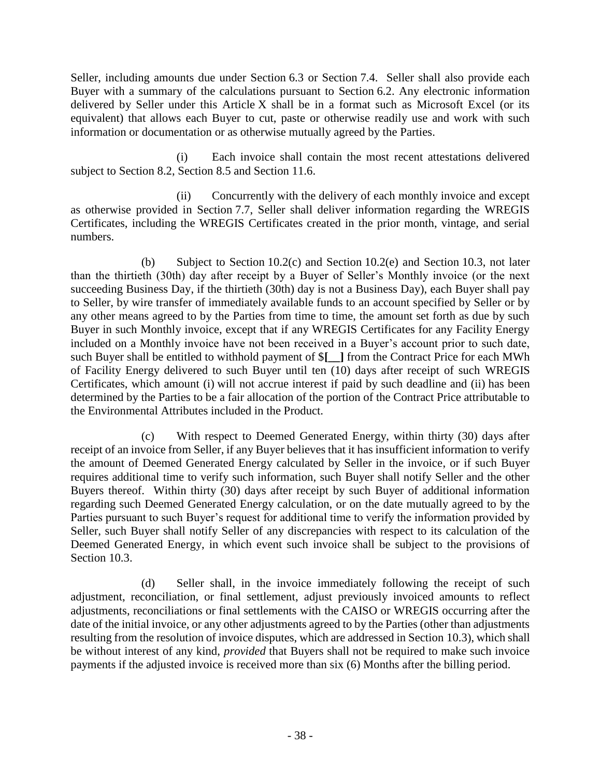Seller, including amounts due under Section 6.3 or Section 7.4. Seller shall also provide each Buyer with a summary of the calculations pursuant to Section 6.2. Any electronic information delivered by Seller under this Article X shall be in a format such as Microsoft Excel (or its equivalent) that allows each Buyer to cut, paste or otherwise readily use and work with such information or documentation or as otherwise mutually agreed by the Parties.

(i) Each invoice shall contain the most recent attestations delivered subject to Section 8.2, Section 8.5 and Section 11.6.

(ii) Concurrently with the delivery of each monthly invoice and except as otherwise provided in Section 7.7, Seller shall deliver information regarding the WREGIS Certificates, including the WREGIS Certificates created in the prior month, vintage, and serial numbers.

(b) Subject to Section 10.2(c) and Section 10.2(e) and Section 10.3, not later than the thirtieth (30th) day after receipt by a Buyer of Seller's Monthly invoice (or the next succeeding Business Day, if the thirtieth (30th) day is not a Business Day), each Buyer shall pay to Seller, by wire transfer of immediately available funds to an account specified by Seller or by any other means agreed to by the Parties from time to time, the amount set forth as due by such Buyer in such Monthly invoice, except that if any WREGIS Certificates for any Facility Energy included on a Monthly invoice have not been received in a Buyer's account prior to such date, such Buyer shall be entitled to withhold payment of \$**[\_\_]** from the Contract Price for each MWh of Facility Energy delivered to such Buyer until ten (10) days after receipt of such WREGIS Certificates, which amount (i) will not accrue interest if paid by such deadline and (ii) has been determined by the Parties to be a fair allocation of the portion of the Contract Price attributable to the Environmental Attributes included in the Product.

(c) With respect to Deemed Generated Energy, within thirty (30) days after receipt of an invoice from Seller, if any Buyer believes that it has insufficient information to verify the amount of Deemed Generated Energy calculated by Seller in the invoice, or if such Buyer requires additional time to verify such information, such Buyer shall notify Seller and the other Buyers thereof. Within thirty (30) days after receipt by such Buyer of additional information regarding such Deemed Generated Energy calculation, or on the date mutually agreed to by the Parties pursuant to such Buyer's request for additional time to verify the information provided by Seller, such Buyer shall notify Seller of any discrepancies with respect to its calculation of the Deemed Generated Energy, in which event such invoice shall be subject to the provisions of Section 10.3.

(d) Seller shall, in the invoice immediately following the receipt of such adjustment, reconciliation, or final settlement, adjust previously invoiced amounts to reflect adjustments, reconciliations or final settlements with the CAISO or WREGIS occurring after the date of the initial invoice, or any other adjustments agreed to by the Parties (other than adjustments resulting from the resolution of invoice disputes, which are addressed in Section 10.3), which shall be without interest of any kind, *provided* that Buyers shall not be required to make such invoice payments if the adjusted invoice is received more than six (6) Months after the billing period.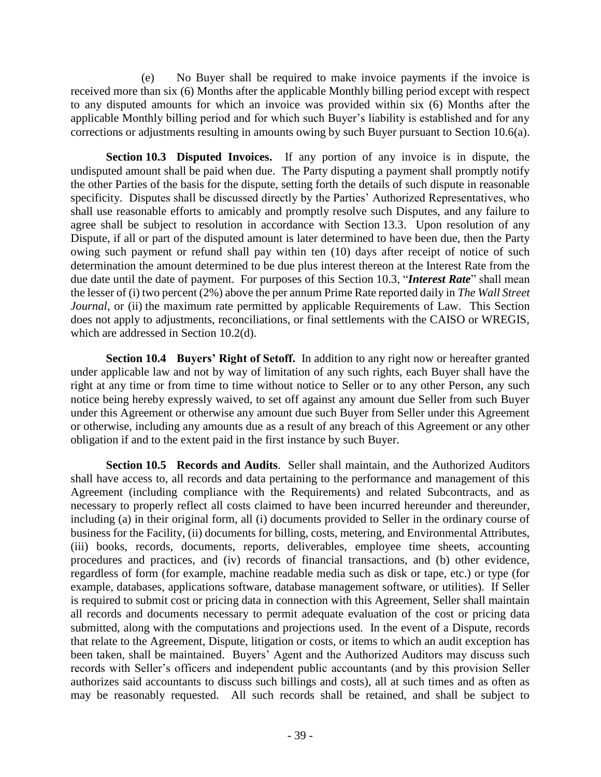(e) No Buyer shall be required to make invoice payments if the invoice is received more than six (6) Months after the applicable Monthly billing period except with respect to any disputed amounts for which an invoice was provided within six (6) Months after the applicable Monthly billing period and for which such Buyer's liability is established and for any corrections or adjustments resulting in amounts owing by such Buyer pursuant to Section 10.6(a).

**Section 10.3 Disputed Invoices.** If any portion of any invoice is in dispute, the undisputed amount shall be paid when due. The Party disputing a payment shall promptly notify the other Parties of the basis for the dispute, setting forth the details of such dispute in reasonable specificity. Disputes shall be discussed directly by the Parties' Authorized Representatives, who shall use reasonable efforts to amicably and promptly resolve such Disputes, and any failure to agree shall be subject to resolution in accordance with Section 13.3. Upon resolution of any Dispute, if all or part of the disputed amount is later determined to have been due, then the Party owing such payment or refund shall pay within ten (10) days after receipt of notice of such determination the amount determined to be due plus interest thereon at the Interest Rate from the due date until the date of payment. For purposes of this Section 10.3, "*Interest Rate*" shall mean the lesser of (i) two percent (2%) above the per annum Prime Rate reported daily in *The Wall Street Journal*, or (ii) the maximum rate permitted by applicable Requirements of Law. This Section does not apply to adjustments, reconciliations, or final settlements with the CAISO or WREGIS, which are addressed in Section 10.2(d).

**Section 10.4 Buyers' Right of Setoff.** In addition to any right now or hereafter granted under applicable law and not by way of limitation of any such rights, each Buyer shall have the right at any time or from time to time without notice to Seller or to any other Person, any such notice being hereby expressly waived, to set off against any amount due Seller from such Buyer under this Agreement or otherwise any amount due such Buyer from Seller under this Agreement or otherwise, including any amounts due as a result of any breach of this Agreement or any other obligation if and to the extent paid in the first instance by such Buyer.

**Section 10.5 Records and Audits**. Seller shall maintain, and the Authorized Auditors shall have access to, all records and data pertaining to the performance and management of this Agreement (including compliance with the Requirements) and related Subcontracts, and as necessary to properly reflect all costs claimed to have been incurred hereunder and thereunder, including (a) in their original form, all (i) documents provided to Seller in the ordinary course of business for the Facility, (ii) documents for billing, costs, metering, and Environmental Attributes, (iii) books, records, documents, reports, deliverables, employee time sheets, accounting procedures and practices, and (iv) records of financial transactions, and (b) other evidence, regardless of form (for example, machine readable media such as disk or tape, etc.) or type (for example, databases, applications software, database management software, or utilities). If Seller is required to submit cost or pricing data in connection with this Agreement, Seller shall maintain all records and documents necessary to permit adequate evaluation of the cost or pricing data submitted, along with the computations and projections used. In the event of a Dispute, records that relate to the Agreement, Dispute, litigation or costs, or items to which an audit exception has been taken, shall be maintained. Buyers' Agent and the Authorized Auditors may discuss such records with Seller's officers and independent public accountants (and by this provision Seller authorizes said accountants to discuss such billings and costs), all at such times and as often as may be reasonably requested. All such records shall be retained, and shall be subject to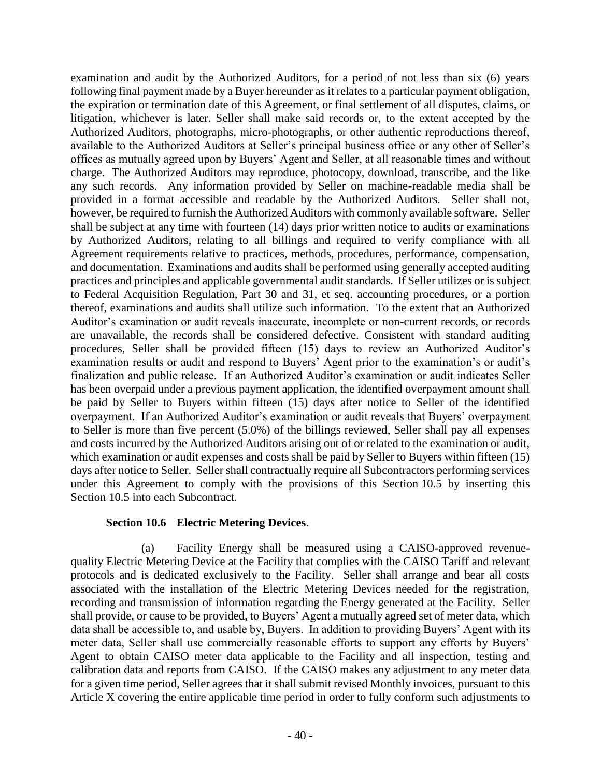examination and audit by the Authorized Auditors, for a period of not less than six (6) years following final payment made by a Buyer hereunder as it relates to a particular payment obligation, the expiration or termination date of this Agreement, or final settlement of all disputes, claims, or litigation, whichever is later. Seller shall make said records or, to the extent accepted by the Authorized Auditors, photographs, micro-photographs, or other authentic reproductions thereof, available to the Authorized Auditors at Seller's principal business office or any other of Seller's offices as mutually agreed upon by Buyers' Agent and Seller, at all reasonable times and without charge. The Authorized Auditors may reproduce, photocopy, download, transcribe, and the like any such records. Any information provided by Seller on machine-readable media shall be provided in a format accessible and readable by the Authorized Auditors. Seller shall not, however, be required to furnish the Authorized Auditors with commonly available software. Seller shall be subject at any time with fourteen (14) days prior written notice to audits or examinations by Authorized Auditors, relating to all billings and required to verify compliance with all Agreement requirements relative to practices, methods, procedures, performance, compensation, and documentation. Examinations and audits shall be performed using generally accepted auditing practices and principles and applicable governmental audit standards. If Seller utilizes or is subject to Federal Acquisition Regulation, Part 30 and 31, et seq. accounting procedures, or a portion thereof, examinations and audits shall utilize such information. To the extent that an Authorized Auditor's examination or audit reveals inaccurate, incomplete or non-current records, or records are unavailable, the records shall be considered defective. Consistent with standard auditing procedures, Seller shall be provided fifteen (15) days to review an Authorized Auditor's examination results or audit and respond to Buyers' Agent prior to the examination's or audit's finalization and public release. If an Authorized Auditor's examination or audit indicates Seller has been overpaid under a previous payment application, the identified overpayment amount shall be paid by Seller to Buyers within fifteen (15) days after notice to Seller of the identified overpayment. If an Authorized Auditor's examination or audit reveals that Buyers' overpayment to Seller is more than five percent (5.0%) of the billings reviewed, Seller shall pay all expenses and costs incurred by the Authorized Auditors arising out of or related to the examination or audit, which examination or audit expenses and costs shall be paid by Seller to Buyers within fifteen (15) days after notice to Seller. Seller shall contractually require all Subcontractors performing services under this Agreement to comply with the provisions of this Section 10.5 by inserting this Section 10.5 into each Subcontract.

#### **Section 10.6 Electric Metering Devices**.

(a) Facility Energy shall be measured using a CAISO-approved revenuequality Electric Metering Device at the Facility that complies with the CAISO Tariff and relevant protocols and is dedicated exclusively to the Facility. Seller shall arrange and bear all costs associated with the installation of the Electric Metering Devices needed for the registration, recording and transmission of information regarding the Energy generated at the Facility. Seller shall provide, or cause to be provided, to Buyers' Agent a mutually agreed set of meter data, which data shall be accessible to, and usable by, Buyers. In addition to providing Buyers' Agent with its meter data, Seller shall use commercially reasonable efforts to support any efforts by Buyers' Agent to obtain CAISO meter data applicable to the Facility and all inspection, testing and calibration data and reports from CAISO. If the CAISO makes any adjustment to any meter data for a given time period, Seller agrees that it shall submit revised Monthly invoices, pursuant to this Article X covering the entire applicable time period in order to fully conform such adjustments to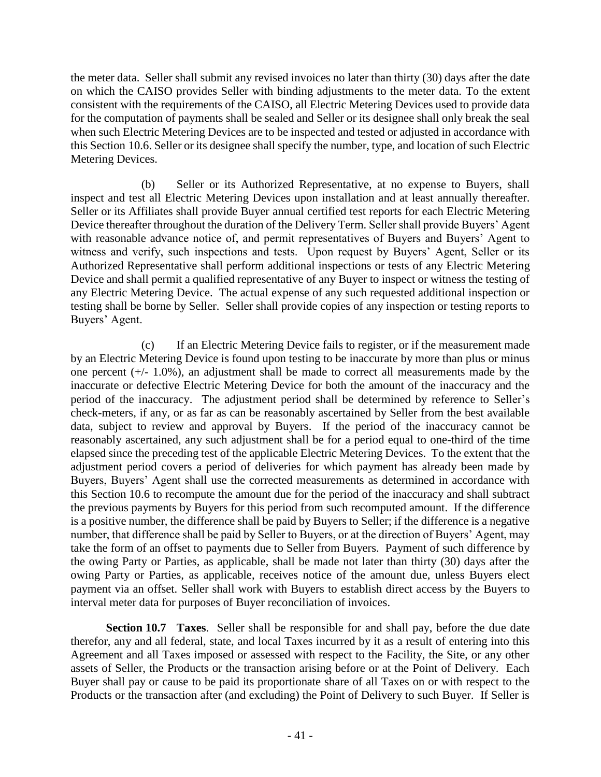the meter data. Seller shall submit any revised invoices no later than thirty (30) days after the date on which the CAISO provides Seller with binding adjustments to the meter data. To the extent consistent with the requirements of the CAISO, all Electric Metering Devices used to provide data for the computation of payments shall be sealed and Seller or its designee shall only break the seal when such Electric Metering Devices are to be inspected and tested or adjusted in accordance with this Section 10.6. Seller or its designee shall specify the number, type, and location of such Electric Metering Devices.

(b) Seller or its Authorized Representative, at no expense to Buyers, shall inspect and test all Electric Metering Devices upon installation and at least annually thereafter. Seller or its Affiliates shall provide Buyer annual certified test reports for each Electric Metering Device thereafter throughout the duration of the Delivery Term. Seller shall provide Buyers' Agent with reasonable advance notice of, and permit representatives of Buyers and Buyers' Agent to witness and verify, such inspections and tests. Upon request by Buyers' Agent, Seller or its Authorized Representative shall perform additional inspections or tests of any Electric Metering Device and shall permit a qualified representative of any Buyer to inspect or witness the testing of any Electric Metering Device. The actual expense of any such requested additional inspection or testing shall be borne by Seller. Seller shall provide copies of any inspection or testing reports to Buyers' Agent.

(c) If an Electric Metering Device fails to register, or if the measurement made by an Electric Metering Device is found upon testing to be inaccurate by more than plus or minus one percent (+/- 1.0%), an adjustment shall be made to correct all measurements made by the inaccurate or defective Electric Metering Device for both the amount of the inaccuracy and the period of the inaccuracy. The adjustment period shall be determined by reference to Seller's check-meters, if any, or as far as can be reasonably ascertained by Seller from the best available data, subject to review and approval by Buyers. If the period of the inaccuracy cannot be reasonably ascertained, any such adjustment shall be for a period equal to one-third of the time elapsed since the preceding test of the applicable Electric Metering Devices. To the extent that the adjustment period covers a period of deliveries for which payment has already been made by Buyers, Buyers' Agent shall use the corrected measurements as determined in accordance with this Section 10.6 to recompute the amount due for the period of the inaccuracy and shall subtract the previous payments by Buyers for this period from such recomputed amount. If the difference is a positive number, the difference shall be paid by Buyers to Seller; if the difference is a negative number, that difference shall be paid by Seller to Buyers, or at the direction of Buyers' Agent, may take the form of an offset to payments due to Seller from Buyers. Payment of such difference by the owing Party or Parties, as applicable, shall be made not later than thirty (30) days after the owing Party or Parties, as applicable, receives notice of the amount due, unless Buyers elect payment via an offset. Seller shall work with Buyers to establish direct access by the Buyers to interval meter data for purposes of Buyer reconciliation of invoices.

**Section 10.7 Taxes**. Seller shall be responsible for and shall pay, before the due date therefor, any and all federal, state, and local Taxes incurred by it as a result of entering into this Agreement and all Taxes imposed or assessed with respect to the Facility, the Site, or any other assets of Seller, the Products or the transaction arising before or at the Point of Delivery. Each Buyer shall pay or cause to be paid its proportionate share of all Taxes on or with respect to the Products or the transaction after (and excluding) the Point of Delivery to such Buyer. If Seller is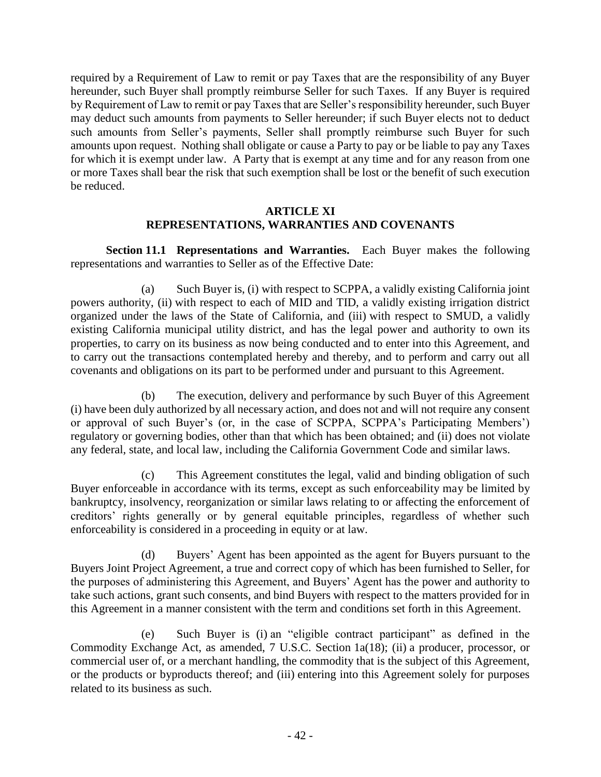required by a Requirement of Law to remit or pay Taxes that are the responsibility of any Buyer hereunder, such Buyer shall promptly reimburse Seller for such Taxes. If any Buyer is required by Requirement of Law to remit or pay Taxes that are Seller's responsibility hereunder, such Buyer may deduct such amounts from payments to Seller hereunder; if such Buyer elects not to deduct such amounts from Seller's payments, Seller shall promptly reimburse such Buyer for such amounts upon request. Nothing shall obligate or cause a Party to pay or be liable to pay any Taxes for which it is exempt under law. A Party that is exempt at any time and for any reason from one or more Taxes shall bear the risk that such exemption shall be lost or the benefit of such execution be reduced.

## **ARTICLE XI REPRESENTATIONS, WARRANTIES AND COVENANTS**

**Section 11.1 Representations and Warranties.** Each Buyer makes the following representations and warranties to Seller as of the Effective Date:

(a) Such Buyer is, (i) with respect to SCPPA, a validly existing California joint powers authority, (ii) with respect to each of MID and TID, a validly existing irrigation district organized under the laws of the State of California, and (iii) with respect to SMUD, a validly existing California municipal utility district, and has the legal power and authority to own its properties, to carry on its business as now being conducted and to enter into this Agreement, and to carry out the transactions contemplated hereby and thereby, and to perform and carry out all covenants and obligations on its part to be performed under and pursuant to this Agreement.

(b) The execution, delivery and performance by such Buyer of this Agreement (i) have been duly authorized by all necessary action, and does not and will not require any consent or approval of such Buyer's (or, in the case of SCPPA, SCPPA's Participating Members') regulatory or governing bodies, other than that which has been obtained; and (ii) does not violate any federal, state, and local law, including the California Government Code and similar laws.

(c) This Agreement constitutes the legal, valid and binding obligation of such Buyer enforceable in accordance with its terms, except as such enforceability may be limited by bankruptcy, insolvency, reorganization or similar laws relating to or affecting the enforcement of creditors' rights generally or by general equitable principles, regardless of whether such enforceability is considered in a proceeding in equity or at law.

(d) Buyers' Agent has been appointed as the agent for Buyers pursuant to the Buyers Joint Project Agreement, a true and correct copy of which has been furnished to Seller, for the purposes of administering this Agreement, and Buyers' Agent has the power and authority to take such actions, grant such consents, and bind Buyers with respect to the matters provided for in this Agreement in a manner consistent with the term and conditions set forth in this Agreement.

(e) Such Buyer is (i) an "eligible contract participant" as defined in the Commodity Exchange Act, as amended, 7 U.S.C. Section 1a(18); (ii) a producer, processor, or commercial user of, or a merchant handling, the commodity that is the subject of this Agreement, or the products or byproducts thereof; and (iii) entering into this Agreement solely for purposes related to its business as such.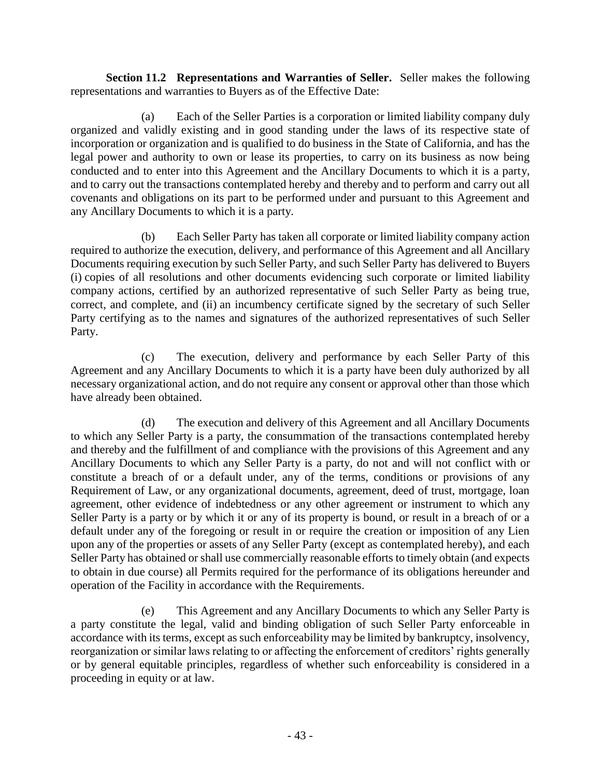**Section 11.2 Representations and Warranties of Seller.** Seller makes the following representations and warranties to Buyers as of the Effective Date:

(a) Each of the Seller Parties is a corporation or limited liability company duly organized and validly existing and in good standing under the laws of its respective state of incorporation or organization and is qualified to do business in the State of California, and has the legal power and authority to own or lease its properties, to carry on its business as now being conducted and to enter into this Agreement and the Ancillary Documents to which it is a party, and to carry out the transactions contemplated hereby and thereby and to perform and carry out all covenants and obligations on its part to be performed under and pursuant to this Agreement and any Ancillary Documents to which it is a party.

(b) Each Seller Party has taken all corporate or limited liability company action required to authorize the execution, delivery, and performance of this Agreement and all Ancillary Documents requiring execution by such Seller Party, and such Seller Party has delivered to Buyers (i) copies of all resolutions and other documents evidencing such corporate or limited liability company actions, certified by an authorized representative of such Seller Party as being true, correct, and complete, and (ii) an incumbency certificate signed by the secretary of such Seller Party certifying as to the names and signatures of the authorized representatives of such Seller Party.

(c) The execution, delivery and performance by each Seller Party of this Agreement and any Ancillary Documents to which it is a party have been duly authorized by all necessary organizational action, and do not require any consent or approval other than those which have already been obtained.

(d) The execution and delivery of this Agreement and all Ancillary Documents to which any Seller Party is a party, the consummation of the transactions contemplated hereby and thereby and the fulfillment of and compliance with the provisions of this Agreement and any Ancillary Documents to which any Seller Party is a party, do not and will not conflict with or constitute a breach of or a default under, any of the terms, conditions or provisions of any Requirement of Law, or any organizational documents, agreement, deed of trust, mortgage, loan agreement, other evidence of indebtedness or any other agreement or instrument to which any Seller Party is a party or by which it or any of its property is bound, or result in a breach of or a default under any of the foregoing or result in or require the creation or imposition of any Lien upon any of the properties or assets of any Seller Party (except as contemplated hereby), and each Seller Party has obtained or shall use commercially reasonable efforts to timely obtain (and expects to obtain in due course) all Permits required for the performance of its obligations hereunder and operation of the Facility in accordance with the Requirements.

(e) This Agreement and any Ancillary Documents to which any Seller Party is a party constitute the legal, valid and binding obligation of such Seller Party enforceable in accordance with its terms, except as such enforceability may be limited by bankruptcy, insolvency, reorganization or similar laws relating to or affecting the enforcement of creditors' rights generally or by general equitable principles, regardless of whether such enforceability is considered in a proceeding in equity or at law.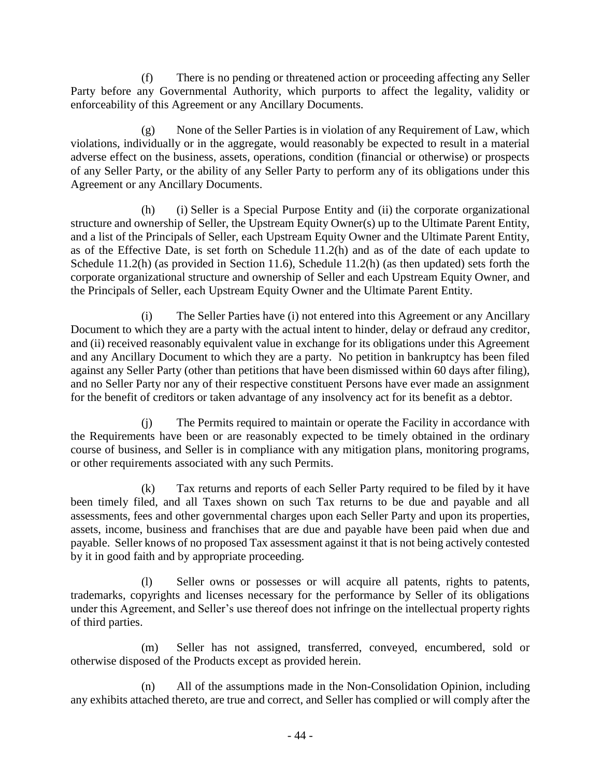(f) There is no pending or threatened action or proceeding affecting any Seller Party before any Governmental Authority, which purports to affect the legality, validity or enforceability of this Agreement or any Ancillary Documents.

 $(g)$  None of the Seller Parties is in violation of any Requirement of Law, which violations, individually or in the aggregate, would reasonably be expected to result in a material adverse effect on the business, assets, operations, condition (financial or otherwise) or prospects of any Seller Party, or the ability of any Seller Party to perform any of its obligations under this Agreement or any Ancillary Documents.

(h) (i) Seller is a Special Purpose Entity and (ii) the corporate organizational structure and ownership of Seller, the Upstream Equity Owner(s) up to the Ultimate Parent Entity, and a list of the Principals of Seller, each Upstream Equity Owner and the Ultimate Parent Entity, as of the Effective Date, is set forth on Schedule 11.2(h) and as of the date of each update to Schedule 11.2(h) (as provided in Section 11.6), Schedule 11.2(h) (as then updated) sets forth the corporate organizational structure and ownership of Seller and each Upstream Equity Owner, and the Principals of Seller, each Upstream Equity Owner and the Ultimate Parent Entity.

(i) The Seller Parties have (i) not entered into this Agreement or any Ancillary Document to which they are a party with the actual intent to hinder, delay or defraud any creditor, and (ii) received reasonably equivalent value in exchange for its obligations under this Agreement and any Ancillary Document to which they are a party. No petition in bankruptcy has been filed against any Seller Party (other than petitions that have been dismissed within 60 days after filing), and no Seller Party nor any of their respective constituent Persons have ever made an assignment for the benefit of creditors or taken advantage of any insolvency act for its benefit as a debtor.

(j) The Permits required to maintain or operate the Facility in accordance with the Requirements have been or are reasonably expected to be timely obtained in the ordinary course of business, and Seller is in compliance with any mitigation plans, monitoring programs, or other requirements associated with any such Permits.

(k) Tax returns and reports of each Seller Party required to be filed by it have been timely filed, and all Taxes shown on such Tax returns to be due and payable and all assessments, fees and other governmental charges upon each Seller Party and upon its properties, assets, income, business and franchises that are due and payable have been paid when due and payable. Seller knows of no proposed Tax assessment against it that is not being actively contested by it in good faith and by appropriate proceeding.

(l) Seller owns or possesses or will acquire all patents, rights to patents, trademarks, copyrights and licenses necessary for the performance by Seller of its obligations under this Agreement, and Seller's use thereof does not infringe on the intellectual property rights of third parties.

(m) Seller has not assigned, transferred, conveyed, encumbered, sold or otherwise disposed of the Products except as provided herein.

(n) All of the assumptions made in the Non-Consolidation Opinion, including any exhibits attached thereto, are true and correct, and Seller has complied or will comply after the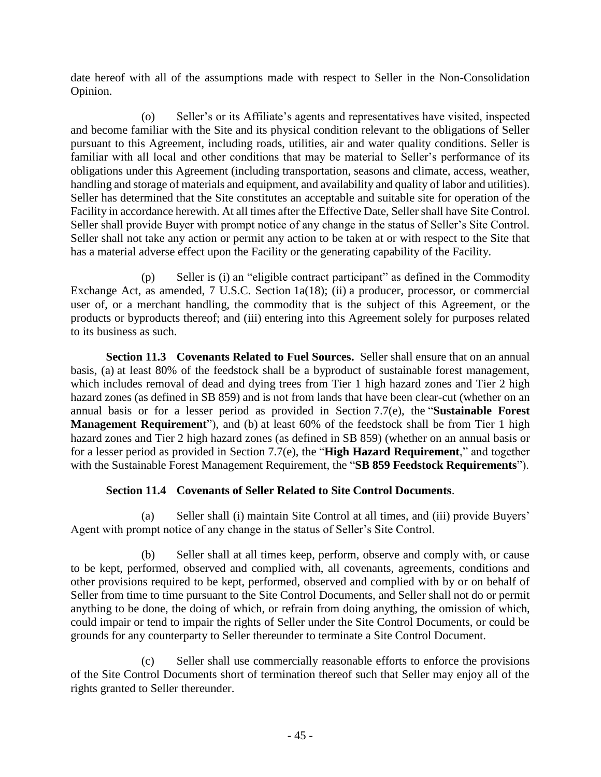date hereof with all of the assumptions made with respect to Seller in the Non-Consolidation Opinion.

(o) Seller's or its Affiliate's agents and representatives have visited, inspected and become familiar with the Site and its physical condition relevant to the obligations of Seller pursuant to this Agreement, including roads, utilities, air and water quality conditions. Seller is familiar with all local and other conditions that may be material to Seller's performance of its obligations under this Agreement (including transportation, seasons and climate, access, weather, handling and storage of materials and equipment, and availability and quality of labor and utilities). Seller has determined that the Site constitutes an acceptable and suitable site for operation of the Facility in accordance herewith. At all times after the Effective Date, Seller shall have Site Control. Seller shall provide Buyer with prompt notice of any change in the status of Seller's Site Control. Seller shall not take any action or permit any action to be taken at or with respect to the Site that has a material adverse effect upon the Facility or the generating capability of the Facility.

(p) Seller is (i) an "eligible contract participant" as defined in the Commodity Exchange Act, as amended, 7 U.S.C. Section 1a(18); (ii) a producer, processor, or commercial user of, or a merchant handling, the commodity that is the subject of this Agreement, or the products or byproducts thereof; and (iii) entering into this Agreement solely for purposes related to its business as such.

<span id="page-49-0"></span>**Section 11.3 Covenants Related to Fuel Sources.** Seller shall ensure that on an annual basis, (a) at least 80% of the feedstock shall be a byproduct of sustainable forest management, which includes removal of dead and dying trees from Tier 1 high hazard zones and Tier 2 high hazard zones (as defined in SB 859) and is not from lands that have been clear-cut (whether on an annual basis or for a lesser period as provided in Section 7.7(e), the "**Sustainable Forest Management Requirement**"), and (b) at least 60% of the feedstock shall be from Tier 1 high hazard zones and Tier 2 high hazard zones (as defined in SB 859) (whether on an annual basis or for a lesser period as provided in Section 7.7(e), the "**High Hazard Requirement**," and together with the Sustainable Forest Management Requirement, the "**SB 859 Feedstock Requirements**").

# **Section 11.4 Covenants of Seller Related to Site Control Documents**.

(a) Seller shall (i) maintain Site Control at all times, and (iii) provide Buyers' Agent with prompt notice of any change in the status of Seller's Site Control.

(b) Seller shall at all times keep, perform, observe and comply with, or cause to be kept, performed, observed and complied with, all covenants, agreements, conditions and other provisions required to be kept, performed, observed and complied with by or on behalf of Seller from time to time pursuant to the Site Control Documents, and Seller shall not do or permit anything to be done, the doing of which, or refrain from doing anything, the omission of which, could impair or tend to impair the rights of Seller under the Site Control Documents, or could be grounds for any counterparty to Seller thereunder to terminate a Site Control Document.

(c) Seller shall use commercially reasonable efforts to enforce the provisions of the Site Control Documents short of termination thereof such that Seller may enjoy all of the rights granted to Seller thereunder.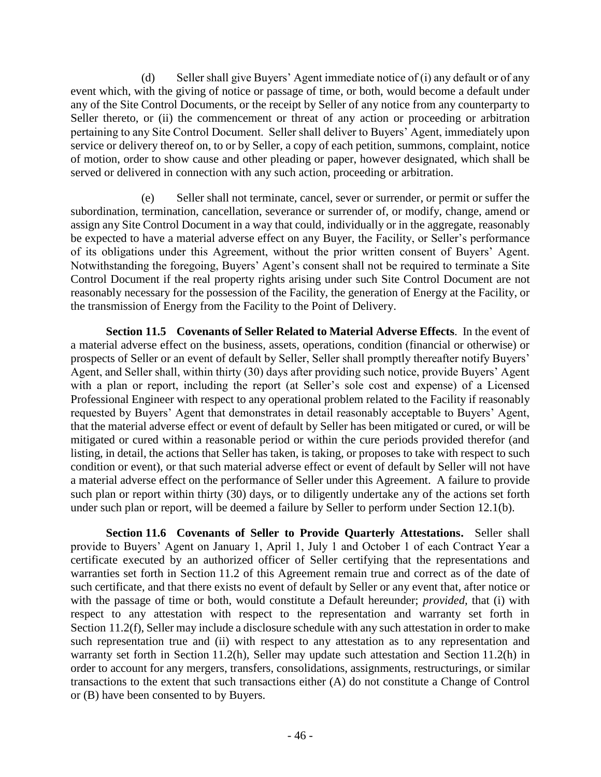(d) Seller shall give Buyers' Agent immediate notice of (i) any default or of any event which, with the giving of notice or passage of time, or both, would become a default under any of the Site Control Documents, or the receipt by Seller of any notice from any counterparty to Seller thereto, or (ii) the commencement or threat of any action or proceeding or arbitration pertaining to any Site Control Document. Seller shall deliver to Buyers' Agent, immediately upon service or delivery thereof on, to or by Seller, a copy of each petition, summons, complaint, notice of motion, order to show cause and other pleading or paper, however designated, which shall be served or delivered in connection with any such action, proceeding or arbitration.

(e) Seller shall not terminate, cancel, sever or surrender, or permit or suffer the subordination, termination, cancellation, severance or surrender of, or modify, change, amend or assign any Site Control Document in a way that could, individually or in the aggregate, reasonably be expected to have a material adverse effect on any Buyer, the Facility, or Seller's performance of its obligations under this Agreement, without the prior written consent of Buyers' Agent. Notwithstanding the foregoing, Buyers' Agent's consent shall not be required to terminate a Site Control Document if the real property rights arising under such Site Control Document are not reasonably necessary for the possession of the Facility, the generation of Energy at the Facility, or the transmission of Energy from the Facility to the Point of Delivery.

**Section 11.5 Covenants of Seller Related to Material Adverse Effects**.In the event of a material adverse effect on the business, assets, operations, condition (financial or otherwise) or prospects of Seller or an event of default by Seller, Seller shall promptly thereafter notify Buyers' Agent, and Seller shall, within thirty (30) days after providing such notice, provide Buyers' Agent with a plan or report, including the report (at Seller's sole cost and expense) of a Licensed Professional Engineer with respect to any operational problem related to the Facility if reasonably requested by Buyers' Agent that demonstrates in detail reasonably acceptable to Buyers' Agent, that the material adverse effect or event of default by Seller has been mitigated or cured, or will be mitigated or cured within a reasonable period or within the cure periods provided therefor (and listing, in detail, the actions that Seller has taken, is taking, or proposes to take with respect to such condition or event), or that such material adverse effect or event of default by Seller will not have a material adverse effect on the performance of Seller under this Agreement. A failure to provide such plan or report within thirty (30) days, or to diligently undertake any of the actions set forth under such plan or report, will be deemed a failure by Seller to perform under Section 12.1(b).

**Section 11.6 Covenants of Seller to Provide Quarterly Attestations.** Seller shall provide to Buyers' Agent on January 1, April 1, July 1 and October 1 of each Contract Year a certificate executed by an authorized officer of Seller certifying that the representations and warranties set forth in Section 11.2 of this Agreement remain true and correct as of the date of such certificate, and that there exists no event of default by Seller or any event that, after notice or with the passage of time or both, would constitute a Default hereunder; *provided,* that (i) with respect to any attestation with respect to the representation and warranty set forth in Section 11.2(f), Seller may include a disclosure schedule with any such attestation in order to make such representation true and (ii) with respect to any attestation as to any representation and warranty set forth in Section 11.2(h), Seller may update such attestation and Section 11.2(h) in order to account for any mergers, transfers, consolidations, assignments, restructurings, or similar transactions to the extent that such transactions either (A) do not constitute a Change of Control or (B) have been consented to by Buyers.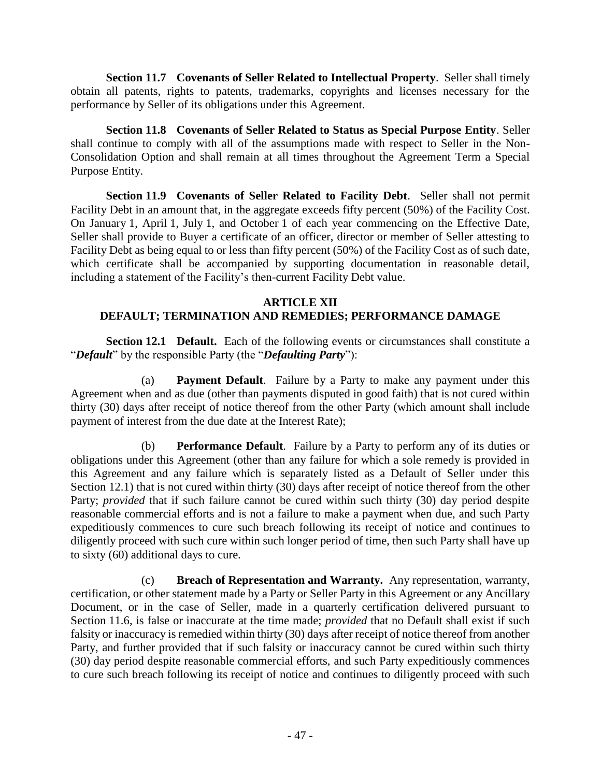**Section 11.7 Covenants of Seller Related to Intellectual Property**. Seller shall timely obtain all patents, rights to patents, trademarks, copyrights and licenses necessary for the performance by Seller of its obligations under this Agreement.

**Section 11.8 Covenants of Seller Related to Status as Special Purpose Entity**. Seller shall continue to comply with all of the assumptions made with respect to Seller in the Non-Consolidation Option and shall remain at all times throughout the Agreement Term a Special Purpose Entity.

**Section 11.9 Covenants of Seller Related to Facility Debt**. Seller shall not permit Facility Debt in an amount that, in the aggregate exceeds fifty percent (50%) of the Facility Cost. On January 1, April 1, July 1, and October 1 of each year commencing on the Effective Date, Seller shall provide to Buyer a certificate of an officer, director or member of Seller attesting to Facility Debt as being equal to or less than fifty percent (50%) of the Facility Cost as of such date, which certificate shall be accompanied by supporting documentation in reasonable detail, including a statement of the Facility's then-current Facility Debt value.

# **ARTICLE XII DEFAULT; TERMINATION AND REMEDIES; PERFORMANCE DAMAGE**

**Section 12.1 Default.** Each of the following events or circumstances shall constitute a "*Default*" by the responsible Party (the "*Defaulting Party*"):

(a) **Payment Default**. Failure by a Party to make any payment under this Agreement when and as due (other than payments disputed in good faith) that is not cured within thirty (30) days after receipt of notice thereof from the other Party (which amount shall include payment of interest from the due date at the Interest Rate);

(b) **Performance Default**. Failure by a Party to perform any of its duties or obligations under this Agreement (other than any failure for which a sole remedy is provided in this Agreement and any failure which is separately listed as a Default of Seller under this Section 12.1) that is not cured within thirty (30) days after receipt of notice thereof from the other Party; *provided* that if such failure cannot be cured within such thirty (30) day period despite reasonable commercial efforts and is not a failure to make a payment when due, and such Party expeditiously commences to cure such breach following its receipt of notice and continues to diligently proceed with such cure within such longer period of time, then such Party shall have up to sixty (60) additional days to cure.

(c) **Breach of Representation and Warranty.** Any representation, warranty, certification, or other statement made by a Party or Seller Party in this Agreement or any Ancillary Document, or in the case of Seller, made in a quarterly certification delivered pursuant to Section 11.6, is false or inaccurate at the time made; *provided* that no Default shall exist if such falsity or inaccuracy is remedied within thirty (30) days after receipt of notice thereof from another Party, and further provided that if such falsity or inaccuracy cannot be cured within such thirty (30) day period despite reasonable commercial efforts, and such Party expeditiously commences to cure such breach following its receipt of notice and continues to diligently proceed with such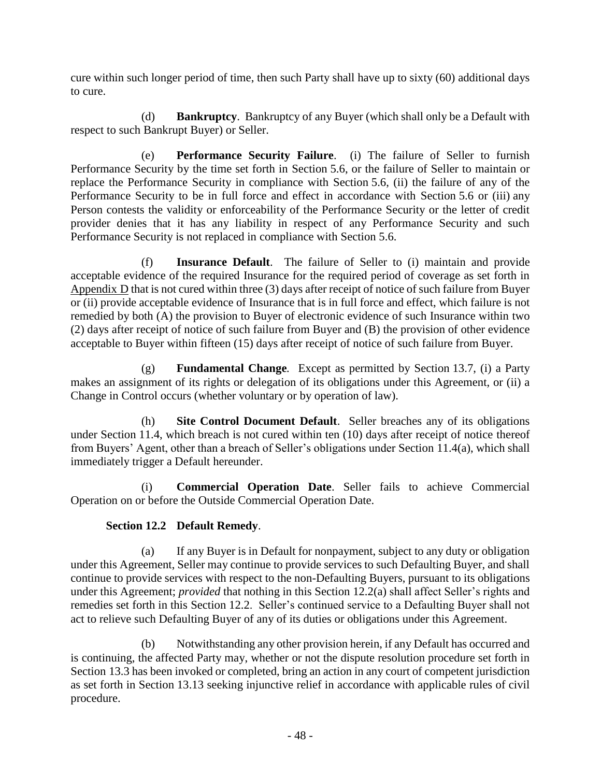cure within such longer period of time, then such Party shall have up to sixty (60) additional days to cure.

(d) **Bankruptcy**. Bankruptcy of any Buyer (which shall only be a Default with respect to such Bankrupt Buyer) or Seller.

(e) **Performance Security Failure**. (i) The failure of Seller to furnish Performance Security by the time set forth in Section 5.6, or the failure of Seller to maintain or replace the Performance Security in compliance with Section 5.6, (ii) the failure of any of the Performance Security to be in full force and effect in accordance with Section 5.6 or (iii) any Person contests the validity or enforceability of the Performance Security or the letter of credit provider denies that it has any liability in respect of any Performance Security and such Performance Security is not replaced in compliance with Section 5.6.

(f) **Insurance Default**. The failure of Seller to (i) maintain and provide acceptable evidence of the required Insurance for the required period of coverage as set forth in Appendix D that is not cured within three (3) days after receipt of notice of such failure from Buyer or (ii) provide acceptable evidence of Insurance that is in full force and effect, which failure is not remedied by both (A) the provision to Buyer of electronic evidence of such Insurance within two (2) days after receipt of notice of such failure from Buyer and (B) the provision of other evidence acceptable to Buyer within fifteen (15) days after receipt of notice of such failure from Buyer.

(g) **Fundamental Change***.* Except as permitted by Section 13.7, (i) a Party makes an assignment of its rights or delegation of its obligations under this Agreement, or (ii) a Change in Control occurs (whether voluntary or by operation of law).

(h) **Site Control Document Default**. Seller breaches any of its obligations under Section 11.4, which breach is not cured within ten (10) days after receipt of notice thereof from Buyers' Agent, other than a breach of Seller's obligations under Section 11.4(a), which shall immediately trigger a Default hereunder.

(i) **Commercial Operation Date**. Seller fails to achieve Commercial Operation on or before the Outside Commercial Operation Date.

# **Section 12.2 Default Remedy**.

(a) If any Buyer is in Default for nonpayment, subject to any duty or obligation under this Agreement, Seller may continue to provide services to such Defaulting Buyer, and shall continue to provide services with respect to the non-Defaulting Buyers, pursuant to its obligations under this Agreement; *provided* that nothing in this Section 12.2(a) shall affect Seller's rights and remedies set forth in this Section 12.2. Seller's continued service to a Defaulting Buyer shall not act to relieve such Defaulting Buyer of any of its duties or obligations under this Agreement.

(b) Notwithstanding any other provision herein, if any Default has occurred and is continuing, the affected Party may, whether or not the dispute resolution procedure set forth in Section 13.3 has been invoked or completed, bring an action in any court of competent jurisdiction as set forth in Section 13.13 seeking injunctive relief in accordance with applicable rules of civil procedure.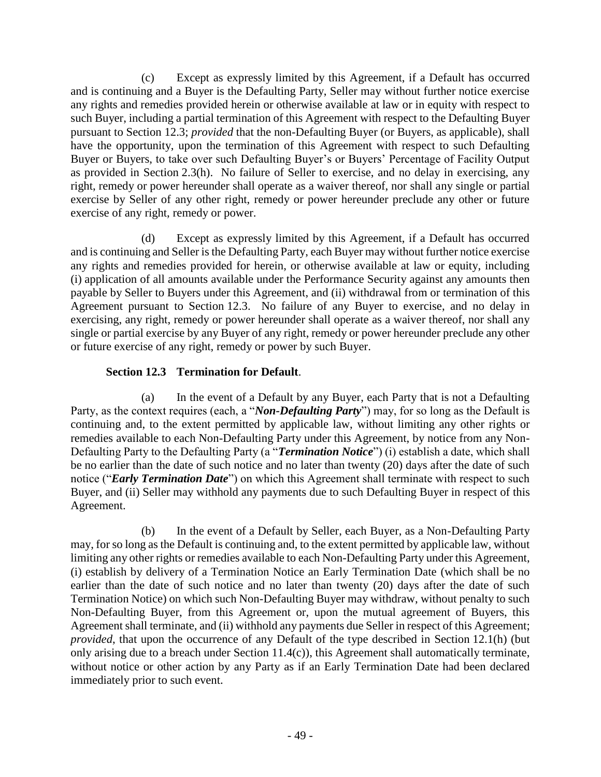(c) Except as expressly limited by this Agreement, if a Default has occurred and is continuing and a Buyer is the Defaulting Party, Seller may without further notice exercise any rights and remedies provided herein or otherwise available at law or in equity with respect to such Buyer, including a partial termination of this Agreement with respect to the Defaulting Buyer pursuant to Section 12.3; *provided* that the non-Defaulting Buyer (or Buyers, as applicable), shall have the opportunity, upon the termination of this Agreement with respect to such Defaulting Buyer or Buyers, to take over such Defaulting Buyer's or Buyers' Percentage of Facility Output as provided in Section 2.3(h). No failure of Seller to exercise, and no delay in exercising, any right, remedy or power hereunder shall operate as a waiver thereof, nor shall any single or partial exercise by Seller of any other right, remedy or power hereunder preclude any other or future exercise of any right, remedy or power.

(d) Except as expressly limited by this Agreement, if a Default has occurred and is continuing and Seller is the Defaulting Party, each Buyer may without further notice exercise any rights and remedies provided for herein, or otherwise available at law or equity, including (i) application of all amounts available under the Performance Security against any amounts then payable by Seller to Buyers under this Agreement, and (ii) withdrawal from or termination of this Agreement pursuant to Section 12.3. No failure of any Buyer to exercise, and no delay in exercising, any right, remedy or power hereunder shall operate as a waiver thereof, nor shall any single or partial exercise by any Buyer of any right, remedy or power hereunder preclude any other or future exercise of any right, remedy or power by such Buyer.

# **Section 12.3 Termination for Default**.

(a) In the event of a Default by any Buyer, each Party that is not a Defaulting Party, as the context requires (each, a "*Non-Defaulting Party*") may, for so long as the Default is continuing and, to the extent permitted by applicable law, without limiting any other rights or remedies available to each Non-Defaulting Party under this Agreement, by notice from any Non-Defaulting Party to the Defaulting Party (a "*Termination Notice*") (i) establish a date, which shall be no earlier than the date of such notice and no later than twenty (20) days after the date of such notice ("*Early Termination Date*") on which this Agreement shall terminate with respect to such Buyer, and (ii) Seller may withhold any payments due to such Defaulting Buyer in respect of this Agreement.

(b) In the event of a Default by Seller, each Buyer, as a Non-Defaulting Party may, for so long as the Default is continuing and, to the extent permitted by applicable law, without limiting any other rights or remedies available to each Non-Defaulting Party under this Agreement, (i) establish by delivery of a Termination Notice an Early Termination Date (which shall be no earlier than the date of such notice and no later than twenty (20) days after the date of such Termination Notice) on which such Non-Defaulting Buyer may withdraw, without penalty to such Non-Defaulting Buyer, from this Agreement or, upon the mutual agreement of Buyers, this Agreement shall terminate, and (ii) withhold any payments due Seller in respect of this Agreement; *provided*, that upon the occurrence of any Default of the type described in Section 12.1(h) (but only arising due to a breach under Section 11.4(c)), this Agreement shall automatically terminate, without notice or other action by any Party as if an Early Termination Date had been declared immediately prior to such event.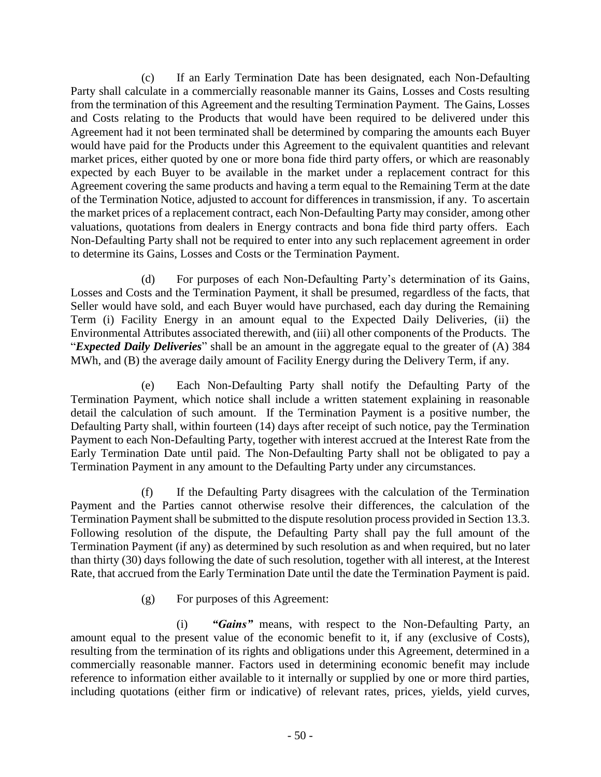(c) If an Early Termination Date has been designated, each Non-Defaulting Party shall calculate in a commercially reasonable manner its Gains, Losses and Costs resulting from the termination of this Agreement and the resulting Termination Payment. The Gains, Losses and Costs relating to the Products that would have been required to be delivered under this Agreement had it not been terminated shall be determined by comparing the amounts each Buyer would have paid for the Products under this Agreement to the equivalent quantities and relevant market prices, either quoted by one or more bona fide third party offers, or which are reasonably expected by each Buyer to be available in the market under a replacement contract for this Agreement covering the same products and having a term equal to the Remaining Term at the date of the Termination Notice, adjusted to account for differences in transmission, if any. To ascertain the market prices of a replacement contract, each Non-Defaulting Party may consider, among other valuations, quotations from dealers in Energy contracts and bona fide third party offers. Each Non-Defaulting Party shall not be required to enter into any such replacement agreement in order to determine its Gains, Losses and Costs or the Termination Payment.

(d) For purposes of each Non-Defaulting Party's determination of its Gains, Losses and Costs and the Termination Payment, it shall be presumed, regardless of the facts, that Seller would have sold, and each Buyer would have purchased, each day during the Remaining Term (i) Facility Energy in an amount equal to the Expected Daily Deliveries, (ii) the Environmental Attributes associated therewith, and (iii) all other components of the Products. The "*Expected Daily Deliveries*" shall be an amount in the aggregate equal to the greater of (A) 384 MWh, and (B) the average daily amount of Facility Energy during the Delivery Term, if any.

(e) Each Non-Defaulting Party shall notify the Defaulting Party of the Termination Payment, which notice shall include a written statement explaining in reasonable detail the calculation of such amount. If the Termination Payment is a positive number, the Defaulting Party shall, within fourteen (14) days after receipt of such notice, pay the Termination Payment to each Non-Defaulting Party, together with interest accrued at the Interest Rate from the Early Termination Date until paid. The Non-Defaulting Party shall not be obligated to pay a Termination Payment in any amount to the Defaulting Party under any circumstances.

(f) If the Defaulting Party disagrees with the calculation of the Termination Payment and the Parties cannot otherwise resolve their differences, the calculation of the Termination Payment shall be submitted to the dispute resolution process provided in Section 13.3. Following resolution of the dispute, the Defaulting Party shall pay the full amount of the Termination Payment (if any) as determined by such resolution as and when required, but no later than thirty (30) days following the date of such resolution, together with all interest, at the Interest Rate, that accrued from the Early Termination Date until the date the Termination Payment is paid.

(g) For purposes of this Agreement:

(i) *"Gains"* means, with respect to the Non-Defaulting Party, an amount equal to the present value of the economic benefit to it, if any (exclusive of Costs), resulting from the termination of its rights and obligations under this Agreement, determined in a commercially reasonable manner. Factors used in determining economic benefit may include reference to information either available to it internally or supplied by one or more third parties, including quotations (either firm or indicative) of relevant rates, prices, yields, yield curves,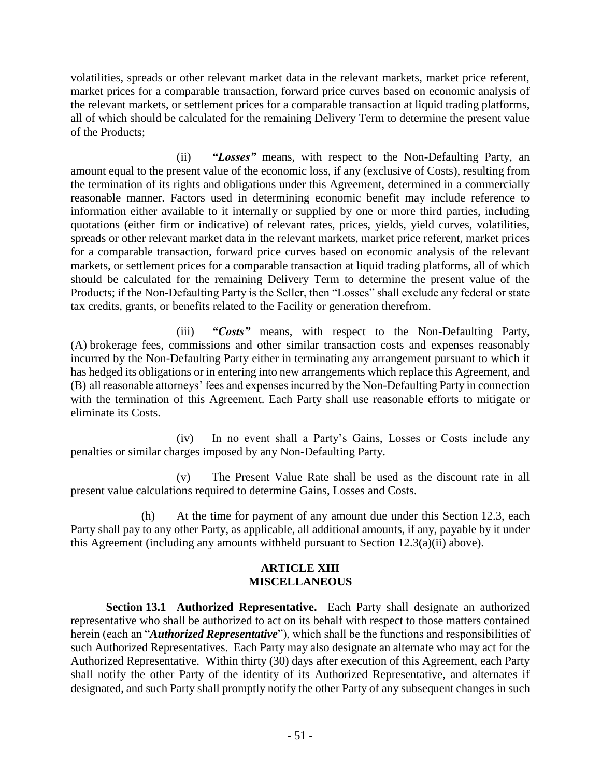volatilities, spreads or other relevant market data in the relevant markets, market price referent, market prices for a comparable transaction, forward price curves based on economic analysis of the relevant markets, or settlement prices for a comparable transaction at liquid trading platforms, all of which should be calculated for the remaining Delivery Term to determine the present value of the Products;

(ii) *"Losses"* means, with respect to the Non-Defaulting Party, an amount equal to the present value of the economic loss, if any (exclusive of Costs), resulting from the termination of its rights and obligations under this Agreement, determined in a commercially reasonable manner. Factors used in determining economic benefit may include reference to information either available to it internally or supplied by one or more third parties, including quotations (either firm or indicative) of relevant rates, prices, yields, yield curves, volatilities, spreads or other relevant market data in the relevant markets, market price referent, market prices for a comparable transaction, forward price curves based on economic analysis of the relevant markets, or settlement prices for a comparable transaction at liquid trading platforms, all of which should be calculated for the remaining Delivery Term to determine the present value of the Products; if the Non-Defaulting Party is the Seller, then "Losses" shall exclude any federal or state tax credits, grants, or benefits related to the Facility or generation therefrom.

(iii) *"Costs"* means, with respect to the Non-Defaulting Party, (A) brokerage fees, commissions and other similar transaction costs and expenses reasonably incurred by the Non-Defaulting Party either in terminating any arrangement pursuant to which it has hedged its obligations or in entering into new arrangements which replace this Agreement, and (B) all reasonable attorneys' fees and expenses incurred by the Non-Defaulting Party in connection with the termination of this Agreement. Each Party shall use reasonable efforts to mitigate or eliminate its Costs.

(iv) In no event shall a Party's Gains, Losses or Costs include any penalties or similar charges imposed by any Non-Defaulting Party.

(v) The Present Value Rate shall be used as the discount rate in all present value calculations required to determine Gains, Losses and Costs.

(h) At the time for payment of any amount due under this Section 12.3, each Party shall pay to any other Party, as applicable, all additional amounts, if any, payable by it under this Agreement (including any amounts withheld pursuant to Section 12.3(a)(ii) above).

## **ARTICLE XIII MISCELLANEOUS**

**Section 13.1 Authorized Representative.** Each Party shall designate an authorized representative who shall be authorized to act on its behalf with respect to those matters contained herein (each an "*Authorized Representative*"), which shall be the functions and responsibilities of such Authorized Representatives. Each Party may also designate an alternate who may act for the Authorized Representative. Within thirty (30) days after execution of this Agreement, each Party shall notify the other Party of the identity of its Authorized Representative, and alternates if designated, and such Party shall promptly notify the other Party of any subsequent changes in such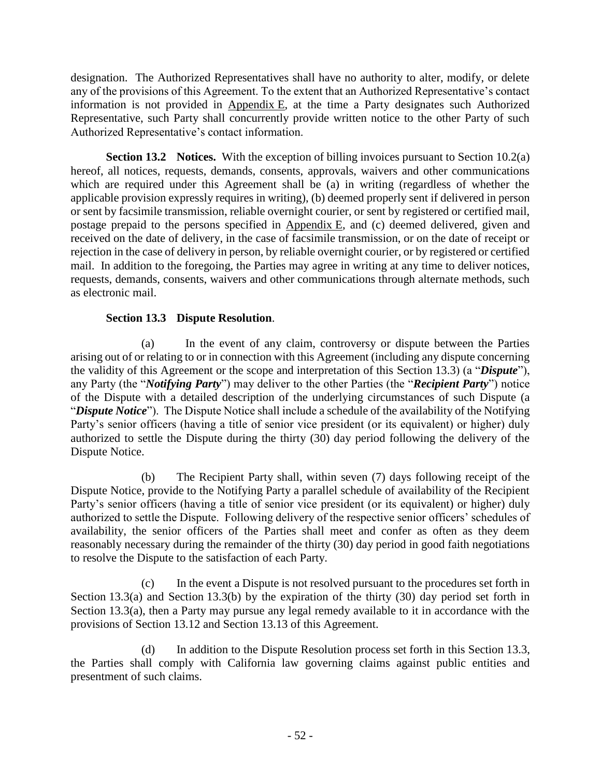designation. The Authorized Representatives shall have no authority to alter, modify, or delete any of the provisions of this Agreement. To the extent that an Authorized Representative's contact information is not provided in Appendix E, at the time a Party designates such Authorized Representative, such Party shall concurrently provide written notice to the other Party of such Authorized Representative's contact information.

**Section 13.2 Notices.** With the exception of billing invoices pursuant to Section 10.2(a) hereof, all notices, requests, demands, consents, approvals, waivers and other communications which are required under this Agreement shall be (a) in writing (regardless of whether the applicable provision expressly requires in writing), (b) deemed properly sent if delivered in person or sent by facsimile transmission, reliable overnight courier, or sent by registered or certified mail, postage prepaid to the persons specified in Appendix E, and (c) deemed delivered, given and received on the date of delivery, in the case of facsimile transmission, or on the date of receipt or rejection in the case of delivery in person, by reliable overnight courier, or by registered or certified mail. In addition to the foregoing, the Parties may agree in writing at any time to deliver notices, requests, demands, consents, waivers and other communications through alternate methods, such as electronic mail.

# **Section 13.3 Dispute Resolution**.

(a) In the event of any claim, controversy or dispute between the Parties arising out of or relating to or in connection with this Agreement (including any dispute concerning the validity of this Agreement or the scope and interpretation of this Section 13.3) (a "*Dispute*"), any Party (the "*Notifying Party*") may deliver to the other Parties (the "*Recipient Party*") notice of the Dispute with a detailed description of the underlying circumstances of such Dispute (a "*Dispute Notice*"). The Dispute Notice shall include a schedule of the availability of the Notifying Party's senior officers (having a title of senior vice president (or its equivalent) or higher) duly authorized to settle the Dispute during the thirty (30) day period following the delivery of the Dispute Notice.

(b) The Recipient Party shall, within seven (7) days following receipt of the Dispute Notice, provide to the Notifying Party a parallel schedule of availability of the Recipient Party's senior officers (having a title of senior vice president (or its equivalent) or higher) duly authorized to settle the Dispute. Following delivery of the respective senior officers' schedules of availability, the senior officers of the Parties shall meet and confer as often as they deem reasonably necessary during the remainder of the thirty (30) day period in good faith negotiations to resolve the Dispute to the satisfaction of each Party.

(c) In the event a Dispute is not resolved pursuant to the procedures set forth in Section 13.3(a) and Section 13.3(b) by the expiration of the thirty (30) day period set forth in Section 13.3(a), then a Party may pursue any legal remedy available to it in accordance with the provisions of Section 13.12 and Section 13.13 of this Agreement.

(d) In addition to the Dispute Resolution process set forth in this Section 13.3, the Parties shall comply with California law governing claims against public entities and presentment of such claims.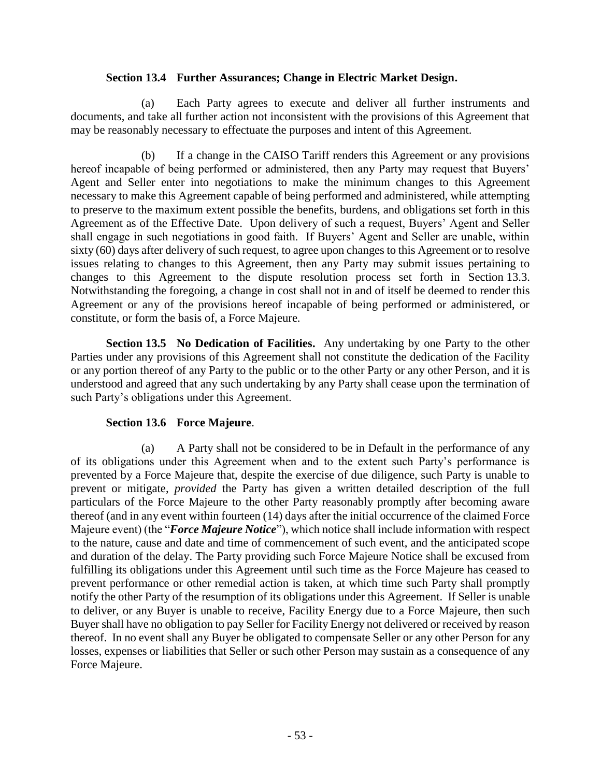#### **Section 13.4 Further Assurances; Change in Electric Market Design.**

(a) Each Party agrees to execute and deliver all further instruments and documents, and take all further action not inconsistent with the provisions of this Agreement that may be reasonably necessary to effectuate the purposes and intent of this Agreement.

(b) If a change in the CAISO Tariff renders this Agreement or any provisions hereof incapable of being performed or administered, then any Party may request that Buyers' Agent and Seller enter into negotiations to make the minimum changes to this Agreement necessary to make this Agreement capable of being performed and administered, while attempting to preserve to the maximum extent possible the benefits, burdens, and obligations set forth in this Agreement as of the Effective Date. Upon delivery of such a request, Buyers' Agent and Seller shall engage in such negotiations in good faith. If Buyers' Agent and Seller are unable, within sixty (60) days after delivery of such request, to agree upon changes to this Agreement or to resolve issues relating to changes to this Agreement, then any Party may submit issues pertaining to changes to this Agreement to the dispute resolution process set forth in Section 13.3. Notwithstanding the foregoing, a change in cost shall not in and of itself be deemed to render this Agreement or any of the provisions hereof incapable of being performed or administered, or constitute, or form the basis of, a Force Majeure.

**Section 13.5 No Dedication of Facilities.** Any undertaking by one Party to the other Parties under any provisions of this Agreement shall not constitute the dedication of the Facility or any portion thereof of any Party to the public or to the other Party or any other Person, and it is understood and agreed that any such undertaking by any Party shall cease upon the termination of such Party's obligations under this Agreement.

# **Section 13.6 Force Majeure**.

(a) A Party shall not be considered to be in Default in the performance of any of its obligations under this Agreement when and to the extent such Party's performance is prevented by a Force Majeure that, despite the exercise of due diligence, such Party is unable to prevent or mitigate, *provided* the Party has given a written detailed description of the full particulars of the Force Majeure to the other Party reasonably promptly after becoming aware thereof (and in any event within fourteen (14) days after the initial occurrence of the claimed Force Majeure event) (the "*Force Majeure Notice*"), which notice shall include information with respect to the nature, cause and date and time of commencement of such event, and the anticipated scope and duration of the delay. The Party providing such Force Majeure Notice shall be excused from fulfilling its obligations under this Agreement until such time as the Force Majeure has ceased to prevent performance or other remedial action is taken, at which time such Party shall promptly notify the other Party of the resumption of its obligations under this Agreement. If Seller is unable to deliver, or any Buyer is unable to receive, Facility Energy due to a Force Majeure, then such Buyer shall have no obligation to pay Seller for Facility Energy not delivered or received by reason thereof. In no event shall any Buyer be obligated to compensate Seller or any other Person for any losses, expenses or liabilities that Seller or such other Person may sustain as a consequence of any Force Majeure.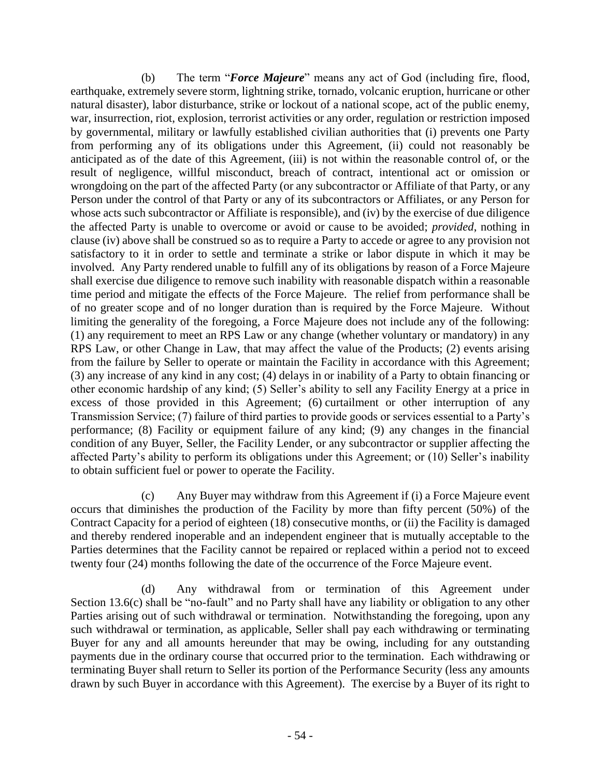(b) The term "*Force Majeure*" means any act of God (including fire, flood, earthquake, extremely severe storm, lightning strike, tornado, volcanic eruption, hurricane or other natural disaster), labor disturbance, strike or lockout of a national scope, act of the public enemy, war, insurrection, riot, explosion, terrorist activities or any order, regulation or restriction imposed by governmental, military or lawfully established civilian authorities that (i) prevents one Party from performing any of its obligations under this Agreement, (ii) could not reasonably be anticipated as of the date of this Agreement, (iii) is not within the reasonable control of, or the result of negligence, willful misconduct, breach of contract, intentional act or omission or wrongdoing on the part of the affected Party (or any subcontractor or Affiliate of that Party, or any Person under the control of that Party or any of its subcontractors or Affiliates, or any Person for whose acts such subcontractor or Affiliate is responsible), and (iv) by the exercise of due diligence the affected Party is unable to overcome or avoid or cause to be avoided; *provided*, nothing in clause (iv) above shall be construed so as to require a Party to accede or agree to any provision not satisfactory to it in order to settle and terminate a strike or labor dispute in which it may be involved. Any Party rendered unable to fulfill any of its obligations by reason of a Force Majeure shall exercise due diligence to remove such inability with reasonable dispatch within a reasonable time period and mitigate the effects of the Force Majeure. The relief from performance shall be of no greater scope and of no longer duration than is required by the Force Majeure. Without limiting the generality of the foregoing, a Force Majeure does not include any of the following: (1) any requirement to meet an RPS Law or any change (whether voluntary or mandatory) in any RPS Law, or other Change in Law, that may affect the value of the Products; (2) events arising from the failure by Seller to operate or maintain the Facility in accordance with this Agreement; (3) any increase of any kind in any cost; (4) delays in or inability of a Party to obtain financing or other economic hardship of any kind; (5) Seller's ability to sell any Facility Energy at a price in excess of those provided in this Agreement; (6) curtailment or other interruption of any Transmission Service; (7) failure of third parties to provide goods or services essential to a Party's performance; (8) Facility or equipment failure of any kind; (9) any changes in the financial condition of any Buyer, Seller, the Facility Lender, or any subcontractor or supplier affecting the affected Party's ability to perform its obligations under this Agreement; or (10) Seller's inability to obtain sufficient fuel or power to operate the Facility.

(c) Any Buyer may withdraw from this Agreement if (i) a Force Majeure event occurs that diminishes the production of the Facility by more than fifty percent (50%) of the Contract Capacity for a period of eighteen (18) consecutive months, or (ii) the Facility is damaged and thereby rendered inoperable and an independent engineer that is mutually acceptable to the Parties determines that the Facility cannot be repaired or replaced within a period not to exceed twenty four (24) months following the date of the occurrence of the Force Majeure event.

(d) Any withdrawal from or termination of this Agreement under Section 13.6(c) shall be "no-fault" and no Party shall have any liability or obligation to any other Parties arising out of such withdrawal or termination. Notwithstanding the foregoing, upon any such withdrawal or termination, as applicable, Seller shall pay each withdrawing or terminating Buyer for any and all amounts hereunder that may be owing, including for any outstanding payments due in the ordinary course that occurred prior to the termination. Each withdrawing or terminating Buyer shall return to Seller its portion of the Performance Security (less any amounts drawn by such Buyer in accordance with this Agreement). The exercise by a Buyer of its right to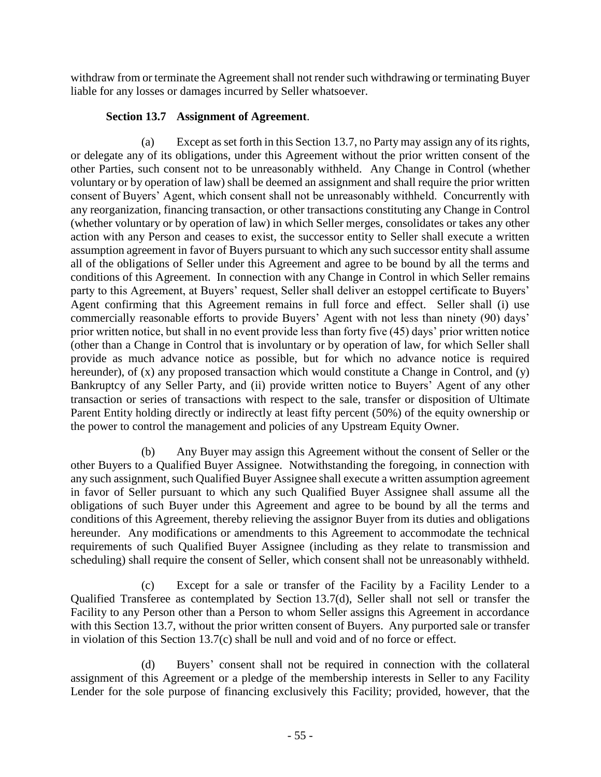withdraw from or terminate the Agreement shall not render such withdrawing or terminating Buyer liable for any losses or damages incurred by Seller whatsoever.

# **Section 13.7 Assignment of Agreement**.

(a) Except as set forth in this Section 13.7, no Party may assign any of its rights, or delegate any of its obligations, under this Agreement without the prior written consent of the other Parties, such consent not to be unreasonably withheld. Any Change in Control (whether voluntary or by operation of law) shall be deemed an assignment and shall require the prior written consent of Buyers' Agent, which consent shall not be unreasonably withheld. Concurrently with any reorganization, financing transaction, or other transactions constituting any Change in Control (whether voluntary or by operation of law) in which Seller merges, consolidates or takes any other action with any Person and ceases to exist, the successor entity to Seller shall execute a written assumption agreement in favor of Buyers pursuant to which any such successor entity shall assume all of the obligations of Seller under this Agreement and agree to be bound by all the terms and conditions of this Agreement. In connection with any Change in Control in which Seller remains party to this Agreement, at Buyers' request, Seller shall deliver an estoppel certificate to Buyers' Agent confirming that this Agreement remains in full force and effect. Seller shall (i) use commercially reasonable efforts to provide Buyers' Agent with not less than ninety (90) days' prior written notice, but shall in no event provide less than forty five (45) days' prior written notice (other than a Change in Control that is involuntary or by operation of law, for which Seller shall provide as much advance notice as possible, but for which no advance notice is required hereunder), of (x) any proposed transaction which would constitute a Change in Control, and (y) Bankruptcy of any Seller Party, and (ii) provide written notice to Buyers' Agent of any other transaction or series of transactions with respect to the sale, transfer or disposition of Ultimate Parent Entity holding directly or indirectly at least fifty percent (50%) of the equity ownership or the power to control the management and policies of any Upstream Equity Owner.

(b) Any Buyer may assign this Agreement without the consent of Seller or the other Buyers to a Qualified Buyer Assignee. Notwithstanding the foregoing, in connection with any such assignment, such Qualified Buyer Assignee shall execute a written assumption agreement in favor of Seller pursuant to which any such Qualified Buyer Assignee shall assume all the obligations of such Buyer under this Agreement and agree to be bound by all the terms and conditions of this Agreement, thereby relieving the assignor Buyer from its duties and obligations hereunder. Any modifications or amendments to this Agreement to accommodate the technical requirements of such Qualified Buyer Assignee (including as they relate to transmission and scheduling) shall require the consent of Seller, which consent shall not be unreasonably withheld.

(c) Except for a sale or transfer of the Facility by a Facility Lender to a Qualified Transferee as contemplated by Section 13.7(d), Seller shall not sell or transfer the Facility to any Person other than a Person to whom Seller assigns this Agreement in accordance with this Section 13.7, without the prior written consent of Buyers. Any purported sale or transfer in violation of this Section 13.7(c) shall be null and void and of no force or effect.

(d) Buyers' consent shall not be required in connection with the collateral assignment of this Agreement or a pledge of the membership interests in Seller to any Facility Lender for the sole purpose of financing exclusively this Facility; provided, however, that the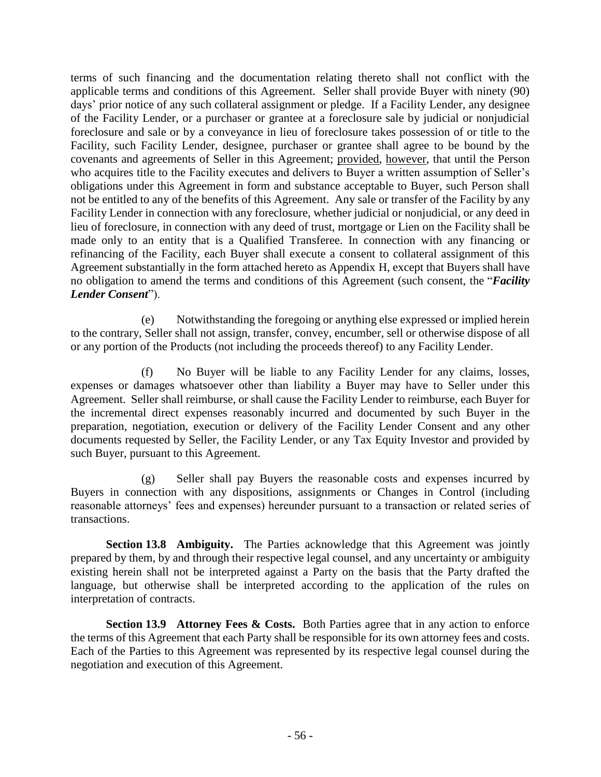terms of such financing and the documentation relating thereto shall not conflict with the applicable terms and conditions of this Agreement. Seller shall provide Buyer with ninety (90) days' prior notice of any such collateral assignment or pledge. If a Facility Lender, any designee of the Facility Lender, or a purchaser or grantee at a foreclosure sale by judicial or nonjudicial foreclosure and sale or by a conveyance in lieu of foreclosure takes possession of or title to the Facility, such Facility Lender, designee, purchaser or grantee shall agree to be bound by the covenants and agreements of Seller in this Agreement; provided, however, that until the Person who acquires title to the Facility executes and delivers to Buyer a written assumption of Seller's obligations under this Agreement in form and substance acceptable to Buyer, such Person shall not be entitled to any of the benefits of this Agreement. Any sale or transfer of the Facility by any Facility Lender in connection with any foreclosure, whether judicial or nonjudicial, or any deed in lieu of foreclosure, in connection with any deed of trust, mortgage or Lien on the Facility shall be made only to an entity that is a Qualified Transferee. In connection with any financing or refinancing of the Facility, each Buyer shall execute a consent to collateral assignment of this Agreement substantially in the form attached hereto as Appendix H, except that Buyers shall have no obligation to amend the terms and conditions of this Agreement (such consent, the "*Facility Lender Consent*").

(e) Notwithstanding the foregoing or anything else expressed or implied herein to the contrary, Seller shall not assign, transfer, convey, encumber, sell or otherwise dispose of all or any portion of the Products (not including the proceeds thereof) to any Facility Lender.

(f) No Buyer will be liable to any Facility Lender for any claims, losses, expenses or damages whatsoever other than liability a Buyer may have to Seller under this Agreement. Seller shall reimburse, or shall cause the Facility Lender to reimburse, each Buyer for the incremental direct expenses reasonably incurred and documented by such Buyer in the preparation, negotiation, execution or delivery of the Facility Lender Consent and any other documents requested by Seller, the Facility Lender, or any Tax Equity Investor and provided by such Buyer, pursuant to this Agreement.

(g) Seller shall pay Buyers the reasonable costs and expenses incurred by Buyers in connection with any dispositions, assignments or Changes in Control (including reasonable attorneys' fees and expenses) hereunder pursuant to a transaction or related series of transactions.

**Section 13.8 Ambiguity.** The Parties acknowledge that this Agreement was jointly prepared by them, by and through their respective legal counsel, and any uncertainty or ambiguity existing herein shall not be interpreted against a Party on the basis that the Party drafted the language, but otherwise shall be interpreted according to the application of the rules on interpretation of contracts.

**Section 13.9 Attorney Fees & Costs.** Both Parties agree that in any action to enforce the terms of this Agreement that each Party shall be responsible for its own attorney fees and costs. Each of the Parties to this Agreement was represented by its respective legal counsel during the negotiation and execution of this Agreement.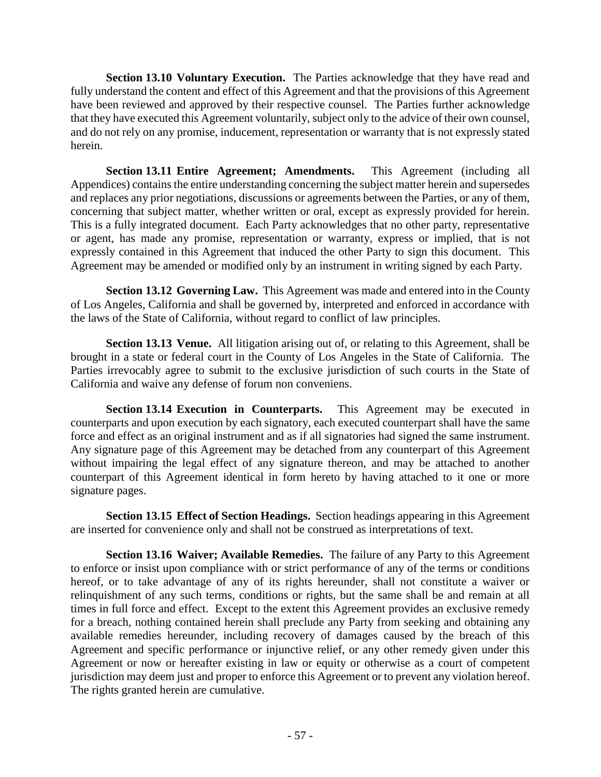**Section 13.10 Voluntary Execution.** The Parties acknowledge that they have read and fully understand the content and effect of this Agreement and that the provisions of this Agreement have been reviewed and approved by their respective counsel. The Parties further acknowledge that they have executed this Agreement voluntarily, subject only to the advice of their own counsel, and do not rely on any promise, inducement, representation or warranty that is not expressly stated herein.

**Section 13.11 Entire Agreement; Amendments.** This Agreement (including all Appendices) contains the entire understanding concerning the subject matter herein and supersedes and replaces any prior negotiations, discussions or agreements between the Parties, or any of them, concerning that subject matter, whether written or oral, except as expressly provided for herein. This is a fully integrated document. Each Party acknowledges that no other party, representative or agent, has made any promise, representation or warranty, express or implied, that is not expressly contained in this Agreement that induced the other Party to sign this document. This Agreement may be amended or modified only by an instrument in writing signed by each Party.

**Section 13.12 Governing Law.** This Agreement was made and entered into in the County of Los Angeles, California and shall be governed by, interpreted and enforced in accordance with the laws of the State of California, without regard to conflict of law principles.

**Section 13.13 Venue.** All litigation arising out of, or relating to this Agreement, shall be brought in a state or federal court in the County of Los Angeles in the State of California. The Parties irrevocably agree to submit to the exclusive jurisdiction of such courts in the State of California and waive any defense of forum non conveniens.

**Section 13.14 Execution in Counterparts.** This Agreement may be executed in counterparts and upon execution by each signatory, each executed counterpart shall have the same force and effect as an original instrument and as if all signatories had signed the same instrument. Any signature page of this Agreement may be detached from any counterpart of this Agreement without impairing the legal effect of any signature thereon, and may be attached to another counterpart of this Agreement identical in form hereto by having attached to it one or more signature pages.

**Section 13.15 Effect of Section Headings.** Section headings appearing in this Agreement are inserted for convenience only and shall not be construed as interpretations of text.

**Section 13.16 Waiver; Available Remedies.** The failure of any Party to this Agreement to enforce or insist upon compliance with or strict performance of any of the terms or conditions hereof, or to take advantage of any of its rights hereunder, shall not constitute a waiver or relinquishment of any such terms, conditions or rights, but the same shall be and remain at all times in full force and effect. Except to the extent this Agreement provides an exclusive remedy for a breach, nothing contained herein shall preclude any Party from seeking and obtaining any available remedies hereunder, including recovery of damages caused by the breach of this Agreement and specific performance or injunctive relief, or any other remedy given under this Agreement or now or hereafter existing in law or equity or otherwise as a court of competent jurisdiction may deem just and proper to enforce this Agreement or to prevent any violation hereof. The rights granted herein are cumulative.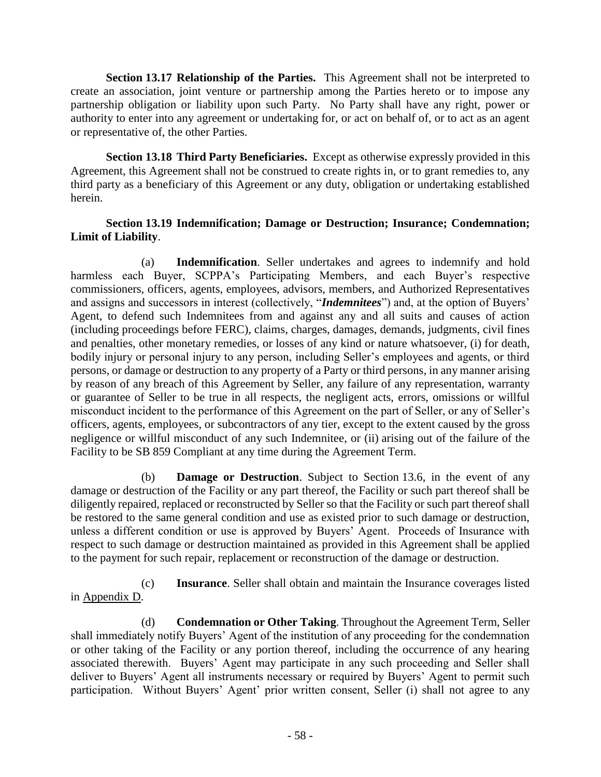**Section 13.17 Relationship of the Parties.** This Agreement shall not be interpreted to create an association, joint venture or partnership among the Parties hereto or to impose any partnership obligation or liability upon such Party. No Party shall have any right, power or authority to enter into any agreement or undertaking for, or act on behalf of, or to act as an agent or representative of, the other Parties.

**Section 13.18 Third Party Beneficiaries.** Except as otherwise expressly provided in this Agreement, this Agreement shall not be construed to create rights in, or to grant remedies to, any third party as a beneficiary of this Agreement or any duty, obligation or undertaking established herein.

## **Section 13.19 Indemnification; Damage or Destruction; Insurance; Condemnation; Limit of Liability**.

(a) **Indemnification**. Seller undertakes and agrees to indemnify and hold harmless each Buyer, SCPPA's Participating Members, and each Buyer's respective commissioners, officers, agents, employees, advisors, members, and Authorized Representatives and assigns and successors in interest (collectively, "*Indemnitees*") and, at the option of Buyers' Agent, to defend such Indemnitees from and against any and all suits and causes of action (including proceedings before FERC), claims, charges, damages, demands, judgments, civil fines and penalties, other monetary remedies, or losses of any kind or nature whatsoever, (i) for death, bodily injury or personal injury to any person, including Seller's employees and agents, or third persons, or damage or destruction to any property of a Party or third persons, in any manner arising by reason of any breach of this Agreement by Seller, any failure of any representation, warranty or guarantee of Seller to be true in all respects, the negligent acts, errors, omissions or willful misconduct incident to the performance of this Agreement on the part of Seller, or any of Seller's officers, agents, employees, or subcontractors of any tier, except to the extent caused by the gross negligence or willful misconduct of any such Indemnitee, or (ii) arising out of the failure of the Facility to be SB 859 Compliant at any time during the Agreement Term.

(b) **Damage or Destruction**. Subject to Section 13.6, in the event of any damage or destruction of the Facility or any part thereof, the Facility or such part thereof shall be diligently repaired, replaced or reconstructed by Seller so that the Facility or such part thereof shall be restored to the same general condition and use as existed prior to such damage or destruction, unless a different condition or use is approved by Buyers' Agent. Proceeds of Insurance with respect to such damage or destruction maintained as provided in this Agreement shall be applied to the payment for such repair, replacement or reconstruction of the damage or destruction.

(c) **Insurance**. Seller shall obtain and maintain the Insurance coverages listed in Appendix D.

(d) **Condemnation or Other Taking**. Throughout the Agreement Term, Seller shall immediately notify Buyers' Agent of the institution of any proceeding for the condemnation or other taking of the Facility or any portion thereof, including the occurrence of any hearing associated therewith. Buyers' Agent may participate in any such proceeding and Seller shall deliver to Buyers' Agent all instruments necessary or required by Buyers' Agent to permit such participation. Without Buyers' Agent' prior written consent, Seller (i) shall not agree to any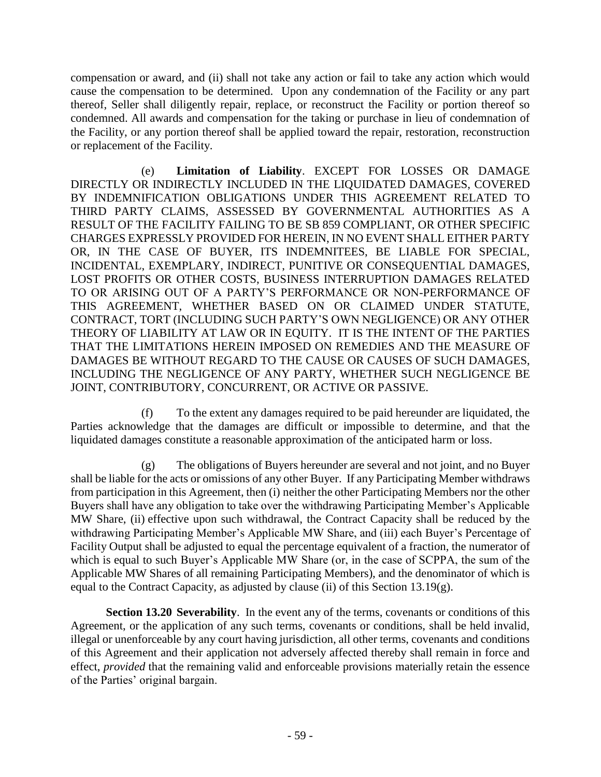compensation or award, and (ii) shall not take any action or fail to take any action which would cause the compensation to be determined. Upon any condemnation of the Facility or any part thereof, Seller shall diligently repair, replace, or reconstruct the Facility or portion thereof so condemned. All awards and compensation for the taking or purchase in lieu of condemnation of the Facility, or any portion thereof shall be applied toward the repair, restoration, reconstruction or replacement of the Facility.

(e) **Limitation of Liability**. EXCEPT FOR LOSSES OR DAMAGE DIRECTLY OR INDIRECTLY INCLUDED IN THE LIQUIDATED DAMAGES, COVERED BY INDEMNIFICATION OBLIGATIONS UNDER THIS AGREEMENT RELATED TO THIRD PARTY CLAIMS, ASSESSED BY GOVERNMENTAL AUTHORITIES AS A RESULT OF THE FACILITY FAILING TO BE SB 859 COMPLIANT, OR OTHER SPECIFIC CHARGES EXPRESSLY PROVIDED FOR HEREIN, IN NO EVENT SHALL EITHER PARTY OR, IN THE CASE OF BUYER, ITS INDEMNITEES, BE LIABLE FOR SPECIAL, INCIDENTAL, EXEMPLARY, INDIRECT, PUNITIVE OR CONSEQUENTIAL DAMAGES, LOST PROFITS OR OTHER COSTS, BUSINESS INTERRUPTION DAMAGES RELATED TO OR ARISING OUT OF A PARTY'S PERFORMANCE OR NON-PERFORMANCE OF THIS AGREEMENT, WHETHER BASED ON OR CLAIMED UNDER STATUTE, CONTRACT, TORT (INCLUDING SUCH PARTY'S OWN NEGLIGENCE) OR ANY OTHER THEORY OF LIABILITY AT LAW OR IN EQUITY. IT IS THE INTENT OF THE PARTIES THAT THE LIMITATIONS HEREIN IMPOSED ON REMEDIES AND THE MEASURE OF DAMAGES BE WITHOUT REGARD TO THE CAUSE OR CAUSES OF SUCH DAMAGES, INCLUDING THE NEGLIGENCE OF ANY PARTY, WHETHER SUCH NEGLIGENCE BE JOINT, CONTRIBUTORY, CONCURRENT, OR ACTIVE OR PASSIVE.

(f) To the extent any damages required to be paid hereunder are liquidated, the Parties acknowledge that the damages are difficult or impossible to determine, and that the liquidated damages constitute a reasonable approximation of the anticipated harm or loss.

(g) The obligations of Buyers hereunder are several and not joint, and no Buyer shall be liable for the acts or omissions of any other Buyer. If any Participating Member withdraws from participation in this Agreement, then (i) neither the other Participating Members nor the other Buyers shall have any obligation to take over the withdrawing Participating Member's Applicable MW Share, (ii) effective upon such withdrawal, the Contract Capacity shall be reduced by the withdrawing Participating Member's Applicable MW Share, and (iii) each Buyer's Percentage of Facility Output shall be adjusted to equal the percentage equivalent of a fraction, the numerator of which is equal to such Buyer's Applicable MW Share (or, in the case of SCPPA, the sum of the Applicable MW Shares of all remaining Participating Members), and the denominator of which is equal to the Contract Capacity, as adjusted by clause (ii) of this Section 13.19(g).

**Section 13.20 Severability**. In the event any of the terms, covenants or conditions of this Agreement, or the application of any such terms, covenants or conditions, shall be held invalid, illegal or unenforceable by any court having jurisdiction, all other terms, covenants and conditions of this Agreement and their application not adversely affected thereby shall remain in force and effect, *provided* that the remaining valid and enforceable provisions materially retain the essence of the Parties' original bargain.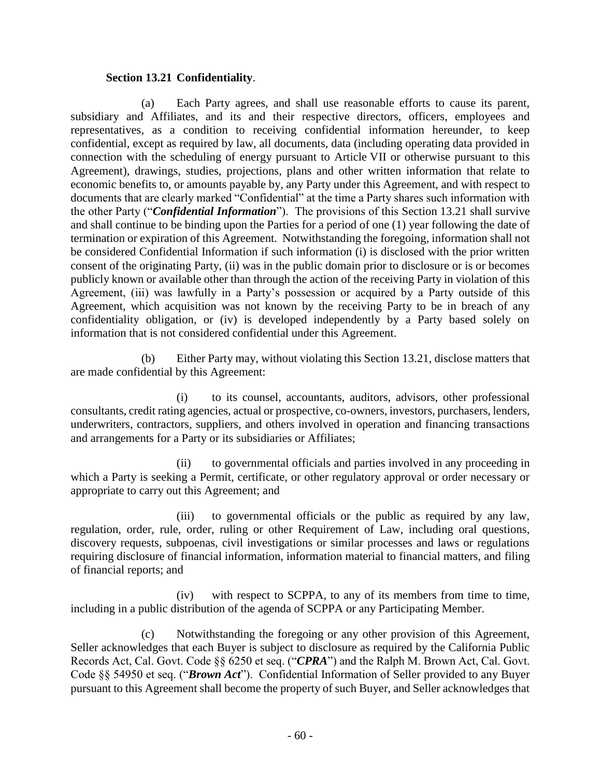#### **Section 13.21 Confidentiality**.

(a) Each Party agrees, and shall use reasonable efforts to cause its parent, subsidiary and Affiliates, and its and their respective directors, officers, employees and representatives, as a condition to receiving confidential information hereunder, to keep confidential, except as required by law, all documents, data (including operating data provided in connection with the scheduling of energy pursuant to Article VII or otherwise pursuant to this Agreement), drawings, studies, projections, plans and other written information that relate to economic benefits to, or amounts payable by, any Party under this Agreement, and with respect to documents that are clearly marked "Confidential" at the time a Party shares such information with the other Party ("*Confidential Information*"). The provisions of this Section 13.21 shall survive and shall continue to be binding upon the Parties for a period of one (1) year following the date of termination or expiration of this Agreement. Notwithstanding the foregoing, information shall not be considered Confidential Information if such information (i) is disclosed with the prior written consent of the originating Party, (ii) was in the public domain prior to disclosure or is or becomes publicly known or available other than through the action of the receiving Party in violation of this Agreement, (iii) was lawfully in a Party's possession or acquired by a Party outside of this Agreement, which acquisition was not known by the receiving Party to be in breach of any confidentiality obligation, or (iv) is developed independently by a Party based solely on information that is not considered confidential under this Agreement.

(b) Either Party may, without violating this Section 13.21, disclose matters that are made confidential by this Agreement:

(i) to its counsel, accountants, auditors, advisors, other professional consultants, credit rating agencies, actual or prospective, co-owners, investors, purchasers, lenders, underwriters, contractors, suppliers, and others involved in operation and financing transactions and arrangements for a Party or its subsidiaries or Affiliates;

(ii) to governmental officials and parties involved in any proceeding in which a Party is seeking a Permit, certificate, or other regulatory approval or order necessary or appropriate to carry out this Agreement; and

(iii) to governmental officials or the public as required by any law, regulation, order, rule, order, ruling or other Requirement of Law, including oral questions, discovery requests, subpoenas, civil investigations or similar processes and laws or regulations requiring disclosure of financial information, information material to financial matters, and filing of financial reports; and

(iv) with respect to SCPPA, to any of its members from time to time, including in a public distribution of the agenda of SCPPA or any Participating Member.

(c) Notwithstanding the foregoing or any other provision of this Agreement, Seller acknowledges that each Buyer is subject to disclosure as required by the California Public Records Act, Cal. Govt. Code §§ 6250 et seq. ("*CPRA*") and the Ralph M. Brown Act, Cal. Govt. Code §§ 54950 et seq. ("*Brown Act*"). Confidential Information of Seller provided to any Buyer pursuant to this Agreement shall become the property of such Buyer, and Seller acknowledges that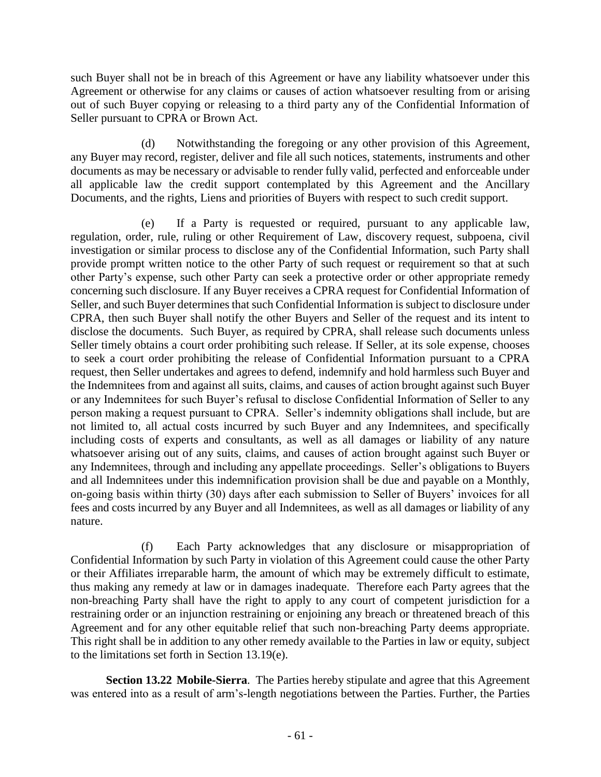such Buyer shall not be in breach of this Agreement or have any liability whatsoever under this Agreement or otherwise for any claims or causes of action whatsoever resulting from or arising out of such Buyer copying or releasing to a third party any of the Confidential Information of Seller pursuant to CPRA or Brown Act.

(d) Notwithstanding the foregoing or any other provision of this Agreement, any Buyer may record, register, deliver and file all such notices, statements, instruments and other documents as may be necessary or advisable to render fully valid, perfected and enforceable under all applicable law the credit support contemplated by this Agreement and the Ancillary Documents, and the rights, Liens and priorities of Buyers with respect to such credit support.

(e) If a Party is requested or required, pursuant to any applicable law, regulation, order, rule, ruling or other Requirement of Law, discovery request, subpoena, civil investigation or similar process to disclose any of the Confidential Information, such Party shall provide prompt written notice to the other Party of such request or requirement so that at such other Party's expense, such other Party can seek a protective order or other appropriate remedy concerning such disclosure. If any Buyer receives a CPRA request for Confidential Information of Seller, and such Buyer determines that such Confidential Information is subject to disclosure under CPRA, then such Buyer shall notify the other Buyers and Seller of the request and its intent to disclose the documents. Such Buyer, as required by CPRA, shall release such documents unless Seller timely obtains a court order prohibiting such release. If Seller, at its sole expense, chooses to seek a court order prohibiting the release of Confidential Information pursuant to a CPRA request, then Seller undertakes and agrees to defend, indemnify and hold harmless such Buyer and the Indemnitees from and against all suits, claims, and causes of action brought against such Buyer or any Indemnitees for such Buyer's refusal to disclose Confidential Information of Seller to any person making a request pursuant to CPRA. Seller's indemnity obligations shall include, but are not limited to, all actual costs incurred by such Buyer and any Indemnitees, and specifically including costs of experts and consultants, as well as all damages or liability of any nature whatsoever arising out of any suits, claims, and causes of action brought against such Buyer or any Indemnitees, through and including any appellate proceedings. Seller's obligations to Buyers and all Indemnitees under this indemnification provision shall be due and payable on a Monthly, on-going basis within thirty (30) days after each submission to Seller of Buyers' invoices for all fees and costs incurred by any Buyer and all Indemnitees, as well as all damages or liability of any nature.

(f) Each Party acknowledges that any disclosure or misappropriation of Confidential Information by such Party in violation of this Agreement could cause the other Party or their Affiliates irreparable harm, the amount of which may be extremely difficult to estimate, thus making any remedy at law or in damages inadequate. Therefore each Party agrees that the non-breaching Party shall have the right to apply to any court of competent jurisdiction for a restraining order or an injunction restraining or enjoining any breach or threatened breach of this Agreement and for any other equitable relief that such non-breaching Party deems appropriate. This right shall be in addition to any other remedy available to the Parties in law or equity, subject to the limitations set forth in Section 13.19(e).

**Section 13.22 Mobile-Sierra**. The Parties hereby stipulate and agree that this Agreement was entered into as a result of arm's-length negotiations between the Parties. Further, the Parties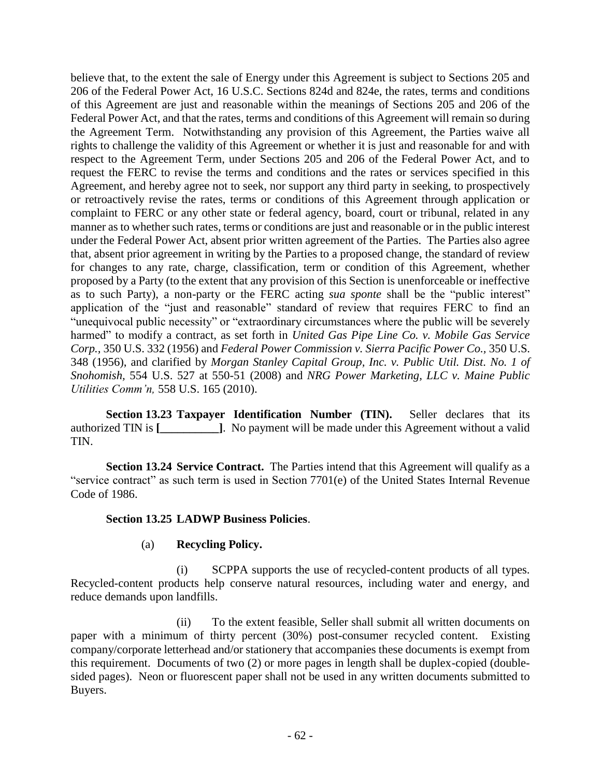believe that, to the extent the sale of Energy under this Agreement is subject to Sections 205 and 206 of the Federal Power Act, 16 U.S.C. Sections 824d and 824e, the rates, terms and conditions of this Agreement are just and reasonable within the meanings of Sections 205 and 206 of the Federal Power Act, and that the rates, terms and conditions of this Agreement will remain so during the Agreement Term. Notwithstanding any provision of this Agreement, the Parties waive all rights to challenge the validity of this Agreement or whether it is just and reasonable for and with respect to the Agreement Term, under Sections 205 and 206 of the Federal Power Act, and to request the FERC to revise the terms and conditions and the rates or services specified in this Agreement, and hereby agree not to seek, nor support any third party in seeking, to prospectively or retroactively revise the rates, terms or conditions of this Agreement through application or complaint to FERC or any other state or federal agency, board, court or tribunal, related in any manner as to whether such rates, terms or conditions are just and reasonable or in the public interest under the Federal Power Act, absent prior written agreement of the Parties. The Parties also agree that, absent prior agreement in writing by the Parties to a proposed change, the standard of review for changes to any rate, charge, classification, term or condition of this Agreement, whether proposed by a Party (to the extent that any provision of this Section is unenforceable or ineffective as to such Party), a non-party or the FERC acting *sua sponte* shall be the "public interest" application of the "just and reasonable" standard of review that requires FERC to find an "unequivocal public necessity" or "extraordinary circumstances where the public will be severely harmed" to modify a contract, as set forth in *United Gas Pipe Line Co. v. Mobile Gas Service Corp.,* 350 U.S. 332 (1956) and *Federal Power Commission v. Sierra Pacific Power Co.,* 350 U.S. 348 (1956), and clarified by *Morgan Stanley Capital Group, Inc. v. Public Util. Dist. No. 1 of Snohomish,* 554 U.S. 527 at 550-51 (2008) and *NRG Power Marketing, LLC v. Maine Public Utilities Comm'n,* 558 U.S. 165 (2010).

**Section 13.23 Taxpayer Identification Number (TIN).** Seller declares that its authorized TIN is **[\_\_\_\_\_\_\_\_\_\_]**. No payment will be made under this Agreement without a valid TIN.

**Section 13.24 Service Contract.** The Parties intend that this Agreement will qualify as a "service contract" as such term is used in Section 7701(e) of the United States Internal Revenue Code of 1986.

#### **Section 13.25 LADWP Business Policies**.

# (a) **Recycling Policy.**

(i) SCPPA supports the use of recycled-content products of all types. Recycled-content products help conserve natural resources, including water and energy, and reduce demands upon landfills.

(ii) To the extent feasible, Seller shall submit all written documents on paper with a minimum of thirty percent (30%) post-consumer recycled content. Existing company/corporate letterhead and/or stationery that accompanies these documents is exempt from this requirement. Documents of two (2) or more pages in length shall be duplex-copied (doublesided pages). Neon or fluorescent paper shall not be used in any written documents submitted to Buyers.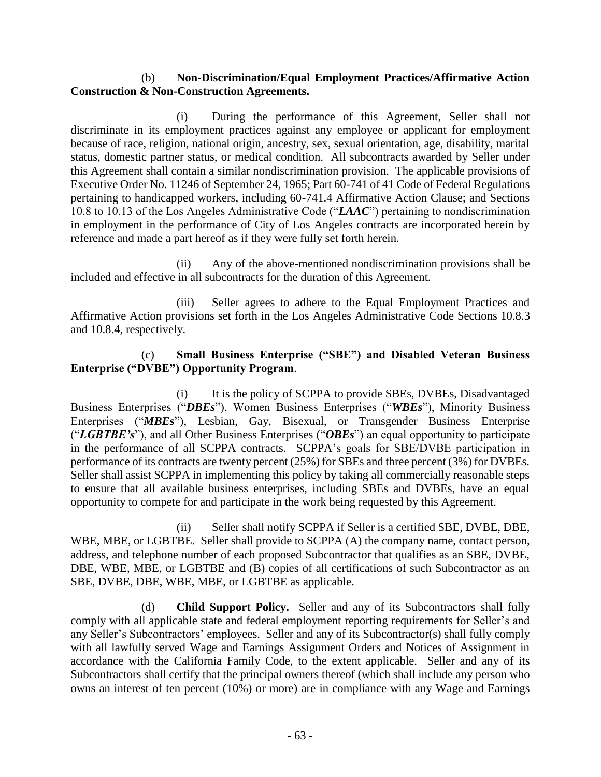## (b) **Non-Discrimination/Equal Employment Practices/Affirmative Action Construction & Non-Construction Agreements.**

(i) During the performance of this Agreement, Seller shall not discriminate in its employment practices against any employee or applicant for employment because of race, religion, national origin, ancestry, sex, sexual orientation, age, disability, marital status, domestic partner status, or medical condition. All subcontracts awarded by Seller under this Agreement shall contain a similar nondiscrimination provision. The applicable provisions of Executive Order No. 11246 of September 24, 1965; Part 60-741 of 41 Code of Federal Regulations pertaining to handicapped workers, including 60-741.4 Affirmative Action Clause; and Sections 10.8 to 10.13 of the Los Angeles Administrative Code ("*LAAC*") pertaining to nondiscrimination in employment in the performance of City of Los Angeles contracts are incorporated herein by reference and made a part hereof as if they were fully set forth herein.

(ii) Any of the above-mentioned nondiscrimination provisions shall be included and effective in all subcontracts for the duration of this Agreement.

(iii) Seller agrees to adhere to the Equal Employment Practices and Affirmative Action provisions set forth in the Los Angeles Administrative Code Sections 10.8.3 and 10.8.4, respectively.

## (c) **Small Business Enterprise ("SBE") and Disabled Veteran Business Enterprise ("DVBE") Opportunity Program**.

(i) It is the policy of SCPPA to provide SBEs, DVBEs, Disadvantaged Business Enterprises ("*DBEs*"), Women Business Enterprises ("*WBEs*"), Minority Business Enterprises ("*MBEs*"), Lesbian, Gay, Bisexual, or Transgender Business Enterprise ("*LGBTBE's*"), and all Other Business Enterprises ("*OBEs*") an equal opportunity to participate in the performance of all SCPPA contracts. SCPPA's goals for SBE/DVBE participation in performance of its contracts are twenty percent (25%) for SBEs and three percent (3%) for DVBEs. Seller shall assist SCPPA in implementing this policy by taking all commercially reasonable steps to ensure that all available business enterprises, including SBEs and DVBEs, have an equal opportunity to compete for and participate in the work being requested by this Agreement.

(ii) Seller shall notify SCPPA if Seller is a certified SBE, DVBE, DBE, WBE, MBE, or LGBTBE. Seller shall provide to SCPPA (A) the company name, contact person, address, and telephone number of each proposed Subcontractor that qualifies as an SBE, DVBE, DBE, WBE, MBE, or LGBTBE and (B) copies of all certifications of such Subcontractor as an SBE, DVBE, DBE, WBE, MBE, or LGBTBE as applicable.

(d) **Child Support Policy.** Seller and any of its Subcontractors shall fully comply with all applicable state and federal employment reporting requirements for Seller's and any Seller's Subcontractors' employees. Seller and any of its Subcontractor(s) shall fully comply with all lawfully served Wage and Earnings Assignment Orders and Notices of Assignment in accordance with the California Family Code, to the extent applicable. Seller and any of its Subcontractors shall certify that the principal owners thereof (which shall include any person who owns an interest of ten percent (10%) or more) are in compliance with any Wage and Earnings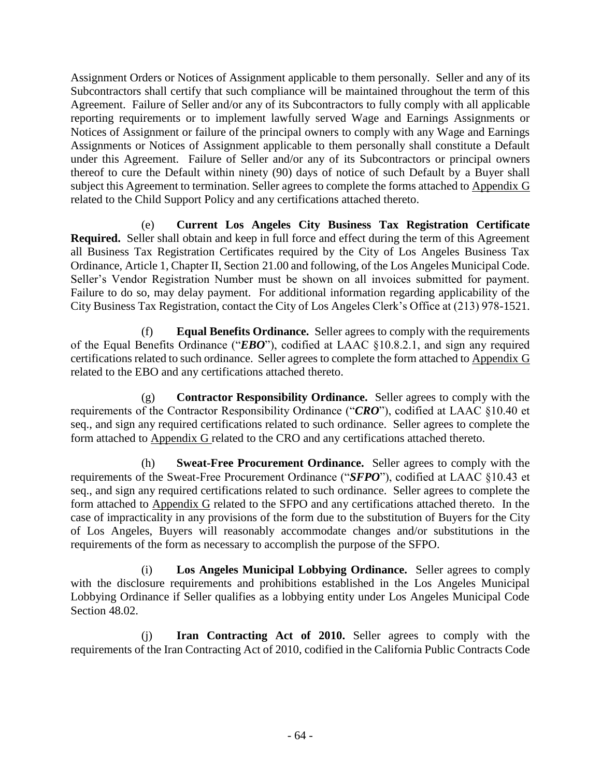Assignment Orders or Notices of Assignment applicable to them personally. Seller and any of its Subcontractors shall certify that such compliance will be maintained throughout the term of this Agreement. Failure of Seller and/or any of its Subcontractors to fully comply with all applicable reporting requirements or to implement lawfully served Wage and Earnings Assignments or Notices of Assignment or failure of the principal owners to comply with any Wage and Earnings Assignments or Notices of Assignment applicable to them personally shall constitute a Default under this Agreement. Failure of Seller and/or any of its Subcontractors or principal owners thereof to cure the Default within ninety (90) days of notice of such Default by a Buyer shall subject this Agreement to termination. Seller agrees to complete the forms attached to Appendix G related to the Child Support Policy and any certifications attached thereto.

(e) **Current Los Angeles City Business Tax Registration Certificate Required.** Seller shall obtain and keep in full force and effect during the term of this Agreement all Business Tax Registration Certificates required by the City of Los Angeles Business Tax Ordinance, Article 1, Chapter II, Section 21.00 and following, of the Los Angeles Municipal Code. Seller's Vendor Registration Number must be shown on all invoices submitted for payment. Failure to do so, may delay payment. For additional information regarding applicability of the City Business Tax Registration, contact the City of Los Angeles Clerk's Office at (213) 978-1521.

(f) **Equal Benefits Ordinance.** Seller agrees to comply with the requirements of the Equal Benefits Ordinance ("*EBO*"), codified at LAAC §10.8.2.1, and sign any required certifications related to such ordinance. Seller agrees to complete the form attached to Appendix G related to the EBO and any certifications attached thereto.

(g) **Contractor Responsibility Ordinance.** Seller agrees to comply with the requirements of the Contractor Responsibility Ordinance ("*CRO*"), codified at LAAC §10.40 et seq., and sign any required certifications related to such ordinance. Seller agrees to complete the form attached to Appendix G related to the CRO and any certifications attached thereto.

(h) **Sweat-Free Procurement Ordinance.** Seller agrees to comply with the requirements of the Sweat-Free Procurement Ordinance ("*SFPO*"), codified at LAAC §10.43 et seq., and sign any required certifications related to such ordinance. Seller agrees to complete the form attached to Appendix G related to the SFPO and any certifications attached thereto. In the case of impracticality in any provisions of the form due to the substitution of Buyers for the City of Los Angeles, Buyers will reasonably accommodate changes and/or substitutions in the requirements of the form as necessary to accomplish the purpose of the SFPO.

(i) **Los Angeles Municipal Lobbying Ordinance.** Seller agrees to comply with the disclosure requirements and prohibitions established in the Los Angeles Municipal Lobbying Ordinance if Seller qualifies as a lobbying entity under Los Angeles Municipal Code Section 48.02.

(j) **Iran Contracting Act of 2010.** Seller agrees to comply with the requirements of the Iran Contracting Act of 2010, codified in the California Public Contracts Code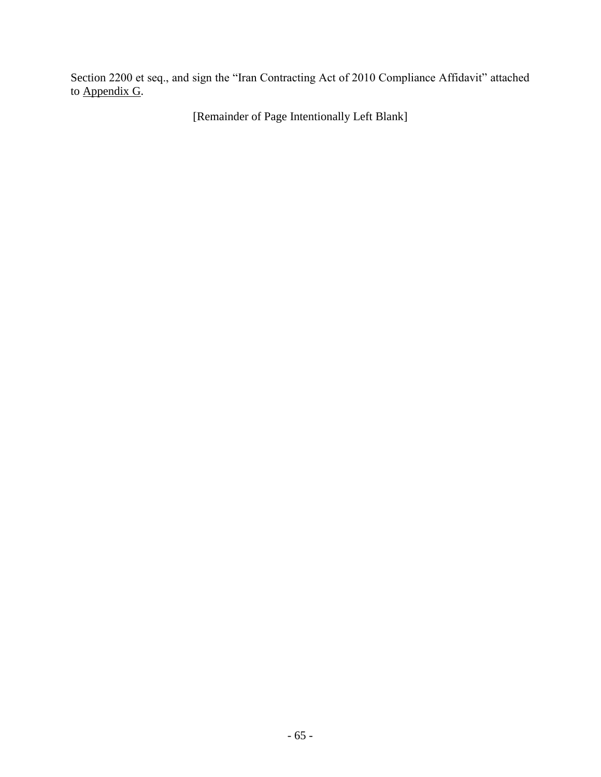Section 2200 et seq., and sign the "Iran Contracting Act of 2010 Compliance Affidavit" attached to Appendix G.

[Remainder of Page Intentionally Left Blank]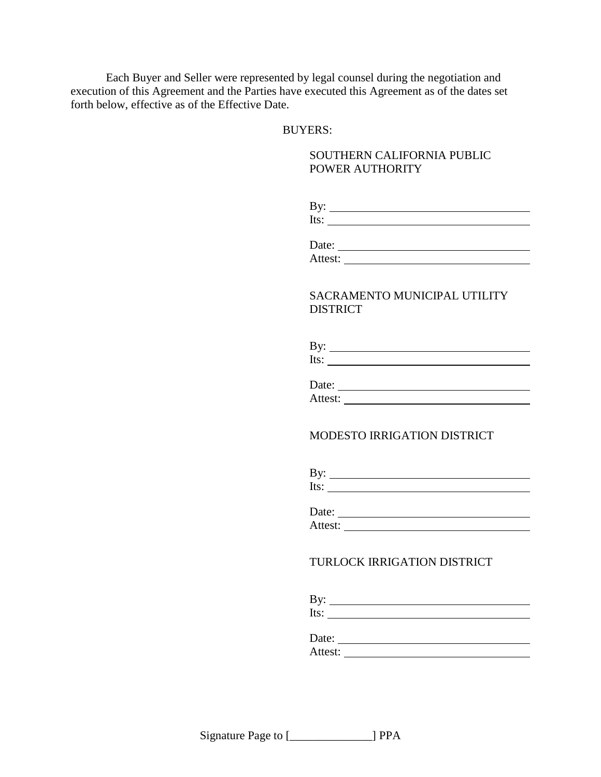Each Buyer and Seller were represented by legal counsel during the negotiation and execution of this Agreement and the Parties have executed this Agreement as of the dates set forth below, effective as of the Effective Date.

#### BUYERS:

#### SOUTHERN CALIFORNIA PUBLIC POWER AUTHORITY

| By:  |  |  |  |
|------|--|--|--|
| Its: |  |  |  |
|      |  |  |  |

Date: Attest:

#### SACRAMENTO MUNICIPAL UTILITY **DISTRICT**

| By:  |  |  |
|------|--|--|
| lts: |  |  |

| Date:   |  |  |
|---------|--|--|
| Attest: |  |  |

#### MODESTO IRRIGATION DISTRICT

| Date:   |  |
|---------|--|
| Attest: |  |

## TURLOCK IRRIGATION DISTRICT

| .<br><b>ду.</b> |  |  |
|-----------------|--|--|
| エレジャ            |  |  |

Date:

Attest: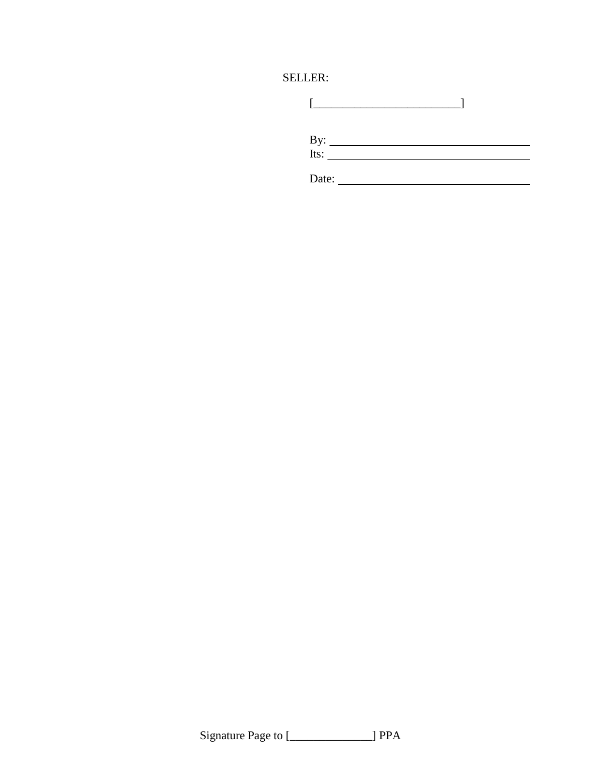# SELLER:

| Date: |  |
|-------|--|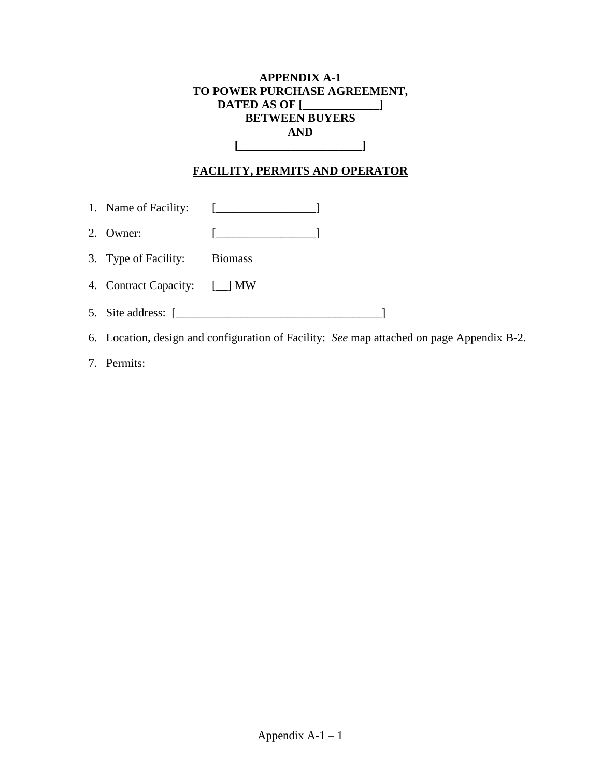# **APPENDIX A-1 TO POWER PURCHASE AGREEMENT, DATED AS OF [\_\_\_\_\_\_\_\_\_\_\_\_\_] BETWEEN BUYERS AND [\_\_\_\_\_\_\_\_\_\_\_\_\_\_\_\_\_\_\_\_\_]**

# **FACILITY, PERMITS AND OPERATOR**

- 1. Name of Facility: [\_\_\_\_\_\_\_\_\_\_\_\_\_\_\_\_\_]
- 2. Owner: [\_\_\_\_\_\_\_\_\_\_\_\_\_\_\_\_\_]
- 3. Type of Facility: Biomass
- 4. Contract Capacity: [\_\_] MW
- 5. Site address: [\_\_\_\_\_\_\_\_\_\_\_\_\_\_\_\_\_\_\_\_\_\_\_\_\_\_\_\_\_\_\_\_\_\_\_]
- 6. Location, design and configuration of Facility: *See* map attached on page Appendix B-2.
- 7. Permits: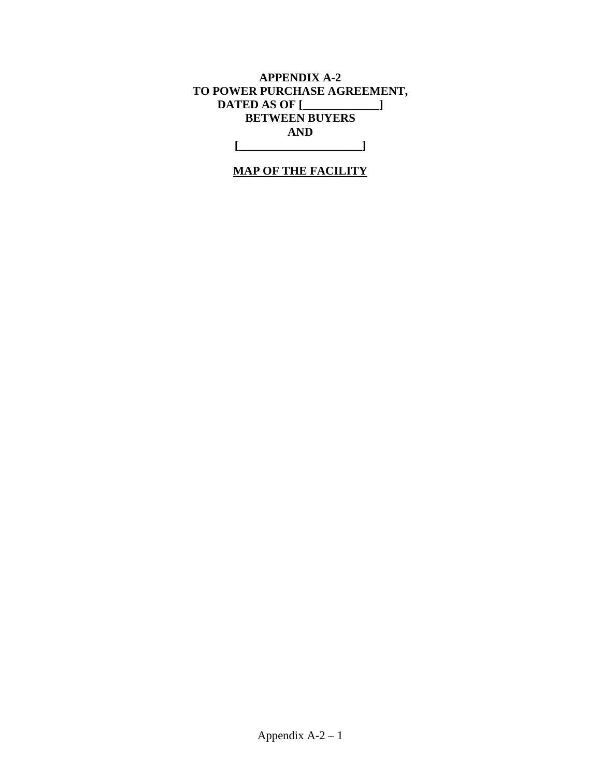# **APPENDIX A-2 TO POWER PURCHASE AGREEMENT, DATED AS OF [\_\_\_\_\_\_\_\_\_\_\_\_\_] BETWEEN BUYERS AND [\_\_\_\_\_\_\_\_\_\_\_\_\_\_\_\_\_\_\_\_\_]**

# **MAP OF THE FACILITY**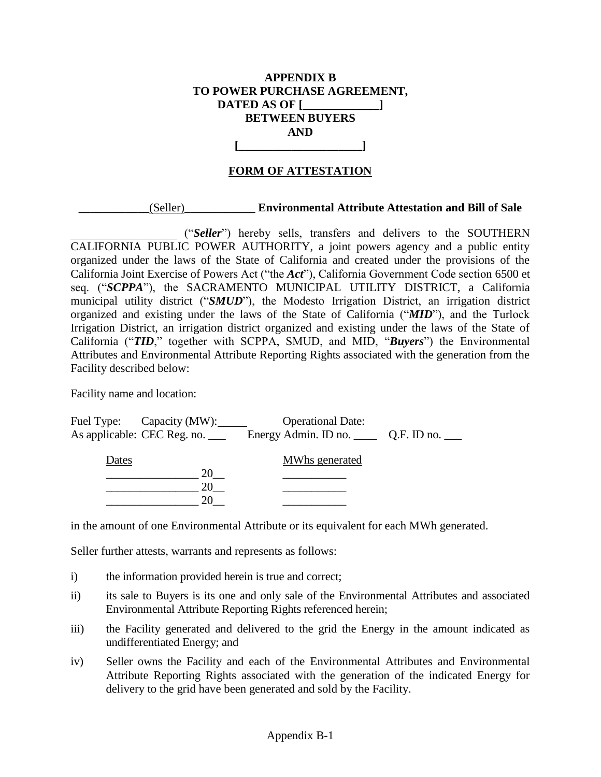# **APPENDIX B TO POWER PURCHASE AGREEMENT, DATED AS OF [\_\_\_\_\_\_\_\_\_\_\_\_\_] BETWEEN BUYERS AND [\_\_\_\_\_\_\_\_\_\_\_\_\_\_\_\_\_\_\_\_\_]**

# **FORM OF ATTESTATION**

#### **\_\_\_\_\_\_\_\_\_\_\_\_**(Seller)**\_\_\_\_\_\_\_\_\_\_\_\_ Environmental Attribute Attestation and Bill of Sale**

\_\_\_\_\_\_\_\_\_\_\_\_\_\_\_\_\_\_ ("*Seller*") hereby sells, transfers and delivers to the SOUTHERN CALIFORNIA PUBLIC POWER AUTHORITY, a joint powers agency and a public entity organized under the laws of the State of California and created under the provisions of the California Joint Exercise of Powers Act ("the *Act*"), California Government Code section 6500 et seq. ("*SCPPA*"), the SACRAMENTO MUNICIPAL UTILITY DISTRICT, a California municipal utility district ("*SMUD*"), the Modesto Irrigation District, an irrigation district organized and existing under the laws of the State of California ("*MID*"), and the Turlock Irrigation District, an irrigation district organized and existing under the laws of the State of California ("*TID*," together with SCPPA, SMUD, and MID, "*Buyers*") the Environmental Attributes and Environmental Attribute Reporting Rights associated with the generation from the Facility described below:

Facility name and location:

|       | Fuel Type: Capacity (MW):       | <b>Operational Date:</b> |  |
|-------|---------------------------------|--------------------------|--|
|       | As applicable: CEC Reg. no. ___ |                          |  |
| Dates |                                 | MWhs generated           |  |
|       | 20                              |                          |  |
|       |                                 |                          |  |
|       |                                 |                          |  |

in the amount of one Environmental Attribute or its equivalent for each MWh generated.

Seller further attests, warrants and represents as follows:

- i) the information provided herein is true and correct;
- ii) its sale to Buyers is its one and only sale of the Environmental Attributes and associated Environmental Attribute Reporting Rights referenced herein;
- iii) the Facility generated and delivered to the grid the Energy in the amount indicated as undifferentiated Energy; and
- iv) Seller owns the Facility and each of the Environmental Attributes and Environmental Attribute Reporting Rights associated with the generation of the indicated Energy for delivery to the grid have been generated and sold by the Facility.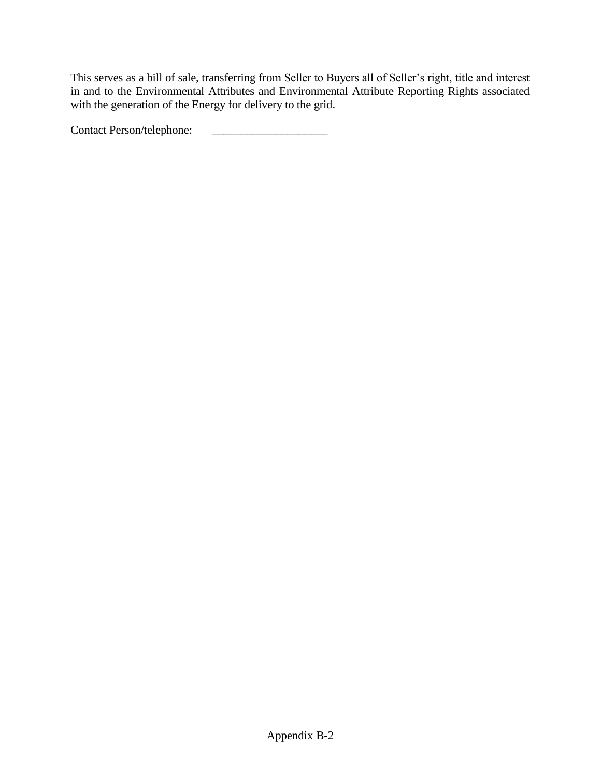This serves as a bill of sale, transferring from Seller to Buyers all of Seller's right, title and interest in and to the Environmental Attributes and Environmental Attribute Reporting Rights associated with the generation of the Energy for delivery to the grid.

Contact Person/telephone: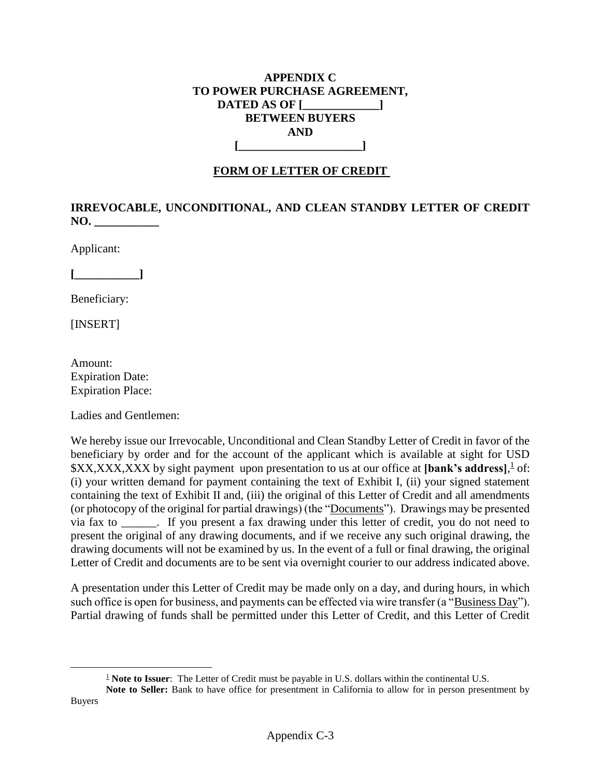## **APPENDIX C TO POWER PURCHASE AGREEMENT, DATED AS OF [\_\_\_\_\_\_\_\_\_\_\_\_\_] BETWEEN BUYERS AND [\_\_\_\_\_\_\_\_\_\_\_\_\_\_\_\_\_\_\_\_\_]**

# **FORM OF LETTER OF CREDIT**

# **IRREVOCABLE, UNCONDITIONAL, AND CLEAN STANDBY LETTER OF CREDIT NO. \_\_\_\_\_\_\_\_\_\_\_**

Applicant:

**[\_\_\_\_\_\_\_\_\_\_\_]**

Beneficiary:

[INSERT]

 $\overline{a}$ 

Amount: Expiration Date: Expiration Place:

Ladies and Gentlemen:

We hereby issue our Irrevocable, Unconditional and Clean Standby Letter of Credit in favor of the beneficiary by order and for the account of the applicant which is available at sight for USD \$XX,XXX,XXX by sight payment upon presentation to us at our office at **[bank's address**], <sup>1</sup> of: (i) your written demand for payment containing the text of Exhibit I, (ii) your signed statement containing the text of Exhibit II and, (iii) the original of this Letter of Credit and all amendments (or photocopy of the original for partial drawings) (the "Documents"). Drawings may be presented via fax to \_\_\_\_\_\_. If you present a fax drawing under this letter of credit, you do not need to present the original of any drawing documents, and if we receive any such original drawing, the drawing documents will not be examined by us. In the event of a full or final drawing, the original Letter of Credit and documents are to be sent via overnight courier to our address indicated above.

A presentation under this Letter of Credit may be made only on a day, and during hours, in which such office is open for business, and payments can be effected via wire transfer (a "Business Day"). Partial drawing of funds shall be permitted under this Letter of Credit, and this Letter of Credit

<sup>&</sup>lt;sup>1</sup> **Note to Issuer**: The Letter of Credit must be payable in U.S. dollars within the continental U.S.

**Note to Seller:** Bank to have office for presentment in California to allow for in person presentment by Buyers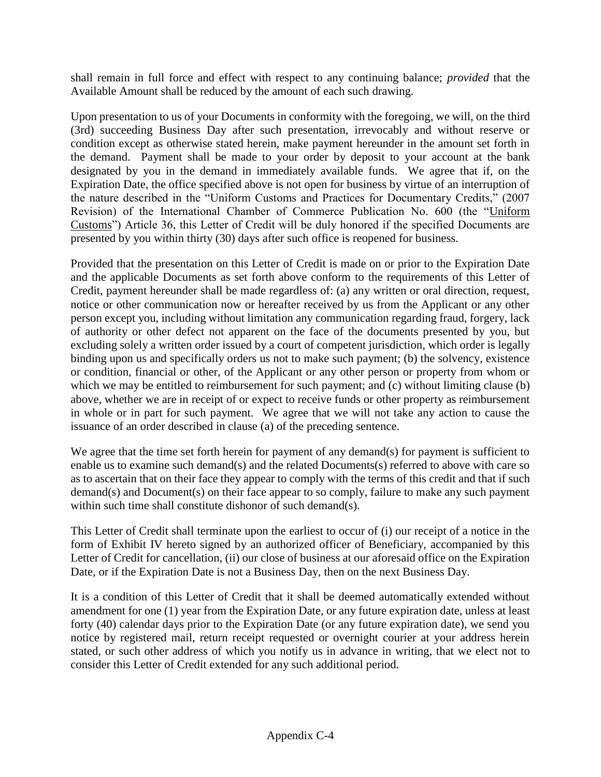shall remain in full force and effect with respect to any continuing balance; *provided* that the Available Amount shall be reduced by the amount of each such drawing.

Upon presentation to us of your Documents in conformity with the foregoing, we will, on the third (3rd) succeeding Business Day after such presentation, irrevocably and without reserve or condition except as otherwise stated herein, make payment hereunder in the amount set forth in the demand. Payment shall be made to your order by deposit to your account at the bank designated by you in the demand in immediately available funds. We agree that if, on the Expiration Date, the office specified above is not open for business by virtue of an interruption of the nature described in the "Uniform Customs and Practices for Documentary Credits," (2007 Revision) of the International Chamber of Commerce Publication No. 600 (the "Uniform Customs") Article 36, this Letter of Credit will be duly honored if the specified Documents are presented by you within thirty (30) days after such office is reopened for business.

Provided that the presentation on this Letter of Credit is made on or prior to the Expiration Date and the applicable Documents as set forth above conform to the requirements of this Letter of Credit, payment hereunder shall be made regardless of: (a) any written or oral direction, request, notice or other communication now or hereafter received by us from the Applicant or any other person except you, including without limitation any communication regarding fraud, forgery, lack of authority or other defect not apparent on the face of the documents presented by you, but excluding solely a written order issued by a court of competent jurisdiction, which order is legally binding upon us and specifically orders us not to make such payment; (b) the solvency, existence or condition, financial or other, of the Applicant or any other person or property from whom or which we may be entitled to reimbursement for such payment; and (c) without limiting clause (b) above, whether we are in receipt of or expect to receive funds or other property as reimbursement in whole or in part for such payment. We agree that we will not take any action to cause the issuance of an order described in clause (a) of the preceding sentence.

We agree that the time set forth herein for payment of any demand(s) for payment is sufficient to enable us to examine such demand(s) and the related Documents(s) referred to above with care so as to ascertain that on their face they appear to comply with the terms of this credit and that if such demand(s) and Document(s) on their face appear to so comply, failure to make any such payment within such time shall constitute dishonor of such demand(s).

This Letter of Credit shall terminate upon the earliest to occur of (i) our receipt of a notice in the form of Exhibit IV hereto signed by an authorized officer of Beneficiary, accompanied by this Letter of Credit for cancellation, (ii) our close of business at our aforesaid office on the Expiration Date, or if the Expiration Date is not a Business Day, then on the next Business Day.

It is a condition of this Letter of Credit that it shall be deemed automatically extended without amendment for one (1) year from the Expiration Date, or any future expiration date, unless at least forty (40) calendar days prior to the Expiration Date (or any future expiration date), we send you notice by registered mail, return receipt requested or overnight courier at your address herein stated, or such other address of which you notify us in advance in writing, that we elect not to consider this Letter of Credit extended for any such additional period.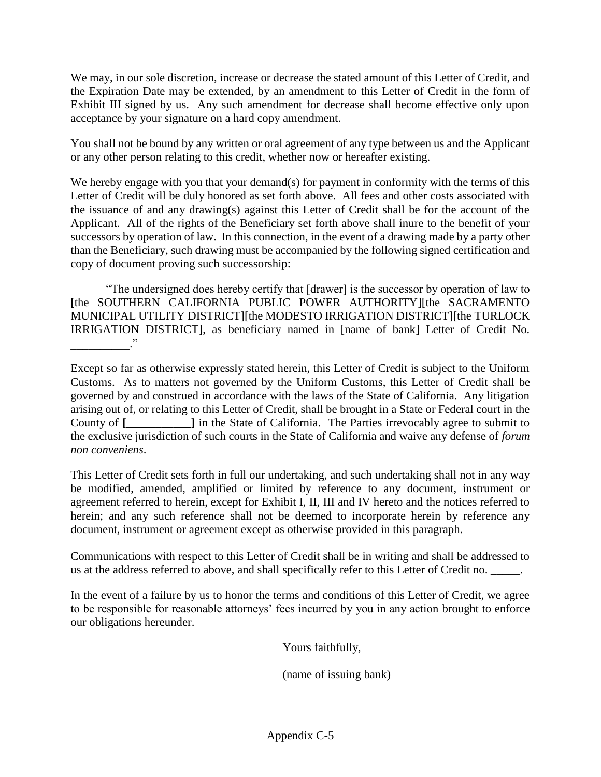We may, in our sole discretion, increase or decrease the stated amount of this Letter of Credit, and the Expiration Date may be extended, by an amendment to this Letter of Credit in the form of Exhibit III signed by us. Any such amendment for decrease shall become effective only upon acceptance by your signature on a hard copy amendment.

You shall not be bound by any written or oral agreement of any type between us and the Applicant or any other person relating to this credit, whether now or hereafter existing.

We hereby engage with you that your demand(s) for payment in conformity with the terms of this Letter of Credit will be duly honored as set forth above. All fees and other costs associated with the issuance of and any drawing(s) against this Letter of Credit shall be for the account of the Applicant. All of the rights of the Beneficiary set forth above shall inure to the benefit of your successors by operation of law. In this connection, in the event of a drawing made by a party other than the Beneficiary, such drawing must be accompanied by the following signed certification and copy of document proving such successorship:

"The undersigned does hereby certify that [drawer] is the successor by operation of law to **[**the SOUTHERN CALIFORNIA PUBLIC POWER AUTHORITY][the SACRAMENTO MUNICIPAL UTILITY DISTRICT][the MODESTO IRRIGATION DISTRICT][the TURLOCK IRRIGATION DISTRICT], as beneficiary named in [name of bank] Letter of Credit No.  $\cdot$   $\cdot$   $\cdot$   $\cdot$   $\cdot$   $\cdot$   $\cdot$ 

Except so far as otherwise expressly stated herein, this Letter of Credit is subject to the Uniform Customs. As to matters not governed by the Uniform Customs, this Letter of Credit shall be governed by and construed in accordance with the laws of the State of California. Any litigation arising out of, or relating to this Letter of Credit, shall be brought in a State or Federal court in the County of **[**  $\qquad$  **]** in the State of California. The Parties irrevocably agree to submit to the exclusive jurisdiction of such courts in the State of California and waive any defense of *forum non conveniens*.

This Letter of Credit sets forth in full our undertaking, and such undertaking shall not in any way be modified, amended, amplified or limited by reference to any document, instrument or agreement referred to herein, except for Exhibit I, II, III and IV hereto and the notices referred to herein; and any such reference shall not be deemed to incorporate herein by reference any document, instrument or agreement except as otherwise provided in this paragraph.

Communications with respect to this Letter of Credit shall be in writing and shall be addressed to us at the address referred to above, and shall specifically refer to this Letter of Credit no. \_\_\_\_\_.

In the event of a failure by us to honor the terms and conditions of this Letter of Credit, we agree to be responsible for reasonable attorneys' fees incurred by you in any action brought to enforce our obligations hereunder.

Yours faithfully,

(name of issuing bank)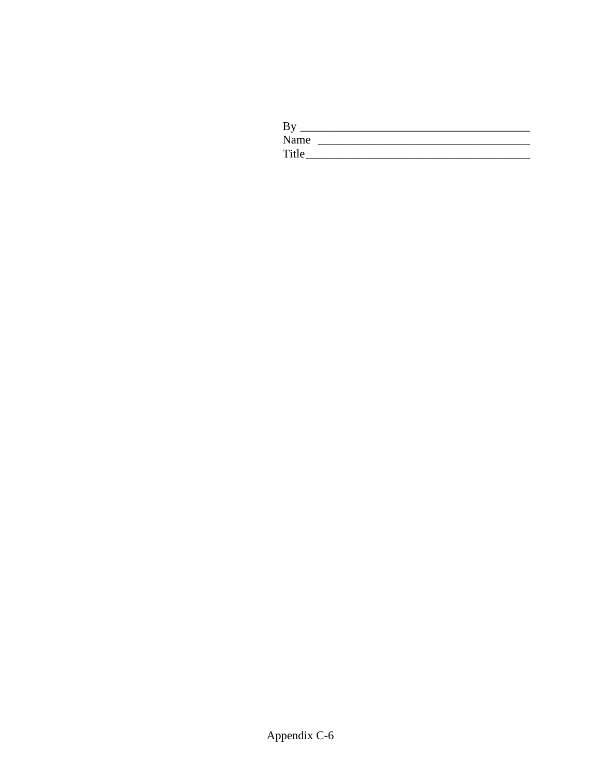| By    |  |
|-------|--|
| Name  |  |
| Title |  |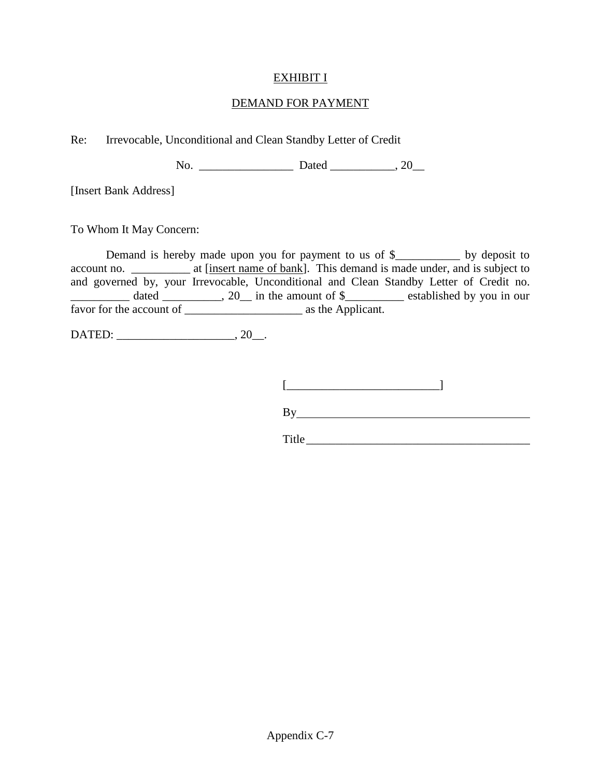# EXHIBIT I

### DEMAND FOR PAYMENT

Re: Irrevocable, Unconditional and Clean Standby Letter of Credit

No. \_\_\_\_\_\_\_\_\_\_\_\_\_\_\_\_ Dated \_\_\_\_\_\_\_\_\_\_\_, 20\_\_

[Insert Bank Address]

To Whom It May Concern:

Demand is hereby made upon you for payment to us of \$\_\_\_\_\_\_\_\_\_\_\_ by deposit to account no. \_\_\_\_\_\_\_\_\_\_\_ at [insert name of bank]. This demand is made under, and is subject to and governed by, your Irrevocable, Unconditional and Clean Standby Letter of Credit no. \_\_\_\_\_\_\_\_\_\_ dated \_\_\_\_\_\_\_\_\_\_, 20\_\_ in the amount of \$\_\_\_\_\_\_\_\_\_\_ established by you in our favor for the account of \_\_\_\_\_\_\_\_\_\_\_\_\_\_\_\_\_\_\_\_ as the Applicant.

DATED: \_\_\_\_\_\_\_\_\_\_\_\_\_\_\_\_\_\_\_\_, 20\_\_.

 $[\begin{array}{ccc} \begin{array}{ccc} \begin{array}{ccc} \end{array} & \begin{array}{ccc} \end{array} & \end{array} & \begin{array}{ccc} \end{array} & \end{array} & \begin{array}{ccc} \end{array} & \end{array}$ 

By

Title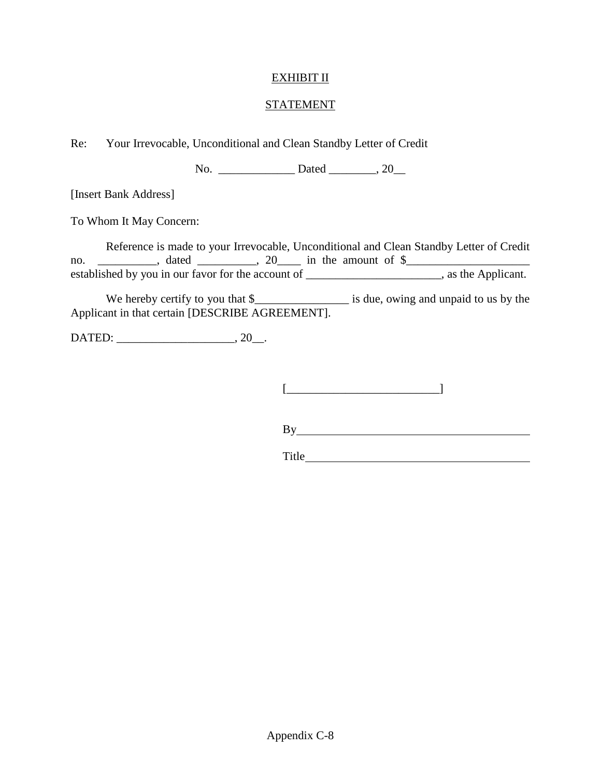# EXHIBIT II

#### STATEMENT

Re: Your Irrevocable, Unconditional and Clean Standby Letter of Credit

No. \_\_\_\_\_\_\_\_\_\_\_\_\_\_\_\_\_\_\_\_\_\_ Dated \_\_\_\_\_\_\_\_\_\_, 20\_\_\_

[Insert Bank Address]

To Whom It May Concern:

Reference is made to your Irrevocable, Unconditional and Clean Standby Letter of Credit no. \_\_\_\_\_\_\_\_\_\_, dated \_\_\_\_\_\_\_\_\_, 20\_\_\_\_ in the amount of  $\frac{1}{2}$ established by you in our favor for the account of \_\_\_\_\_\_\_\_\_\_\_\_\_\_\_\_\_\_\_\_\_\_\_\_, as the Applicant.

We hereby certify to you that \$\_\_\_\_\_\_\_\_\_\_\_\_\_\_\_\_\_\_\_\_\_ is due, owing and unpaid to us by the Applicant in that certain [DESCRIBE AGREEMENT].

DATED: \_\_\_\_\_\_\_\_\_\_\_\_\_\_\_\_\_\_\_\_, 20\_\_.

[\_\_\_\_\_\_\_\_\_\_\_\_\_\_\_\_\_\_\_\_\_\_\_\_\_\_]

By

Title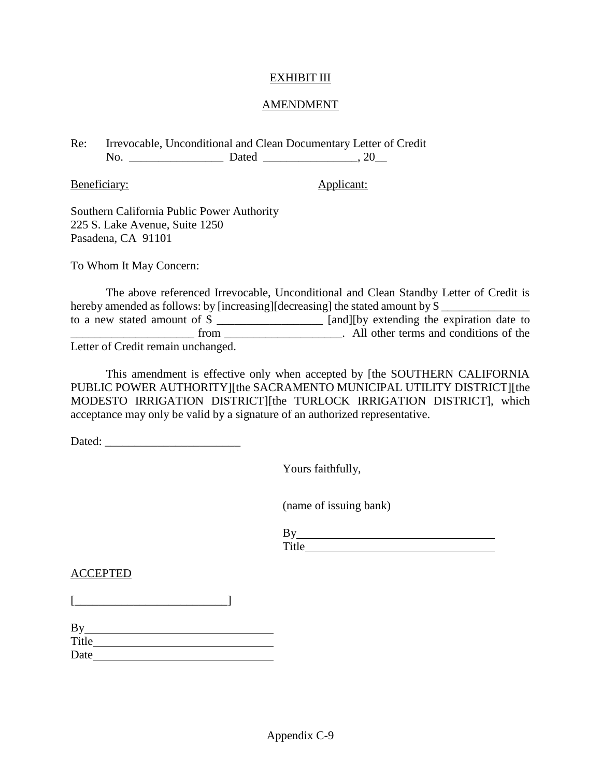### EXHIBIT III

#### AMENDMENT

Re: Irrevocable, Unconditional and Clean Documentary Letter of Credit No. \_\_\_\_\_\_\_\_\_\_\_\_\_\_\_\_ Dated \_\_\_\_\_\_\_\_\_\_\_\_\_\_\_\_, 20\_\_

Beneficiary: Applicant:

Southern California Public Power Authority 225 S. Lake Avenue, Suite 1250 Pasadena, CA 91101

To Whom It May Concern:

The above referenced Irrevocable, Unconditional and Clean Standby Letter of Credit is hereby amended as follows: by [increasing][decreasing] the stated amount by  $\frac{1}{2}$ to a new stated amount of \$ \_\_\_\_\_\_\_\_\_\_\_\_\_\_\_\_\_\_ [and][by extending the expiration date to The same of the same of the same of the same of the same of the same of the same of the same of the same of the same of the same of the same of the same of the same of the same of the same of the same of the same of the sa Letter of Credit remain unchanged.

This amendment is effective only when accepted by [the SOUTHERN CALIFORNIA PUBLIC POWER AUTHORITY][the SACRAMENTO MUNICIPAL UTILITY DISTRICT][the MODESTO IRRIGATION DISTRICT][the TURLOCK IRRIGATION DISTRICT], which acceptance may only be valid by a signature of an authorized representative.

Dated:

Yours faithfully,

(name of issuing bank)

| $\cdot$ 1<br>π<br>٦Δ<br>$\sim$ |  |  |  |
|--------------------------------|--|--|--|

#### ACCEPTED

| By    |  |  |
|-------|--|--|
| Title |  |  |
| Date  |  |  |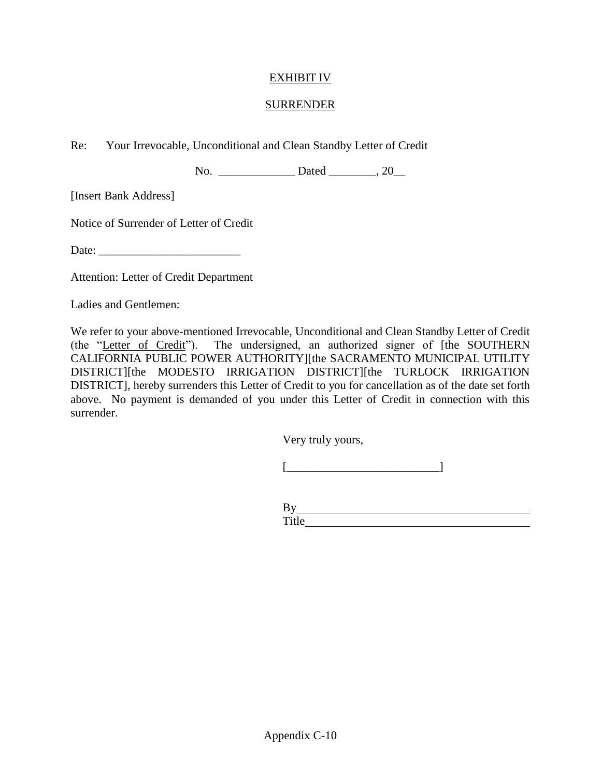# EXHIBIT IV

### SURRENDER

Re: Your Irrevocable, Unconditional and Clean Standby Letter of Credit

No. \_\_\_\_\_\_\_\_\_\_\_\_\_\_\_\_\_\_\_\_\_Dated \_\_\_\_\_\_\_\_\_, 20\_\_\_\_

[Insert Bank Address]

Notice of Surrender of Letter of Credit

Date:

Attention: Letter of Credit Department

Ladies and Gentlemen:

We refer to your above-mentioned Irrevocable, Unconditional and Clean Standby Letter of Credit (the "Letter of Credit"). The undersigned, an authorized signer of [the SOUTHERN CALIFORNIA PUBLIC POWER AUTHORITY][the SACRAMENTO MUNICIPAL UTILITY DISTRICT][the MODESTO IRRIGATION DISTRICT][the TURLOCK IRRIGATION DISTRICT], hereby surrenders this Letter of Credit to you for cancellation as of the date set forth above. No payment is demanded of you under this Letter of Credit in connection with this surrender.

Very truly yours,

 $[\begin{array}{ccc} \begin{array}{ccc} \begin{array}{ccc} \end{array} & \begin{array}{ccc} \end{array} & \end{array} & \begin{array}{ccc} \end{array} & \end{array} & \begin{array}{ccc} \end{array} & \end{array}$ 

By Title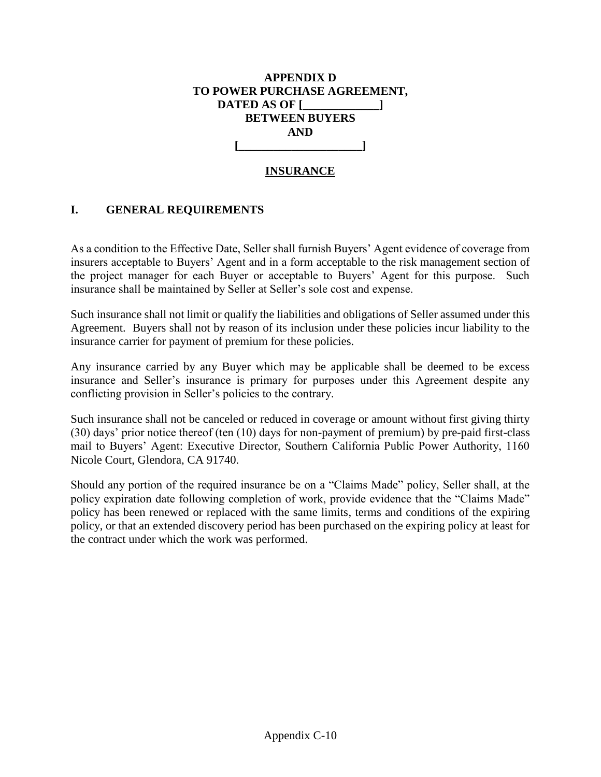# **APPENDIX D TO POWER PURCHASE AGREEMENT, DATED AS OF [\_\_\_\_\_\_\_\_\_\_\_\_\_] BETWEEN BUYERS AND [\_\_\_\_\_\_\_\_\_\_\_\_\_\_\_\_\_\_\_\_\_]**

# **INSURANCE**

# **I. GENERAL REQUIREMENTS**

As a condition to the Effective Date, Seller shall furnish Buyers' Agent evidence of coverage from insurers acceptable to Buyers' Agent and in a form acceptable to the risk management section of the project manager for each Buyer or acceptable to Buyers' Agent for this purpose. Such insurance shall be maintained by Seller at Seller's sole cost and expense.

Such insurance shall not limit or qualify the liabilities and obligations of Seller assumed under this Agreement. Buyers shall not by reason of its inclusion under these policies incur liability to the insurance carrier for payment of premium for these policies.

Any insurance carried by any Buyer which may be applicable shall be deemed to be excess insurance and Seller's insurance is primary for purposes under this Agreement despite any conflicting provision in Seller's policies to the contrary.

Such insurance shall not be canceled or reduced in coverage or amount without first giving thirty (30) days' prior notice thereof (ten (10) days for non-payment of premium) by pre-paid first-class mail to Buyers' Agent: Executive Director, Southern California Public Power Authority, 1160 Nicole Court, Glendora, CA 91740.

Should any portion of the required insurance be on a "Claims Made" policy, Seller shall, at the policy expiration date following completion of work, provide evidence that the "Claims Made" policy has been renewed or replaced with the same limits, terms and conditions of the expiring policy, or that an extended discovery period has been purchased on the expiring policy at least for the contract under which the work was performed.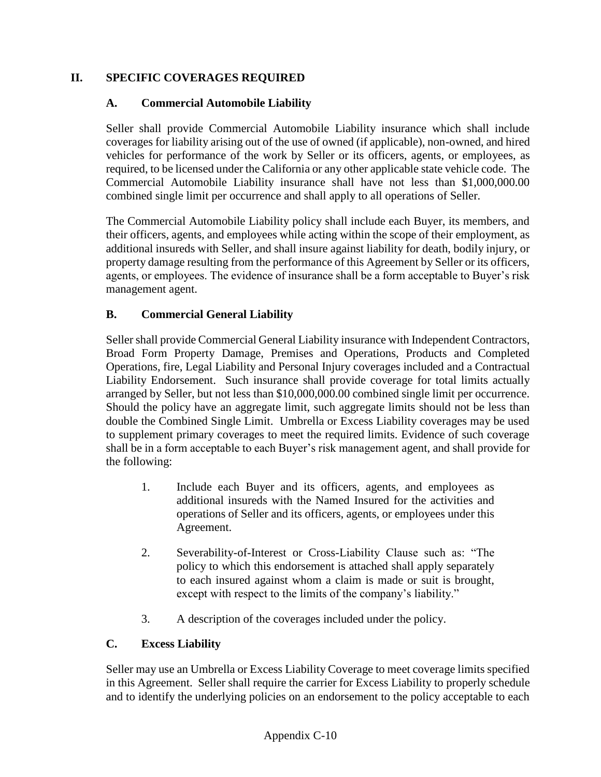# **II. SPECIFIC COVERAGES REQUIRED**

# **A. Commercial Automobile Liability**

Seller shall provide Commercial Automobile Liability insurance which shall include coverages for liability arising out of the use of owned (if applicable), non-owned, and hired vehicles for performance of the work by Seller or its officers, agents, or employees, as required, to be licensed under the California or any other applicable state vehicle code. The Commercial Automobile Liability insurance shall have not less than \$1,000,000.00 combined single limit per occurrence and shall apply to all operations of Seller.

The Commercial Automobile Liability policy shall include each Buyer, its members, and their officers, agents, and employees while acting within the scope of their employment, as additional insureds with Seller, and shall insure against liability for death, bodily injury, or property damage resulting from the performance of this Agreement by Seller or its officers, agents, or employees. The evidence of insurance shall be a form acceptable to Buyer's risk management agent.

# **B. Commercial General Liability**

Seller shall provide Commercial General Liability insurance with Independent Contractors, Broad Form Property Damage, Premises and Operations, Products and Completed Operations, fire, Legal Liability and Personal Injury coverages included and a Contractual Liability Endorsement. Such insurance shall provide coverage for total limits actually arranged by Seller, but not less than \$10,000,000.00 combined single limit per occurrence. Should the policy have an aggregate limit, such aggregate limits should not be less than double the Combined Single Limit. Umbrella or Excess Liability coverages may be used to supplement primary coverages to meet the required limits. Evidence of such coverage shall be in a form acceptable to each Buyer's risk management agent, and shall provide for the following:

- 1. Include each Buyer and its officers, agents, and employees as additional insureds with the Named Insured for the activities and operations of Seller and its officers, agents, or employees under this Agreement.
- 2. Severability-of-Interest or Cross-Liability Clause such as: "The policy to which this endorsement is attached shall apply separately to each insured against whom a claim is made or suit is brought, except with respect to the limits of the company's liability."
- 3. A description of the coverages included under the policy.

# **C. Excess Liability**

Seller may use an Umbrella or Excess Liability Coverage to meet coverage limits specified in this Agreement. Seller shall require the carrier for Excess Liability to properly schedule and to identify the underlying policies on an endorsement to the policy acceptable to each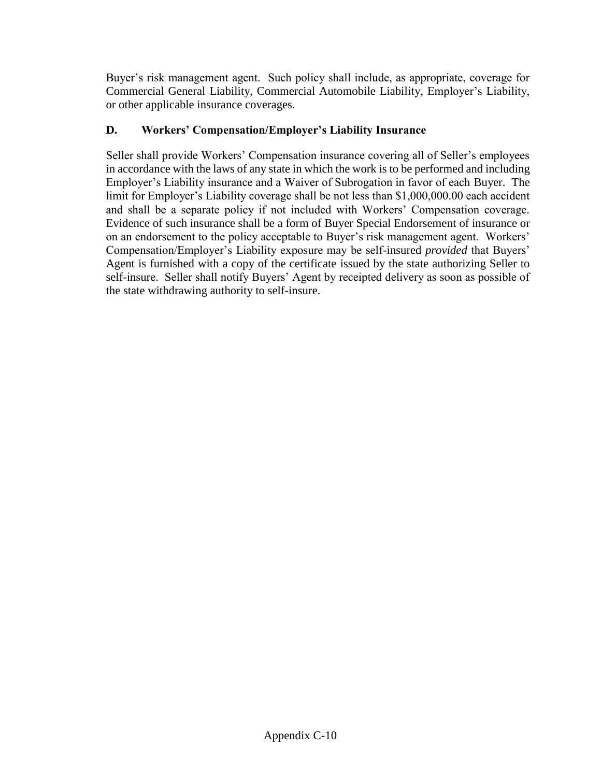Buyer's risk management agent. Such policy shall include, as appropriate, coverage for Commercial General Liability, Commercial Automobile Liability, Employer's Liability, or other applicable insurance coverages.

# **D. Workers' Compensation/Employer's Liability Insurance**

Seller shall provide Workers' Compensation insurance covering all of Seller's employees in accordance with the laws of any state in which the work is to be performed and including Employer's Liability insurance and a Waiver of Subrogation in favor of each Buyer. The limit for Employer's Liability coverage shall be not less than \$1,000,000.00 each accident and shall be a separate policy if not included with Workers' Compensation coverage. Evidence of such insurance shall be a form of Buyer Special Endorsement of insurance or on an endorsement to the policy acceptable to Buyer's risk management agent. Workers' Compensation/Employer's Liability exposure may be self-insured *provided* that Buyers' Agent is furnished with a copy of the certificate issued by the state authorizing Seller to self-insure. Seller shall notify Buyers' Agent by receipted delivery as soon as possible of the state withdrawing authority to self-insure.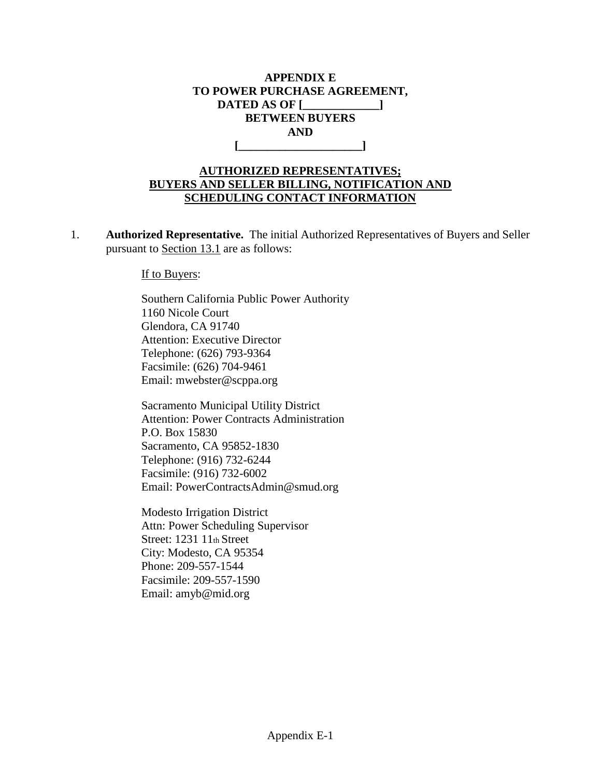

# **AUTHORIZED REPRESENTATIVES; BUYERS AND SELLER BILLING, NOTIFICATION AND SCHEDULING CONTACT INFORMATION**

1. **Authorized Representative.** The initial Authorized Representatives of Buyers and Seller pursuant to Section 13.1 are as follows:

If to Buyers:

Southern California Public Power Authority 1160 Nicole Court Glendora, CA 91740 Attention: Executive Director Telephone: (626) 793-9364 Facsimile: (626) 704-9461 Email: mwebster@scppa.org

Sacramento Municipal Utility District Attention: Power Contracts Administration P.O. Box 15830 Sacramento, CA 95852-1830 Telephone: (916) 732-6244 Facsimile: (916) 732-6002 Email: PowerContractsAdmin@smud.org

Modesto Irrigation District Attn: Power Scheduling Supervisor Street: 1231 11th Street City: Modesto, CA 95354 Phone: 209-557-1544 Facsimile: 209-557-1590 Email: amyb@mid.org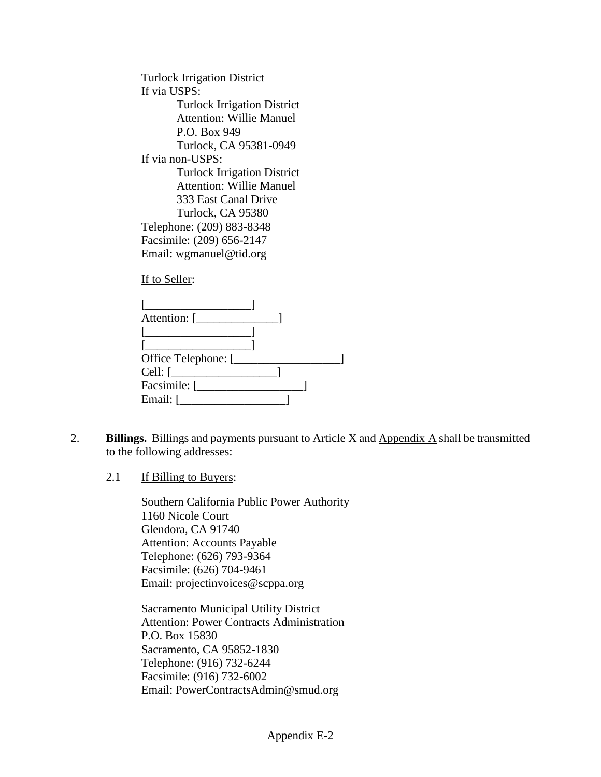Turlock Irrigation District If via USPS: Turlock Irrigation District Attention: Willie Manuel P.O. Box 949 Turlock, CA 95381-0949 If via non-USPS: Turlock Irrigation District Attention: Willie Manuel 333 East Canal Drive Turlock, CA 95380 Telephone: (209) 883-8348 Facsimile: (209) 656-2147 Email: wgmanuel@tid.org

If to Seller:

| Attention: [________     |  |  |
|--------------------------|--|--|
|                          |  |  |
| $\mathbf{L}$             |  |  |
| Office Telephone: [_____ |  |  |
|                          |  |  |
|                          |  |  |
| Email: $\lceil$          |  |  |
|                          |  |  |

- 2. **Billings.** Billings and payments pursuant to Article X and Appendix A shall be transmitted to the following addresses:
	- 2.1 If Billing to Buyers:

Southern California Public Power Authority 1160 Nicole Court Glendora, CA 91740 Attention: Accounts Payable Telephone: (626) 793-9364 Facsimile: (626) 704-9461 Email: projectinvoices@scppa.org

Sacramento Municipal Utility District Attention: Power Contracts Administration P.O. Box 15830 Sacramento, CA 95852-1830 Telephone: (916) 732-6244 Facsimile: (916) 732-6002 Email: PowerContractsAdmin@smud.org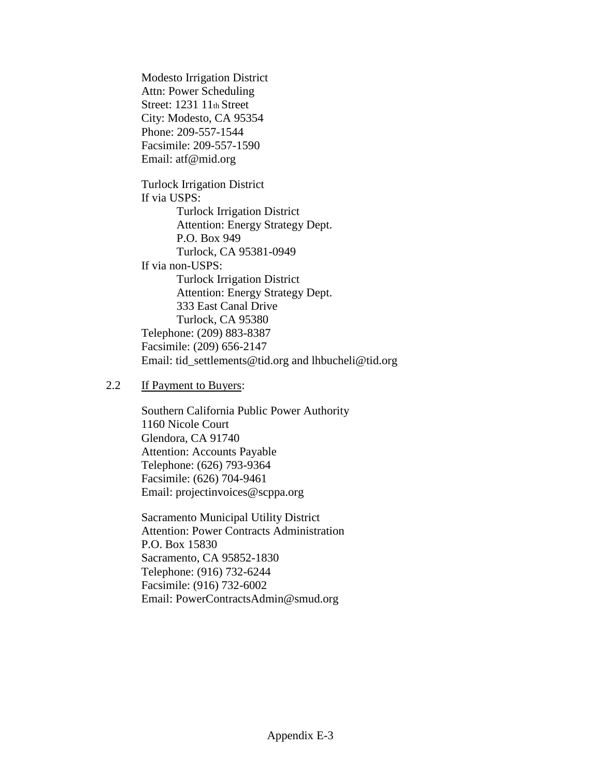Modesto Irrigation District Attn: Power Scheduling Street: 1231 11th Street City: Modesto, CA 95354 Phone: 209-557-1544 Facsimile: 209-557-1590 Email: atf@mid.org Turlock Irrigation District If via USPS: Turlock Irrigation District Attention: Energy Strategy Dept. P.O. Box 949 Turlock, CA 95381-0949 If via non-USPS: Turlock Irrigation District Attention: Energy Strategy Dept. 333 East Canal Drive Turlock, CA 95380 Telephone: (209) 883-8387 Facsimile: (209) 656-2147 Email: tid\_settlements@tid.org and lhbucheli@tid.org

#### 2.2 If Payment to Buyers:

Southern California Public Power Authority 1160 Nicole Court Glendora, CA 91740 Attention: Accounts Payable Telephone: (626) 793-9364 Facsimile: (626) 704-9461 Email: projectinvoices@scppa.org

Sacramento Municipal Utility District Attention: Power Contracts Administration P.O. Box 15830 Sacramento, CA 95852-1830 Telephone: (916) 732-6244 Facsimile: (916) 732-6002 Email: PowerContractsAdmin@smud.org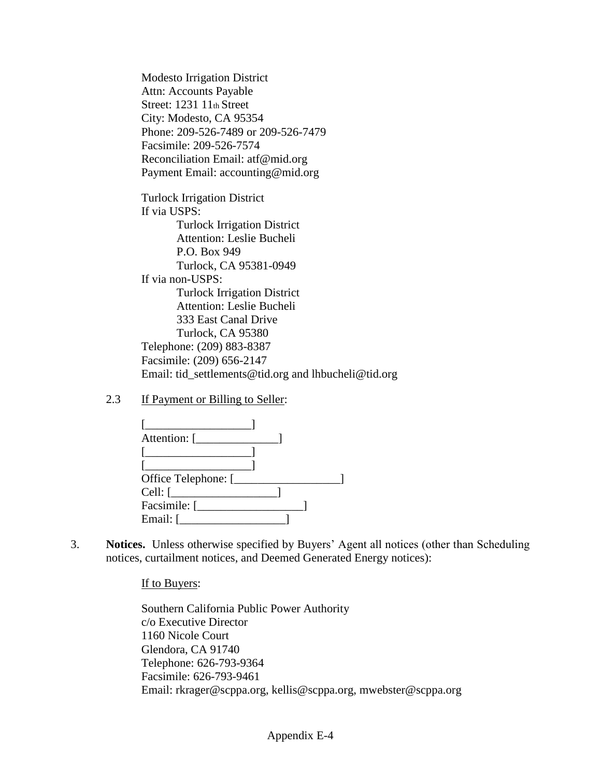Modesto Irrigation District Attn: Accounts Payable Street: 1231 11th Street City: Modesto, CA 95354 Phone: 209-526-7489 or 209-526-7479 Facsimile: 209-526-7574 Reconciliation Email: atf@mid.org Payment Email: accounting@mid.org

Turlock Irrigation District If via USPS: Turlock Irrigation District Attention: Leslie Bucheli P.O. Box 949 Turlock, CA 95381-0949 If via non-USPS: Turlock Irrigation District Attention: Leslie Bucheli 333 East Canal Drive Turlock, CA 95380 Telephone: (209) 883-8387 Facsimile: (209) 656-2147 Email: tid\_settlements@tid.org and lhbucheli@tid.org

2.3 If Payment or Billing to Seller:

| Office Telephone: [                                                                                                                                                                                                                                                                                                                                                                                                                                                                 |  |  |
|-------------------------------------------------------------------------------------------------------------------------------------------------------------------------------------------------------------------------------------------------------------------------------------------------------------------------------------------------------------------------------------------------------------------------------------------------------------------------------------|--|--|
| $Cell:$ $\begin{array}{ccc} \boxed{\phantom{2} } & \phantom{\frac{1}{2} } & \phantom{\frac{1}{2} } & \phantom{\frac{1}{2} } & \phantom{\frac{1}{2} } & \phantom{\frac{1}{2} } & \phantom{\frac{1}{2} } & \phantom{\frac{1}{2} } & \phantom{\frac{1}{2} } & \phantom{\frac{1}{2} } & \phantom{\frac{1}{2} } & \phantom{\frac{1}{2} } & \phantom{\frac{1}{2} } & \phantom{\frac{1}{2} } & \phantom{\frac{1}{2} } & \phantom{\frac{1}{2} } & \phantom{\frac{1}{2} } & \phantom{\frac{$ |  |  |
| Facsimile: [                                                                                                                                                                                                                                                                                                                                                                                                                                                                        |  |  |
| Email: $\boxed{\phantom{a}}$                                                                                                                                                                                                                                                                                                                                                                                                                                                        |  |  |

3. **Notices.** Unless otherwise specified by Buyers' Agent all notices (other than Scheduling notices, curtailment notices, and Deemed Generated Energy notices):

#### If to Buyers:

Southern California Public Power Authority c/o Executive Director 1160 Nicole Court Glendora, CA 91740 Telephone: 626-793-9364 Facsimile: 626-793-9461 Email: rkrager@scppa.org, kellis@scppa.org, mwebster@scppa.org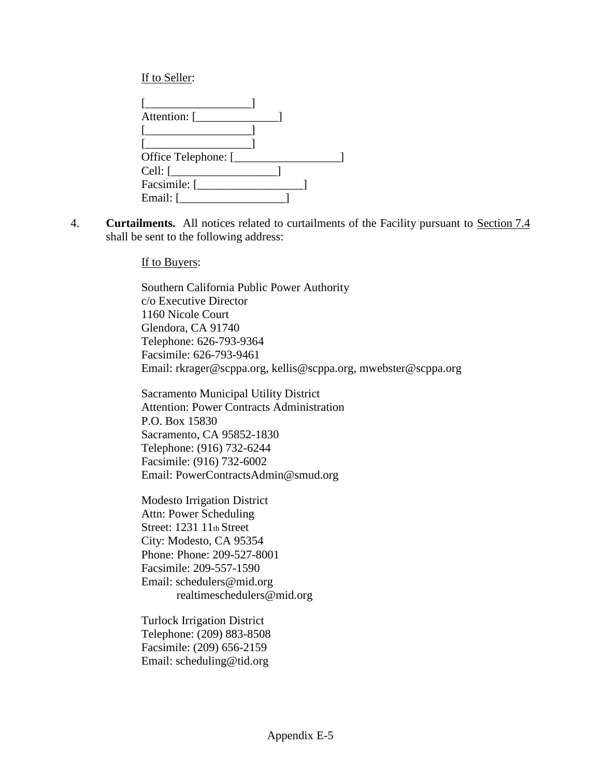If to Seller:

| <u> 1980 - Jan Barbarat, manala</u>                                                                                  |  |
|----------------------------------------------------------------------------------------------------------------------|--|
| <u> 1986 - Jan Stein Stein Stein Stein Stein Stein Stein Stein Stein Stein Stein Stein Stein Stein Stein Stein S</u> |  |
| Office Telephone: [                                                                                                  |  |
| $Cell:$ $\boxed{\phantom{a}}$                                                                                        |  |
| Facsimile: [                                                                                                         |  |
| Email: [                                                                                                             |  |

4. **Curtailments.** All notices related to curtailments of the Facility pursuant to Section 7.4 shall be sent to the following address:

If to Buyers:

Southern California Public Power Authority c/o Executive Director 1160 Nicole Court Glendora, CA 91740 Telephone: 626-793-9364 Facsimile: 626-793-9461 Email: rkrager@scppa.org, kellis@scppa.org, mwebster@scppa.org

Sacramento Municipal Utility District Attention: Power Contracts Administration P.O. Box 15830 Sacramento, CA 95852-1830 Telephone: (916) 732-6244 Facsimile: (916) 732-6002 Email: PowerContractsAdmin@smud.org

Modesto Irrigation District Attn: Power Scheduling Street: 1231 11th Street City: Modesto, CA 95354 Phone: Phone: 209-527-8001 Facsimile: 209-557-1590 Email: schedulers@mid.org realtimeschedulers@mid.org

Turlock Irrigation District Telephone: (209) 883-8508 Facsimile: (209) 656-2159 Email: scheduling@tid.org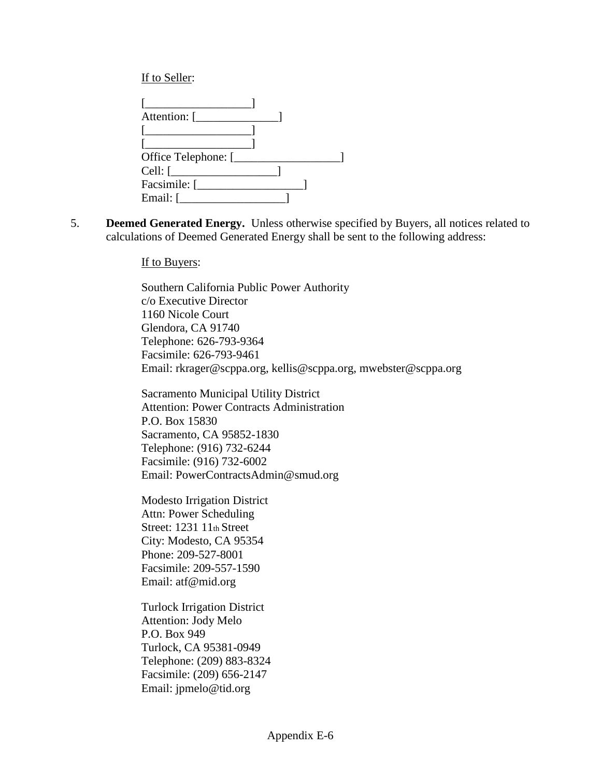If to Seller:

| Attention: [        |  |  |
|---------------------|--|--|
|                     |  |  |
|                     |  |  |
| Office Telephone: [ |  |  |
| Cell: $\lceil$      |  |  |
| Facsimile: [        |  |  |
| Email: $\lceil$     |  |  |

5. **Deemed Generated Energy.** Unless otherwise specified by Buyers, all notices related to calculations of Deemed Generated Energy shall be sent to the following address:

If to Buyers:

Southern California Public Power Authority c/o Executive Director 1160 Nicole Court Glendora, CA 91740 Telephone: 626-793-9364 Facsimile: 626-793-9461 Email: rkrager@scppa.org, kellis@scppa.org, mwebster@scppa.org

Sacramento Municipal Utility District Attention: Power Contracts Administration P.O. Box 15830 Sacramento, CA 95852-1830 Telephone: (916) 732-6244 Facsimile: (916) 732-6002 Email: PowerContractsAdmin@smud.org

Modesto Irrigation District Attn: Power Scheduling Street: 1231 11th Street City: Modesto, CA 95354 Phone: 209-527-8001 Facsimile: 209-557-1590 Email: atf@mid.org

Turlock Irrigation District Attention: Jody Melo P.O. Box 949 Turlock, CA 95381-0949 Telephone: (209) 883-8324 Facsimile: (209) 656-2147 Email: jpmelo@tid.org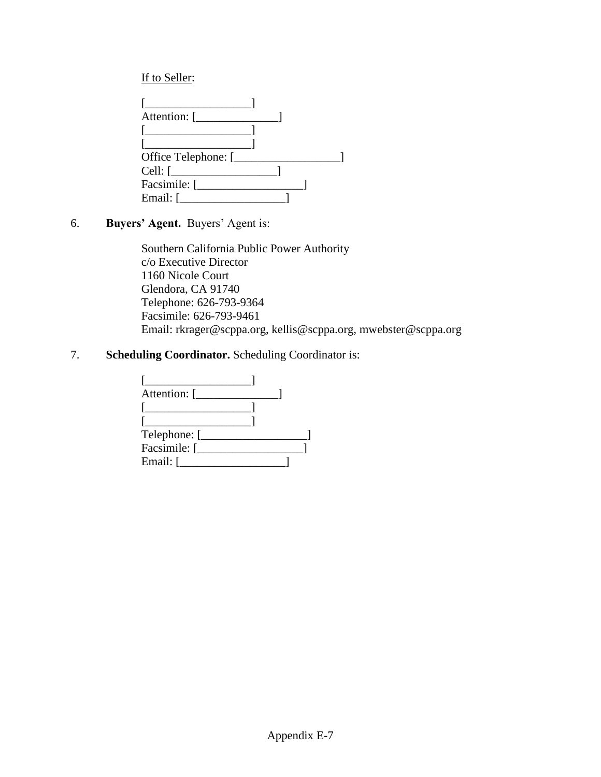# If to Seller:

| Office Telephone: [ |  |  |
|---------------------|--|--|
| $Cell: \lceil$      |  |  |
|                     |  |  |
| Email: [            |  |  |

# 6. **Buyers' Agent.** Buyers' Agent is:

Southern California Public Power Authority c/o Executive Director 1160 Nicole Court Glendora, CA 91740 Telephone: 626-793-9364 Facsimile: 626-793-9461 Email: rkrager@scppa.org, kellis@scppa.org, mwebster@scppa.org

# 7. **Scheduling Coordinator.** Scheduling Coordinator is:

| Attention: [ |  |
|--------------|--|
|              |  |
|              |  |
| Telephone: [ |  |
| Facsimile: [ |  |
| Email: [     |  |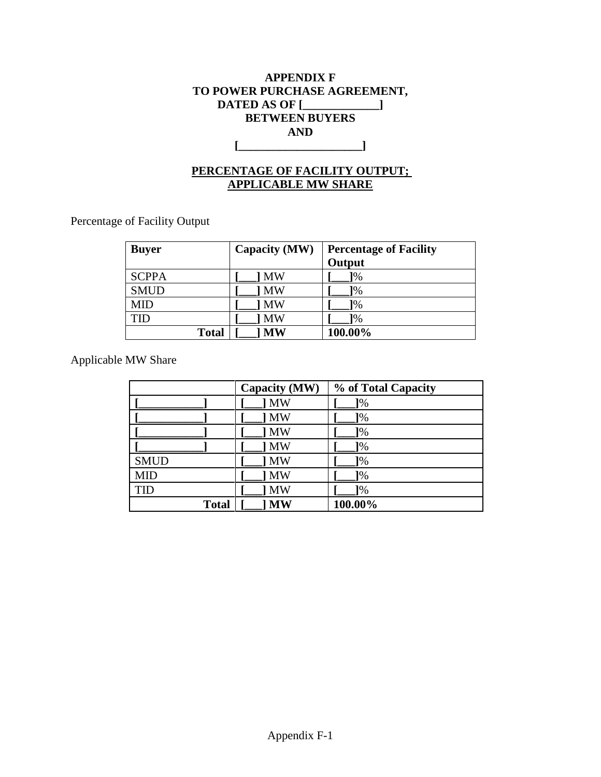# **APPENDIX F TO POWER PURCHASE AGREEMENT, DATED AS OF [\_\_\_\_\_\_\_\_\_\_\_\_\_] BETWEEN BUYERS AND [\_\_\_\_\_\_\_\_\_\_\_\_\_\_\_\_\_\_\_\_\_]**

# **PERCENTAGE OF FACILITY OUTPUT; APPLICABLE MW SHARE**

Percentage of Facility Output

| <b>Buyer</b> | Capacity (MW)      | <b>Percentage of Facility</b><br>Output |
|--------------|--------------------|-----------------------------------------|
| <b>SCPPA</b> | <b>MW</b>          | $1\%$                                   |
| <b>SMUD</b>  | <b>MW</b>          | $\frac{1}{6}$                           |
| <b>MID</b>   | <b>MW</b>          | 1%                                      |
| TID          | <b>MW</b>          | 1%                                      |
|              | <b>Total</b><br>МW | 100.00%                                 |

Applicable MW Share

|              | Capacity (MW) | % of Total Capacity |
|--------------|---------------|---------------------|
|              | <b>MW</b>     | $\sqrt{2}$          |
|              | <b>MW</b>     | $\frac{1}{6}$       |
|              | <b>MW</b>     | 1%                  |
|              | <b>MW</b>     | 1%                  |
| <b>SMUD</b>  | <b>MW</b>     | $1\%$               |
| <b>MID</b>   | MW            | $1\%$               |
| <b>TID</b>   | <b>MW</b>     | $1\%$               |
| <b>Total</b> | <b>MW</b>     | 100.00%             |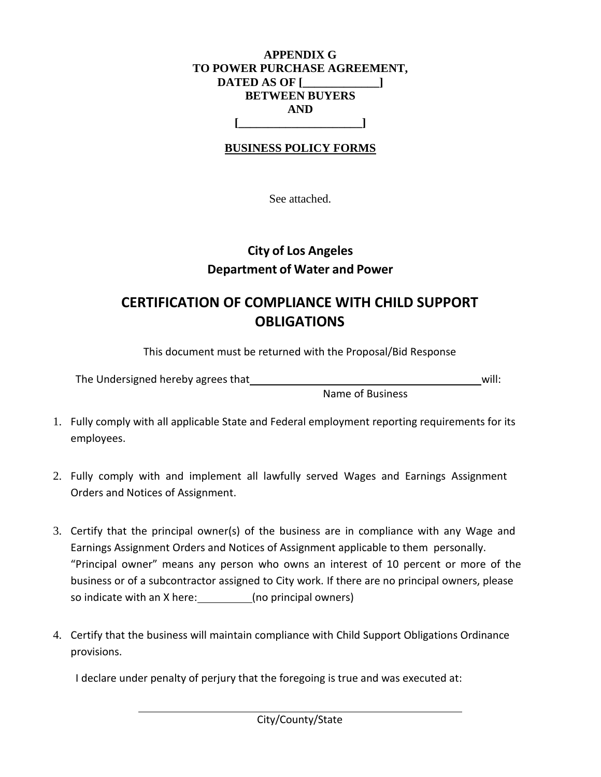### **APPENDIX G TO POWER PURCHASE AGREEMENT, DATED AS OF [\_\_\_\_\_\_\_\_\_\_\_\_\_] BETWEEN BUYERS AND [\_\_\_\_\_\_\_\_\_\_\_\_\_\_\_\_\_\_\_\_\_]**

# **BUSINESS POLICY FORMS**

See attached.

# **City of Los Angeles Department of Water and Power**

# **CERTIFICATION OF COMPLIANCE WITH CHILD SUPPORT OBLIGATIONS**

This document must be returned with the Proposal/Bid Response

| The Undersigned hereby agrees that | will: |  |
|------------------------------------|-------|--|
|------------------------------------|-------|--|

Name of Business

- 1. Fully comply with all applicable State and Federal employment reporting requirements for its employees.
- 2. Fully comply with and implement all lawfully served Wages and Earnings Assignment Orders and Notices of Assignment.
- 3. Certify that the principal owner(s) of the business are in compliance with any Wage and Earnings Assignment Orders and Notices of Assignment applicable to them personally. "Principal owner" means any person who owns an interest of 10 percent or more of the business or of a subcontractor assigned to City work. If there are no principal owners, please so indicate with an X here: (no principal owners)
- 4. Certify that the business will maintain compliance with Child Support Obligations Ordinance provisions.

I declare under penalty of perjury that the foregoing is true and was executed at: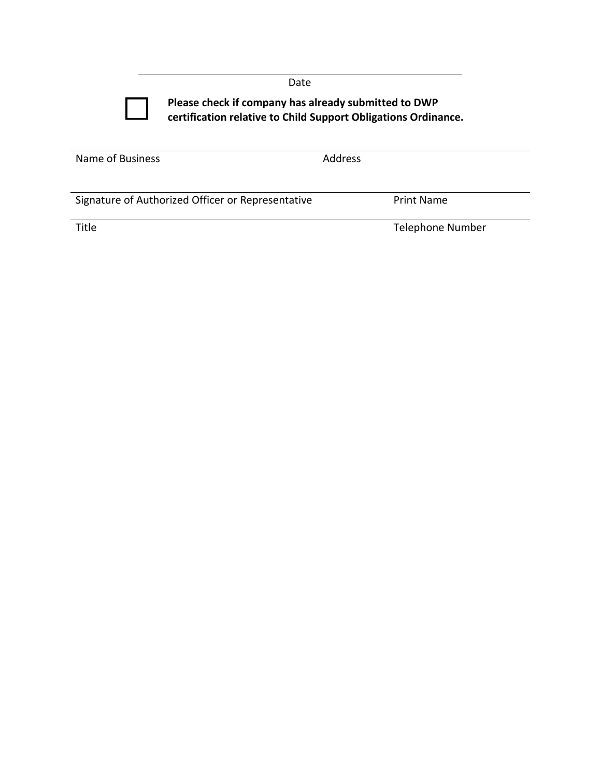|                  | <b>DULL</b>                                                                                                            |
|------------------|------------------------------------------------------------------------------------------------------------------------|
|                  | Please check if company has already submitted to DWP<br>certification relative to Child Support Obligations Ordinance. |
| Name of Business | <b>Address</b>                                                                                                         |

| Signature of Authorized Officer or Representative | <b>Print Name</b> |
|---------------------------------------------------|-------------------|

Title Title Telephone Number

Date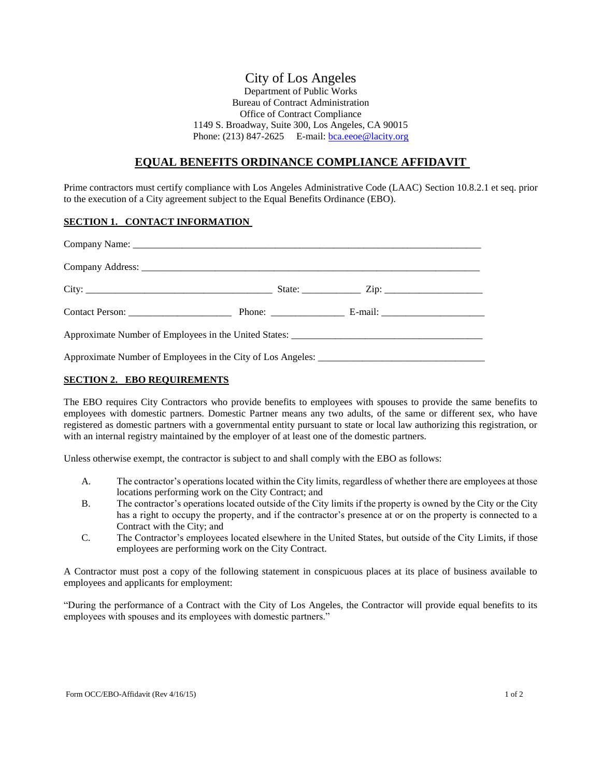#### City of Los Angeles Department of Public Works Bureau of Contract Administration Office of Contract Compliance 1149 S. Broadway, Suite 300, Los Angeles, CA 90015 Phone: (213) 847-2625 E-mail:  $bca.ee0e@lacity.org$

#### **EQUAL BENEFITS ORDINANCE COMPLIANCE AFFIDAVIT**

Prime contractors must certify compliance with Los Angeles Administrative Code (LAAC) Section 10.8.2.1 et seq. prior to the execution of a City agreement subject to the Equal Benefits Ordinance (EBO).

#### **SECTION 1. CONTACT INFORMATION**

#### **SECTION 2. EBO REQUIREMENTS**

The EBO requires City Contractors who provide benefits to employees with spouses to provide the same benefits to employees with domestic partners. Domestic Partner means any two adults, of the same or different sex, who have registered as domestic partners with a governmental entity pursuant to state or local law authorizing this registration, or with an internal registry maintained by the employer of at least one of the domestic partners.

Unless otherwise exempt, the contractor is subject to and shall comply with the EBO as follows:

- A. The contractor's operations located within the City limits, regardless of whether there are employees at those locations performing work on the City Contract; and
- B. The contractor's operations located outside of the City limits if the property is owned by the City or the City has a right to occupy the property, and if the contractor's presence at or on the property is connected to a Contract with the City; and
- C. The Contractor's employees located elsewhere in the United States, but outside of the City Limits, if those employees are performing work on the City Contract.

A Contractor must post a copy of the following statement in conspicuous places at its place of business available to employees and applicants for employment:

"During the performance of a Contract with the City of Los Angeles, the Contractor will provide equal benefits to its employees with spouses and its employees with domestic partners."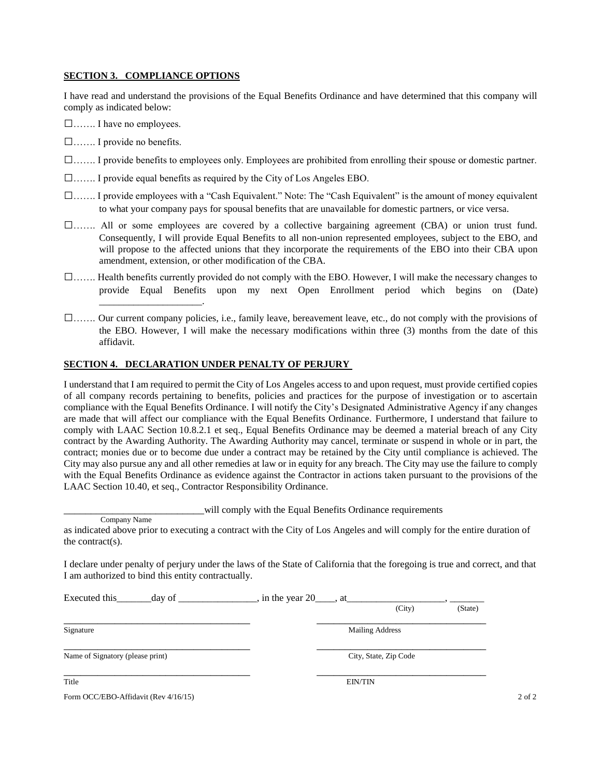#### **SECTION 3. COMPLIANCE OPTIONS**

I have read and understand the provisions of the Equal Benefits Ordinance and have determined that this company will comply as indicated below:

□……. I have no employees.

□……. I provide no benefits.

- □……. I provide benefits to employees only. Employees are prohibited from enrolling their spouse or domestic partner.
- □……. I provide equal benefits as required by the City of Los Angeles EBO.
- □……. I provide employees with a "Cash Equivalent." Note: The "Cash Equivalent" is the amount of money equivalent to what your company pays for spousal benefits that are unavailable for domestic partners, or vice versa.
- □……. All or some employees are covered by a collective bargaining agreement (CBA) or union trust fund. Consequently, I will provide Equal Benefits to all non-union represented employees, subject to the EBO, and will propose to the affected unions that they incorporate the requirements of the EBO into their CBA upon amendment, extension, or other modification of the CBA.
- □……. Health benefits currently provided do not comply with the EBO. However, I will make the necessary changes to provide Equal Benefits upon my next Open Enrollment period which begins on (Date) \_\_\_\_\_\_\_\_\_\_\_\_\_\_\_\_\_\_\_\_\_.
- □……. Our current company policies, i.e., family leave, bereavement leave, etc., do not comply with the provisions of the EBO. However, I will make the necessary modifications within three (3) months from the date of this affidavit.

#### **SECTION 4. DECLARATION UNDER PENALTY OF PERJURY**

I understand that I am required to permit the City of Los Angeles access to and upon request, must provide certified copies of all company records pertaining to benefits, policies and practices for the purpose of investigation or to ascertain compliance with the Equal Benefits Ordinance. I will notify the City's Designated Administrative Agency if any changes are made that will affect our compliance with the Equal Benefits Ordinance. Furthermore, I understand that failure to comply with LAAC Section 10.8.2.1 et seq., Equal Benefits Ordinance may be deemed a material breach of any City contract by the Awarding Authority. The Awarding Authority may cancel, terminate or suspend in whole or in part, the contract; monies due or to become due under a contract may be retained by the City until compliance is achieved. The City may also pursue any and all other remedies at law or in equity for any breach. The City may use the failure to comply with the Equal Benefits Ordinance as evidence against the Contractor in actions taken pursuant to the provisions of the LAAC Section 10.40, et seq., Contractor Responsibility Ordinance.

will comply with the Equal Benefits Ordinance requirements

I declare under penalty of perjury under the laws of the State of California that the foregoing is true and correct, and that I am authorized to bind this entity contractually.

| Executed this<br>day of              | , in the year $20$ <sub>____</sub> , at___ |                        |            |
|--------------------------------------|--------------------------------------------|------------------------|------------|
|                                      |                                            | (City)                 | (State)    |
| Signature                            |                                            | <b>Mailing Address</b> |            |
| Name of Signatory (please print)     |                                            | City, State, Zip Code  |            |
| Title                                |                                            | <b>EIN/TIN</b>         |            |
| Form OCC/EBO-Affidavit (Rev 4/16/15) |                                            |                        | $2$ of $2$ |

Company Name

as indicated above prior to executing a contract with the City of Los Angeles and will comply for the entire duration of the contract(s).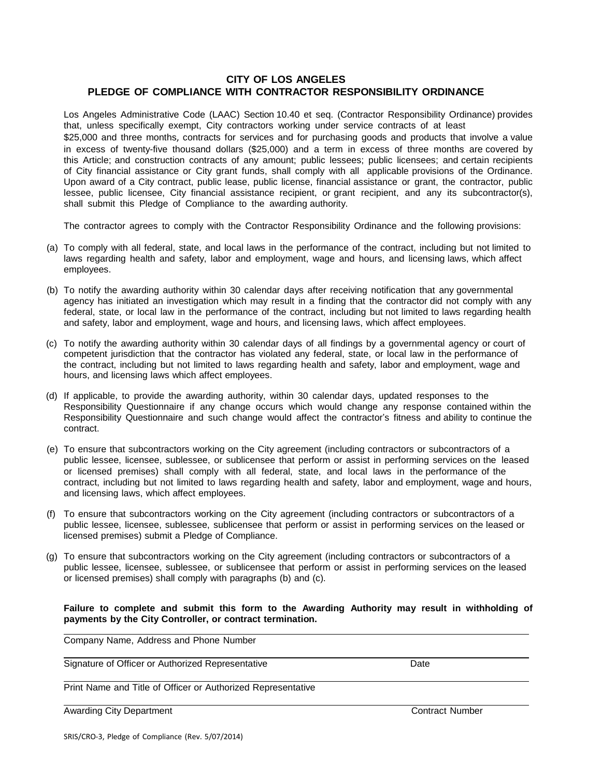#### **CITY OF LOS ANGELES PLEDGE OF COMPLIANCE WITH CONTRACTOR RESPONSIBILITY ORDINANCE**

Los Angeles Administrative Code (LAAC) Section 10.40 et seq. (Contractor Responsibility Ordinance) provides that, unless specifically exempt, City contractors working under service contracts of at least \$25,000 and three months, contracts for services and for purchasing goods and products that involve a value in excess of twenty-five thousand dollars (\$25,000) and a term in excess of three months are covered by this Article; and construction contracts of any amount; public lessees; public licensees; and certain recipients of City financial assistance or City grant funds, shall comply with all applicable provisions of the Ordinance. Upon award of a City contract, public lease, public license, financial assistance or grant, the contractor, public lessee, public licensee, City financial assistance recipient, or grant recipient, and any its subcontractor(s), shall submit this Pledge of Compliance to the awarding authority.

The contractor agrees to comply with the Contractor Responsibility Ordinance and the following provisions:

- (a) To comply with all federal, state, and local laws in the performance of the contract, including but not limited to laws regarding health and safety, labor and employment, wage and hours, and licensing laws, which affect employees.
- (b) To notify the awarding authority within 30 calendar days after receiving notification that any governmental agency has initiated an investigation which may result in a finding that the contractor did not comply with any federal, state, or local law in the performance of the contract, including but not limited to laws regarding health and safety, labor and employment, wage and hours, and licensing laws, which affect employees.
- (c) To notify the awarding authority within 30 calendar days of all findings by a governmental agency or court of competent jurisdiction that the contractor has violated any federal, state, or local law in the performance of the contract, including but not limited to laws regarding health and safety, labor and employment, wage and hours, and licensing laws which affect employees.
- (d) If applicable, to provide the awarding authority, within 30 calendar days, updated responses to the Responsibility Questionnaire if any change occurs which would change any response contained within the Responsibility Questionnaire and such change would affect the contractor's fitness and ability to continue the contract.
- (e) To ensure that subcontractors working on the City agreement (including contractors or subcontractors of a public lessee, licensee, sublessee, or sublicensee that perform or assist in performing services on the leased or licensed premises) shall comply with all federal, state, and local laws in the performance of the contract, including but not limited to laws regarding health and safety, labor and employment, wage and hours, and licensing laws, which affect employees.
- (f) To ensure that subcontractors working on the City agreement (including contractors or subcontractors of a public lessee, licensee, sublessee, sublicensee that perform or assist in performing services on the leased or licensed premises) submit a Pledge of Compliance.
- (g) To ensure that subcontractors working on the City agreement (including contractors or subcontractors of a public lessee, licensee, sublessee, or sublicensee that perform or assist in performing services on the leased or licensed premises) shall comply with paragraphs (b) and (c).

#### **Failure to complete and submit this form to the Awarding Authority may result in withholding of payments by the City Controller, or contract termination.**

Company Name, Address and Phone Number

Signature of Officer or Authorized Representative **Date** Date

Print Name and Title of Officer or Authorized Representative

Awarding City Department Contract Number Contract Number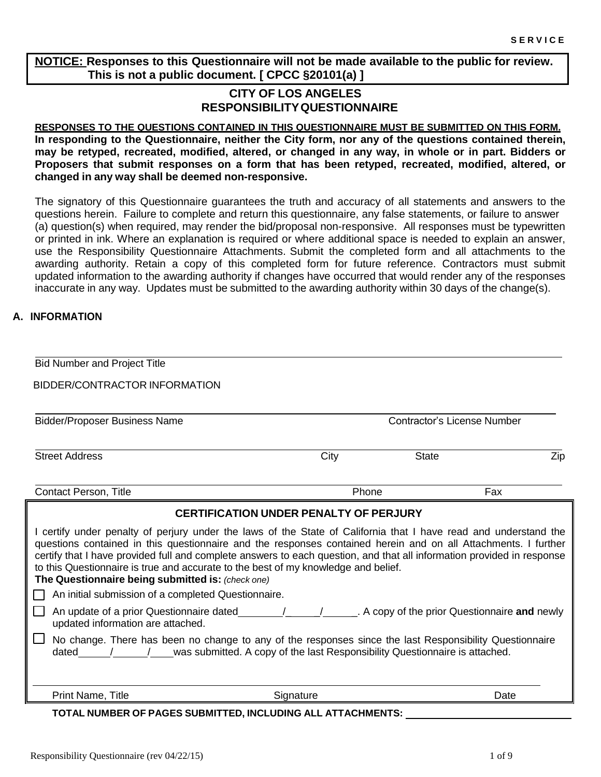**NOTICE: Responses to this Questionnaire will not be made available to the public for review. This is not a public document. [ CPCC §20101(a) ]**

# **CITY OF LOS ANGELES RESPONSIBILITYQUESTIONNAIRE**

**RESPONSES TO THE QUESTIONS CONTAINED IN THIS QUESTIONNAIRE MUST BE SUBMITTED ON THIS FORM. In responding to the Questionnaire, neither the City form, nor any of the questions contained therein,** may be retyped, recreated, modified, altered, or changed in any way, in whole or in part. Bidders or **Proposers that submit responses on a form that has been retyped, recreated, modified, altered, or changed in any way shall be deemed non-responsive.**

The signatory of this Questionnaire guarantees the truth and accuracy of all statements and answers to the questions herein. Failure to complete and return this questionnaire, any false statements, or failure to answer (a) question(s) when required, may render the bid/proposal non-responsive. All responses must be typewritten or printed in ink. Where an explanation is required or where additional space is needed to explain an answer, use the Responsibility Questionnaire Attachments. Submit the completed form and all attachments to the awarding authority. Retain a copy of this completed form for future reference. Contractors must submit updated information to the awarding authority if changes have occurred that would render any of the responses inaccurate in any way. Updates must be submitted to the awarding authority within 30 days of the change(s).

#### **A. INFORMATION**

| <b>Bid Number and Project Title</b>                                                                                                                                                                                                                                                                                                                                                                                                                                                                     |       |                                    |      |
|---------------------------------------------------------------------------------------------------------------------------------------------------------------------------------------------------------------------------------------------------------------------------------------------------------------------------------------------------------------------------------------------------------------------------------------------------------------------------------------------------------|-------|------------------------------------|------|
| <b>BIDDER/CONTRACTOR INFORMATION</b>                                                                                                                                                                                                                                                                                                                                                                                                                                                                    |       |                                    |      |
| <b>Bidder/Proposer Business Name</b>                                                                                                                                                                                                                                                                                                                                                                                                                                                                    |       | <b>Contractor's License Number</b> |      |
| <b>Street Address</b>                                                                                                                                                                                                                                                                                                                                                                                                                                                                                   | City  | <b>State</b>                       | Zip  |
| <b>Contact Person, Title</b>                                                                                                                                                                                                                                                                                                                                                                                                                                                                            | Phone |                                    | Fax  |
| <b>CERTIFICATION UNDER PENALTY OF PERJURY</b>                                                                                                                                                                                                                                                                                                                                                                                                                                                           |       |                                    |      |
| I certify under penalty of perjury under the laws of the State of California that I have read and understand the<br>questions contained in this questionnaire and the responses contained herein and on all Attachments. I further<br>certify that I have provided full and complete answers to each question, and that all information provided in response<br>to this Questionnaire is true and accurate to the best of my knowledge and belief.<br>The Questionnaire being submitted is: (check one) |       |                                    |      |
| An initial submission of a completed Questionnaire.                                                                                                                                                                                                                                                                                                                                                                                                                                                     |       |                                    |      |
| An update of a prior Questionnaire dated 1997 / 1997. A copy of the prior Questionnaire and newly<br>updated information are attached.                                                                                                                                                                                                                                                                                                                                                                  |       |                                    |      |
| No change. There has been no change to any of the responses since the last Responsibility Questionnaire<br>dated / / was submitted. A copy of the last Responsibility Questionnaire is attached.                                                                                                                                                                                                                                                                                                        |       |                                    |      |
| Print Name, Title<br>Signature                                                                                                                                                                                                                                                                                                                                                                                                                                                                          |       |                                    | Date |
| TOTAL NUMBER OF PAGES SUBMITTED, INCLUDING ALL ATTACHMENTS:                                                                                                                                                                                                                                                                                                                                                                                                                                             |       |                                    |      |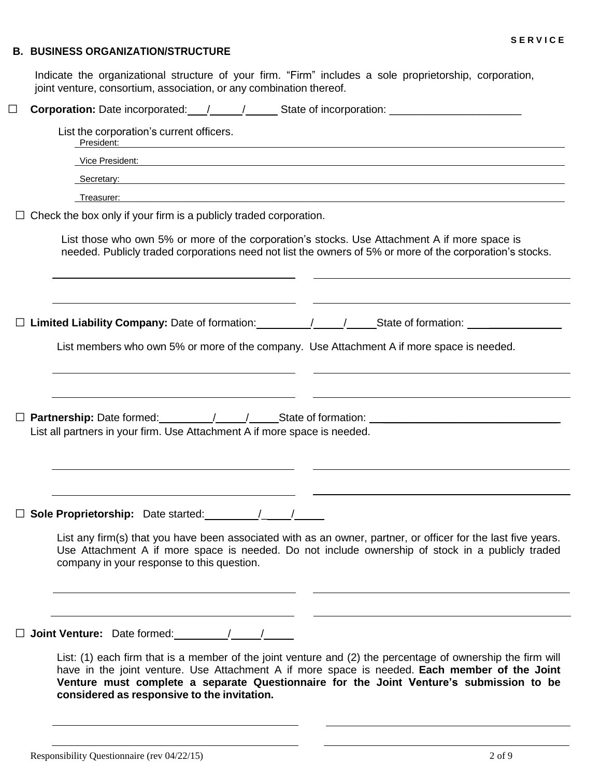#### **B. BUSINESS ORGANIZATION/STRUCTURE**

Indicate the organizational structure of your firm. "Firm" includes a sole proprietorship, corporation, joint venture, consortium, association, or any combination thereof.

□ **Corporation:** Date incorporated: // // State of incorporation: \_\_\_\_\_\_\_\_\_\_\_\_\_\_\_\_\_\_\_\_

| Vice President: Wicker & Structure Contract Contract Contract Contract Contract Contract Contract Contract Contract Contract Contract Contract Contract Contract Contract Contract Contract Contract Contract Contract Contrac                                  |
|-----------------------------------------------------------------------------------------------------------------------------------------------------------------------------------------------------------------------------------------------------------------|
| <b>Secretary:</b> Secretary: Secretary: Secretary: Secretary: Secretary: Secretary: Secretary: Secretary: Secretary: Secretary: Secretary: Secretary: Secretary: Secretary: Secretary: Secretary: Secretary: Secretary: Secretary:                              |
| Treasurer:<br><u>a sa barang ang pagbabang nagarang pangangang nagarang pangangang nagarang pang</u>                                                                                                                                                            |
| $\Box$ Check the box only if your firm is a publicly traded corporation.                                                                                                                                                                                        |
| List those who own 5% or more of the corporation's stocks. Use Attachment A if more space is<br>needed. Publicly traded corporations need not list the owners of 5% or more of the corporation's stocks.                                                        |
| □ Limited Liability Company: Date of formation: ________________________________                                                                                                                                                                                |
| List members who own 5% or more of the company. Use Attachment A if more space is needed.                                                                                                                                                                       |
| □ Partnership: Date formed: __________/ _____/ ______State of formation: __________________________<br>List all partners in your firm. Use Attachment A if more space is needed.                                                                                |
| List any firm(s) that you have been associated with as an owner, partner, or officer for the last five years.<br>Use Attachment A if more space is needed. Do not include ownership of stock in a publicly traded<br>company in your response to this question. |
|                                                                                                                                                                                                                                                                 |
| $\Box$ Joint Venture: Date formed: $\Box$ / /                                                                                                                                                                                                                   |
| List: (1) each firm that is a member of the joint venture and (2) the percentage of ownership the firm will                                                                                                                                                     |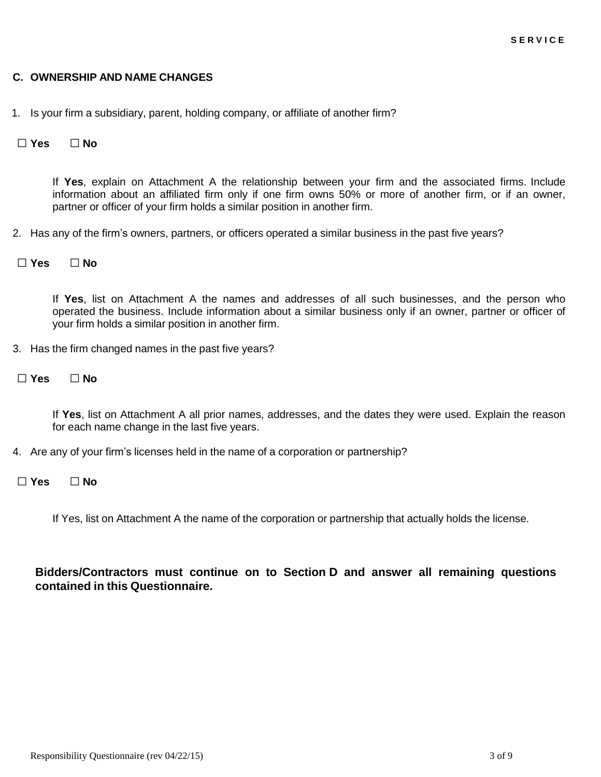#### **C. OWNERSHIP AND NAME CHANGES**

1. Is your firm a subsidiary, parent, holding company, or affiliate of another firm?

#### **□ Yes □ No**

If **Yes**, explain on Attachment A the relationship between your firm and the associated firms. Include information about an affiliated firm only if one firm owns 50% or more of another firm, or if an owner, partner or officer of your firm holds a similar position in another firm.

2. Has any of the firm's owners, partners, or officers operated a similar business in the past five years?

#### **□ Yes □ No**

If **Yes**, list on Attachment A the names and addresses of all such businesses, and the person who operated the business. Include information about a similar business only if an owner, partner or officer of your firm holds a similar position in another firm.

- 3. Has the firm changed names in the past five years?
- **□ Yes □ No**

If **Yes**, list on Attachment A all prior names, addresses, and the dates they were used. Explain the reason for each name change in the last five years.

4. Are any of your firm's licenses held in the name of a corporation or partnership?

#### **□ Yes □ No**

If Yes, list on Attachment A the name of the corporation or partnership that actually holds the license.

**Bidders/Contractors must continue on to Section D and answer all remaining questions contained in this Questionnaire.**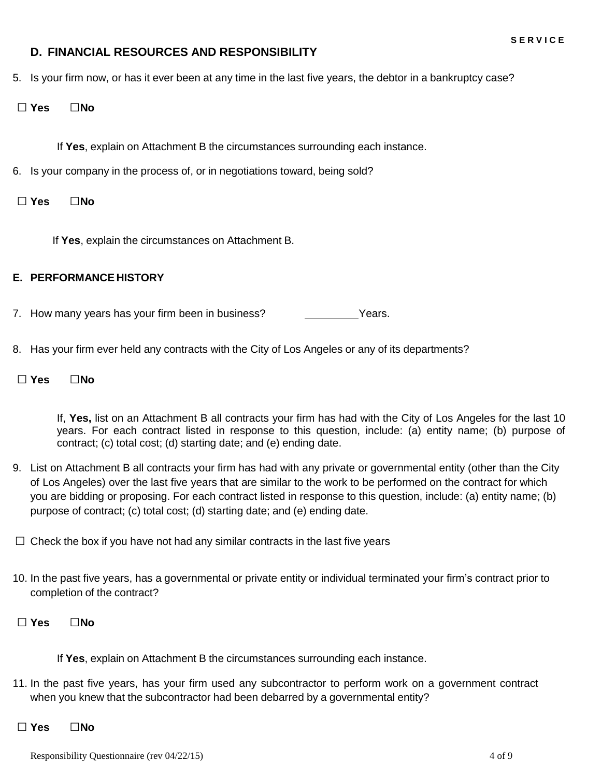### **D. FINANCIAL RESOURCES AND RESPONSIBILITY**

- 5. Is your firm now, or has it ever been at any time in the last five years, the debtor in a bankruptcy case?
- **□ Yes □No**

If **Yes**, explain on Attachment B the circumstances surrounding each instance.

- 6. Is your company in the process of, or in negotiations toward, being sold?
- **□ Yes □No**

If **Yes**, explain the circumstances on Attachment B.

#### **E. PERFORMANCE HISTORY**

- 7. How many years has your firm been in business? The Mears.
- 8. Has your firm ever held any contracts with the City of Los Angeles or any of its departments?
- **□ Yes □No**

If, **Yes,** list on an Attachment B all contracts your firm has had with the City of Los Angeles for the last 10 years. For each contract listed in response to this question, include: (a) entity name; (b) purpose of contract; (c) total cost; (d) starting date; and (e) ending date.

- 9. List on Attachment B all contracts your firm has had with any private or governmental entity (other than the City of Los Angeles) over the last five years that are similar to the work to be performed on the contract for which you are bidding or proposing. For each contract listed in response to this question, include: (a) entity name; (b) purpose of contract; (c) total cost; (d) starting date; and (e) ending date.
- **□** Check the box if you have not had any similar contracts in the last five years
- 10. In the past five years, has a governmental or private entity or individual terminated your firm's contract prior to completion of the contract?
- **□ Yes □No**

If **Yes**, explain on Attachment B the circumstances surrounding each instance.

- 11. In the past five years, has your firm used any subcontractor to perform work on a government contract when you knew that the subcontractor had been debarred by a governmental entity?
- **□ Yes □No**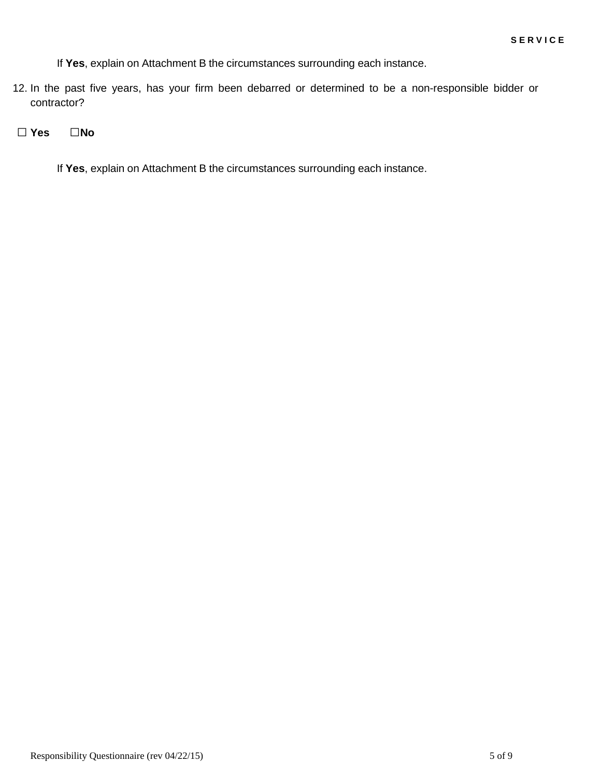If **Yes**, explain on Attachment B the circumstances surrounding each instance.

12. In the past five years, has your firm been debarred or determined to be a non-responsible bidder or contractor?

**□ Yes □No**

If **Yes**, explain on Attachment B the circumstances surrounding each instance.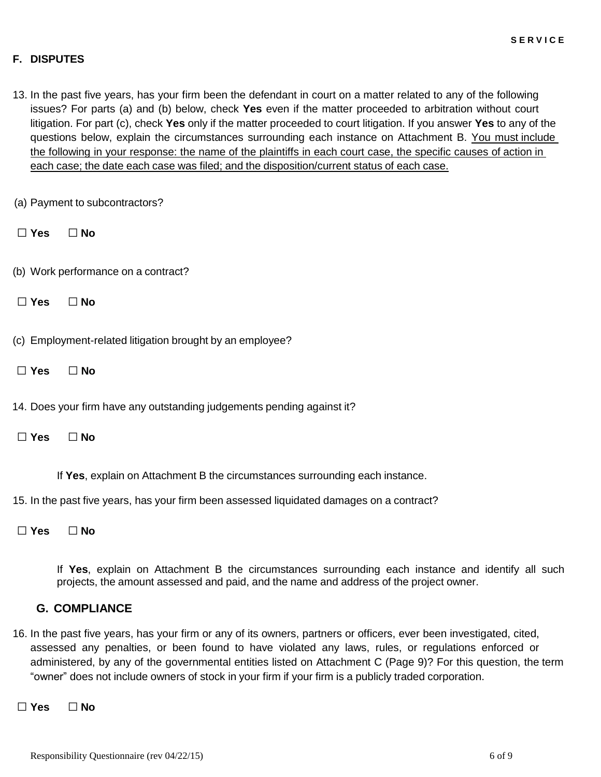#### **F. DISPUTES**

13. In the past five years, has your firm been the defendant in court on a matter related to any of the following issues? For parts (a) and (b) below, check **Yes** even if the matter proceeded to arbitration without court litigation. For part (c), check **Yes** only if the matter proceeded to court litigation. If you answer **Yes** to any of the questions below, explain the circumstances surrounding each instance on Attachment B. You must include the following in your response: the name of the plaintiffs in each court case, the specific causes of action in each case; the date each case was filed; and the disposition/current status of each case.

(a) Payment to subcontractors?

- **□ Yes □ No**
- (b) Work performance on a contract?
- **□ Yes □ No**

(c) Employment-related litigation brought by an employee?

- **□ Yes □ No**
- 14. Does your firm have any outstanding judgements pending against it?
- **□ Yes □ No**

If **Yes**, explain on Attachment B the circumstances surrounding each instance.

15. In the past five years, has your firm been assessed liquidated damages on a contract?

**□ Yes □ No**

If **Yes**, explain on Attachment B the circumstances surrounding each instance and identify all such projects, the amount assessed and paid, and the name and address of the project owner.

#### **G. COMPLIANCE**

- 16. In the past five years, has your firm or any of its owners, partners or officers, ever been investigated, cited, assessed any penalties, or been found to have violated any laws, rules, or regulations enforced or administered, by any of the governmental entities listed on Attachment C (Page 9)? For this question, the term "owner" does not include owners of stock in your firm if your firm is a publicly traded corporation.
- **□ Yes □ No**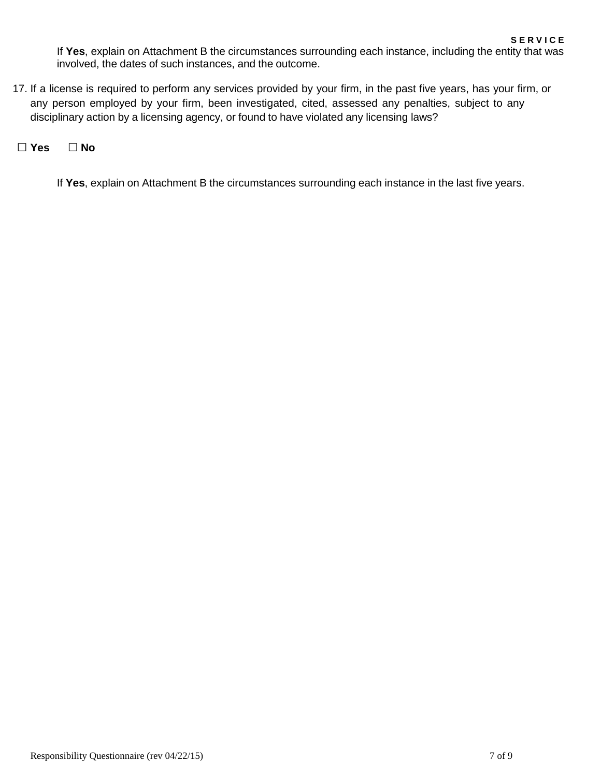If **Yes**, explain on Attachment B the circumstances surrounding each instance, including the entity that was involved, the dates of such instances, and the outcome.

17. If a license is required to perform any services provided by your firm, in the past five years, has your firm, or any person employed by your firm, been investigated, cited, assessed any penalties, subject to any disciplinary action by a licensing agency, or found to have violated any licensing laws?

**□ Yes □ No**

If **Yes**, explain on Attachment B the circumstances surrounding each instance in the last five years.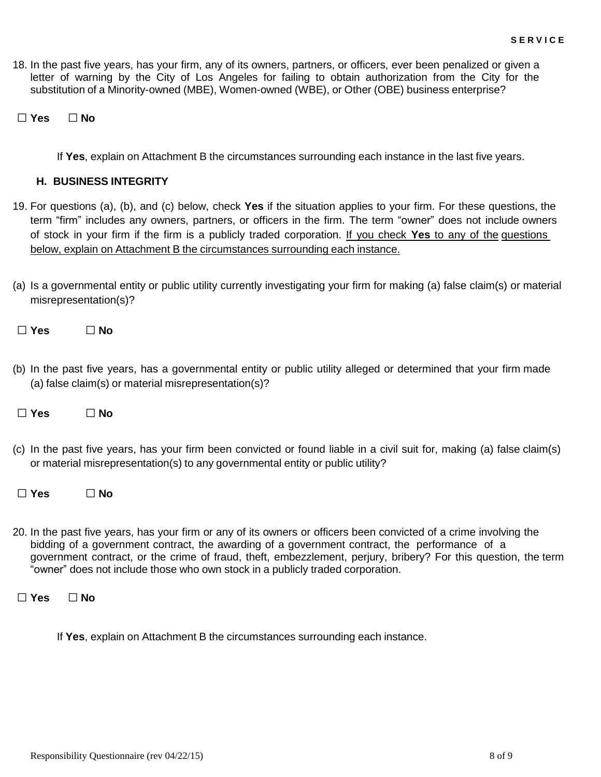18. In the past five years, has your firm, any of its owners, partners, or officers, ever been penalized or given a letter of warning by the City of Los Angeles for failing to obtain authorization from the City for the substitution of a Minority-owned (MBE), Women-owned (WBE), or Other (OBE) business enterprise?

**□ Yes □ No**

If **Yes**, explain on Attachment B the circumstances surrounding each instance in the last five years.

#### **H. BUSINESS INTEGRITY**

- 19. For questions (a), (b), and (c) below, check **Yes** if the situation applies to your firm. For these questions, the term "firm" includes any owners, partners, or officers in the firm. The term "owner" does not include owners of stock in your firm if the firm is a publicly traded corporation. If you check **Yes** to any of the questions below, explain on Attachment B the circumstances surrounding each instance.
- (a) Is a governmental entity or public utility currently investigating your firm for making (a) false claim(s) or material misrepresentation(s)?

| $\Box$ No |
|-----------|
|           |
|           |

- (b) In the past five years, has a governmental entity or public utility alleged or determined that your firm made (a) false claim(s) or material misrepresentation(s)?
- **□ Yes □ No**
- (c) In the past five years, has your firm been convicted or found liable in a civil suit for, making (a) false claim(s) or material misrepresentation(s) to any governmental entity or public utility?
- **□ Yes □ No**
- 20. In the past five years, has your firm or any of its owners or officers been convicted of a crime involving the bidding of a government contract, the awarding of a government contract, the performance of a government contract, or the crime of fraud, theft, embezzlement, perjury, bribery? For this question, the term "owner" does not include those who own stock in a publicly traded corporation.

**□ Yes □ No**

If **Yes**, explain on Attachment B the circumstances surrounding each instance.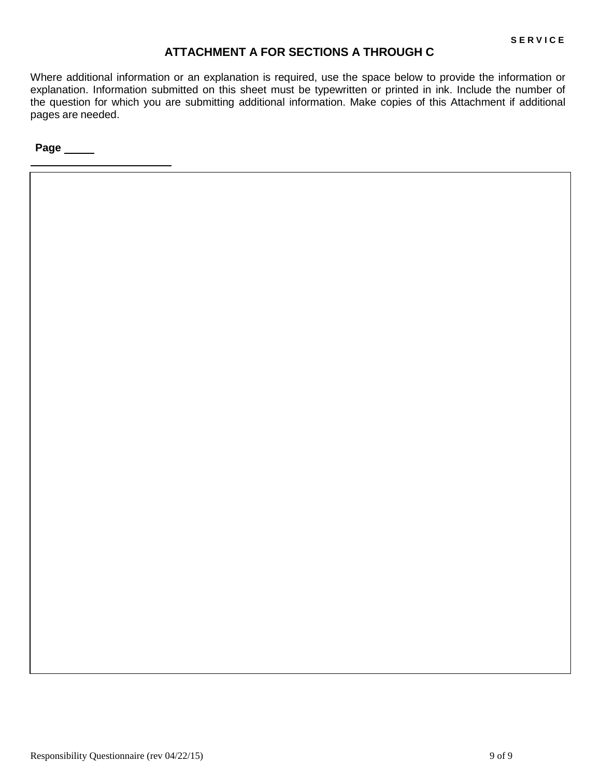## **ATTACHMENT A FOR SECTIONS A THROUGH C**

Where additional information or an explanation is required, use the space below to provide the information or explanation. Information submitted on this sheet must be typewritten or printed in ink. Include the number of the question for which you are submitting additional information. Make copies of this Attachment if additional pages are needed.

**Page**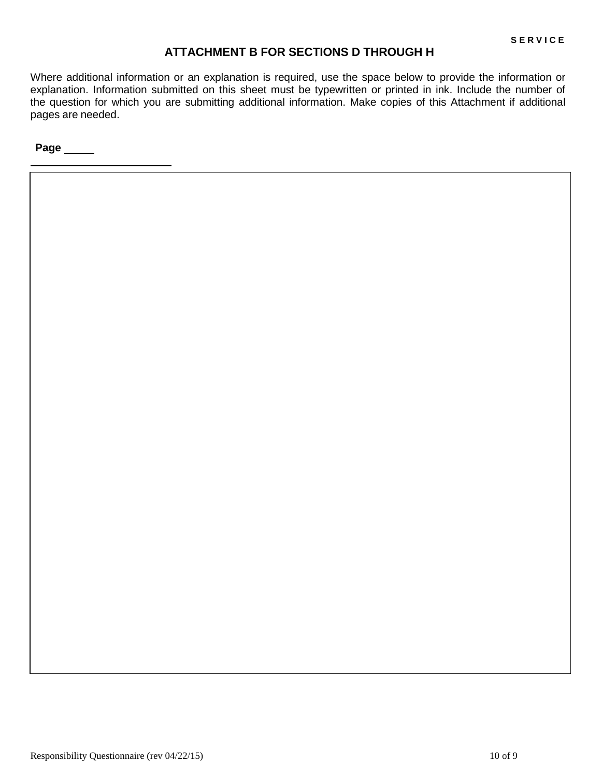## **ATTACHMENT B FOR SECTIONS D THROUGH H**

Where additional information or an explanation is required, use the space below to provide the information or explanation. Information submitted on this sheet must be typewritten or printed in ink. Include the number of the question for which you are submitting additional information. Make copies of this Attachment if additional pages are needed.

**Page**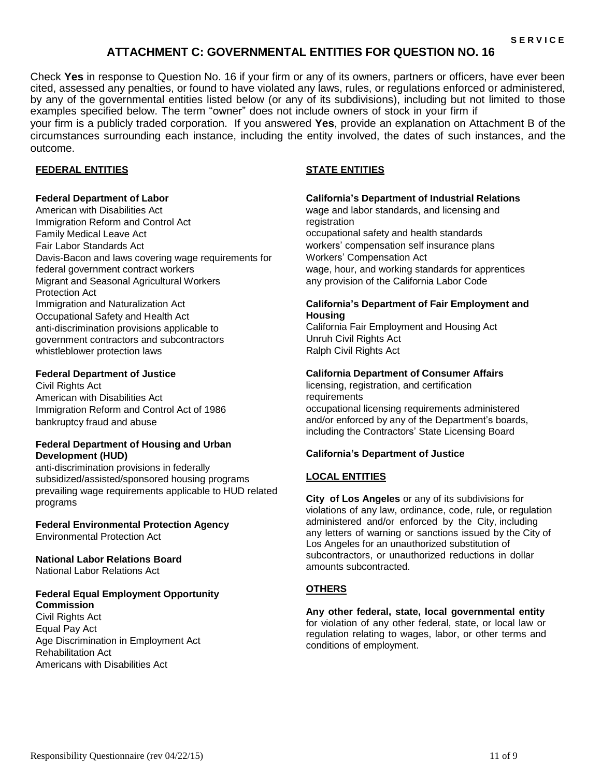## **ATTACHMENT C: GOVERNMENTAL ENTITIES FOR QUESTION NO. 16**

Check **Yes** in response to Question No. 16 if your firm or any of its owners, partners or officers, have ever been cited, assessed any penalties, or found to have violated any laws, rules, or regulations enforced or administered, by any of the governmental entities listed below (or any of its subdivisions), including but not limited to those examples specified below. The term "owner" does not include owners of stock in your firm if

your firm is a publicly traded corporation. If you answered **Yes**, provide an explanation on Attachment B of the circumstances surrounding each instance, including the entity involved, the dates of such instances, and the outcome.

#### **FEDERAL ENTITIES STATE ENTITIES**

#### **Federal Department of Labor**

• American with Disabilities Act • Immigration Reform and Control Act • Family Medical Leave Act • Fair Labor Standards Act • Davis-Bacon and laws covering wage requirements for federal government contract workers • Migrant and Seasonal Agricultural Workers Protection Act • Immigration and Naturalization Act • Occupational Safety and Health Act • anti-discrimination provisions applicable to government contractors and subcontractors whistleblower protection laws

#### **Federal Department of Justice**

Civil Rights Act • American with Disabilities Act • Immigration Reform and Control Act of 1986 • bankruptcy fraud and abuse

#### **Federal Department of Housing and Urban Development (HUD)**

• anti-discrimination provisions in federally subsidized/assisted/sponsored housing programs • prevailing wage requirements applicable to HUD related programs

**Federal Environmental Protection Agency**

• Environmental Protection Act

#### **National Labor Relations Board** • National Labor Relations Act

## **Federal Equal Employment Opportunity**

**Commission** Civil Rights Act • Equal Pay Act • Age Discrimination in Employment Act • Rehabilitation Act • Americans with Disabilities Act

#### **California's Department of Industrial Relations**

• wage and labor standards, and licensing and registration • occupational safety and health standards • workers' compensation self insurance plans • Workers' Compensation Act wage, hour, and working standards for apprentices • any provision of the California Labor Code

#### **California's Department of Fair Employment and Housing**

• California Fair Employment and Housing Act • Unruh Civil Rights Act • Ralph Civil Rights Act

#### **California Department of Consumer Affairs**

licensing, registration, and certification requirements • occupational licensing requirements administered and/or enforced by any of the Department's boards, including the Contractors' State Licensing Board

#### **California's Department of Justice**

#### **LOCAL ENTITIES**

**City of Los Angeles** or any of its subdivisions for violations of any law, ordinance, code, rule, or regulation administered and/or enforced by the City, including any letters of warning or sanctions issued by the City of Los Angeles for an unauthorized substitution of subcontractors, or unauthorized reductions in dollar amounts subcontracted.

#### **OTHERS**

**Any other federal, state, local governmental entity**  for violation of any other federal, state, or local law or regulation relating to wages, labor, or other terms and conditions of employment.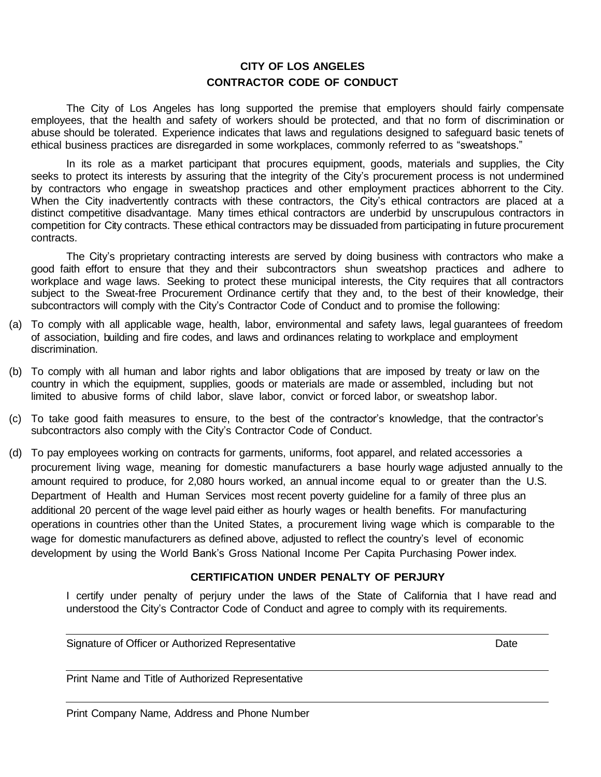## **CITY OF LOS ANGELES CONTRACTOR CODE OF CONDUCT**

The City of Los Angeles has long supported the premise that employers should fairly compensate employees, that the health and safety of workers should be protected, and that no form of discrimination or abuse should be tolerated. Experience indicates that laws and regulations designed to safeguard basic tenets of ethical business practices are disregarded in some workplaces, commonly referred to as "sweatshops."

In its role as a market participant that procures equipment, goods, materials and supplies, the City seeks to protect its interests by assuring that the integrity of the City's procurement process is not undermined by contractors who engage in sweatshop practices and other employment practices abhorrent to the City. When the City inadvertently contracts with these contractors, the City's ethical contractors are placed at a distinct competitive disadvantage. Many times ethical contractors are underbid by unscrupulous contractors in competition for City contracts. These ethical contractors may be dissuaded from participating in future procurement contracts.

The City's proprietary contracting interests are served by doing business with contractors who make a good faith effort to ensure that they and their subcontractors shun sweatshop practices and adhere to workplace and wage laws. Seeking to protect these municipal interests, the City requires that all contractors subject to the Sweat-free Procurement Ordinance certify that they and, to the best of their knowledge, their subcontractors will comply with the City's Contractor Code of Conduct and to promise the following:

- (a) To comply with all applicable wage, health, labor, environmental and safety laws, legal guarantees of freedom of association, building and fire codes, and laws and ordinances relating to workplace and employment discrimination.
- (b) To comply with all human and labor rights and labor obligations that are imposed by treaty or law on the country in which the equipment, supplies, goods or materials are made or assembled, including but not limited to abusive forms of child labor, slave labor, convict or forced labor, or sweatshop labor.
- (c) To take good faith measures to ensure, to the best of the contractor's knowledge, that the contractor's subcontractors also comply with the City's Contractor Code of Conduct.
- (d) To pay employees working on contracts for garments, uniforms, foot apparel, and related accessories a procurement living wage, meaning for domestic manufacturers a base hourly wage adjusted annually to the amount required to produce, for 2,080 hours worked, an annual income equal to or greater than the U.S. Department of Health and Human Services most recent poverty guideline for a family of three plus an additional 20 percent of the wage level paid either as hourly wages or health benefits. For manufacturing operations in countries other than the United States, a procurement living wage which is comparable to the wage for domestic manufacturers as defined above, adjusted to reflect the country's level of economic development by using the World Bank's Gross National Income Per Capita Purchasing Power index.

#### **CERTIFICATION UNDER PENALTY OF PERJURY**

I certify under penalty of perjury under the laws of the State of California that I have read and understood the City's Contractor Code of Conduct and agree to comply with its requirements.

Signature of Officer or Authorized Representative **Date** Date Date

Print Name and Title of Authorized Representative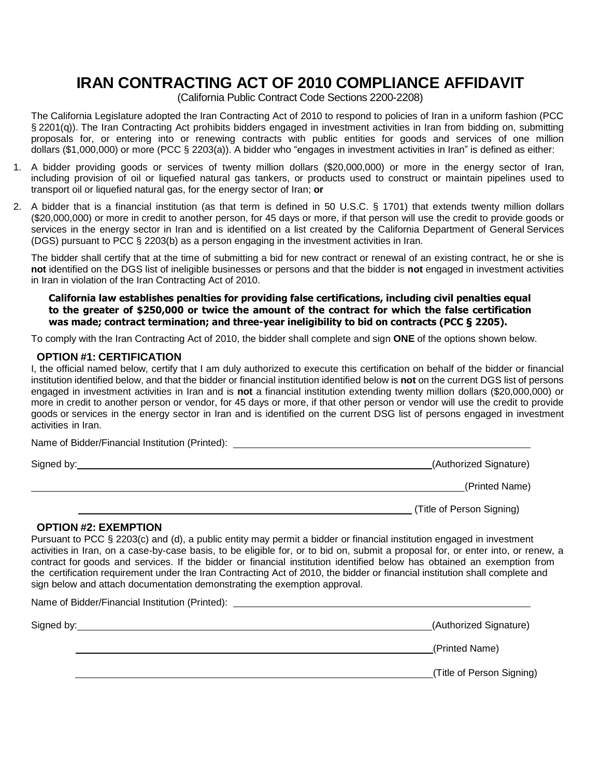# **IRAN CONTRACTING ACT OF 2010 COMPLIANCE AFFIDAVIT**

(California Public Contract Code Sections 2200-2208)

The California Legislature adopted the Iran Contracting Act of 2010 to respond to policies of Iran in a uniform fashion (PCC § 2201(q)). The Iran Contracting Act prohibits bidders engaged in investment activities in Iran from bidding on, submitting proposals for, or entering into or renewing contracts with public entities for goods and services of one million dollars (\$1,000,000) or more (PCC § 2203(a)). A bidder who "engages in investment activities in Iran" is defined as either:

- 1. A bidder providing goods or services of twenty million dollars (\$20,000,000) or more in the energy sector of Iran, including provision of oil or liquefied natural gas tankers, or products used to construct or maintain pipelines used to transport oil or liquefied natural gas, for the energy sector of Iran; **or**
- 2. A bidder that is a financial institution (as that term is defined in 50 U.S.C. § 1701) that extends twenty million dollars (\$20,000,000) or more in credit to another person, for 45 days or more, if that person will use the credit to provide goods or services in the energy sector in Iran and is identified on a list created by the California Department of General Services (DGS) pursuant to PCC § 2203(b) as a person engaging in the investment activities in Iran.

The bidder shall certify that at the time of submitting a bid for new contract or renewal of an existing contract, he or she is **not** identified on the DGS list of ineligible businesses or persons and that the bidder is **not** engaged in investment activities in Iran in violation of the Iran Contracting Act of 2010.

**California law establishes penalties for providing false certifications, including civil penalties equal to the greater of \$250,000 or twice the amount of the contract for which the false certification was made; contract termination; and three-year ineligibility to bid on contracts (PCC § 2205).**

To comply with the Iran Contracting Act of 2010, the bidder shall complete and sign **ONE** of the options shown below.

#### **OPTION #1: CERTIFICATION**

Name of Bidder/Financial Institution (Printed):

I, the official named below, certify that I am duly authorized to execute this certification on behalf of the bidder or financial institution identified below, and that the bidder or financial institution identified below is **not** on the current DGS list of persons engaged in investment activities in Iran and is **not** a financial institution extending twenty million dollars (\$20,000,000) or more in credit to another person or vendor, for 45 days or more, if that other person or vendor will use the credit to provide goods or services in the energy sector in Iran and is identified on the current DSG list of persons engaged in investment activities in Iran.

| $\sim$ . The state of the state of the state of the state of the state of the state of the state of the state of the state of the state of the state of the state of the state of the state of the state of the state of the st |                           |
|---------------------------------------------------------------------------------------------------------------------------------------------------------------------------------------------------------------------------------|---------------------------|
| Signed by:                                                                                                                                                                                                                      | (Authorized Signature)    |
|                                                                                                                                                                                                                                 | (Printed Name)            |
|                                                                                                                                                                                                                                 | (Title of Person Signing) |

#### **OPTION #2: EXEMPTION**

Pursuant to PCC § 2203(c) and (d), a public entity may permit a bidder or financial institution engaged in investment activities in Iran, on a case-by-case basis, to be eligible for, or to bid on, submit a proposal for, or enter into, or renew, a contract for goods and services. If the bidder or financial institution identified below has obtained an exemption from the certification requirement under the Iran Contracting Act of 2010, the bidder or financial institution shall complete and sign below and attach documentation demonstrating the exemption approval.

| Name of Bidder/Financial Institution (Printed): _________ |                           |
|-----------------------------------------------------------|---------------------------|
|                                                           | (Authorized Signature)    |
|                                                           | (Printed Name)            |
|                                                           | (Title of Person Signing) |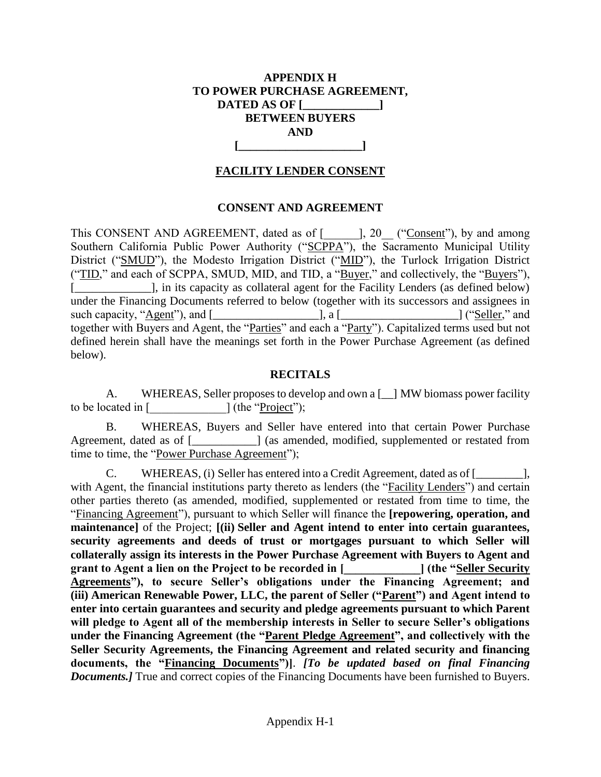## **APPENDIX H TO POWER PURCHASE AGREEMENT, DATED AS OF [\_\_\_\_\_\_\_\_\_\_\_\_\_] BETWEEN BUYERS AND [\_\_\_\_\_\_\_\_\_\_\_\_\_\_\_\_\_\_\_\_\_]**

## **FACILITY LENDER CONSENT**

## **CONSENT AND AGREEMENT**

This CONSENT AND AGREEMENT, dated as of [1, 20, ("Consent"), by and among Southern California Public Power Authority ("SCPPA"), the Sacramento Municipal Utility District ("SMUD"), the Modesto Irrigation District ("MID"), the Turlock Irrigation District ("TID," and each of SCPPA, SMUD, MID, and TID, a "Buyer," and collectively, the "Buyers"), [\_\_\_\_\_\_\_\_\_\_\_\_\_], in its capacity as collateral agent for the Facility Lenders (as defined below) under the Financing Documents referred to below (together with its successors and assignees in such capacity, "Agent"), and [\_\_\_\_\_\_\_\_\_\_\_\_\_\_\_\_\_\_], a [\_\_\_\_\_\_\_\_\_\_\_\_\_\_\_\_\_\_\_\_] ("Seller," and together with Buyers and Agent, the "Parties" and each a "Party"). Capitalized terms used but not defined herein shall have the meanings set forth in the Power Purchase Agreement (as defined below).

## **RECITALS**

A. WHEREAS, Seller proposes to develop and own a [\_\_] MW biomass power facility to be located in  $[$  [  $]$  (the "<u>Project</u>");

B. WHEREAS, Buyers and Seller have entered into that certain Power Purchase Agreement, dated as of [*\_\_\_\_\_\_\_\_\_*] (as amended, modified, supplemented or restated from time to time, the "Power Purchase Agreement");

C. WHEREAS, (i) Seller has entered into a Credit Agreement, dated as of [\_\_\_\_\_\_\_\_], with Agent, the financial institutions party thereto as lenders (the "Facility Lenders") and certain other parties thereto (as amended, modified, supplemented or restated from time to time, the "Financing Agreement"), pursuant to which Seller will finance the **[repowering, operation, and maintenance]** of the Project; **[(ii) Seller and Agent intend to enter into certain guarantees, security agreements and deeds of trust or mortgages pursuant to which Seller will collaterally assign its interests in the Power Purchase Agreement with Buyers to Agent and grant to Agent a lien on the Project to be recorded in [**  $\qquad$  **[ (the "Seller Security Agreements"), to secure Seller's obligations under the Financing Agreement; and (iii) American Renewable Power, LLC, the parent of Seller ("Parent") and Agent intend to enter into certain guarantees and security and pledge agreements pursuant to which Parent will pledge to Agent all of the membership interests in Seller to secure Seller's obligations under the Financing Agreement (the "Parent Pledge Agreement", and collectively with the Seller Security Agreements, the Financing Agreement and related security and financing documents, the "Financing Documents")]**. *[To be updated based on final Financing Documents.]* True and correct copies of the Financing Documents have been furnished to Buyers.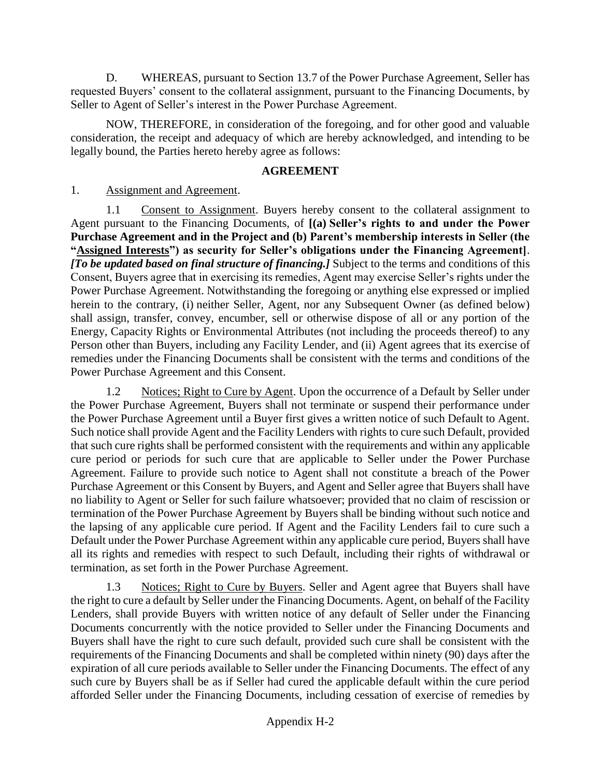D. WHEREAS, pursuant to Section 13.7 of the Power Purchase Agreement, Seller has requested Buyers' consent to the collateral assignment, pursuant to the Financing Documents, by Seller to Agent of Seller's interest in the Power Purchase Agreement.

NOW, THEREFORE, in consideration of the foregoing, and for other good and valuable consideration, the receipt and adequacy of which are hereby acknowledged, and intending to be legally bound, the Parties hereto hereby agree as follows:

## **AGREEMENT**

1. Assignment and Agreement.

1.1 Consent to Assignment. Buyers hereby consent to the collateral assignment to Agent pursuant to the Financing Documents, of **[(a) Seller's rights to and under the Power Purchase Agreement and in the Project and (b) Parent's membership interests in Seller (the "Assigned Interests") as security for Seller's obligations under the Financing Agreement]**. *[To be updated based on final structure of financing.]* Subject to the terms and conditions of this Consent, Buyers agree that in exercising its remedies, Agent may exercise Seller's rights under the Power Purchase Agreement. Notwithstanding the foregoing or anything else expressed or implied herein to the contrary, (i) neither Seller, Agent, nor any Subsequent Owner (as defined below) shall assign, transfer, convey, encumber, sell or otherwise dispose of all or any portion of the Energy, Capacity Rights or Environmental Attributes (not including the proceeds thereof) to any Person other than Buyers, including any Facility Lender, and (ii) Agent agrees that its exercise of remedies under the Financing Documents shall be consistent with the terms and conditions of the Power Purchase Agreement and this Consent.

1.2 Notices; Right to Cure by Agent. Upon the occurrence of a Default by Seller under the Power Purchase Agreement, Buyers shall not terminate or suspend their performance under the Power Purchase Agreement until a Buyer first gives a written notice of such Default to Agent. Such notice shall provide Agent and the Facility Lenders with rights to cure such Default, provided that such cure rights shall be performed consistent with the requirements and within any applicable cure period or periods for such cure that are applicable to Seller under the Power Purchase Agreement. Failure to provide such notice to Agent shall not constitute a breach of the Power Purchase Agreement or this Consent by Buyers, and Agent and Seller agree that Buyers shall have no liability to Agent or Seller for such failure whatsoever; provided that no claim of rescission or termination of the Power Purchase Agreement by Buyers shall be binding without such notice and the lapsing of any applicable cure period. If Agent and the Facility Lenders fail to cure such a Default under the Power Purchase Agreement within any applicable cure period, Buyers shall have all its rights and remedies with respect to such Default, including their rights of withdrawal or termination, as set forth in the Power Purchase Agreement.

1.3 Notices; Right to Cure by Buyers. Seller and Agent agree that Buyers shall have the right to cure a default by Seller under the Financing Documents. Agent, on behalf of the Facility Lenders, shall provide Buyers with written notice of any default of Seller under the Financing Documents concurrently with the notice provided to Seller under the Financing Documents and Buyers shall have the right to cure such default, provided such cure shall be consistent with the requirements of the Financing Documents and shall be completed within ninety (90) days after the expiration of all cure periods available to Seller under the Financing Documents. The effect of any such cure by Buyers shall be as if Seller had cured the applicable default within the cure period afforded Seller under the Financing Documents, including cessation of exercise of remedies by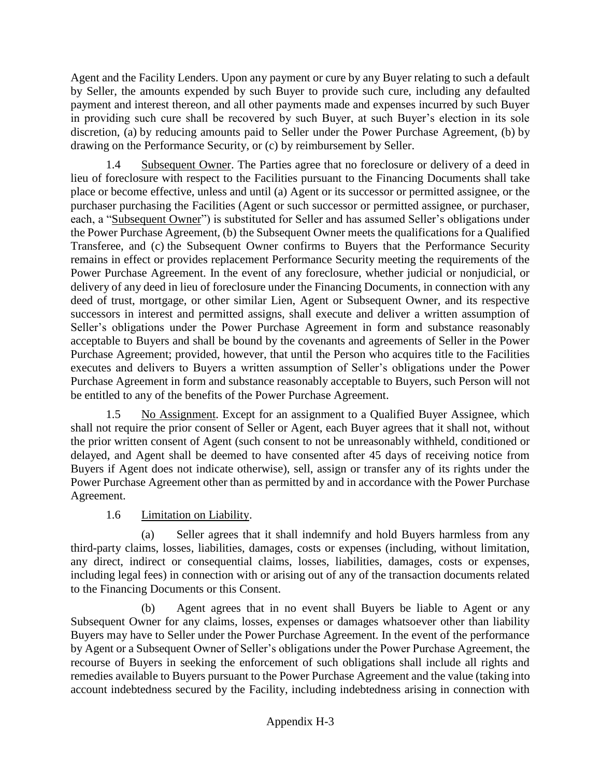Agent and the Facility Lenders. Upon any payment or cure by any Buyer relating to such a default by Seller, the amounts expended by such Buyer to provide such cure, including any defaulted payment and interest thereon, and all other payments made and expenses incurred by such Buyer in providing such cure shall be recovered by such Buyer, at such Buyer's election in its sole discretion, (a) by reducing amounts paid to Seller under the Power Purchase Agreement, (b) by drawing on the Performance Security, or (c) by reimbursement by Seller.

1.4 Subsequent Owner. The Parties agree that no foreclosure or delivery of a deed in lieu of foreclosure with respect to the Facilities pursuant to the Financing Documents shall take place or become effective, unless and until (a) Agent or its successor or permitted assignee, or the purchaser purchasing the Facilities (Agent or such successor or permitted assignee, or purchaser, each, a "Subsequent Owner") is substituted for Seller and has assumed Seller's obligations under the Power Purchase Agreement, (b) the Subsequent Owner meets the qualifications for a Qualified Transferee, and (c) the Subsequent Owner confirms to Buyers that the Performance Security remains in effect or provides replacement Performance Security meeting the requirements of the Power Purchase Agreement. In the event of any foreclosure, whether judicial or nonjudicial, or delivery of any deed in lieu of foreclosure under the Financing Documents, in connection with any deed of trust, mortgage, or other similar Lien, Agent or Subsequent Owner, and its respective successors in interest and permitted assigns, shall execute and deliver a written assumption of Seller's obligations under the Power Purchase Agreement in form and substance reasonably acceptable to Buyers and shall be bound by the covenants and agreements of Seller in the Power Purchase Agreement; provided, however, that until the Person who acquires title to the Facilities executes and delivers to Buyers a written assumption of Seller's obligations under the Power Purchase Agreement in form and substance reasonably acceptable to Buyers, such Person will not be entitled to any of the benefits of the Power Purchase Agreement.

1.5 No Assignment. Except for an assignment to a Qualified Buyer Assignee, which shall not require the prior consent of Seller or Agent, each Buyer agrees that it shall not, without the prior written consent of Agent (such consent to not be unreasonably withheld, conditioned or delayed, and Agent shall be deemed to have consented after 45 days of receiving notice from Buyers if Agent does not indicate otherwise), sell, assign or transfer any of its rights under the Power Purchase Agreement other than as permitted by and in accordance with the Power Purchase Agreement.

# 1.6 Limitation on Liability.

(a) Seller agrees that it shall indemnify and hold Buyers harmless from any third-party claims, losses, liabilities, damages, costs or expenses (including, without limitation, any direct, indirect or consequential claims, losses, liabilities, damages, costs or expenses, including legal fees) in connection with or arising out of any of the transaction documents related to the Financing Documents or this Consent.

(b) Agent agrees that in no event shall Buyers be liable to Agent or any Subsequent Owner for any claims, losses, expenses or damages whatsoever other than liability Buyers may have to Seller under the Power Purchase Agreement. In the event of the performance by Agent or a Subsequent Owner of Seller's obligations under the Power Purchase Agreement, the recourse of Buyers in seeking the enforcement of such obligations shall include all rights and remedies available to Buyers pursuant to the Power Purchase Agreement and the value (taking into account indebtedness secured by the Facility, including indebtedness arising in connection with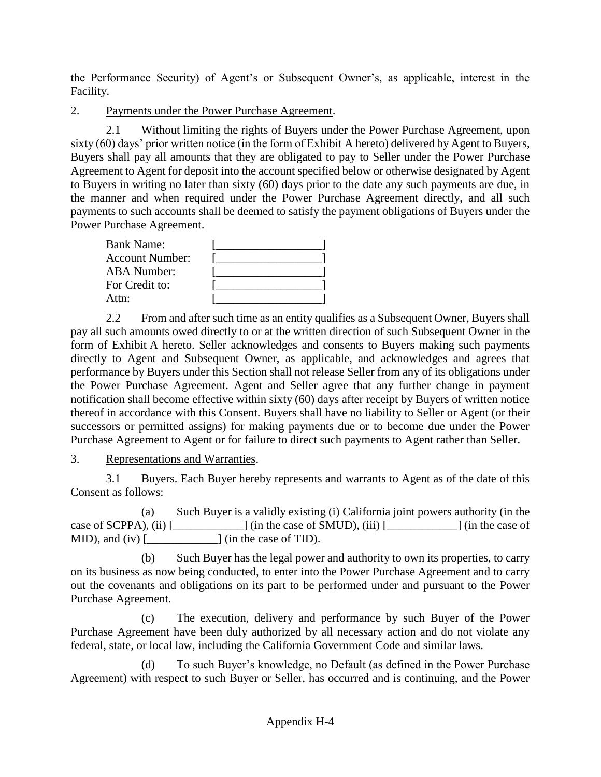the Performance Security) of Agent's or Subsequent Owner's, as applicable, interest in the Facility.

2. Payments under the Power Purchase Agreement.

2.1 Without limiting the rights of Buyers under the Power Purchase Agreement, upon sixty (60) days' prior written notice (in the form of Exhibit A hereto) delivered by Agent to Buyers, Buyers shall pay all amounts that they are obligated to pay to Seller under the Power Purchase Agreement to Agent for deposit into the account specified below or otherwise designated by Agent to Buyers in writing no later than sixty (60) days prior to the date any such payments are due, in the manner and when required under the Power Purchase Agreement directly, and all such payments to such accounts shall be deemed to satisfy the payment obligations of Buyers under the Power Purchase Agreement.

| <b>Bank Name:</b>      |  |
|------------------------|--|
| <b>Account Number:</b> |  |
| <b>ABA Number:</b>     |  |
| For Credit to:         |  |
| Attn:                  |  |

2.2 From and after such time as an entity qualifies as a Subsequent Owner, Buyers shall pay all such amounts owed directly to or at the written direction of such Subsequent Owner in the form of Exhibit A hereto. Seller acknowledges and consents to Buyers making such payments directly to Agent and Subsequent Owner, as applicable, and acknowledges and agrees that performance by Buyers under this Section shall not release Seller from any of its obligations under the Power Purchase Agreement. Agent and Seller agree that any further change in payment notification shall become effective within sixty (60) days after receipt by Buyers of written notice thereof in accordance with this Consent. Buyers shall have no liability to Seller or Agent (or their successors or permitted assigns) for making payments due or to become due under the Power Purchase Agreement to Agent or for failure to direct such payments to Agent rather than Seller.

3. Representations and Warranties.

3.1 Buyers. Each Buyer hereby represents and warrants to Agent as of the date of this Consent as follows:

(a) Such Buyer is a validly existing (i) California joint powers authority (in the case of SCPPA), (ii) [\_\_\_\_\_\_\_\_\_\_\_\_] (in the case of SMUD), (iii) [\_\_\_\_\_\_\_\_\_\_\_\_] (in the case of MID), and (iv)  $\lbrack$   $\qquad$   $\qquad$   $\qquad$  (in the case of TID).

(b) Such Buyer has the legal power and authority to own its properties, to carry on its business as now being conducted, to enter into the Power Purchase Agreement and to carry out the covenants and obligations on its part to be performed under and pursuant to the Power Purchase Agreement.

(c) The execution, delivery and performance by such Buyer of the Power Purchase Agreement have been duly authorized by all necessary action and do not violate any federal, state, or local law, including the California Government Code and similar laws.

(d) To such Buyer's knowledge, no Default (as defined in the Power Purchase Agreement) with respect to such Buyer or Seller, has occurred and is continuing, and the Power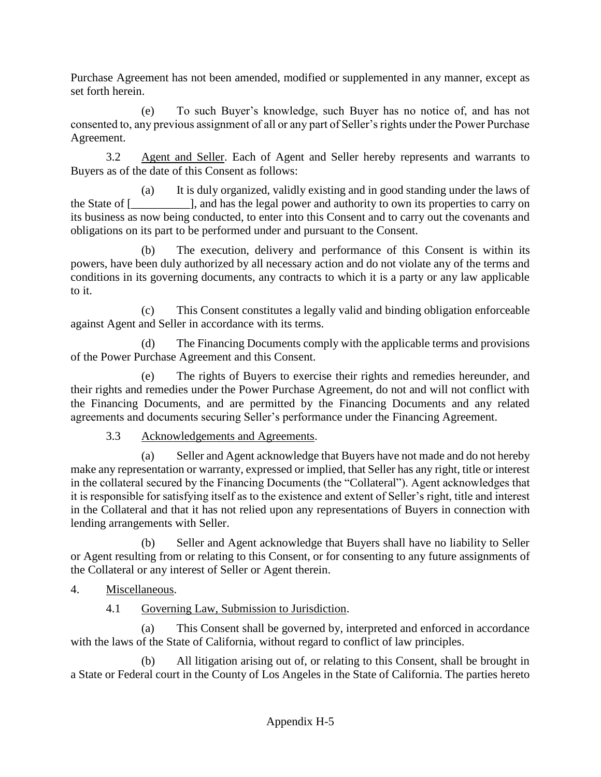Purchase Agreement has not been amended, modified or supplemented in any manner, except as set forth herein.

(e) To such Buyer's knowledge, such Buyer has no notice of, and has not consented to, any previous assignment of all or any part of Seller's rights under the Power Purchase Agreement.

3.2 Agent and Seller. Each of Agent and Seller hereby represents and warrants to Buyers as of the date of this Consent as follows:

(a) It is duly organized, validly existing and in good standing under the laws of the State of [\_\_\_\_\_\_\_\_\_\_], and has the legal power and authority to own its properties to carry on its business as now being conducted, to enter into this Consent and to carry out the covenants and obligations on its part to be performed under and pursuant to the Consent.

(b) The execution, delivery and performance of this Consent is within its powers, have been duly authorized by all necessary action and do not violate any of the terms and conditions in its governing documents, any contracts to which it is a party or any law applicable to it.

(c) This Consent constitutes a legally valid and binding obligation enforceable against Agent and Seller in accordance with its terms.

(d) The Financing Documents comply with the applicable terms and provisions of the Power Purchase Agreement and this Consent.

(e) The rights of Buyers to exercise their rights and remedies hereunder, and their rights and remedies under the Power Purchase Agreement, do not and will not conflict with the Financing Documents, and are permitted by the Financing Documents and any related agreements and documents securing Seller's performance under the Financing Agreement.

3.3 Acknowledgements and Agreements.

(a) Seller and Agent acknowledge that Buyers have not made and do not hereby make any representation or warranty, expressed or implied, that Seller has any right, title or interest in the collateral secured by the Financing Documents (the "Collateral"). Agent acknowledges that it is responsible for satisfying itself as to the existence and extent of Seller's right, title and interest in the Collateral and that it has not relied upon any representations of Buyers in connection with lending arrangements with Seller.

(b) Seller and Agent acknowledge that Buyers shall have no liability to Seller or Agent resulting from or relating to this Consent, or for consenting to any future assignments of the Collateral or any interest of Seller or Agent therein.

- 4. Miscellaneous.
	- 4.1 Governing Law, Submission to Jurisdiction.

(a) This Consent shall be governed by, interpreted and enforced in accordance with the laws of the State of California, without regard to conflict of law principles.

(b) All litigation arising out of, or relating to this Consent, shall be brought in a State or Federal court in the County of Los Angeles in the State of California. The parties hereto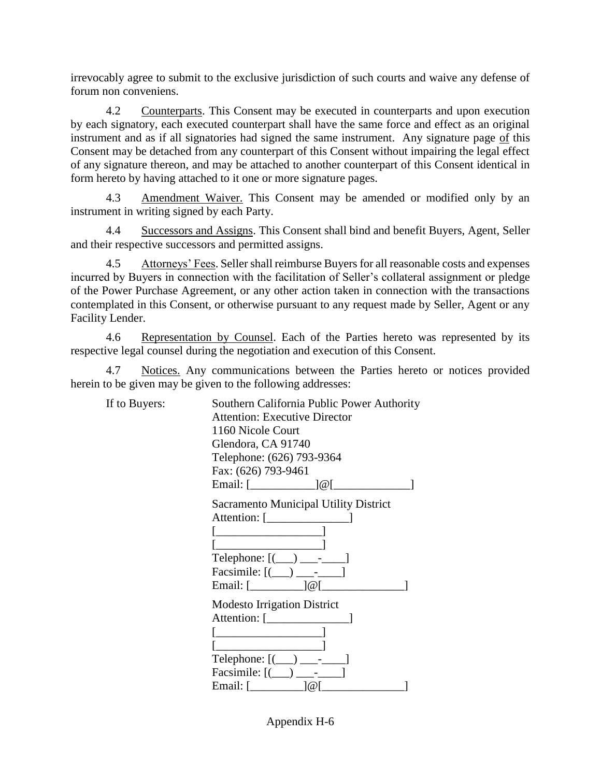irrevocably agree to submit to the exclusive jurisdiction of such courts and waive any defense of forum non conveniens.

4.2 Counterparts. This Consent may be executed in counterparts and upon execution by each signatory, each executed counterpart shall have the same force and effect as an original instrument and as if all signatories had signed the same instrument. Any signature page of this Consent may be detached from any counterpart of this Consent without impairing the legal effect of any signature thereon, and may be attached to another counterpart of this Consent identical in form hereto by having attached to it one or more signature pages.

4.3 Amendment Waiver. This Consent may be amended or modified only by an instrument in writing signed by each Party.

4.4 Successors and Assigns. This Consent shall bind and benefit Buyers, Agent, Seller and their respective successors and permitted assigns.

4.5 Attorneys' Fees. Seller shall reimburse Buyers for all reasonable costs and expenses incurred by Buyers in connection with the facilitation of Seller's collateral assignment or pledge of the Power Purchase Agreement, or any other action taken in connection with the transactions contemplated in this Consent, or otherwise pursuant to any request made by Seller, Agent or any Facility Lender.

4.6 Representation by Counsel. Each of the Parties hereto was represented by its respective legal counsel during the negotiation and execution of this Consent.

Notices. Any communications between the Parties hereto or notices provided herein to be given may be given to the following addresses:

If to Buyers:

| $\vdots$ | Southern California Public Power Authority                                                               |  |
|----------|----------------------------------------------------------------------------------------------------------|--|
|          | <b>Attention: Executive Director</b>                                                                     |  |
|          | 1160 Nicole Court                                                                                        |  |
|          | Glendora, CA 91740                                                                                       |  |
|          | Telephone: (626) 793-9364                                                                                |  |
|          | Fax: (626) 793-9461                                                                                      |  |
|          | Email: $[\_ \_ ]@[\_$                                                                                    |  |
|          | <b>Sacramento Municipal Utility District</b>                                                             |  |
|          |                                                                                                          |  |
|          |                                                                                                          |  |
|          |                                                                                                          |  |
|          | Telephone: $[$ $\underline{\hspace{1cm}}$ $]$ $\underline{\hspace{1cm}}$ $\hspace{1cm}}$ $\hspace{1cm}}$ |  |
|          | Facsimile: $[$ $]$ $]$ $]$ $]$ $]$ $]$                                                                   |  |
|          | Email: $[\underline{\hspace{1cm}}]$ $@$ $[\underline{\hspace{1cm}}]$                                     |  |
|          | <b>Modesto Irrigation District</b>                                                                       |  |
|          |                                                                                                          |  |
|          |                                                                                                          |  |
|          |                                                                                                          |  |
|          | Telephone: $[$ $\underline{\hspace{1cm}}$ $]$ $\underline{\hspace{1cm}}$ $\frac{1}{\sqrt{2}}$            |  |
|          | Facsimile: $[$ ( $)$ $]$ $-$                                                                             |  |
|          | Email: [<br>1@[                                                                                          |  |
|          |                                                                                                          |  |

Appendix H-6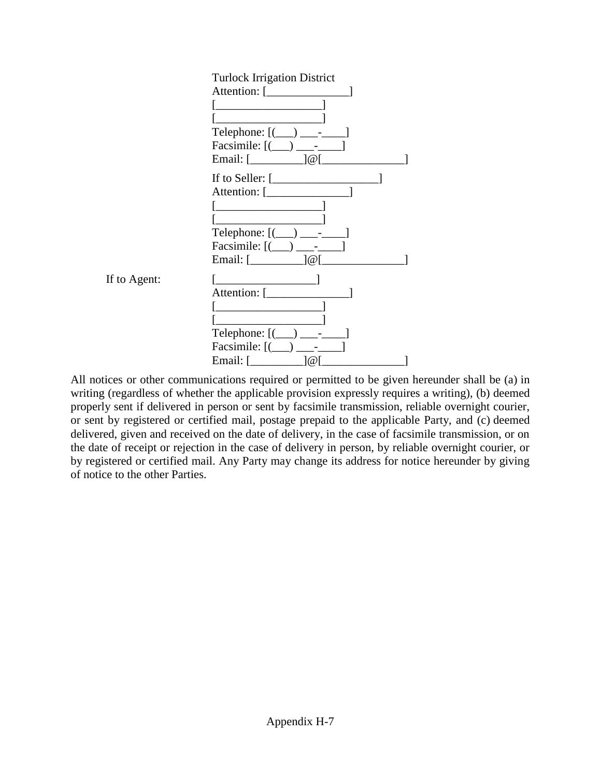

All notices or other communications required or permitted to be given hereunder shall be (a) in writing (regardless of whether the applicable provision expressly requires a writing), (b) deemed properly sent if delivered in person or sent by facsimile transmission, reliable overnight courier, or sent by registered or certified mail, postage prepaid to the applicable Party, and (c) deemed delivered, given and received on the date of delivery, in the case of facsimile transmission, or on the date of receipt or rejection in the case of delivery in person, by reliable overnight courier, or by registered or certified mail. Any Party may change its address for notice hereunder by giving of notice to the other Parties.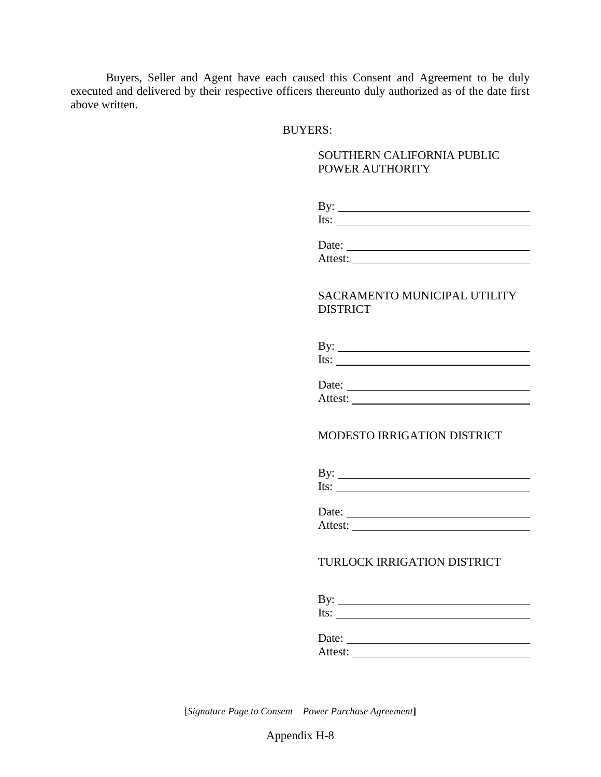Buyers, Seller and Agent have each caused this Consent and Agreement to be duly executed and delivered by their respective officers thereunto duly authorized as of the date first above written.

### BUYERS:

## SOUTHERN CALIFORNIA PUBLIC POWER AUTHORITY

| By:  |  |  |  |
|------|--|--|--|
| Its: |  |  |  |

| Date:   |  |  |
|---------|--|--|
| Attest: |  |  |

## SACRAMENTO MUNICIPAL UTILITY DISTRICT

| By:  |  |  |
|------|--|--|
| Its: |  |  |

| Date:   |  |
|---------|--|
| Attest: |  |

#### MODESTO IRRIGATION DISTRICT

| B١<br>$-$ |  |
|-----------|--|
| Its       |  |

| Date:   |  |  |
|---------|--|--|
| Attest: |  |  |

## TURLOCK IRRIGATION DISTRICT

By: Its:

Date: Attest:

[*Signature Page to Consent – Power Purchase Agreement***]**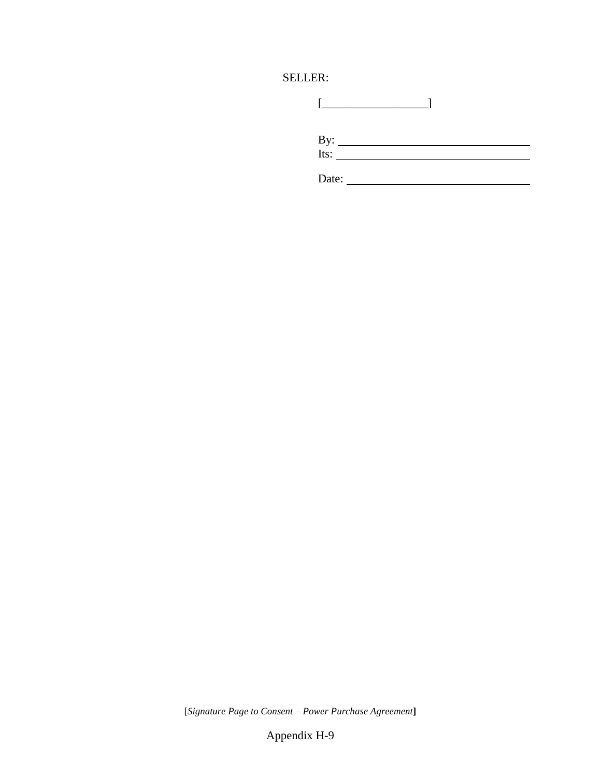# SELLER:

| Date: |
|-------|

[*Signature Page to Consent – Power Purchase Agreement***]**

Appendix H-9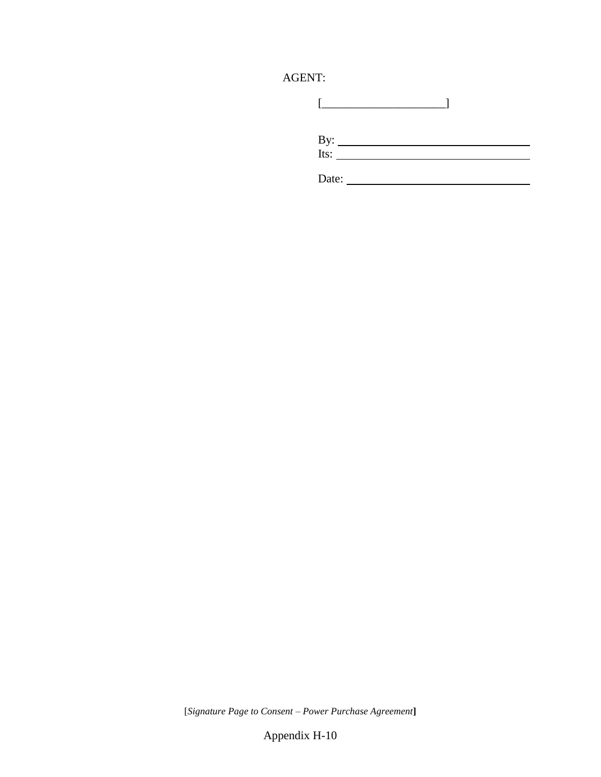# AGENT:

| By: $\frac{1}{1}$ |  |
|-------------------|--|
| Date:             |  |

[*Signature Page to Consent – Power Purchase Agreement***]**

Appendix H-10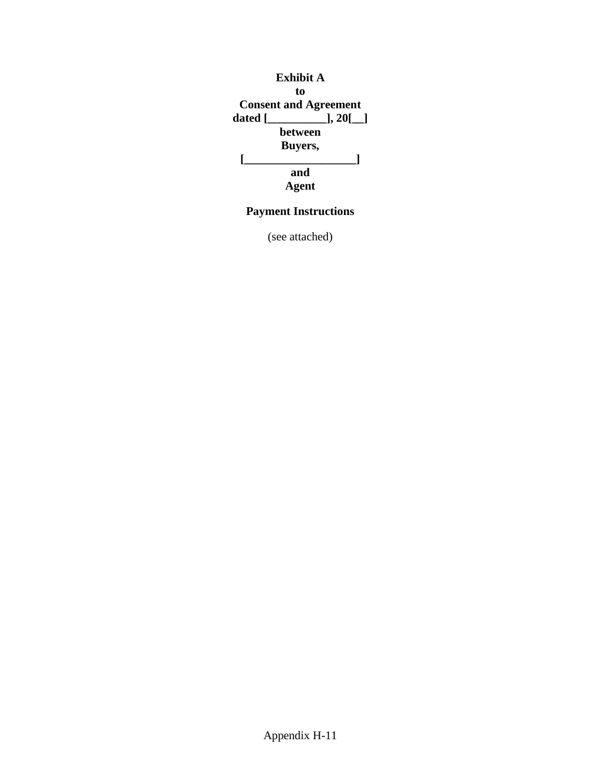

# **Payment Instructions**

(see attached)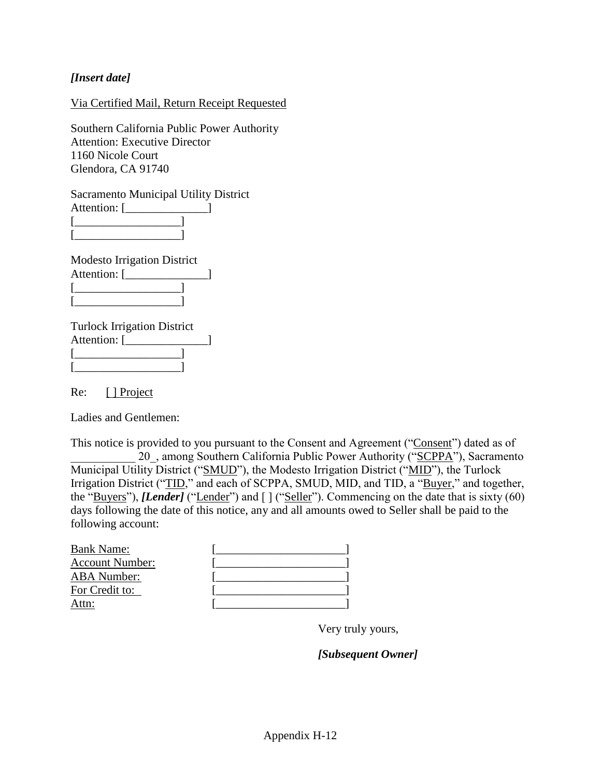## *[Insert date]*

## Via Certified Mail, Return Receipt Requested

Southern California Public Power Authority Attention: Executive Director 1160 Nicole Court Glendora, CA 91740

Sacramento Municipal Utility District Attention: [\_\_\_\_\_\_\_\_\_\_\_\_\_\_]  $[\begin{array}{c} \begin{array}{|c} \hline \end{array} & \begin{array}{|c} \hline \end{array} & \begin{array}{|c} \hline \end{array} & \begin{array}{|c} \hline \end{array} & \begin{array}{|c} \hline \end{array} & \begin{array}{|c} \hline \end{array} & \begin{array}{|c} \hline \end{array} & \begin{array}{|c} \hline \end{array} & \begin{array}{|c} \hline \end{array} & \begin{array}{|c} \hline \end{array} & \begin{array}{|c} \hline \end{array} & \begin{array}{|c} \hline \end{array} & \begin{array}{|c} \$ 

Modesto Irrigation District Attention: [\_\_\_\_\_\_\_\_\_\_\_\_\_\_]  $\begin{array}{ccc} \hline \end{array}$ [\_\_\_\_\_\_\_\_\_\_\_\_\_\_\_\_\_\_]

[\_\_\_\_\_\_\_\_\_\_\_\_\_\_\_\_\_\_]

Turlock Irrigation District Attention: [\_\_\_\_\_\_\_\_\_\_\_\_\_\_] [\_\_\_\_\_\_\_\_\_\_\_\_\_\_\_\_\_\_]  $[$   $]$ 

Re: [ <u>] Project</u>

Ladies and Gentlemen:

This notice is provided to you pursuant to the Consent and Agreement ("Consent") dated as of 20, among Southern California Public Power Authority ("SCPPA"), Sacramento Municipal Utility District ("SMUD"), the Modesto Irrigation District ("MID"), the Turlock Irrigation District ("TID," and each of SCPPA, SMUD, MID, and TID, a "Buyer," and together, the "Buyers"), *[Lender]* ("Lender") and  $\lceil \cdot \rceil$  ("Seller"). Commencing on the date that is sixty (60) days following the date of this notice, any and all amounts owed to Seller shall be paid to the following account:

| <b>Bank Name:</b>      |  |
|------------------------|--|
| <b>Account Number:</b> |  |
| <b>ABA</b> Number:     |  |
| For Credit to:         |  |
| Attn:                  |  |

Very truly yours,

*[Subsequent Owner]*